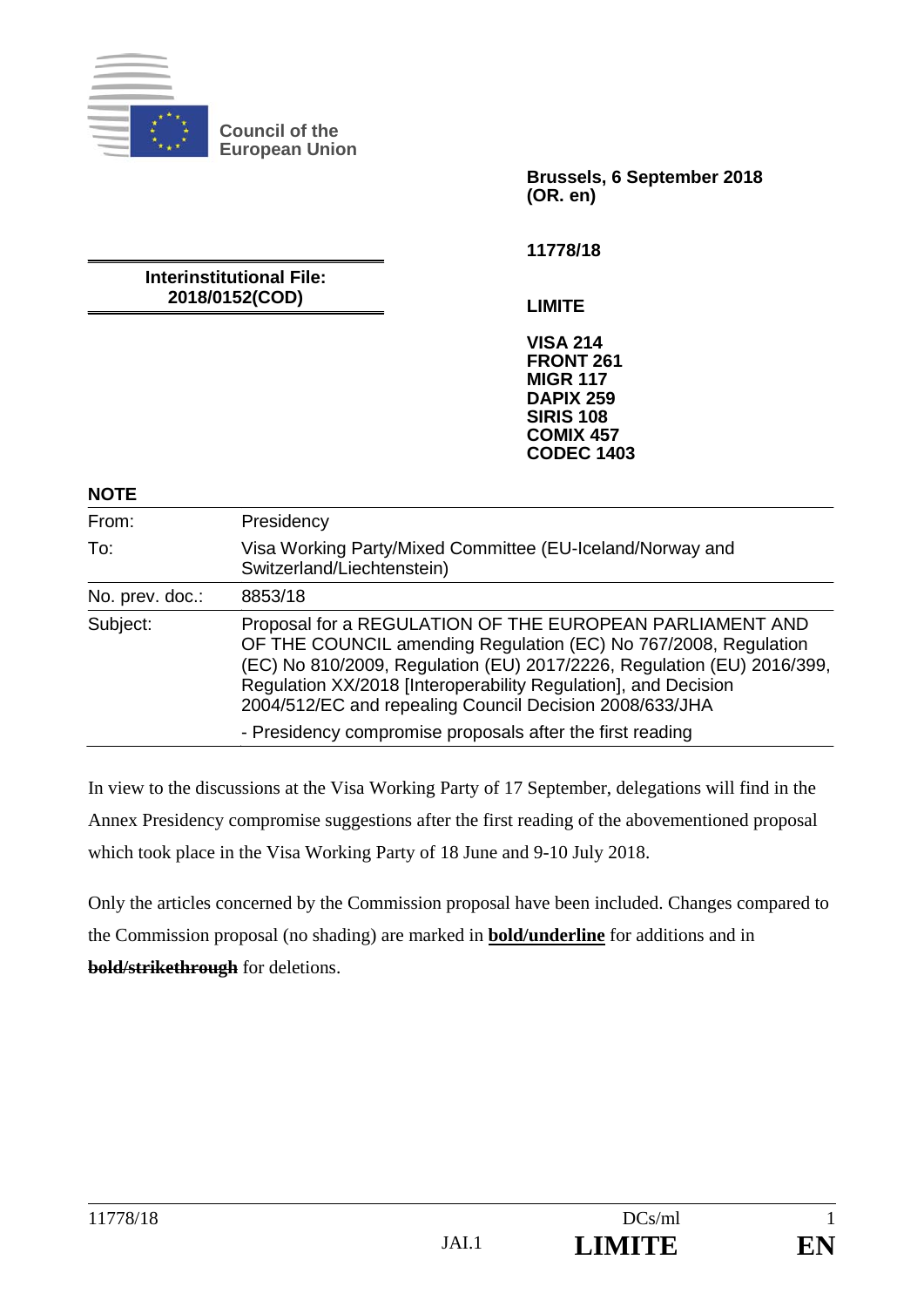

**Council of the European Union** 

> **Brussels, 6 September 2018 (OR. en)**

**11778/18** 

**Interinstitutional File: 2018/0152(COD)** 

**LIMITE** 

**VISA 214 FRONT 261 MIGR 117 DAPIX 259 SIRIS 108 COMIX 457 CODEC 1403**

**NOTE** 

| 11 J I L        |                                                                                                                                                                                                                                                                                                                                    |
|-----------------|------------------------------------------------------------------------------------------------------------------------------------------------------------------------------------------------------------------------------------------------------------------------------------------------------------------------------------|
| From:           | Presidency                                                                                                                                                                                                                                                                                                                         |
| To:             | Visa Working Party/Mixed Committee (EU-Iceland/Norway and<br>Switzerland/Liechtenstein)                                                                                                                                                                                                                                            |
| No. prev. doc.: | 8853/18                                                                                                                                                                                                                                                                                                                            |
| Subject:        | Proposal for a REGULATION OF THE EUROPEAN PARLIAMENT AND<br>OF THE COUNCIL amending Regulation (EC) No 767/2008, Regulation<br>(EC) No 810/2009, Regulation (EU) 2017/2226, Regulation (EU) 2016/399,<br>Regulation XX/2018 [Interoperability Regulation], and Decision<br>2004/512/EC and repealing Council Decision 2008/633/JHA |
|                 | - Presidency compromise proposals after the first reading                                                                                                                                                                                                                                                                          |

In view to the discussions at the Visa Working Party of 17 September, delegations will find in the Annex Presidency compromise suggestions after the first reading of the abovementioned proposal which took place in the Visa Working Party of 18 June and 9-10 July 2018.

Only the articles concerned by the Commission proposal have been included. Changes compared to the Commission proposal (no shading) are marked in **bold/underline** for additions and in **bold/strikethrough** for deletions.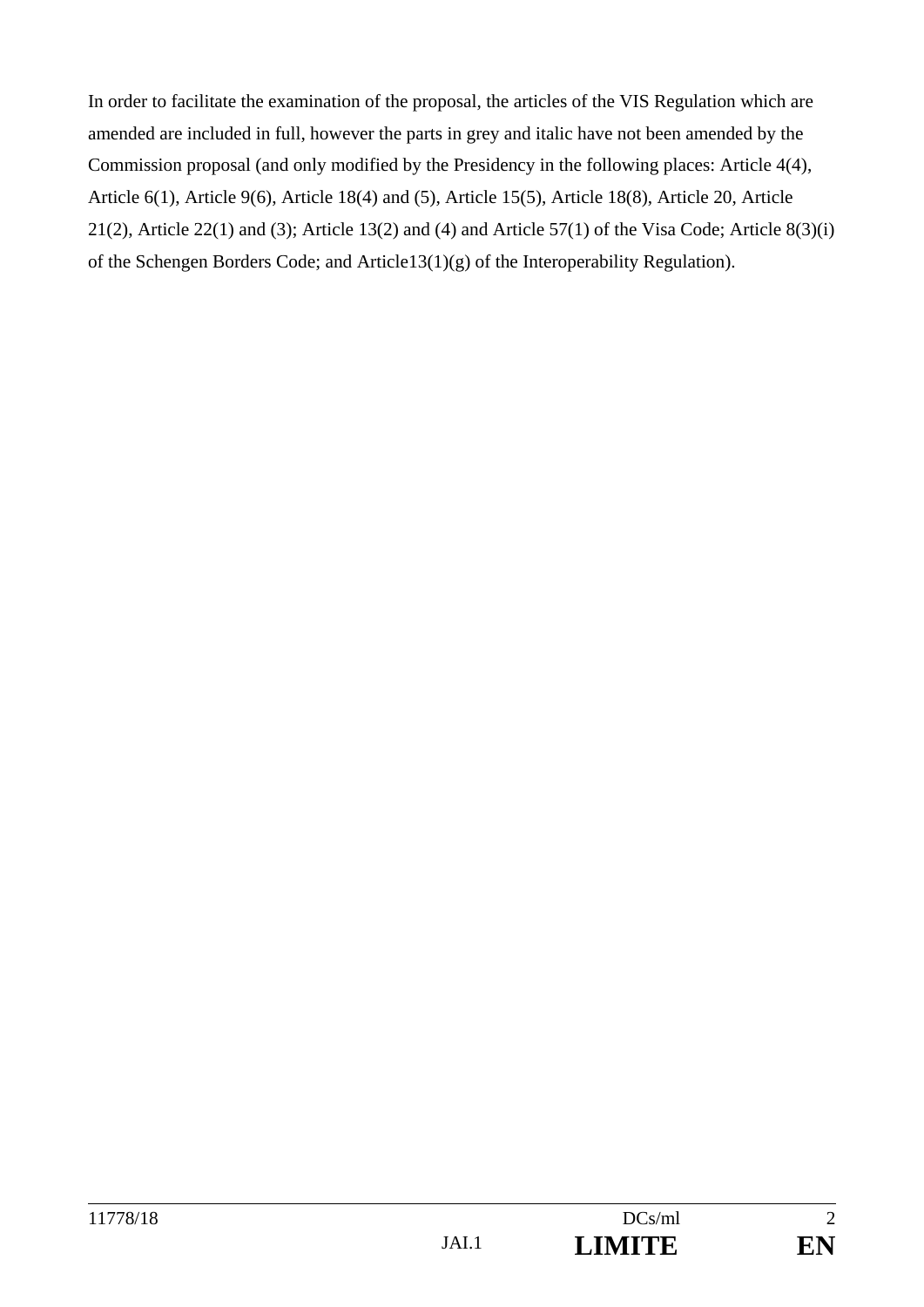In order to facilitate the examination of the proposal, the articles of the VIS Regulation which are amended are included in full, however the parts in grey and italic have not been amended by the Commission proposal (and only modified by the Presidency in the following places: Article 4(4), Article 6(1), Article 9(6), Article 18(4) and (5), Article 15(5), Article 18(8), Article 20, Article 21(2), Article 22(1) and (3); Article 13(2) and (4) and Article 57(1) of the Visa Code; Article 8(3)(i) of the Schengen Borders Code; and Article13(1)(g) of the Interoperability Regulation).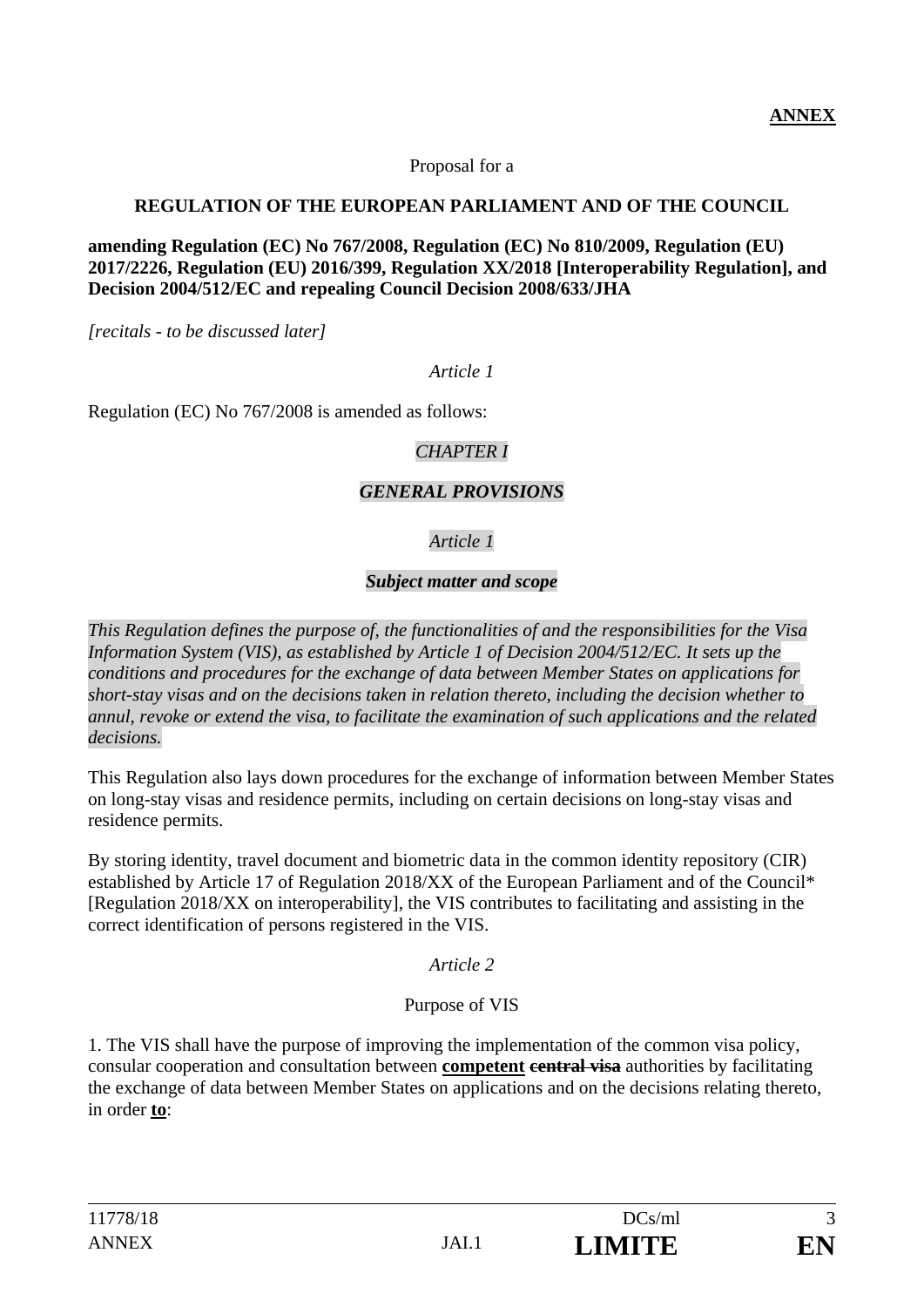Proposal for a

### **REGULATION OF THE EUROPEAN PARLIAMENT AND OF THE COUNCIL**

**amending Regulation (EC) No 767/2008, Regulation (EC) No 810/2009, Regulation (EU) 2017/2226, Regulation (EU) 2016/399, Regulation XX/2018 [Interoperability Regulation], and Decision 2004/512/EC and repealing Council Decision 2008/633/JHA** 

*[recitals - to be discussed later]* 

#### *Article 1*

Regulation (EC) No 767/2008 is amended as follows:

### *CHAPTER I*

### *GENERAL PROVISIONS*

## *Article 1*

### *Subject matter and scope*

*This Regulation defines the purpose of, the functionalities of and the responsibilities for the Visa Information System (VIS), as established by Article 1 of Decision 2004/512/EC. It sets up the conditions and procedures for the exchange of data between Member States on applications for short-stay visas and on the decisions taken in relation thereto, including the decision whether to annul, revoke or extend the visa, to facilitate the examination of such applications and the related decisions.* 

This Regulation also lays down procedures for the exchange of information between Member States on long-stay visas and residence permits, including on certain decisions on long-stay visas and residence permits.

By storing identity, travel document and biometric data in the common identity repository (CIR) established by Article 17 of Regulation 2018/XX of the European Parliament and of the Council\* [Regulation 2018/XX on interoperability], the VIS contributes to facilitating and assisting in the correct identification of persons registered in the VIS.

*Article 2*

### Purpose of VIS

1. The VIS shall have the purpose of improving the implementation of the common visa policy, consular cooperation and consultation between **competent central visa** authorities by facilitating the exchange of data between Member States on applications and on the decisions relating thereto, in order **to**: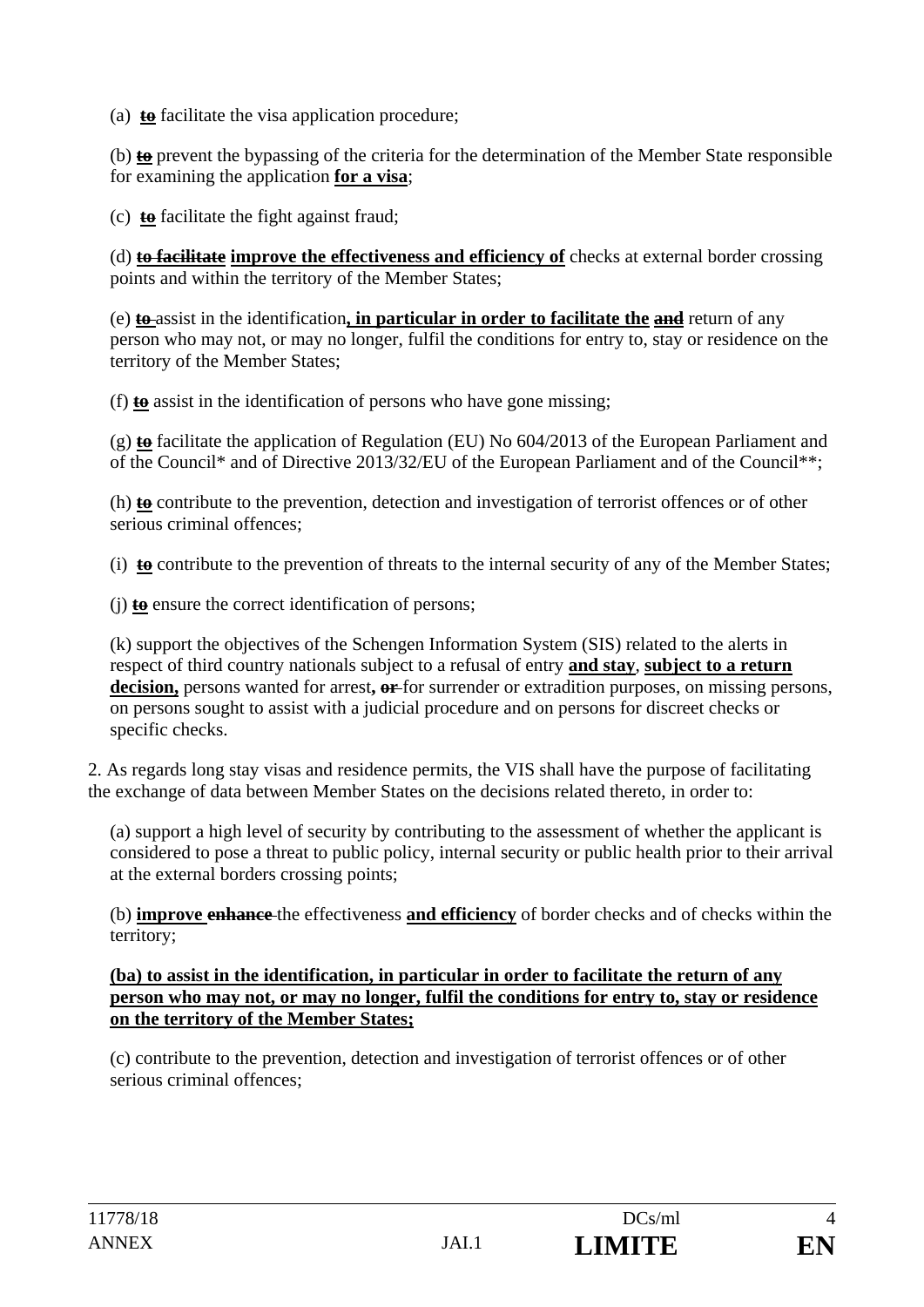(a) **to** facilitate the visa application procedure;

(b) **to** prevent the bypassing of the criteria for the determination of the Member State responsible for examining the application **for a visa**;

(c) **to** facilitate the fight against fraud;

(d) **to facilitate improve the effectiveness and efficiency of** checks at external border crossing points and within the territory of the Member States;

(e) **to** assist in the identification**, in particular in order to facilitate the and** return of any person who may not, or may no longer, fulfil the conditions for entry to, stay or residence on the territory of the Member States;

(f) **to** assist in the identification of persons who have gone missing;

(g) **to** facilitate the application of Regulation (EU) No 604/2013 of the European Parliament and of the Council\* and of Directive 2013/32/EU of the European Parliament and of the Council\*\*;

(h) **to** contribute to the prevention, detection and investigation of terrorist offences or of other serious criminal offences;

(i) **to** contribute to the prevention of threats to the internal security of any of the Member States;

(j) **to** ensure the correct identification of persons;

(k) support the objectives of the Schengen Information System (SIS) related to the alerts in respect of third country nationals subject to a refusal of entry **and stay**, **subject to a return decision,** persons wanted for arrest**, or** for surrender or extradition purposes, on missing persons, on persons sought to assist with a judicial procedure and on persons for discreet checks or specific checks.

2. As regards long stay visas and residence permits, the VIS shall have the purpose of facilitating the exchange of data between Member States on the decisions related thereto, in order to:

(a) support a high level of security by contributing to the assessment of whether the applicant is considered to pose a threat to public policy, internal security or public health prior to their arrival at the external borders crossing points;

(b) **improve enhance** the effectiveness **and efficiency** of border checks and of checks within the territory;

**(ba) to assist in the identification, in particular in order to facilitate the return of any person who may not, or may no longer, fulfil the conditions for entry to, stay or residence on the territory of the Member States;** 

(c) contribute to the prevention, detection and investigation of terrorist offences or of other serious criminal offences;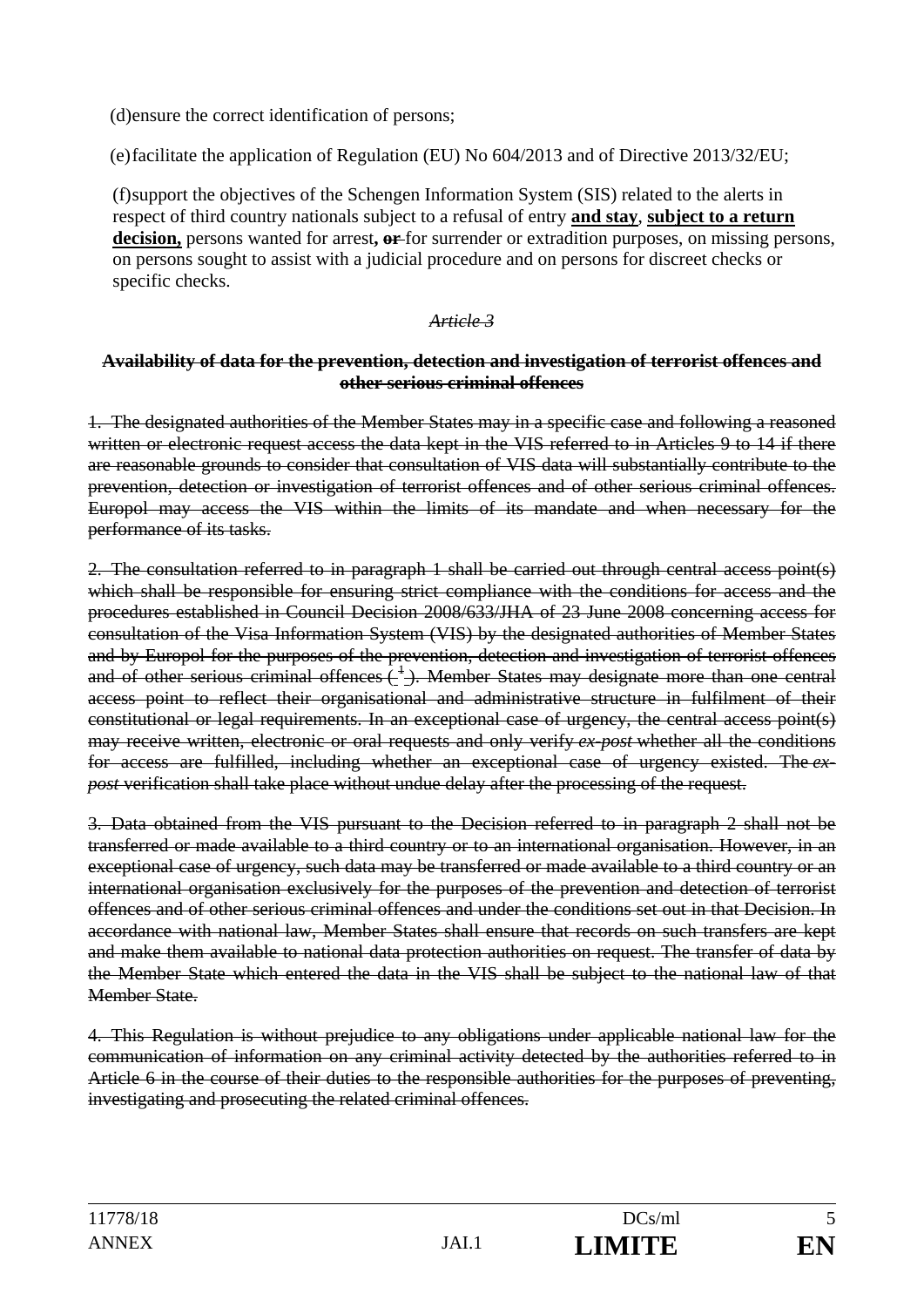(d) ensure the correct identification of persons;

(e) facilitate the application of Regulation (EU) No 604/2013 and of Directive 2013/32/EU;

(f) support the objectives of the Schengen Information System (SIS) related to the alerts in respect of third country nationals subject to a refusal of entry **and stay**, **subject to a return decision,** persons wanted for arrest**, or** for surrender or extradition purposes, on missing persons, on persons sought to assist with a judicial procedure and on persons for discreet checks or specific checks.

#### *Article 3*

#### **Availability of data for the prevention, detection and investigation of terrorist offences and other serious criminal offences**

1. The designated authorities of the Member States may in a specific case and following a reasoned written or electronic request access the data kept in the VIS referred to in Articles 9 to 14 if there are reasonable grounds to consider that consultation of VIS data will substantially contribute to the prevention, detection or investigation of terrorist offences and of other serious criminal offences. Europol may access the VIS within the limits of its mandate and when necessary for the performance of its tasks.

2. The consultation referred to in paragraph 1 shall be carried out through central access point(s) which shall be responsible for ensuring strict compliance with the conditions for access and the procedures established in Council Decision 2008/633/JHA of 23 June 2008 concerning access for consultation of the Visa Information System (VIS) by the designated authorities of Member States and by Europol for the purposes of the prevention, detection and investigation of terrorist offences and of other serious criminal offences  $\frac{1}{2}$ . Member States may designate more than one central access point to reflect their organisational and administrative structure in fulfilment of their constitutional or legal requirements. In an exceptional case of urgency, the central access point(s) may receive written, electronic or oral requests and only verify *ex-post* whether all the conditions for access are fulfilled, including whether an exceptional case of urgency existed. The *expost* verification shall take place without undue delay after the processing of the request.

3. Data obtained from the VIS pursuant to the Decision referred to in paragraph 2 shall not be transferred or made available to a third country or to an international organisation. However, in an exceptional case of urgency, such data may be transferred or made available to a third country or an international organisation exclusively for the purposes of the prevention and detection of terrorist offences and of other serious criminal offences and under the conditions set out in that Decision. In accordance with national law, Member States shall ensure that records on such transfers are kept and make them available to national data protection authorities on request. The transfer of data by the Member State which entered the data in the VIS shall be subject to the national law of that Member State.

4. This Regulation is without prejudice to any obligations under applicable national law for the communication of information on any criminal activity detected by the authorities referred to in Article 6 in the course of their duties to the responsible authorities for the purposes of preventing, investigating and prosecuting the related criminal offences.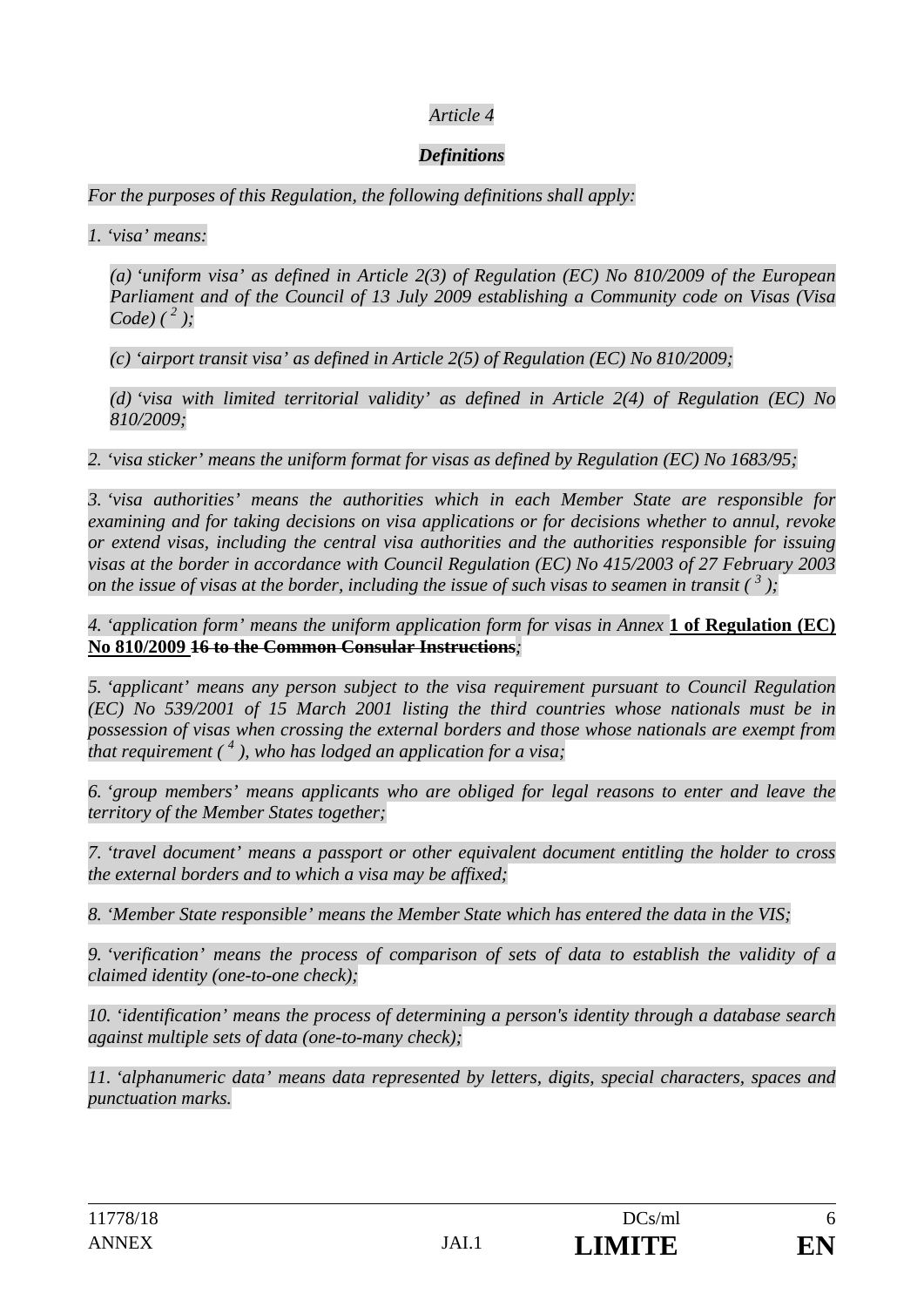### *Article 4*

### *Definitions*

*For the purposes of this Regulation, the following definitions shall apply:* 

*1. 'visa' means:* 

*(a) 'uniform visa' as defined in Article 2(3) of Regulation (EC) No 810/2009 of the European Parliament and of the Council of 13 July 2009 establishing a Community code on Visas (Visa Code*)  $({}^{2}$  );

*(c) 'airport transit visa' as defined in Article 2(5) of Regulation (EC) No 810/2009;* 

*(d) 'visa with limited territorial validity' as defined in Article 2(4) of Regulation (EC) No 810/2009;* 

*2. 'visa sticker' means the uniform format for visas as defined by Regulation (EC) No 1683/95;* 

*3. 'visa authorities' means the authorities which in each Member State are responsible for examining and for taking decisions on visa applications or for decisions whether to annul, revoke or extend visas, including the central visa authorities and the authorities responsible for issuing visas at the border in accordance with Council Regulation (EC) No 415/2003 of 27 February 2003 on the issue of visas at the border, including the issue of such visas to seamen in transit*  $\binom{3}{2}$ ;

*4. 'application form' means the uniform application form for visas in Annex* **1 of Regulation (EC) No 810/2009 16 to the Common Consular Instructions***;* 

*5. 'applicant' means any person subject to the visa requirement pursuant to Council Regulation (EC) No 539/2001 of 15 March 2001 listing the third countries whose nationals must be in possession of visas when crossing the external borders and those whose nationals are exempt from that requirement ( 4 ), who has lodged an application for a visa;* 

*6. 'group members' means applicants who are obliged for legal reasons to enter and leave the territory of the Member States together;* 

*7. 'travel document' means a passport or other equivalent document entitling the holder to cross the external borders and to which a visa may be affixed;* 

*8. 'Member State responsible' means the Member State which has entered the data in the VIS;* 

*9. 'verification' means the process of comparison of sets of data to establish the validity of a claimed identity (one-to-one check);* 

*10. 'identification' means the process of determining a person's identity through a database search against multiple sets of data (one-to-many check);* 

*11. 'alphanumeric data' means data represented by letters, digits, special characters, spaces and punctuation marks.*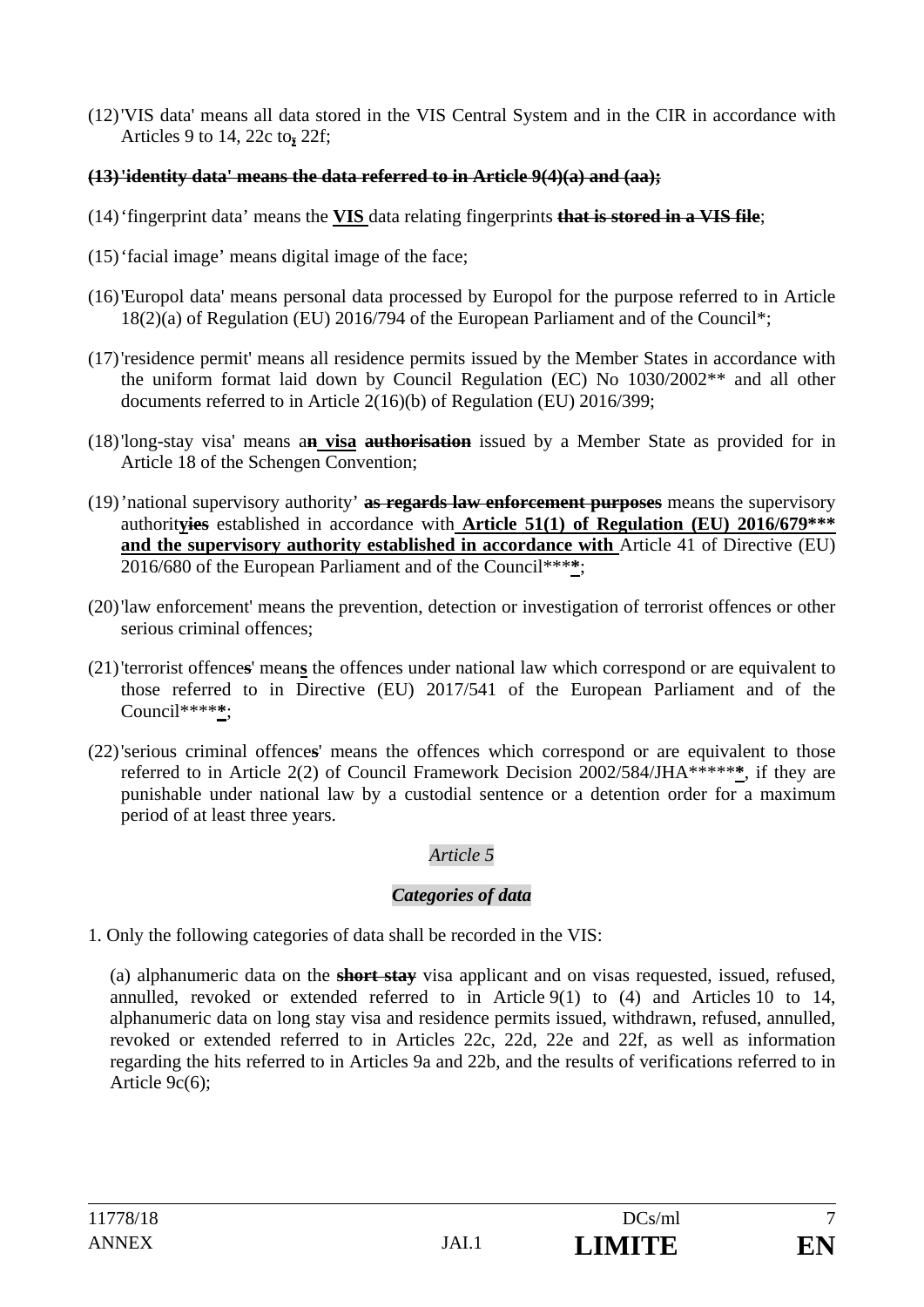(12)'VIS data' means all data stored in the VIS Central System and in the CIR in accordance with Articles 9 to 14, 22c to**,** 22f;

### **(13)'identity data' means the data referred to in Article 9(4)(a) and (aa);**

- (14)'fingerprint data' means the **VIS** data relating fingerprints **that is stored in a VIS file**;
- (15)'facial image' means digital image of the face;
- (16)'Europol data' means personal data processed by Europol for the purpose referred to in Article 18(2)(a) of Regulation (EU) 2016/794 of the European Parliament and of the Council\*;
- (17)'residence permit' means all residence permits issued by the Member States in accordance with the uniform format laid down by Council Regulation (EC) No 1030/2002\*\* and all other documents referred to in Article 2(16)(b) of Regulation (EU) 2016/399;
- (18)'long-stay visa' means a**n visa authorisation** issued by a Member State as provided for in Article 18 of the Schengen Convention;
- (19)'national supervisory authority' **as regards law enforcement purposes** means the supervisory authorit**yies** established in accordance with **Article 51(1) of Regulation (EU) 2016/679\*\*\* and the supervisory authority established in accordance with** Article 41 of Directive (EU) 2016/680 of the European Parliament and of the Council\*\*\***\***;
- (20)'law enforcement' means the prevention, detection or investigation of terrorist offences or other serious criminal offences;
- (21)'terrorist offence**s**' mean**s** the offences under national law which correspond or are equivalent to those referred to in Directive (EU) 2017/541 of the European Parliament and of the Council\*\*\*\***\***;
- (22)'serious criminal offence**s**' means the offences which correspond or are equivalent to those referred to in Article 2(2) of Council Framework Decision 2002/584/JHA\*\*\*\*\***\***, if they are punishable under national law by a custodial sentence or a detention order for a maximum period of at least three years.

## *Article 5*

## *Categories of data*

1. Only the following categories of data shall be recorded in the VIS:

(a) alphanumeric data on the **short stay** visa applicant and on visas requested, issued, refused, annulled, revoked or extended referred to in Article 9(1) to (4) and Articles 10 to 14, alphanumeric data on long stay visa and residence permits issued, withdrawn, refused, annulled, revoked or extended referred to in Articles 22c, 22d, 22e and 22f, as well as information regarding the hits referred to in Articles 9a and 22b, and the results of verifications referred to in Article 9c(6);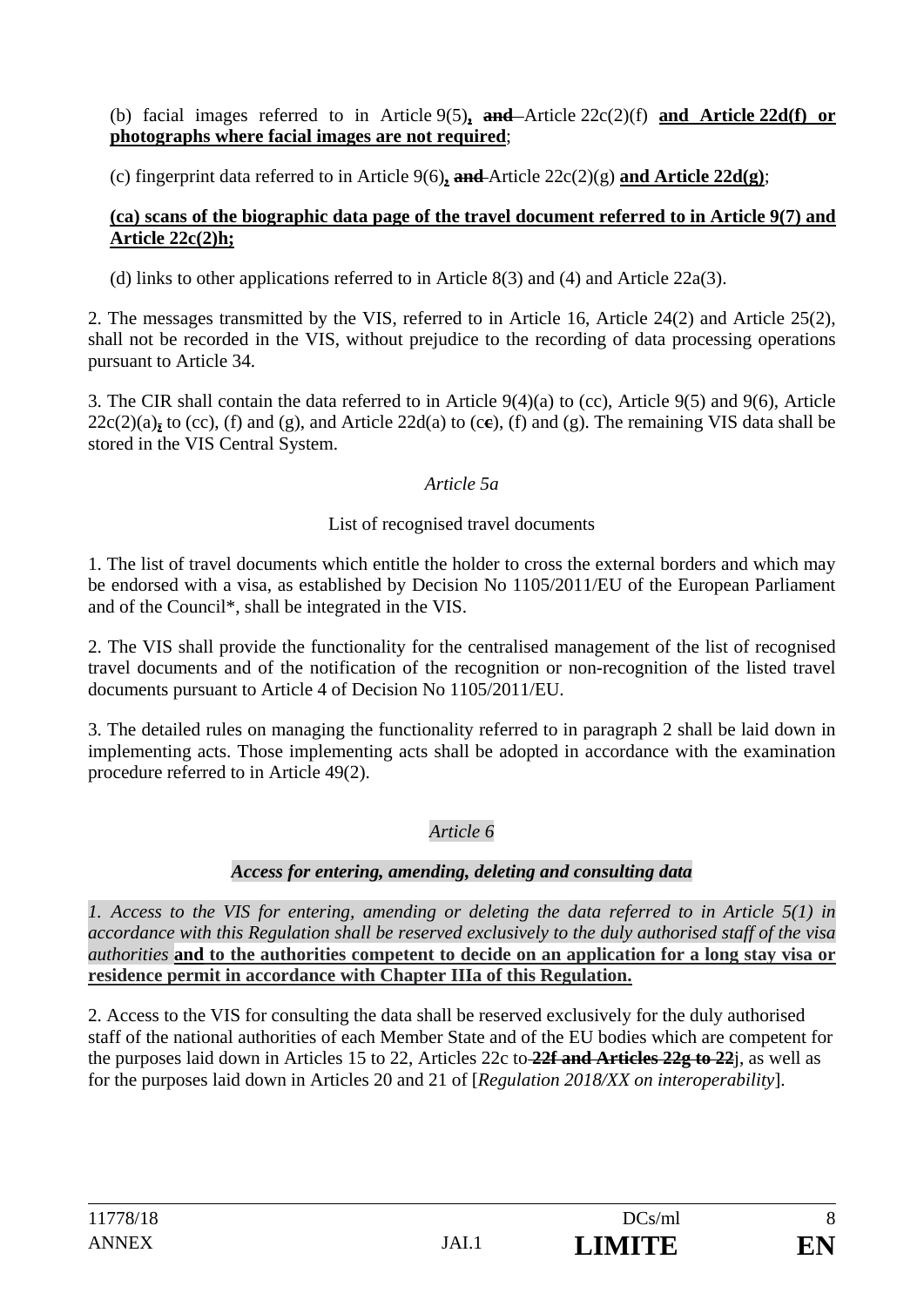(b) facial images referred to in Article 9(5)**, and** Article 22c(2)(f) **and Article 22d(f) or photographs where facial images are not required**;

(c) fingerprint data referred to in Article 9(6)**, and** Article 22c(2)(g) **and Article 22d(g)**;

### **(ca) scans of the biographic data page of the travel document referred to in Article 9(7) and Article 22c(2)h;**

(d) links to other applications referred to in Article 8(3) and (4) and Article 22a(3).

2. The messages transmitted by the VIS, referred to in Article 16, Article 24(2) and Article 25(2), shall not be recorded in the VIS, without prejudice to the recording of data processing operations pursuant to Article 34.

3. The CIR shall contain the data referred to in Article 9(4)(a) to (cc), Article 9(5) and 9(6), Article  $22c(2)(a)$ <sub>z</sub> to (cc), (f) and (g), and Article 22d(a) to (ce), (f) and (g). The remaining VIS data shall be stored in the VIS Central System.

## *Article 5a*

## List of recognised travel documents

1. The list of travel documents which entitle the holder to cross the external borders and which may be endorsed with a visa, as established by Decision No 1105/2011/EU of the European Parliament and of the Council\*, shall be integrated in the VIS.

2. The VIS shall provide the functionality for the centralised management of the list of recognised travel documents and of the notification of the recognition or non-recognition of the listed travel documents pursuant to Article 4 of Decision No 1105/2011/EU.

3. The detailed rules on managing the functionality referred to in paragraph 2 shall be laid down in implementing acts. Those implementing acts shall be adopted in accordance with the examination procedure referred to in Article 49(2).

# *Article 6*

## *Access for entering, amending, deleting and consulting data*

*1. Access to the VIS for entering, amending or deleting the data referred to in Article 5(1) in accordance with this Regulation shall be reserved exclusively to the duly authorised staff of the visa authorities* **and to the authorities competent to decide on an application for a long stay visa or residence permit in accordance with Chapter IIIa of this Regulation.**

2. Access to the VIS for consulting the data shall be reserved exclusively for the duly authorised staff of the national authorities of each Member State and of the EU bodies which are competent for the purposes laid down in Articles 15 to 22, Articles 22c to **22f and Articles 22g to 22**j, as well as for the purposes laid down in Articles 20 and 21 of [*Regulation 2018/XX on interoperability*].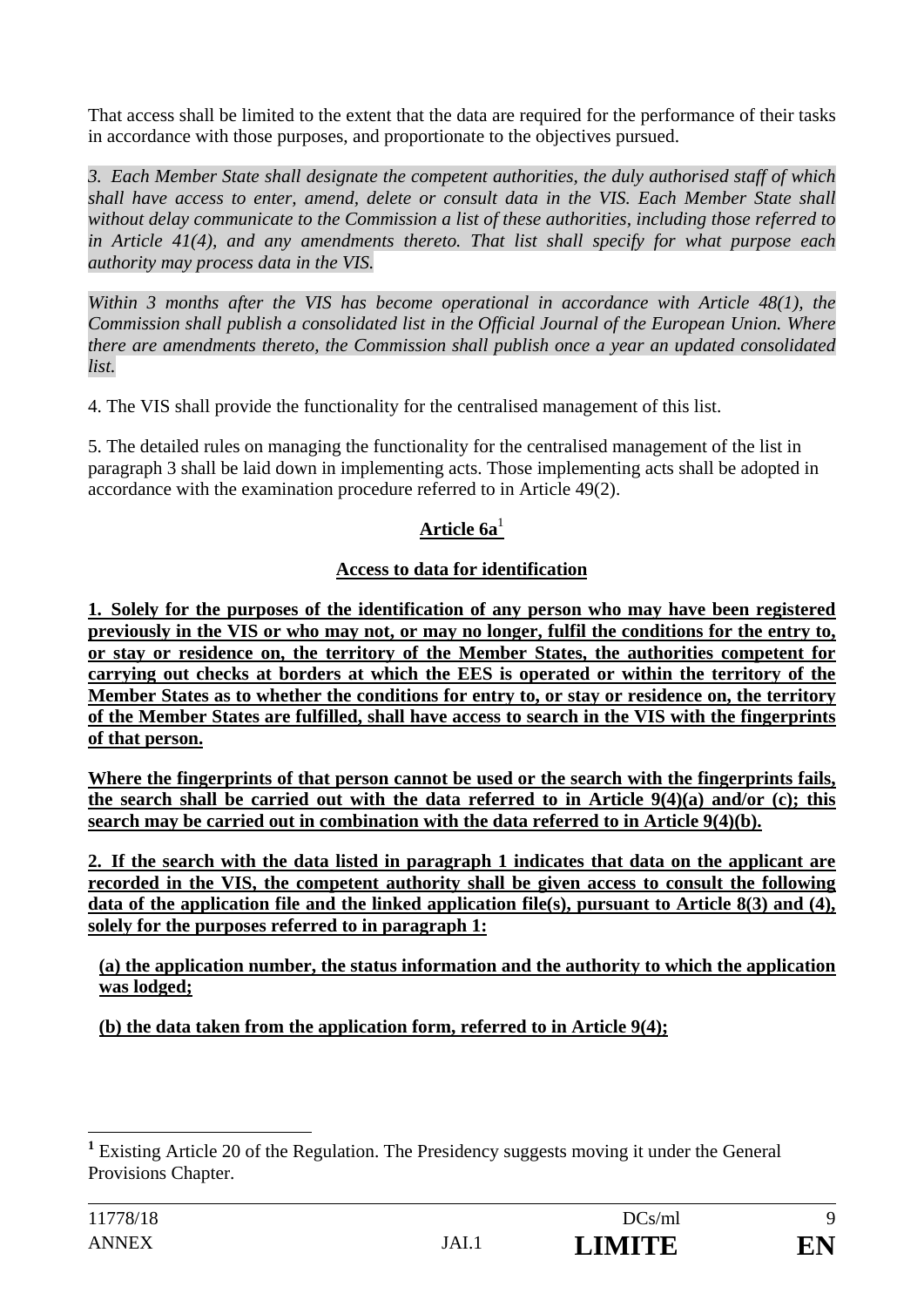That access shall be limited to the extent that the data are required for the performance of their tasks in accordance with those purposes, and proportionate to the objectives pursued.

*3. Each Member State shall designate the competent authorities, the duly authorised staff of which shall have access to enter, amend, delete or consult data in the VIS. Each Member State shall without delay communicate to the Commission a list of these authorities, including those referred to in Article 41(4), and any amendments thereto. That list shall specify for what purpose each authority may process data in the VIS.* 

*Within 3 months after the VIS has become operational in accordance with Article 48(1), the Commission shall publish a consolidated list in the Official Journal of the European Union. Where there are amendments thereto, the Commission shall publish once a year an updated consolidated list.* 

4. The VIS shall provide the functionality for the centralised management of this list.

5. The detailed rules on managing the functionality for the centralised management of the list in paragraph 3 shall be laid down in implementing acts. Those implementing acts shall be adopted in accordance with the examination procedure referred to in Article 49(2).

# **Article 6a**<sup>1</sup>

# **Access to data for identification**

**1. Solely for the purposes of the identification of any person who may have been registered previously in the VIS or who may not, or may no longer, fulfil the conditions for the entry to, or stay or residence on, the territory of the Member States, the authorities competent for carrying out checks at borders at which the EES is operated or within the territory of the Member States as to whether the conditions for entry to, or stay or residence on, the territory of the Member States are fulfilled, shall have access to search in the VIS with the fingerprints of that person.** 

**Where the fingerprints of that person cannot be used or the search with the fingerprints fails, the search shall be carried out with the data referred to in Article 9(4)(a) and/or (c); this search may be carried out in combination with the data referred to in Article 9(4)(b).** 

**2. If the search with the data listed in paragraph 1 indicates that data on the applicant are recorded in the VIS, the competent authority shall be given access to consult the following data of the application file and the linked application file(s), pursuant to Article 8(3) and (4), solely for the purposes referred to in paragraph 1:** 

**(a) the application number, the status information and the authority to which the application was lodged;** 

**(b) the data taken from the application form, referred to in Article 9(4);** 

 $\overline{a}$ 

<sup>&</sup>lt;sup>1</sup> Existing Article 20 of the Regulation. The Presidency suggests moving it under the General Provisions Chapter.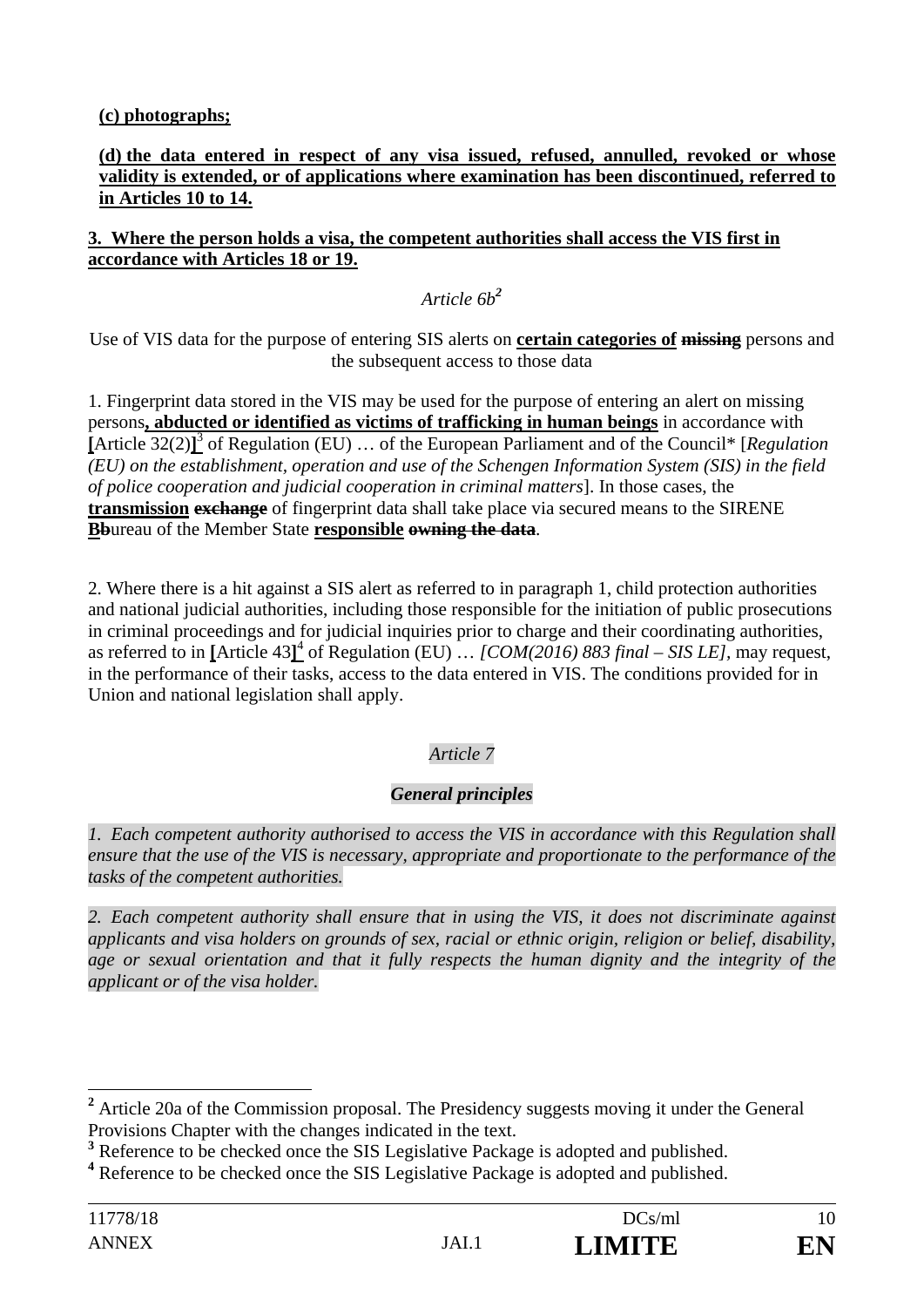**(c) photographs;** 

#### **(d) the data entered in respect of any visa issued, refused, annulled, revoked or whose validity is extended, or of applications where examination has been discontinued, referred to in Articles 10 to 14.**

### **3. Where the person holds a visa, the competent authorities shall access the VIS first in accordance with Articles 18 or 19.**

# *Article 6b<sup>2</sup>*

Use of VIS data for the purpose of entering SIS alerts on **certain categories of missing** persons and the subsequent access to those data

1. Fingerprint data stored in the VIS may be used for the purpose of entering an alert on missing persons**, abducted or identified as victims of trafficking in human beings** in accordance with **[**Article 32(2)**]** 3 of Regulation (EU) … of the European Parliament and of the Council\* [*Regulation (EU) on the establishment, operation and use of the Schengen Information System (SIS) in the field of police cooperation and judicial cooperation in criminal matters*]. In those cases, the **transmission exchange** of fingerprint data shall take place via secured means to the SIRENE **Bb**ureau of the Member State **responsible owning the data**.

2. Where there is a hit against a SIS alert as referred to in paragraph 1, child protection authorities and national judicial authorities, including those responsible for the initiation of public prosecutions in criminal proceedings and for judicial inquiries prior to charge and their coordinating authorities, as referred to in **[**Article 43**]** <sup>4</sup> of Regulation (EU) … *[COM(2016) 883 final – SIS LE],* may request, in the performance of their tasks, access to the data entered in VIS. The conditions provided for in Union and national legislation shall apply.

# *Article 7*

# *General principles*

*1. Each competent authority authorised to access the VIS in accordance with this Regulation shall ensure that the use of the VIS is necessary, appropriate and proportionate to the performance of the tasks of the competent authorities.* 

*2. Each competent authority shall ensure that in using the VIS, it does not discriminate against applicants and visa holders on grounds of sex, racial or ethnic origin, religion or belief, disability, age or sexual orientation and that it fully respects the human dignity and the integrity of the applicant or of the visa holder.* 

<sup>&</sup>lt;sup>2</sup> Article 20a of the Commission proposal. The Presidency suggests moving it under the General Provisions Chapter with the changes indicated in the text.

<sup>&</sup>lt;sup>3</sup> Reference to be checked once the SIS Legislative Package is adopted and published.

<sup>&</sup>lt;sup>4</sup> Reference to be checked once the SIS Legislative Package is adopted and published.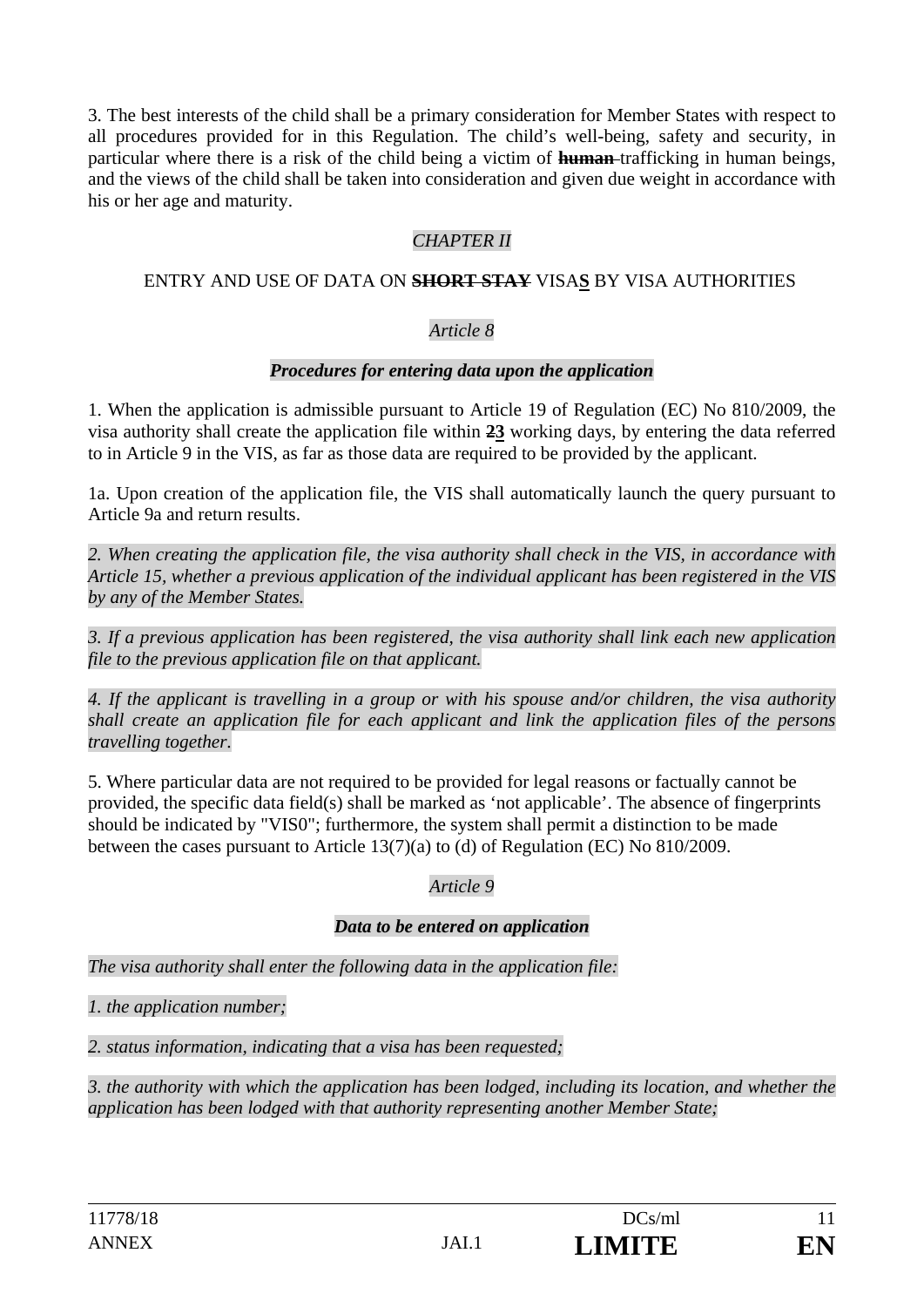3. The best interests of the child shall be a primary consideration for Member States with respect to all procedures provided for in this Regulation. The child's well-being, safety and security, in particular where there is a risk of the child being a victim of **human** trafficking in human beings, and the views of the child shall be taken into consideration and given due weight in accordance with his or her age and maturity.

## *CHAPTER II*

#### ENTRY AND USE OF DATA ON **SHORT STAY** VISA**S** BY VISA AUTHORITIES

#### *Article 8*

#### *Procedures for entering data upon the application*

1. When the application is admissible pursuant to Article 19 of Regulation (EC) No 810/2009, the visa authority shall create the application file within **23** working days, by entering the data referred to in Article 9 in the VIS, as far as those data are required to be provided by the applicant.

1a. Upon creation of the application file, the VIS shall automatically launch the query pursuant to Article 9a and return results.

*2. When creating the application file, the visa authority shall check in the VIS, in accordance with Article 15, whether a previous application of the individual applicant has been registered in the VIS by any of the Member States.* 

*3. If a previous application has been registered, the visa authority shall link each new application file to the previous application file on that applicant.* 

*4. If the applicant is travelling in a group or with his spouse and/or children, the visa authority shall create an application file for each applicant and link the application files of the persons travelling together.* 

5. Where particular data are not required to be provided for legal reasons or factually cannot be provided, the specific data field(s) shall be marked as 'not applicable'. The absence of fingerprints should be indicated by "VIS0"; furthermore, the system shall permit a distinction to be made between the cases pursuant to Article 13(7)(a) to (d) of Regulation (EC) No 810/2009.

### *Article 9*

#### *Data to be entered on application*

*The visa authority shall enter the following data in the application file:* 

*1. the application number;* 

*2. status information, indicating that a visa has been requested;* 

*3. the authority with which the application has been lodged, including its location, and whether the application has been lodged with that authority representing another Member State;*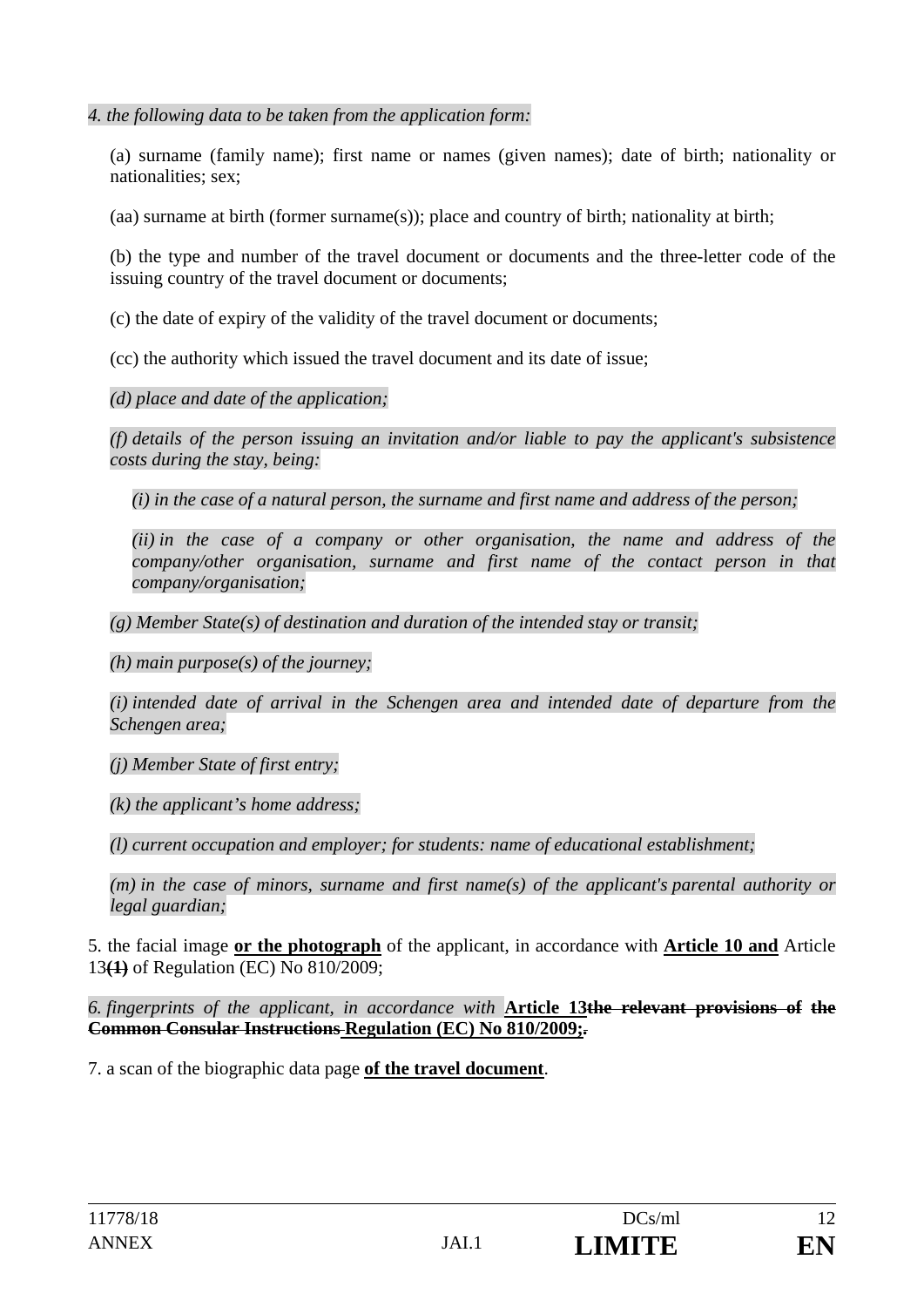*4. the following data to be taken from the application form:* 

(a) surname (family name); first name or names (given names); date of birth; nationality or nationalities; sex;

(aa) surname at birth (former surname(s)); place and country of birth; nationality at birth;

(b) the type and number of the travel document or documents and the three-letter code of the issuing country of the travel document or documents;

(c) the date of expiry of the validity of the travel document or documents;

(cc) the authority which issued the travel document and its date of issue;

*(d) place and date of the application;* 

*(f) details of the person issuing an invitation and/or liable to pay the applicant's subsistence costs during the stay, being:* 

*(i) in the case of a natural person, the surname and first name and address of the person;* 

*(ii) in the case of a company or other organisation, the name and address of the company/other organisation, surname and first name of the contact person in that company/organisation;* 

*(g) Member State(s) of destination and duration of the intended stay or transit;* 

*(h) main purpose(s) of the journey;* 

*(i) intended date of arrival in the Schengen area and intended date of departure from the Schengen area;* 

*(j) Member State of first entry;* 

*(k) the applicant's home address;* 

*(l) current occupation and employer; for students: name of educational establishment;* 

*(m) in the case of minors, surname and first name(s) of the applicant's parental authority or legal guardian;* 

5. the facial image **or the photograph** of the applicant, in accordance with **Article 10 and** Article 13**(1)** of Regulation (EC) No 810/2009;

*6. fingerprints of the applicant, in accordance with* **Article 13the relevant provisions of the Common Consular Instructions Regulation (EC) No 810/2009;***.*

7. a scan of the biographic data page **of the travel document**.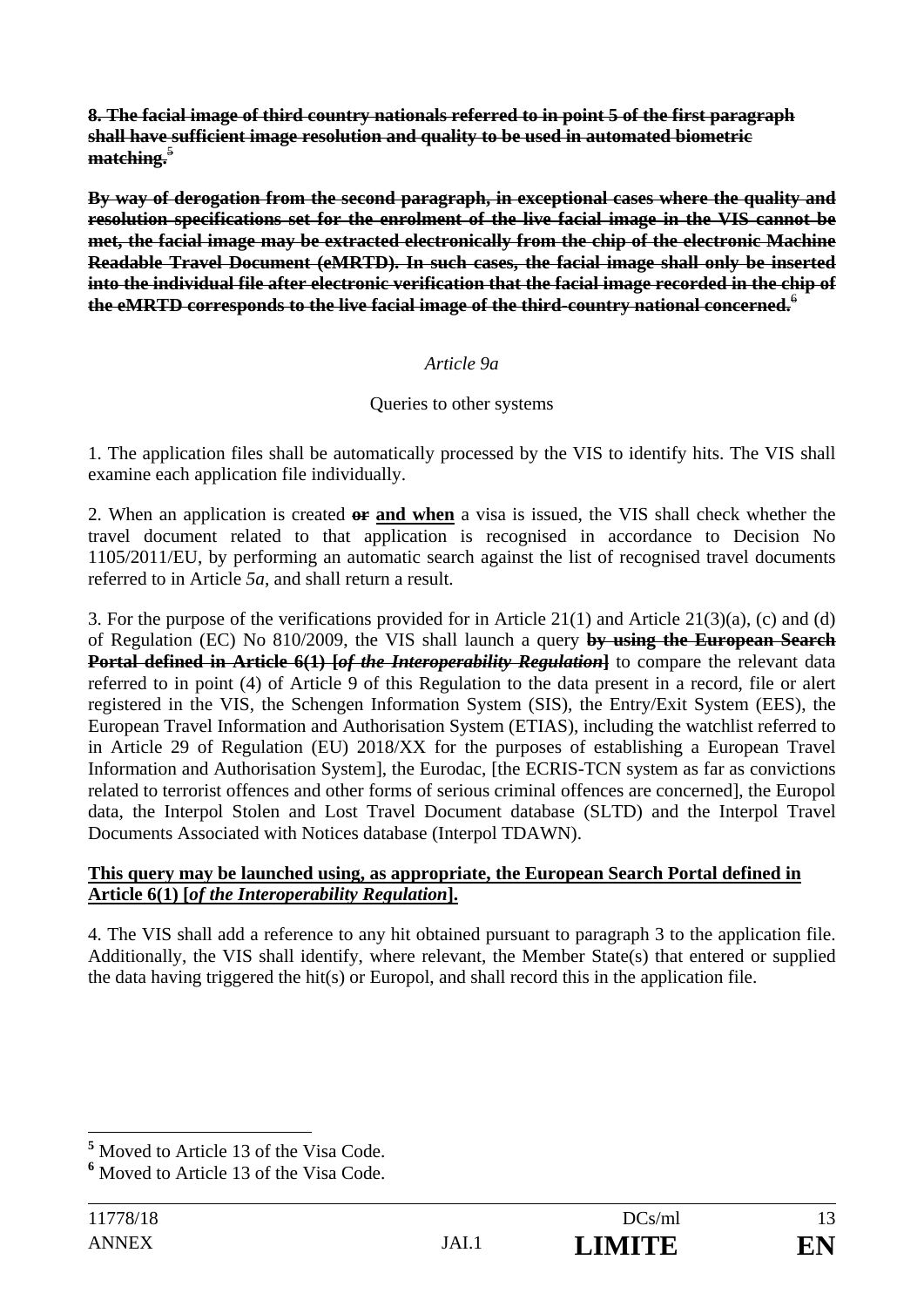**8. The facial image of third country nationals referred to in point 5 of the first paragraph shall have sufficient image resolution and quality to be used in automated biometric**  matching.<sup>5</sup>

**By way of derogation from the second paragraph, in exceptional cases where the quality and resolution specifications set for the enrolment of the live facial image in the VIS cannot be met, the facial image may be extracted electronically from the chip of the electronic Machine Readable Travel Document (eMRTD). In such cases, the facial image shall only be inserted into the individual file after electronic verification that the facial image recorded in the chip of the eMRTD corresponds to the live facial image of the third-country national concerned.**<sup>6</sup>

### *Article 9a*

### Queries to other systems

1. The application files shall be automatically processed by the VIS to identify hits. The VIS shall examine each application file individually.

2. When an application is created **or and when** a visa is issued, the VIS shall check whether the travel document related to that application is recognised in accordance to Decision No 1105/2011/EU, by performing an automatic search against the list of recognised travel documents referred to in Article *5a*, and shall return a result.

3. For the purpose of the verifications provided for in Article 21(1) and Article 21(3)(a), (c) and (d) of Regulation (EC) No 810/2009, the VIS shall launch a query **by using the European Search Portal defined in Article 6(1) [***of the Interoperability Regulation***]</del> to compare the relevant data** referred to in point (4) of Article 9 of this Regulation to the data present in a record, file or alert registered in the VIS, the Schengen Information System (SIS), the Entry/Exit System (EES), the European Travel Information and Authorisation System (ETIAS), including the watchlist referred to in Article 29 of Regulation (EU) 2018/XX for the purposes of establishing a European Travel Information and Authorisation System], the Eurodac, [the ECRIS-TCN system as far as convictions related to terrorist offences and other forms of serious criminal offences are concerned], the Europol data, the Interpol Stolen and Lost Travel Document database (SLTD) and the Interpol Travel Documents Associated with Notices database (Interpol TDAWN).

#### **This query may be launched using, as appropriate, the European Search Portal defined in Article 6(1) [***of the Interoperability Regulation***].**

4. The VIS shall add a reference to any hit obtained pursuant to paragraph 3 to the application file. Additionally, the VIS shall identify, where relevant, the Member State(s) that entered or supplied the data having triggered the hit(s) or Europol, and shall record this in the application file.

 $\overline{a}$ **5** Moved to Article 13 of the Visa Code.

**<sup>6</sup>** Moved to Article 13 of the Visa Code.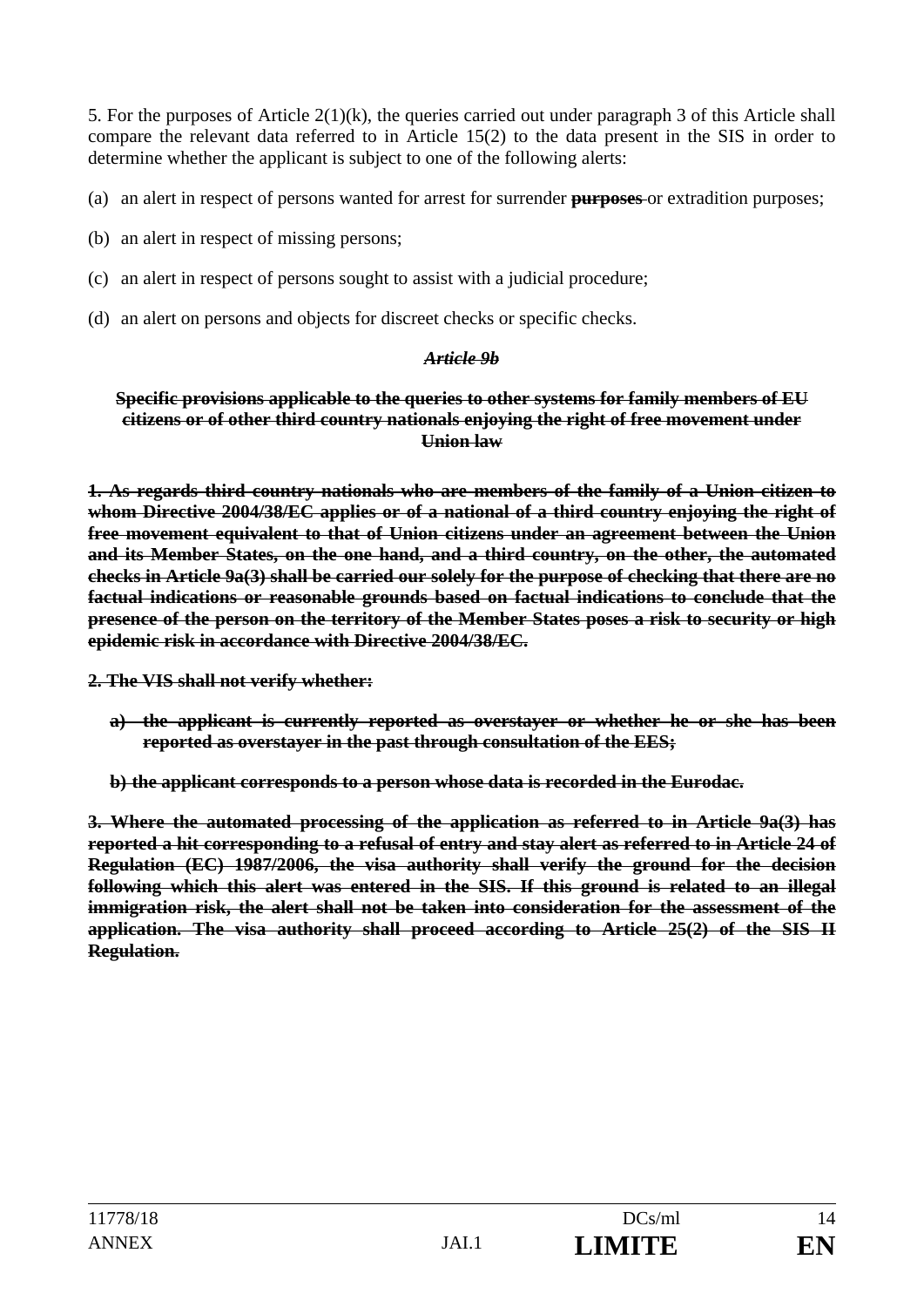5. For the purposes of Article 2(1)(k), the queries carried out under paragraph 3 of this Article shall compare the relevant data referred to in Article 15(2) to the data present in the SIS in order to determine whether the applicant is subject to one of the following alerts:

(a) an alert in respect of persons wanted for arrest for surrender **purposes** or extradition purposes;

- (b) an alert in respect of missing persons;
- (c) an alert in respect of persons sought to assist with a judicial procedure;
- (d) an alert on persons and objects for discreet checks or specific checks.

#### *Article 9b*

#### **Specific provisions applicable to the queries to other systems for family members of EU citizens or of other third country nationals enjoying the right of free movement under Union law**

**1. As regards third country nationals who are members of the family of a Union citizen to whom Directive 2004/38/EC applies or of a national of a third country enjoying the right of free movement equivalent to that of Union citizens under an agreement between the Union and its Member States, on the one hand, and a third country, on the other, the automated checks in Article 9a(3) shall be carried our solely for the purpose of checking that there are no factual indications or reasonable grounds based on factual indications to conclude that the presence of the person on the territory of the Member States poses a risk to security or high epidemic risk in accordance with Directive 2004/38/EC.** 

**2. The VIS shall not verify whether:** 

- **a) the applicant is currently reported as overstayer or whether he or she has been reported as overstayer in the past through consultation of the EES;**
- **b) the applicant corresponds to a person whose data is recorded in the Eurodac.**

**3. Where the automated processing of the application as referred to in Article 9a(3) has reported a hit corresponding to a refusal of entry and stay alert as referred to in Article 24 of Regulation (EC) 1987/2006, the visa authority shall verify the ground for the decision following which this alert was entered in the SIS. If this ground is related to an illegal immigration risk, the alert shall not be taken into consideration for the assessment of the application. The visa authority shall proceed according to Article 25(2) of the SIS II Regulation.**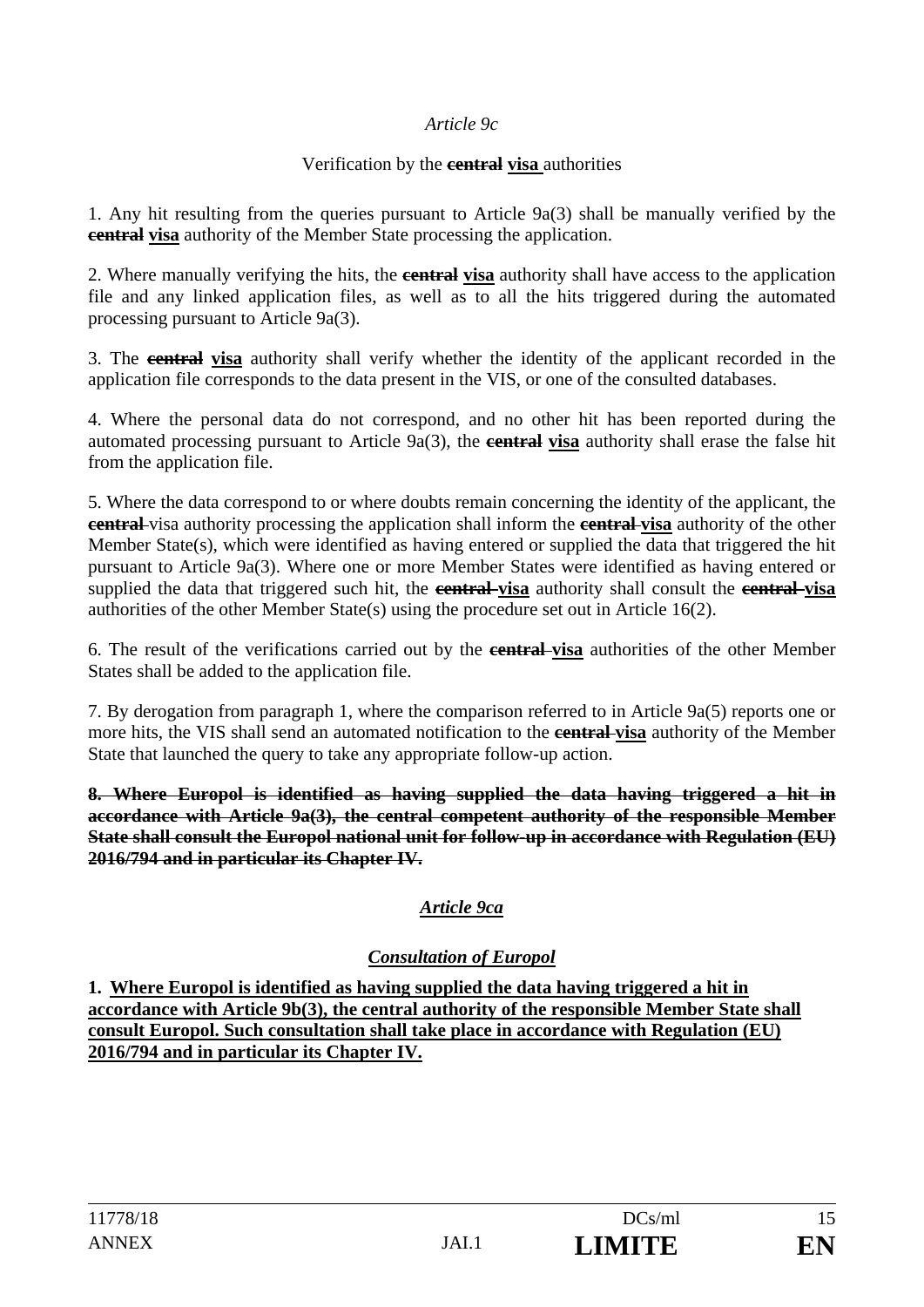### *Article 9c*

#### Verification by the **central visa** authorities

1. Any hit resulting from the queries pursuant to Article 9a(3) shall be manually verified by the **central visa** authority of the Member State processing the application.

2. Where manually verifying the hits, the **central visa** authority shall have access to the application file and any linked application files, as well as to all the hits triggered during the automated processing pursuant to Article 9a(3).

3. The **central visa** authority shall verify whether the identity of the applicant recorded in the application file corresponds to the data present in the VIS, or one of the consulted databases.

4. Where the personal data do not correspond, and no other hit has been reported during the automated processing pursuant to Article 9a(3), the **central visa** authority shall erase the false hit from the application file.

5. Where the data correspond to or where doubts remain concerning the identity of the applicant, the **central** visa authority processing the application shall inform the **central visa** authority of the other Member State(s), which were identified as having entered or supplied the data that triggered the hit pursuant to Article 9a(3). Where one or more Member States were identified as having entered or supplied the data that triggered such hit, the **central visa** authority shall consult the **central visa** authorities of the other Member State(s) using the procedure set out in Article 16(2).

6. The result of the verifications carried out by the **central visa** authorities of the other Member States shall be added to the application file.

7. By derogation from paragraph 1, where the comparison referred to in Article 9a(5) reports one or more hits, the VIS shall send an automated notification to the **central visa** authority of the Member State that launched the query to take any appropriate follow-up action.

**8. Where Europol is identified as having supplied the data having triggered a hit in accordance with Article 9a(3), the central competent authority of the responsible Member State shall consult the Europol national unit for follow-up in accordance with Regulation (EU) 2016/794 and in particular its Chapter IV.** 

## *Article 9ca*

### *Consultation of Europol*

**1. Where Europol is identified as having supplied the data having triggered a hit in accordance with Article 9b(3), the central authority of the responsible Member State shall consult Europol. Such consultation shall take place in accordance with Regulation (EU) 2016/794 and in particular its Chapter IV.**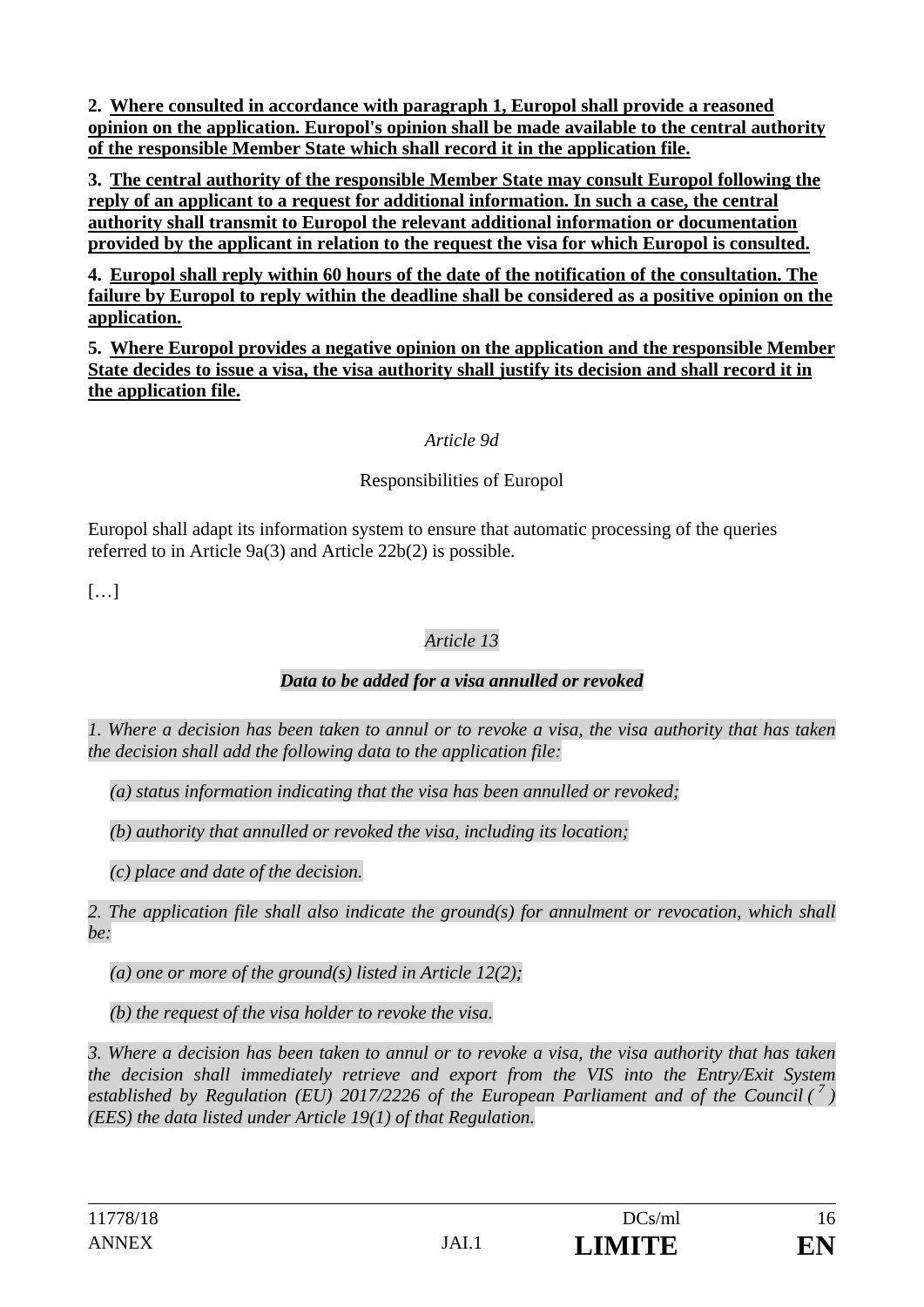**2. Where consulted in accordance with paragraph 1, Europol shall provide a reasoned opinion on the application. Europol's opinion shall be made available to the central authority of the responsible Member State which shall record it in the application file.** 

**3. The central authority of the responsible Member State may consult Europol following the reply of an applicant to a request for additional information. In such a case, the central authority shall transmit to Europol the relevant additional information or documentation provided by the applicant in relation to the request the visa for which Europol is consulted.** 

**4. Europol shall reply within 60 hours of the date of the notification of the consultation. The failure by Europol to reply within the deadline shall be considered as a positive opinion on the application.** 

**5. Where Europol provides a negative opinion on the application and the responsible Member State decides to issue a visa, the visa authority shall justify its decision and shall record it in the application file.** 

### *Article 9d*

### Responsibilities of Europol

Europol shall adapt its information system to ensure that automatic processing of the queries referred to in Article 9a(3) and Article 22b(2) is possible.

 $[...]$ 

### *Article 13*

### *Data to be added for a visa annulled or revoked*

*1. Where a decision has been taken to annul or to revoke a visa, the visa authority that has taken the decision shall add the following data to the application file:* 

*(a) status information indicating that the visa has been annulled or revoked;* 

*(b) authority that annulled or revoked the visa, including its location;* 

*(c) place and date of the decision.* 

*2. The application file shall also indicate the ground(s) for annulment or revocation, which shall be:* 

*(a) one or more of the ground(s) listed in Article 12(2);* 

*(b) the request of the visa holder to revoke the visa.* 

*3. Where a decision has been taken to annul or to revoke a visa, the visa authority that has taken the decision shall immediately retrieve and export from the VIS into the Entry/Exit System established by Regulation (EU) 2017/2226 of the European Parliament and of the Council (<sup>7</sup>) (EES) the data listed under Article 19(1) of that Regulation.*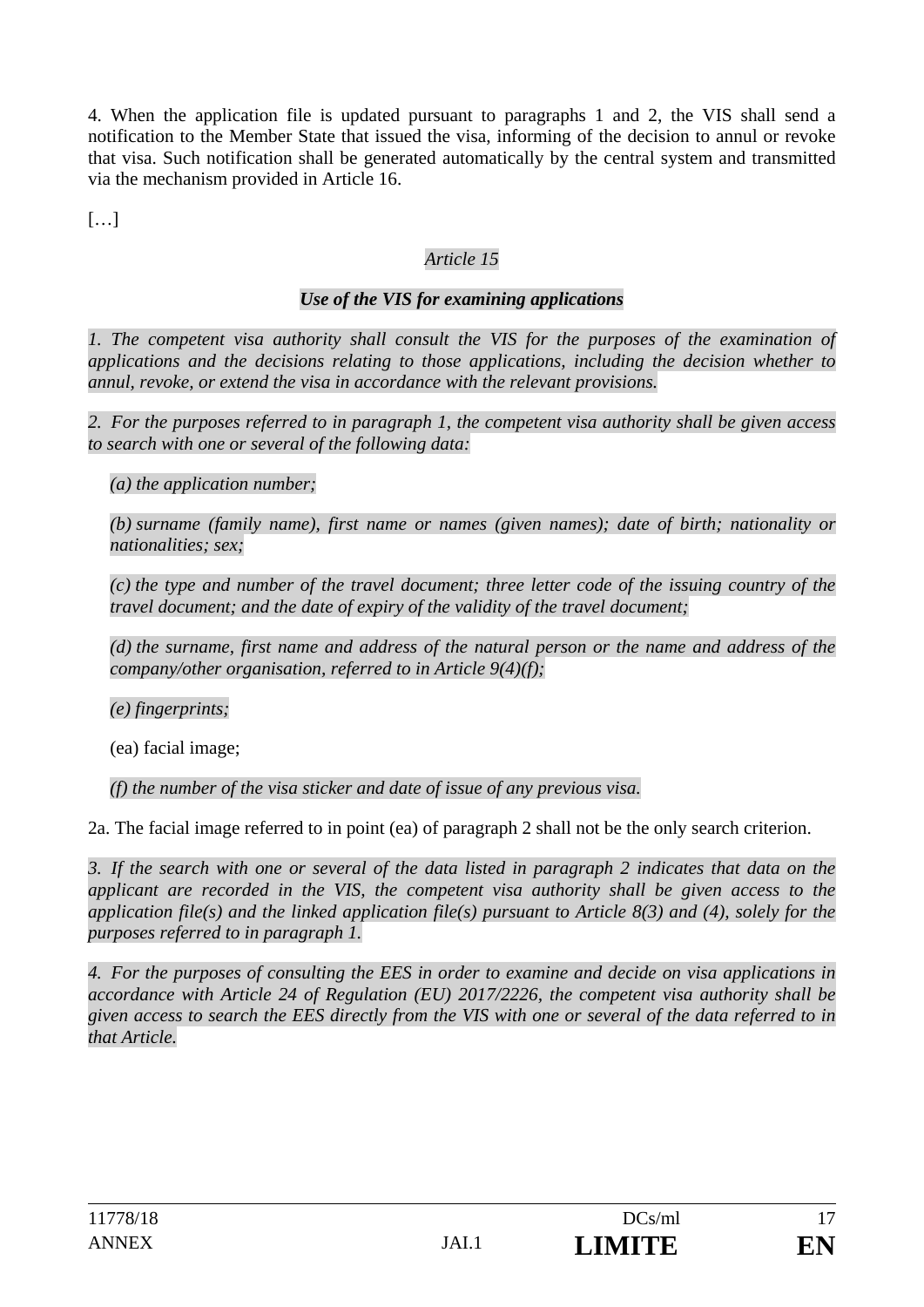4. When the application file is updated pursuant to paragraphs 1 and 2, the VIS shall send a notification to the Member State that issued the visa, informing of the decision to annul or revoke that visa. Such notification shall be generated automatically by the central system and transmitted via the mechanism provided in Article 16.

 $[\dots]$ 

## *Article 15*

### *Use of the VIS for examining applications*

*1. The competent visa authority shall consult the VIS for the purposes of the examination of applications and the decisions relating to those applications, including the decision whether to annul, revoke, or extend the visa in accordance with the relevant provisions.* 

*2. For the purposes referred to in paragraph 1, the competent visa authority shall be given access to search with one or several of the following data:* 

*(a) the application number;* 

*(b) surname (family name), first name or names (given names); date of birth; nationality or nationalities; sex;* 

*(c) the type and number of the travel document; three letter code of the issuing country of the travel document; and the date of expiry of the validity of the travel document;* 

*(d) the surname, first name and address of the natural person or the name and address of the company/other organisation, referred to in Article 9(4)(f);* 

*(e) fingerprints;* 

(ea) facial image;

*(f) the number of the visa sticker and date of issue of any previous visa.* 

2a. The facial image referred to in point (ea) of paragraph 2 shall not be the only search criterion.

*3. If the search with one or several of the data listed in paragraph 2 indicates that data on the applicant are recorded in the VIS, the competent visa authority shall be given access to the application file(s) and the linked application file(s) pursuant to Article 8(3) and (4), solely for the purposes referred to in paragraph 1.* 

*4. For the purposes of consulting the EES in order to examine and decide on visa applications in accordance with Article 24 of Regulation (EU) 2017/2226, the competent visa authority shall be given access to search the EES directly from the VIS with one or several of the data referred to in that Article.*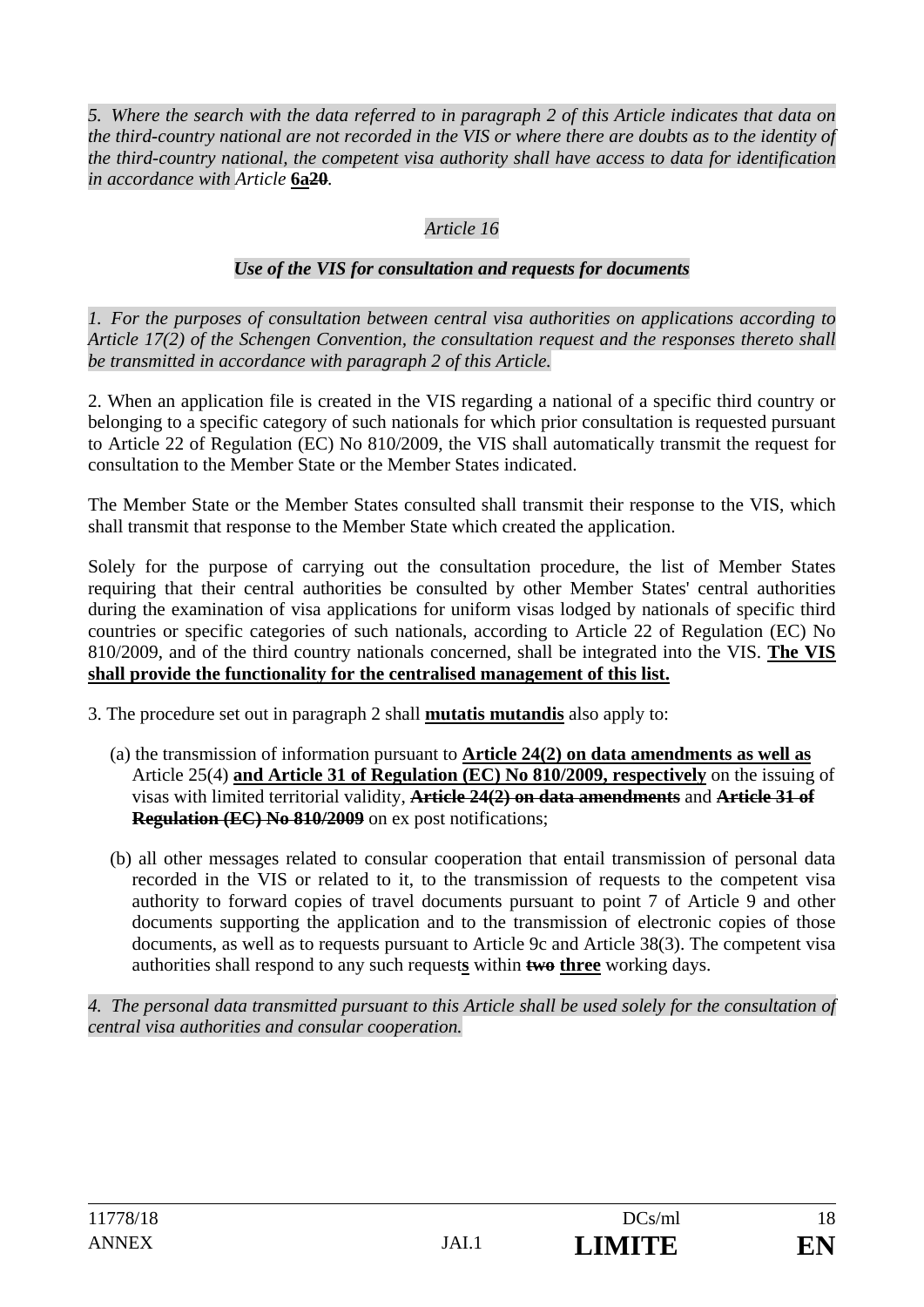*5. Where the search with the data referred to in paragraph 2 of this Article indicates that data on the third-country national are not recorded in the VIS or where there are doubts as to the identity of the third-country national, the competent visa authority shall have access to data for identification in accordance with Article* **6a20***.* 

## *Article 16*

### *Use of the VIS for consultation and requests for documents*

*1. For the purposes of consultation between central visa authorities on applications according to Article 17(2) of the Schengen Convention, the consultation request and the responses thereto shall be transmitted in accordance with paragraph 2 of this Article.* 

2. When an application file is created in the VIS regarding a national of a specific third country or belonging to a specific category of such nationals for which prior consultation is requested pursuant to Article 22 of Regulation (EC) No 810/2009, the VIS shall automatically transmit the request for consultation to the Member State or the Member States indicated.

The Member State or the Member States consulted shall transmit their response to the VIS, which shall transmit that response to the Member State which created the application.

Solely for the purpose of carrying out the consultation procedure, the list of Member States requiring that their central authorities be consulted by other Member States' central authorities during the examination of visa applications for uniform visas lodged by nationals of specific third countries or specific categories of such nationals, according to Article 22 of Regulation (EC) No 810/2009, and of the third country nationals concerned, shall be integrated into the VIS. **The VIS shall provide the functionality for the centralised management of this list.** 

3. The procedure set out in paragraph 2 shall **mutatis mutandis** also apply to:

- (a) the transmission of information pursuant to **Article 24(2) on data amendments as well as**  Article 25(4) **and Article 31 of Regulation (EC) No 810/2009, respectively** on the issuing of visas with limited territorial validity, **Article 24(2) on data amendments** and **Article 31 of Regulation (EC) No 810/2009** on ex post notifications;
- (b) all other messages related to consular cooperation that entail transmission of personal data recorded in the VIS or related to it, to the transmission of requests to the competent visa authority to forward copies of travel documents pursuant to point 7 of Article 9 and other documents supporting the application and to the transmission of electronic copies of those documents, as well as to requests pursuant to Article 9c and Article 38(3). The competent visa authorities shall respond to any such request**s** within **two three** working days.

*4. The personal data transmitted pursuant to this Article shall be used solely for the consultation of central visa authorities and consular cooperation.*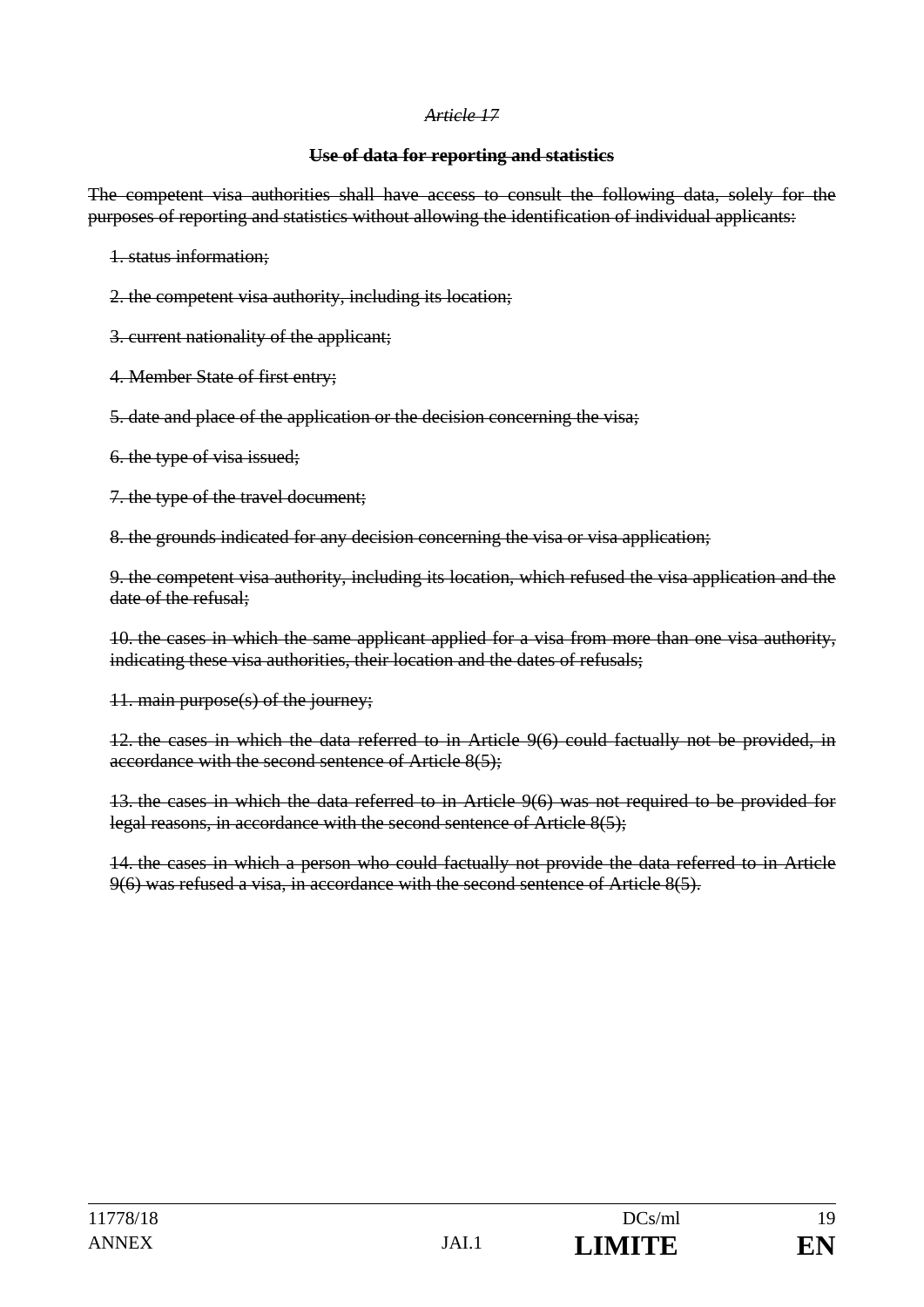#### *Article 17*

#### **Use of data for reporting and statistics**

The competent visa authorities shall have access to consult the following data, solely for the purposes of reporting and statistics without allowing the identification of individual applicants:

1. status information;

- 2. the competent visa authority, including its location;
- 3. current nationality of the applicant;
- 4. Member State of first entry;
- 5. date and place of the application or the decision concerning the visa;
- 6. the type of visa issued;
- 7. the type of the travel document;

8. the grounds indicated for any decision concerning the visa or visa application;

9. the competent visa authority, including its location, which refused the visa application and the date of the refusal;

10. the cases in which the same applicant applied for a visa from more than one visa authority, indicating these visa authorities, their location and the dates of refusals;

11. main purpose(s) of the journey;

12. the cases in which the data referred to in Article 9(6) could factually not be provided, in accordance with the second sentence of Article 8(5);

13. the cases in which the data referred to in Article 9(6) was not required to be provided for legal reasons, in accordance with the second sentence of Article 8(5);

14. the cases in which a person who could factually not provide the data referred to in Article 9(6) was refused a visa, in accordance with the second sentence of Article 8(5).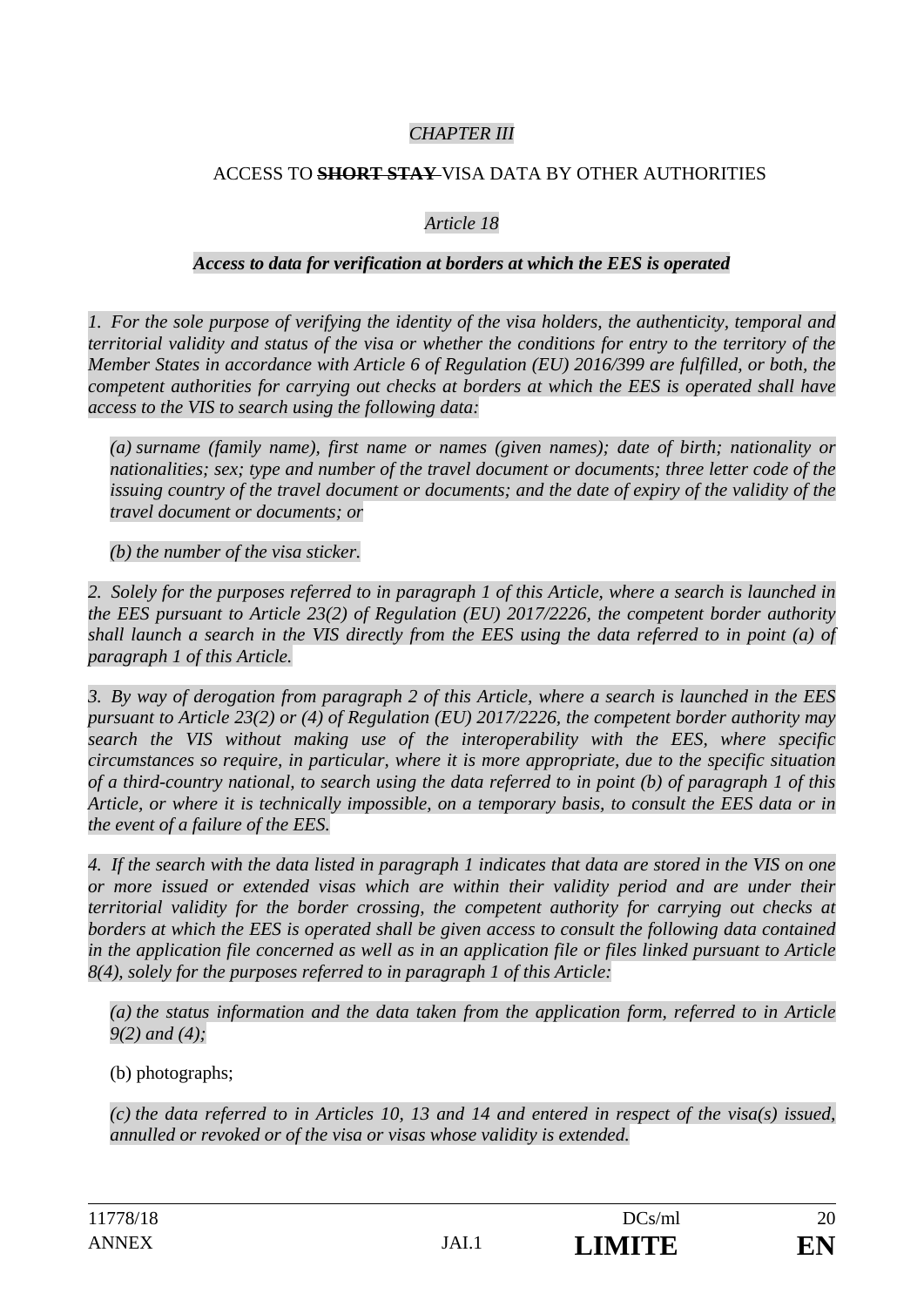### *CHAPTER III*

### ACCESS TO **SHORT STAY** VISA DATA BY OTHER AUTHORITIES

#### *Article 18*

#### *Access to data for verification at borders at which the EES is operated*

*1. For the sole purpose of verifying the identity of the visa holders, the authenticity, temporal and territorial validity and status of the visa or whether the conditions for entry to the territory of the Member States in accordance with Article 6 of Regulation (EU) 2016/399 are fulfilled, or both, the competent authorities for carrying out checks at borders at which the EES is operated shall have access to the VIS to search using the following data:* 

*(a) surname (family name), first name or names (given names); date of birth; nationality or nationalities; sex; type and number of the travel document or documents; three letter code of the issuing country of the travel document or documents; and the date of expiry of the validity of the travel document or documents; or* 

*(b) the number of the visa sticker.* 

*2. Solely for the purposes referred to in paragraph 1 of this Article, where a search is launched in the EES pursuant to Article 23(2) of Regulation (EU) 2017/2226, the competent border authority shall launch a search in the VIS directly from the EES using the data referred to in point (a) of paragraph 1 of this Article.* 

*3. By way of derogation from paragraph 2 of this Article, where a search is launched in the EES pursuant to Article 23(2) or (4) of Regulation (EU) 2017/2226, the competent border authority may search the VIS without making use of the interoperability with the EES, where specific circumstances so require, in particular, where it is more appropriate, due to the specific situation of a third-country national, to search using the data referred to in point (b) of paragraph 1 of this Article, or where it is technically impossible, on a temporary basis, to consult the EES data or in the event of a failure of the EES.* 

*4. If the search with the data listed in paragraph 1 indicates that data are stored in the VIS on one or more issued or extended visas which are within their validity period and are under their territorial validity for the border crossing, the competent authority for carrying out checks at*  borders at which the EES is operated shall be given access to consult the following data contained *in the application file concerned as well as in an application file or files linked pursuant to Article 8(4), solely for the purposes referred to in paragraph 1 of this Article:* 

*(a) the status information and the data taken from the application form, referred to in Article 9(2) and (4);* 

(b) photographs;

*(c) the data referred to in Articles 10, 13 and 14 and entered in respect of the visa(s) issued, annulled or revoked or of the visa or visas whose validity is extended.*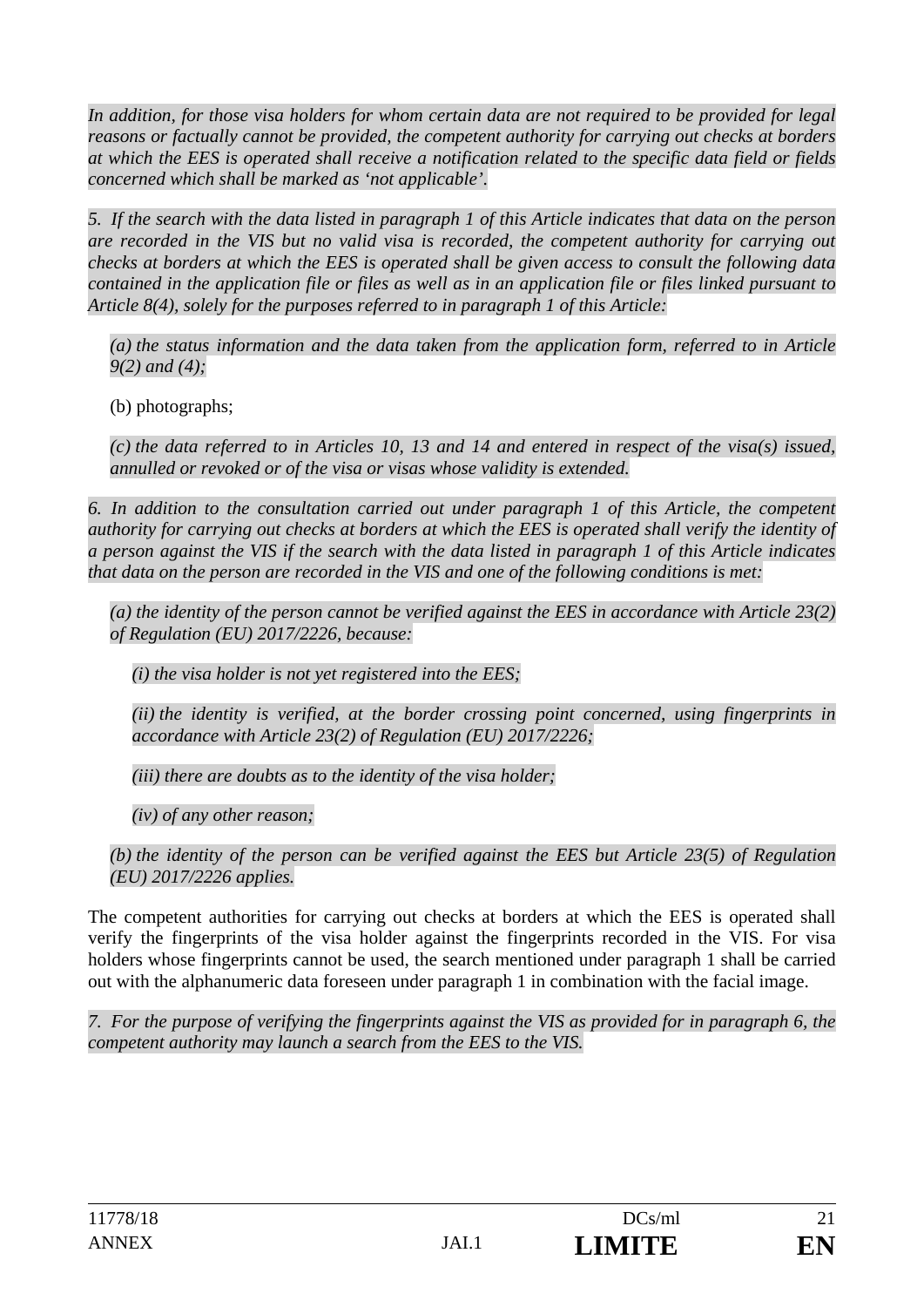*In addition, for those visa holders for whom certain data are not required to be provided for legal reasons or factually cannot be provided, the competent authority for carrying out checks at borders at which the EES is operated shall receive a notification related to the specific data field or fields concerned which shall be marked as 'not applicable'.* 

*5. If the search with the data listed in paragraph 1 of this Article indicates that data on the person are recorded in the VIS but no valid visa is recorded, the competent authority for carrying out checks at borders at which the EES is operated shall be given access to consult the following data contained in the application file or files as well as in an application file or files linked pursuant to Article 8(4), solely for the purposes referred to in paragraph 1 of this Article:* 

*(a) the status information and the data taken from the application form, referred to in Article 9(2) and (4);* 

(b) photographs;

*(c) the data referred to in Articles 10, 13 and 14 and entered in respect of the visa(s) issued, annulled or revoked or of the visa or visas whose validity is extended.* 

*6. In addition to the consultation carried out under paragraph 1 of this Article, the competent authority for carrying out checks at borders at which the EES is operated shall verify the identity of a person against the VIS if the search with the data listed in paragraph 1 of this Article indicates that data on the person are recorded in the VIS and one of the following conditions is met:* 

*(a) the identity of the person cannot be verified against the EES in accordance with Article 23(2) of Regulation (EU) 2017/2226, because:* 

*(i) the visa holder is not yet registered into the EES;* 

*(ii) the identity is verified, at the border crossing point concerned, using fingerprints in accordance with Article 23(2) of Regulation (EU) 2017/2226;* 

*(iii) there are doubts as to the identity of the visa holder;* 

*(iv) of any other reason;* 

*(b) the identity of the person can be verified against the EES but Article 23(5) of Regulation (EU) 2017/2226 applies.* 

The competent authorities for carrying out checks at borders at which the EES is operated shall verify the fingerprints of the visa holder against the fingerprints recorded in the VIS. For visa holders whose fingerprints cannot be used, the search mentioned under paragraph 1 shall be carried out with the alphanumeric data foreseen under paragraph 1 in combination with the facial image.

*7. For the purpose of verifying the fingerprints against the VIS as provided for in paragraph 6, the competent authority may launch a search from the EES to the VIS.*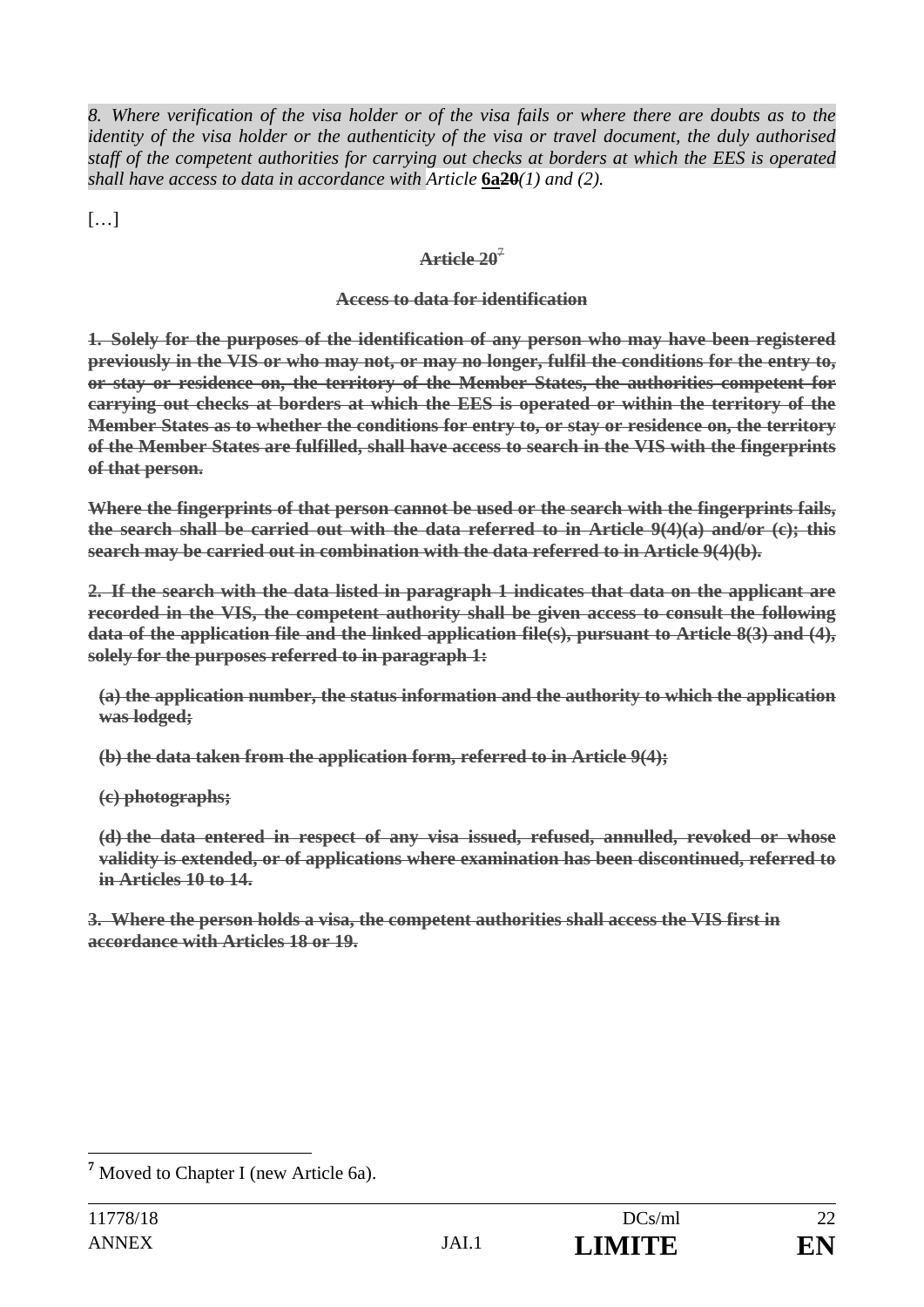*8. Where verification of the visa holder or of the visa fails or where there are doubts as to the identity of the visa holder or the authenticity of the visa or travel document, the duly authorised staff of the competent authorities for carrying out checks at borders at which the EES is operated shall have access to data in accordance with Article 6a<del>20</del>(1) and (2).* 

[…]

# **Article 20**<sup>7</sup>

### **Access to data for identification**

**1. Solely for the purposes of the identification of any person who may have been registered previously in the VIS or who may not, or may no longer, fulfil the conditions for the entry to, or stay or residence on, the territory of the Member States, the authorities competent for carrying out checks at borders at which the EES is operated or within the territory of the Member States as to whether the conditions for entry to, or stay or residence on, the territory of the Member States are fulfilled, shall have access to search in the VIS with the fingerprints of that person.** 

**Where the fingerprints of that person cannot be used or the search with the fingerprints fails, the search shall be carried out with the data referred to in Article 9(4)(a) and/or (c); this search may be carried out in combination with the data referred to in Article 9(4)(b).** 

**2. If the search with the data listed in paragraph 1 indicates that data on the applicant are recorded in the VIS, the competent authority shall be given access to consult the following data of the application file and the linked application file(s), pursuant to Article 8(3) and (4), solely for the purposes referred to in paragraph 1:** 

**(a) the application number, the status information and the authority to which the application was lodged;** 

**(b) the data taken from the application form, referred to in Article 9(4);** 

**(c) photographs;** 

**(d) the data entered in respect of any visa issued, refused, annulled, revoked or whose validity is extended, or of applications where examination has been discontinued, referred to in Articles 10 to 14.** 

**3. Where the person holds a visa, the competent authorities shall access the VIS first in accordance with Articles 18 or 19.**

 $\overline{a}$ <sup>7</sup> Moved to Chapter I (new Article 6a).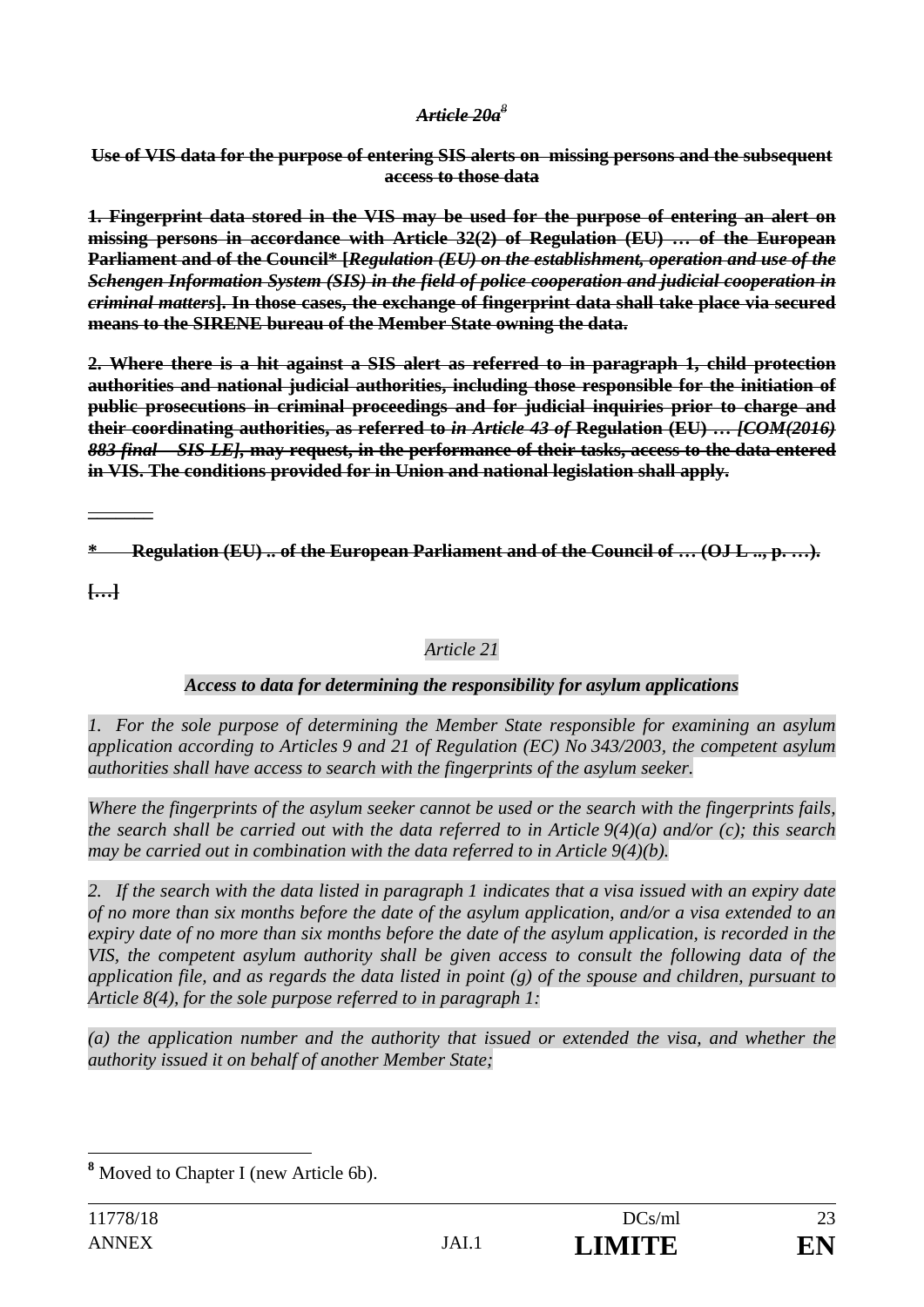#### *Article 20a<sup>8</sup>*

**Use of VIS data for the purpose of entering SIS alerts on missing persons and the subsequent access to those data** 

**1. Fingerprint data stored in the VIS may be used for the purpose of entering an alert on missing persons in accordance with Article 32(2) of Regulation (EU) … of the European Parliament and of the Council\* [***Regulation (EU) on the establishment, operation and use of the Schengen Information System (SIS) in the field of police cooperation and judicial cooperation in criminal matters***]. In those cases, the exchange of fingerprint data shall take place via secured means to the SIRENE bureau of the Member State owning the data.** 

**2. Where there is a hit against a SIS alert as referred to in paragraph 1, child protection authorities and national judicial authorities, including those responsible for the initiation of public prosecutions in criminal proceedings and for judicial inquiries prior to charge and their coordinating authorities, as referred to** *in Article 43 of* **Regulation (EU) …** *[COM(2016) 883 final – SIS LE],* **may request, in the performance of their tasks, access to the data entered in VIS. The conditions provided for in Union and national legislation shall apply.** 

**\* Regulation (EU) .. of the European Parliament and of the Council of … (OJ L .., p. …).** 

**[…]** 

**\_\_\_\_\_\_\_** 

### *Article 21*

### *Access to data for determining the responsibility for asylum applications*

*1. For the sole purpose of determining the Member State responsible for examining an asylum application according to Articles 9 and 21 of Regulation (EC) No 343/2003, the competent asylum authorities shall have access to search with the fingerprints of the asylum seeker.* 

*Where the fingerprints of the asylum seeker cannot be used or the search with the fingerprints fails, the search shall be carried out with the data referred to in Article 9(4)(a) and/or (c); this search may be carried out in combination with the data referred to in Article 9(4)(b).* 

*2. If the search with the data listed in paragraph 1 indicates that a visa issued with an expiry date of no more than six months before the date of the asylum application, and/or a visa extended to an*  expiry date of no more than six months before the date of the asylum application, is recorded in the *VIS, the competent asylum authority shall be given access to consult the following data of the application file, and as regards the data listed in point (g) of the spouse and children, pursuant to Article 8(4), for the sole purpose referred to in paragraph 1:* 

*(a) the application number and the authority that issued or extended the visa, and whether the authority issued it on behalf of another Member State;* 

 $\overline{a}$ **8** Moved to Chapter I (new Article 6b).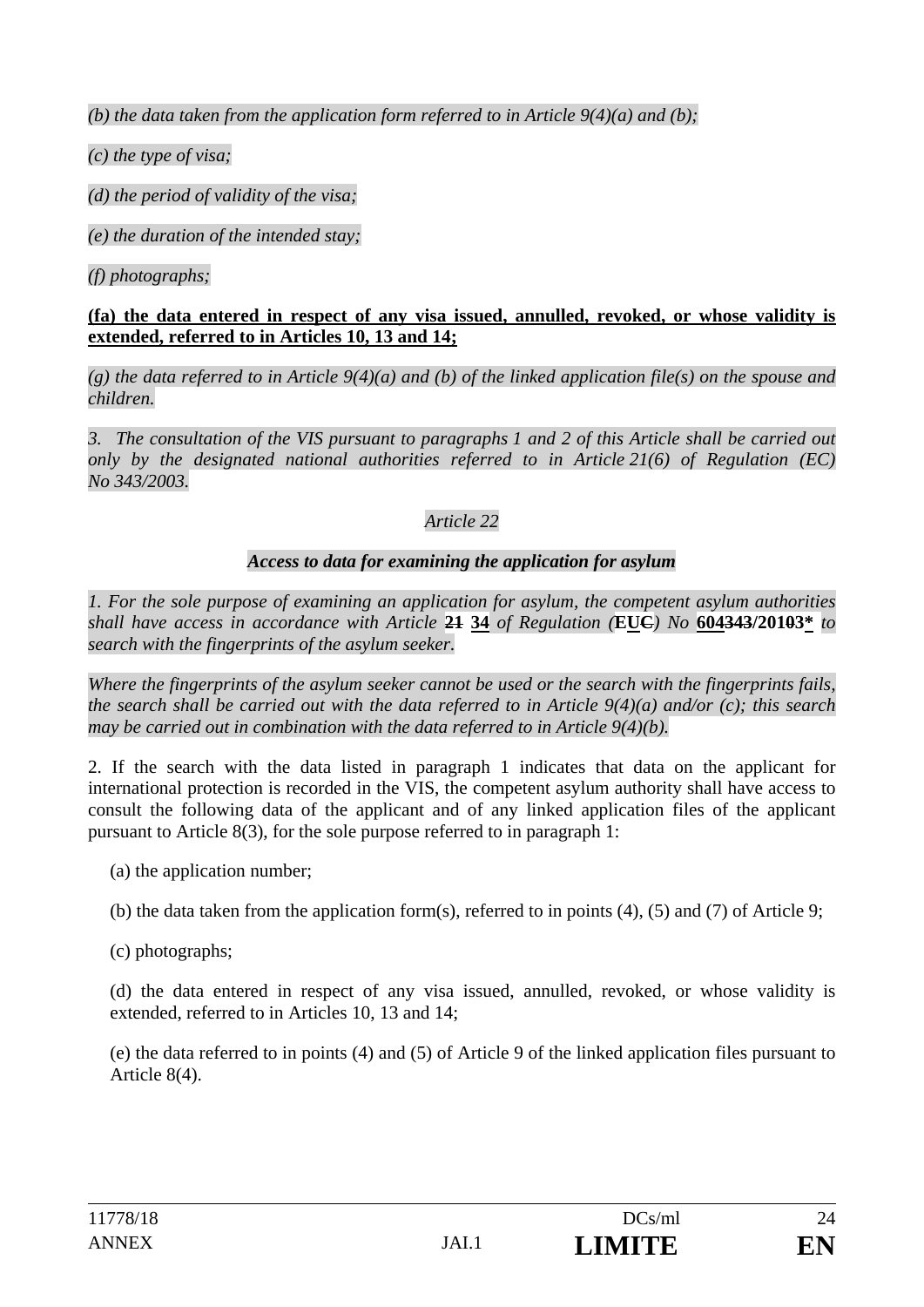*(b) the data taken from the application form referred to in Article 9(4)(a) and (b);* 

*(c) the type of visa;* 

*(d) the period of validity of the visa;* 

*(e) the duration of the intended stay;* 

*(f) photographs;* 

### **(fa) the data entered in respect of any visa issued, annulled, revoked, or whose validity is extended, referred to in Articles 10, 13 and 14;**

*(g) the data referred to in Article 9(4)(a) and (b) of the linked application file(s) on the spouse and children.* 

*3. The consultation of the VIS pursuant to paragraphs 1 and 2 of this Article shall be carried out only by the designated national authorities referred to in Article 21(6) of Regulation (EC) No 343/2003.* 

# *Article 22*

# *Access to data for examining the application for asylum*

*1. For the sole purpose of examining an application for asylum, the competent asylum authorities shall have access in accordance with Article* **21 34** *of Regulation (***EUC***) No* **604343/20103\*** *to search with the fingerprints of the asylum seeker.* 

*Where the fingerprints of the asylum seeker cannot be used or the search with the fingerprints fails, the search shall be carried out with the data referred to in Article 9(4)(a) and/or (c); this search may be carried out in combination with the data referred to in Article 9(4)(b).* 

2. If the search with the data listed in paragraph 1 indicates that data on the applicant for international protection is recorded in the VIS, the competent asylum authority shall have access to consult the following data of the applicant and of any linked application files of the applicant pursuant to Article 8(3), for the sole purpose referred to in paragraph 1:

- (a) the application number;
- (b) the data taken from the application form(s), referred to in points (4), (5) and (7) of Article 9;
- (c) photographs;

(d) the data entered in respect of any visa issued, annulled, revoked, or whose validity is extended, referred to in Articles 10, 13 and 14;

(e) the data referred to in points (4) and (5) of Article 9 of the linked application files pursuant to Article 8(4).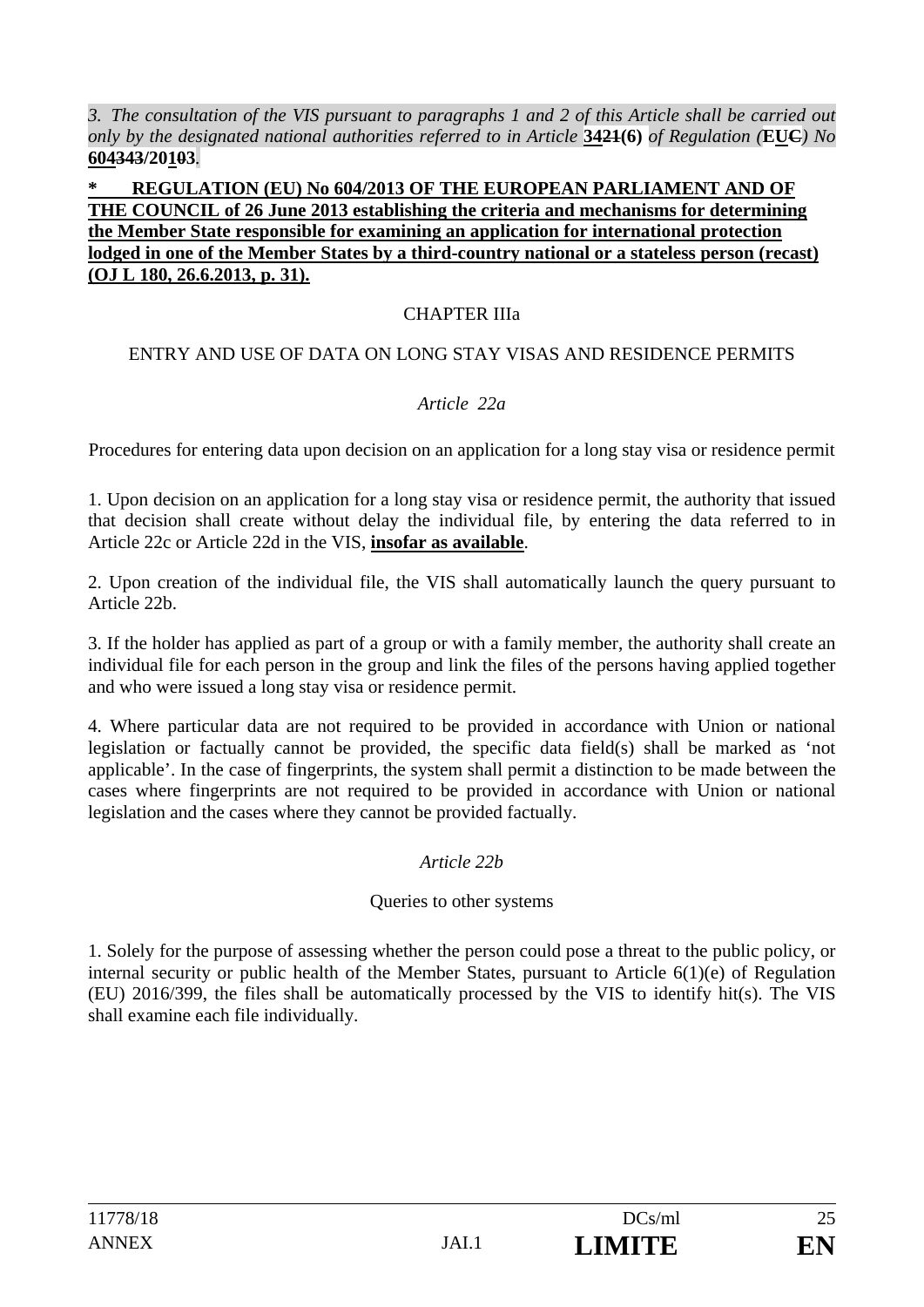*3. The consultation of the VIS pursuant to paragraphs 1 and 2 of this Article shall be carried out only by the designated national authorities referred to in Article* **3421(6)** *of Regulation (***EUC***) No*  **604343/20103***.* 

#### **\* REGULATION (EU) No 604/2013 OF THE EUROPEAN PARLIAMENT AND OF THE COUNCIL of 26 June 2013 establishing the criteria and mechanisms for determining the Member State responsible for examining an application for international protection lodged in one of the Member States by a third-country national or a stateless person (recast) (OJ L 180, 26.6.2013, p. 31).**

### CHAPTER IIIa

#### ENTRY AND USE OF DATA ON LONG STAY VISAS AND RESIDENCE PERMITS

#### *Article 22a*

Procedures for entering data upon decision on an application for a long stay visa or residence permit

1. Upon decision on an application for a long stay visa or residence permit, the authority that issued that decision shall create without delay the individual file, by entering the data referred to in Article 22c or Article 22d in the VIS, **insofar as available**.

2. Upon creation of the individual file, the VIS shall automatically launch the query pursuant to Article 22b.

3. If the holder has applied as part of a group or with a family member, the authority shall create an individual file for each person in the group and link the files of the persons having applied together and who were issued a long stay visa or residence permit.

4. Where particular data are not required to be provided in accordance with Union or national legislation or factually cannot be provided, the specific data field(s) shall be marked as 'not applicable'. In the case of fingerprints, the system shall permit a distinction to be made between the cases where fingerprints are not required to be provided in accordance with Union or national legislation and the cases where they cannot be provided factually.

#### *Article 22b*

#### Queries to other systems

1. Solely for the purpose of assessing whether the person could pose a threat to the public policy, or internal security or public health of the Member States, pursuant to Article 6(1)(e) of Regulation (EU) 2016/399, the files shall be automatically processed by the VIS to identify hit(s). The VIS shall examine each file individually.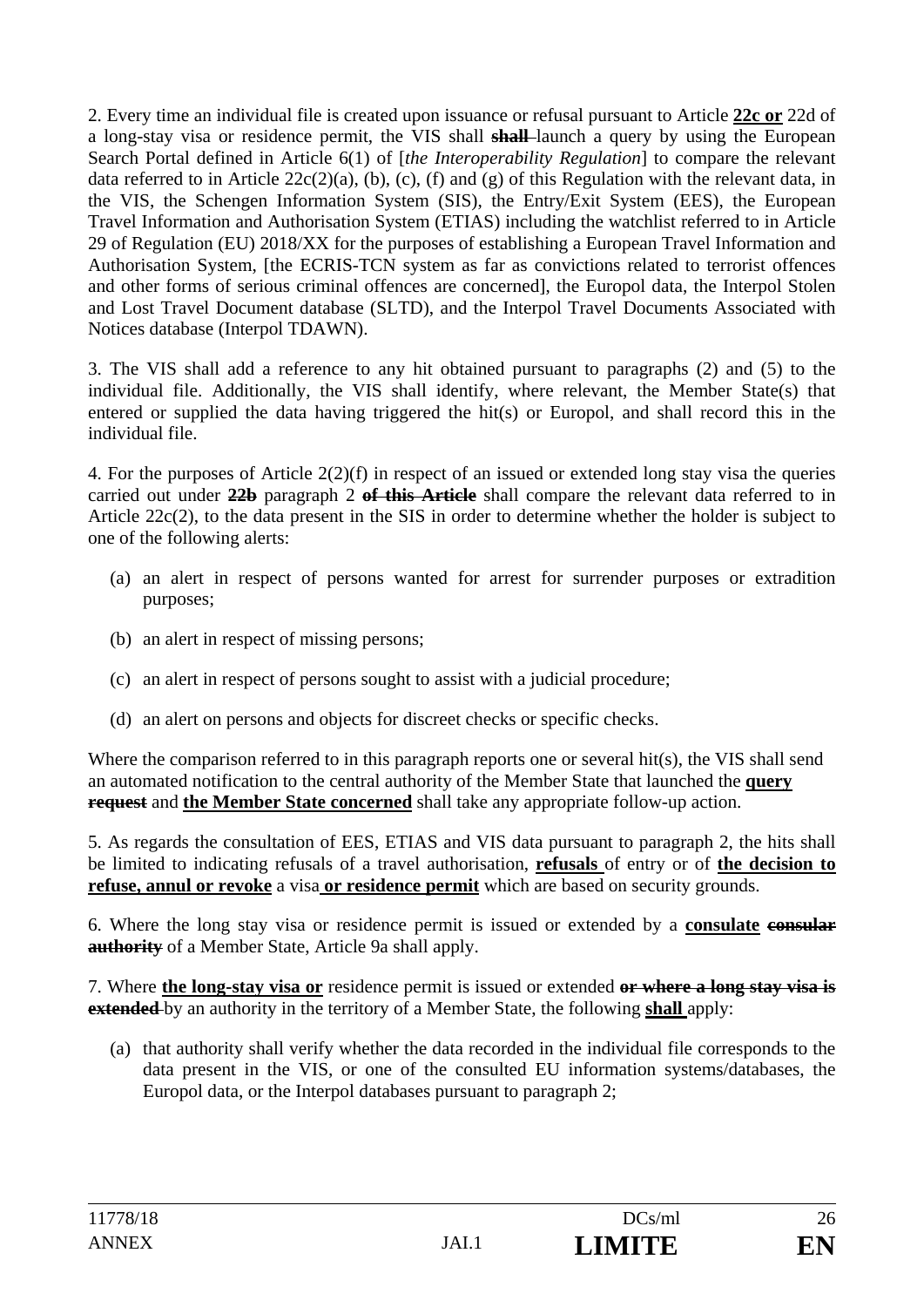2. Every time an individual file is created upon issuance or refusal pursuant to Article **22c or** 22d of a long-stay visa or residence permit, the VIS shall **shall** launch a query by using the European Search Portal defined in Article 6(1) of [*the Interoperability Regulation*] to compare the relevant data referred to in Article  $22c(2)(a)$ , (b), (c), (f) and (g) of this Regulation with the relevant data, in the VIS, the Schengen Information System (SIS), the Entry/Exit System (EES), the European Travel Information and Authorisation System (ETIAS) including the watchlist referred to in Article 29 of Regulation (EU) 2018/XX for the purposes of establishing a European Travel Information and Authorisation System, [the ECRIS-TCN system as far as convictions related to terrorist offences and other forms of serious criminal offences are concerned], the Europol data, the Interpol Stolen and Lost Travel Document database (SLTD), and the Interpol Travel Documents Associated with Notices database (Interpol TDAWN).

3. The VIS shall add a reference to any hit obtained pursuant to paragraphs (2) and (5) to the individual file. Additionally, the VIS shall identify, where relevant, the Member State(s) that entered or supplied the data having triggered the hit(s) or Europol, and shall record this in the individual file.

4. For the purposes of Article 2(2)(f) in respect of an issued or extended long stay visa the queries carried out under **22b** paragraph 2 **of this Article** shall compare the relevant data referred to in Article 22c(2), to the data present in the SIS in order to determine whether the holder is subject to one of the following alerts:

- (a) an alert in respect of persons wanted for arrest for surrender purposes or extradition purposes;
- (b) an alert in respect of missing persons;
- (c) an alert in respect of persons sought to assist with a judicial procedure;
- (d) an alert on persons and objects for discreet checks or specific checks.

Where the comparison referred to in this paragraph reports one or several hit(s), the VIS shall send an automated notification to the central authority of the Member State that launched the **query request** and **the Member State concerned** shall take any appropriate follow-up action.

5. As regards the consultation of EES, ETIAS and VIS data pursuant to paragraph 2, the hits shall be limited to indicating refusals of a travel authorisation, **refusals** of entry or of **the decision to refuse, annul or revoke** a visa **or residence permit** which are based on security grounds.

6. Where the long stay visa or residence permit is issued or extended by a **consulate consular authority** of a Member State, Article 9a shall apply.

7. Where **the long-stay visa or** residence permit is issued or extended **or where a long stay visa is extended** by an authority in the territory of a Member State, the following **shall** apply:

(a) that authority shall verify whether the data recorded in the individual file corresponds to the data present in the VIS, or one of the consulted EU information systems/databases, the Europol data, or the Interpol databases pursuant to paragraph 2;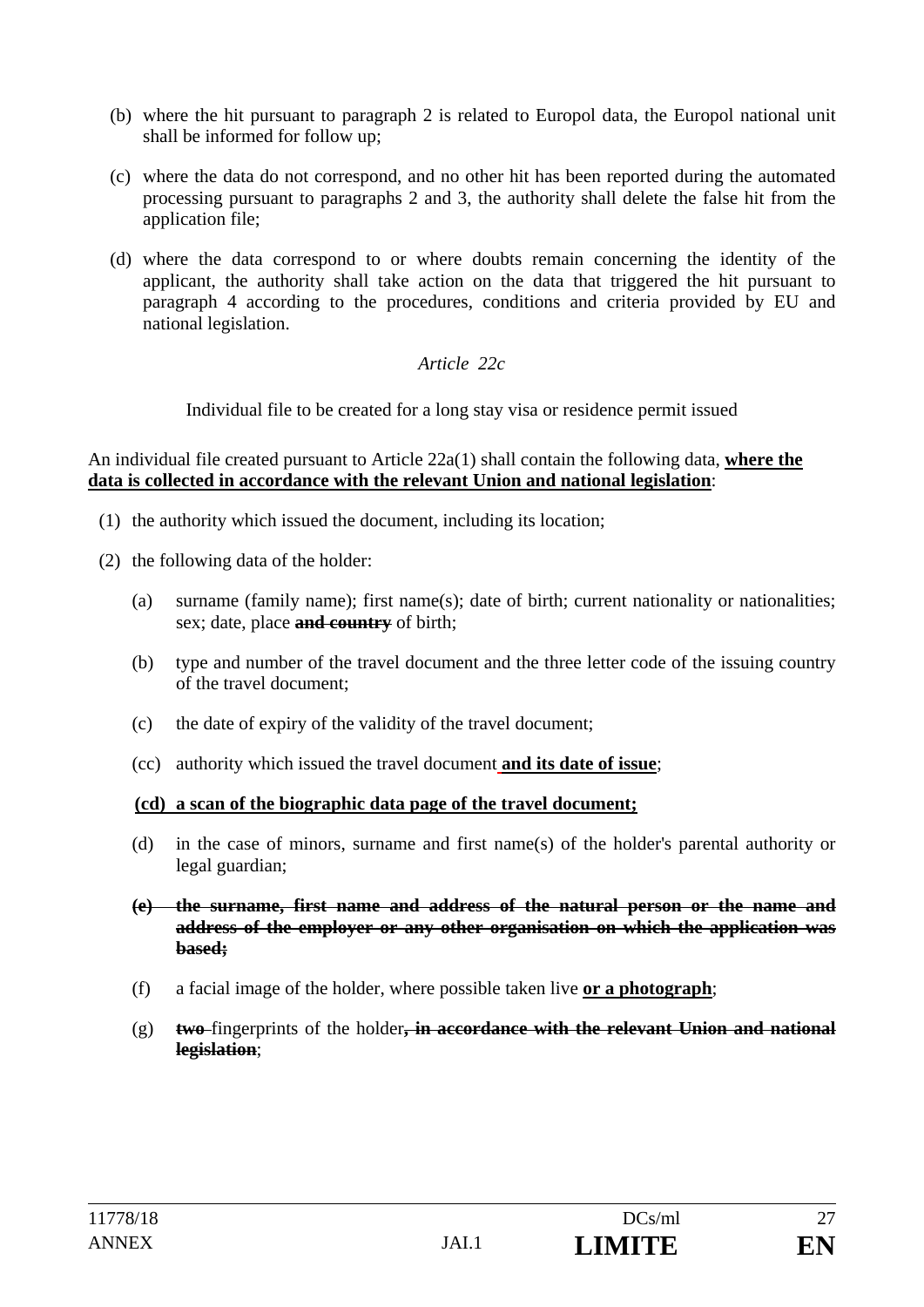- (b) where the hit pursuant to paragraph 2 is related to Europol data, the Europol national unit shall be informed for follow up;
- (c) where the data do not correspond, and no other hit has been reported during the automated processing pursuant to paragraphs 2 and 3, the authority shall delete the false hit from the application file;
- (d) where the data correspond to or where doubts remain concerning the identity of the applicant, the authority shall take action on the data that triggered the hit pursuant to paragraph 4 according to the procedures, conditions and criteria provided by EU and national legislation.

*Article 22c* 

Individual file to be created for a long stay visa or residence permit issued

#### An individual file created pursuant to Article 22a(1) shall contain the following data, **where the data is collected in accordance with the relevant Union and national legislation**:

- (1) the authority which issued the document, including its location;
- (2) the following data of the holder:
	- (a) surname (family name); first name(s); date of birth; current nationality or nationalities; sex; date, place **and country** of birth;
	- (b) type and number of the travel document and the three letter code of the issuing country of the travel document;
	- (c) the date of expiry of the validity of the travel document;
	- (cc) authority which issued the travel document **and its date of issue**;

#### **(cd) a scan of the biographic data page of the travel document;**

- (d) in the case of minors, surname and first name(s) of the holder's parental authority or legal guardian;
- **(e) the surname, first name and address of the natural person or the name and address of the employer or any other organisation on which the application was based;**
- (f) a facial image of the holder, where possible taken live **or a photograph**;
- (g) **two** fingerprints of the holder**, in accordance with the relevant Union and national legislation**;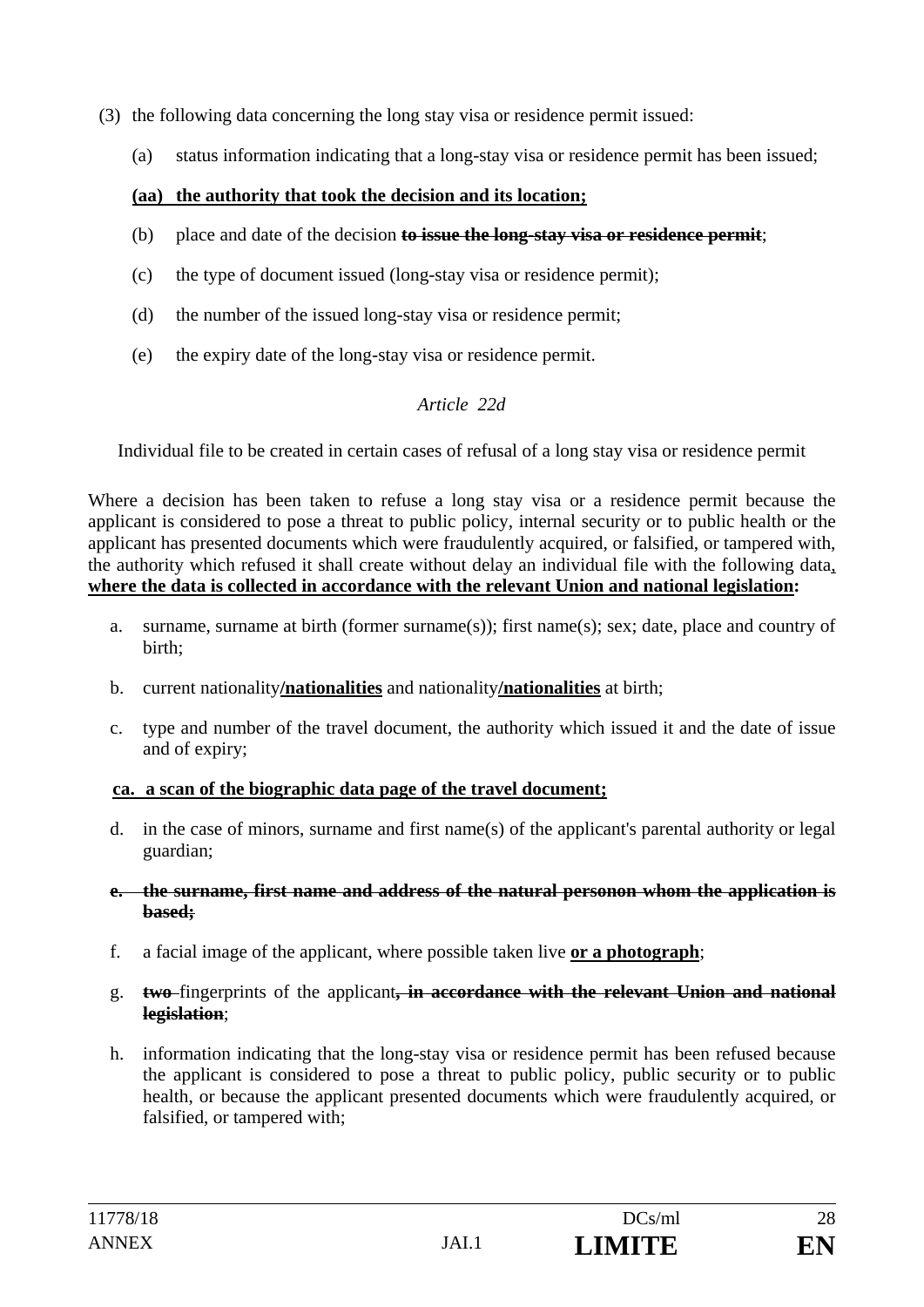- (3) the following data concerning the long stay visa or residence permit issued:
	- (a) status information indicating that a long-stay visa or residence permit has been issued;

#### **(aa) the authority that took the decision and its location;**

- (b) place and date of the decision **to issue the long-stay visa or residence permit**;
- (c) the type of document issued (long-stay visa or residence permit);
- (d) the number of the issued long-stay visa or residence permit;
- (e) the expiry date of the long-stay visa or residence permit.

#### *Article 22d*

Individual file to be created in certain cases of refusal of a long stay visa or residence permit

Where a decision has been taken to refuse a long stay visa or a residence permit because the applicant is considered to pose a threat to public policy, internal security or to public health or the applicant has presented documents which were fraudulently acquired, or falsified, or tampered with, the authority which refused it shall create without delay an individual file with the following data, **where the data is collected in accordance with the relevant Union and national legislation:** 

- a. surname, surname at birth (former surname(s)); first name(s); sex; date, place and country of birth;
- b. current nationality**/nationalities** and nationality**/nationalities** at birth;
- c. type and number of the travel document, the authority which issued it and the date of issue and of expiry;

#### **ca. a scan of the biographic data page of the travel document;**

- d. in the case of minors, surname and first name(s) of the applicant's parental authority or legal guardian;
- **e. the surname, first name and address of the natural personon whom the application is based;**
- f. a facial image of the applicant, where possible taken live **or a photograph**;
- g. **two** fingerprints of the applicant**, in accordance with the relevant Union and national legislation**;
- h. information indicating that the long-stay visa or residence permit has been refused because the applicant is considered to pose a threat to public policy, public security or to public health, or because the applicant presented documents which were fraudulently acquired, or falsified, or tampered with;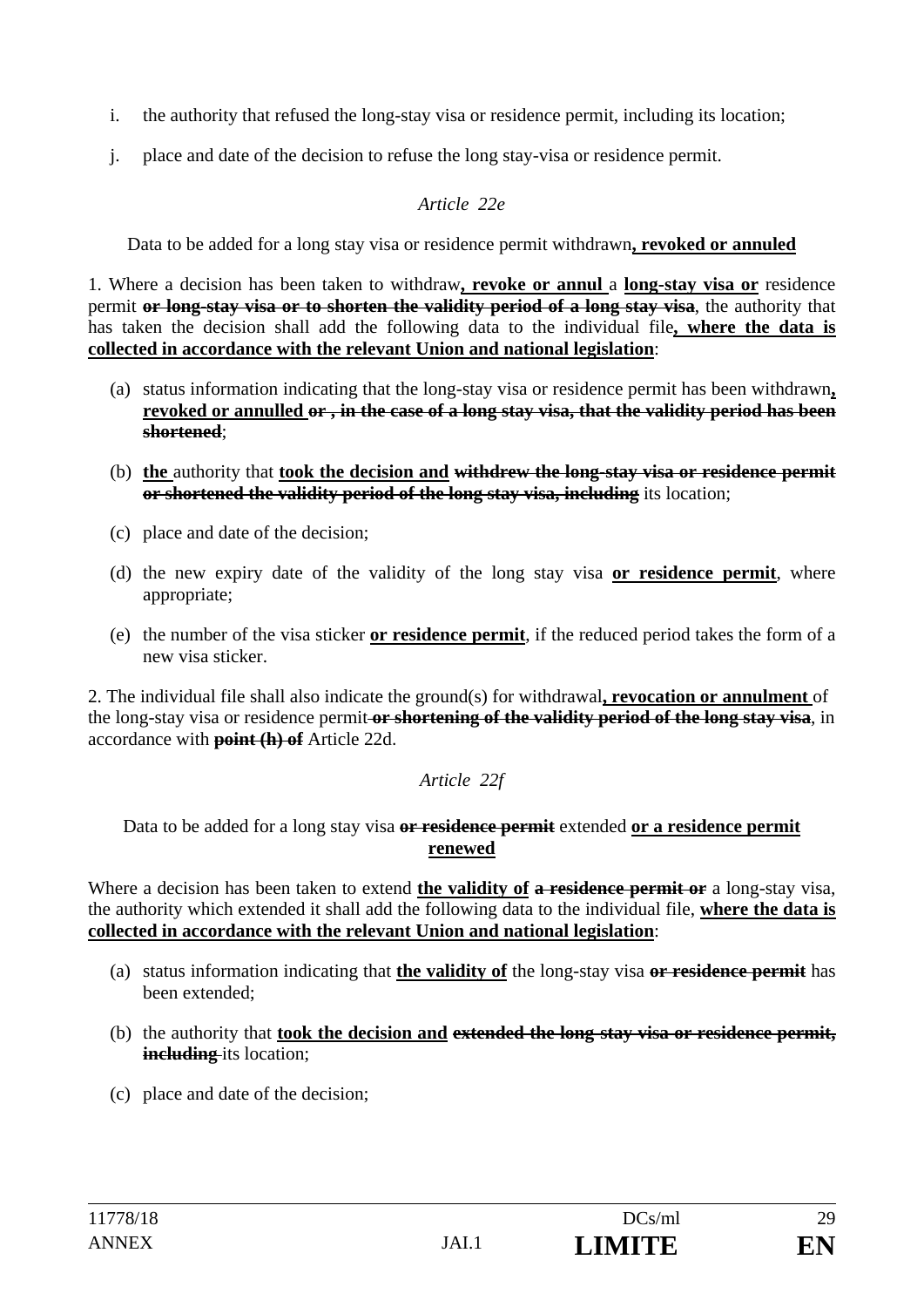- i. the authority that refused the long-stay visa or residence permit, including its location;
- j. place and date of the decision to refuse the long stay-visa or residence permit.

### *Article 22e*

Data to be added for a long stay visa or residence permit withdrawn**, revoked or annuled**

1. Where a decision has been taken to withdraw**, revoke or annul** a **long-stay visa or** residence permit **or long-stay visa or to shorten the validity period of a long stay visa**, the authority that has taken the decision shall add the following data to the individual file**, where the data is collected in accordance with the relevant Union and national legislation**:

- (a) status information indicating that the long-stay visa or residence permit has been withdrawn**, revoked or annulled or , in the case of a long stay visa, that the validity period has been shortened**;
- (b) **the** authority that **took the decision and withdrew the long-stay visa or residence permit or shortened the validity period of the long stay visa, including** its location;
- (c) place and date of the decision;
- (d) the new expiry date of the validity of the long stay visa **or residence permit**, where appropriate;
- (e) the number of the visa sticker **or residence permit**, if the reduced period takes the form of a new visa sticker.

2. The individual file shall also indicate the ground(s) for withdrawal**, revocation or annulment** of the long-stay visa or residence permit **or shortening of the validity period of the long stay visa**, in accordance with **point (h) of** Article 22d.

## *Article 22f*

Data to be added for a long stay visa **or residence permit** extended **or a residence permit renewed**

Where a decision has been taken to extend **the validity of a residence permit or** a long-stay visa, the authority which extended it shall add the following data to the individual file, **where the data is collected in accordance with the relevant Union and national legislation**:

- (a) status information indicating that **the validity of** the long-stay visa **or residence permit** has been extended;
- (b) the authority that **took the decision and extended the long-stay visa or residence permit, including** its location;
- (c) place and date of the decision;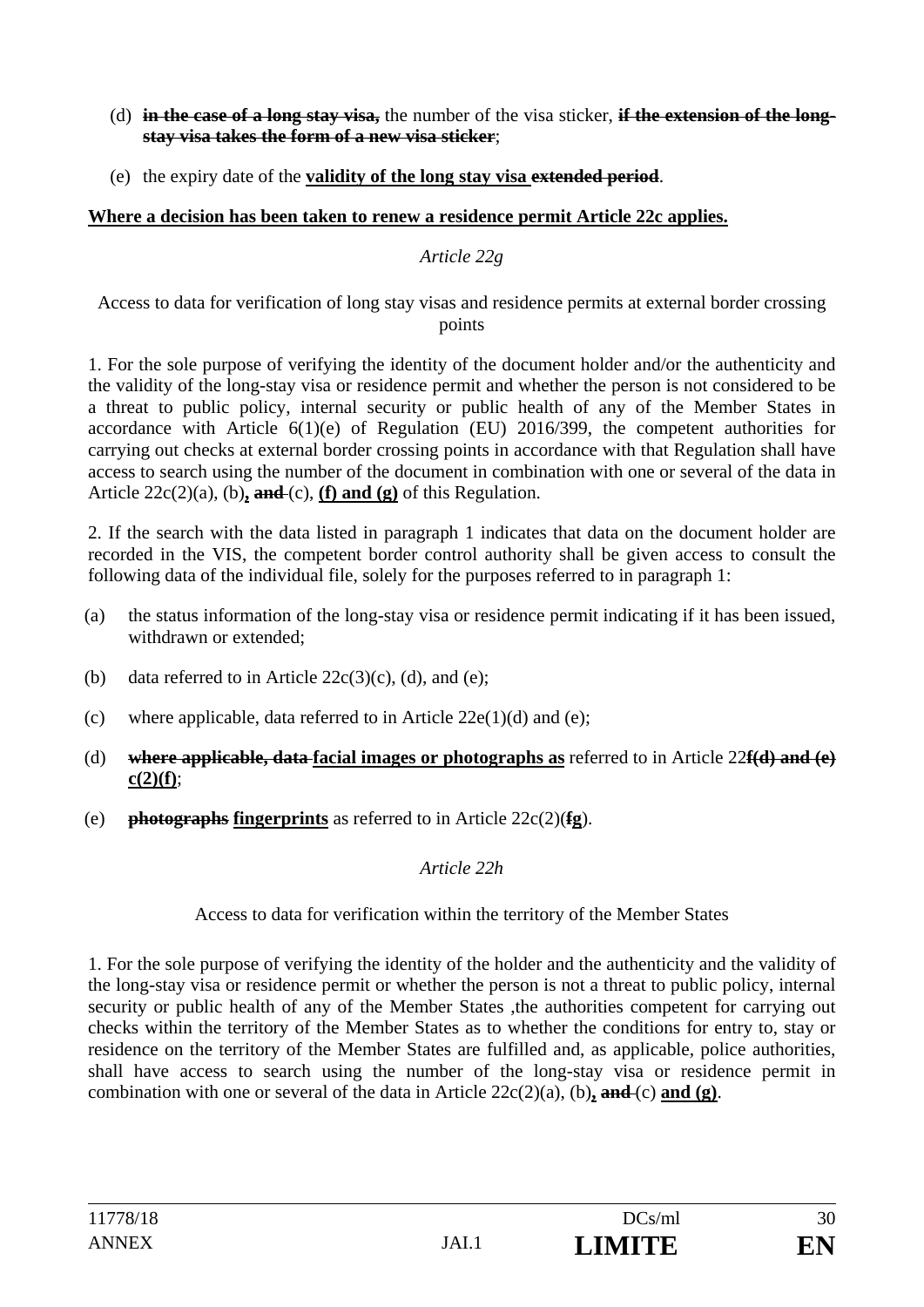- (d) **in the case of a long stay visa,** the number of the visa sticker, **if the extension of the longstay visa takes the form of a new visa sticker**;
- (e) the expiry date of the **validity of the long stay visa extended period**.

### **Where a decision has been taken to renew a residence permit Article 22c applies.**

#### *Article 22g*

Access to data for verification of long stay visas and residence permits at external border crossing points

1. For the sole purpose of verifying the identity of the document holder and/or the authenticity and the validity of the long-stay visa or residence permit and whether the person is not considered to be a threat to public policy, internal security or public health of any of the Member States in accordance with Article 6(1)(e) of Regulation (EU) 2016/399, the competent authorities for carrying out checks at external border crossing points in accordance with that Regulation shall have access to search using the number of the document in combination with one or several of the data in Article  $22c(2)(a)$ , (b), and (c), (f) and (g) of this Regulation.

2. If the search with the data listed in paragraph 1 indicates that data on the document holder are recorded in the VIS, the competent border control authority shall be given access to consult the following data of the individual file, solely for the purposes referred to in paragraph 1:

- (a) the status information of the long-stay visa or residence permit indicating if it has been issued, withdrawn or extended;
- (b) data referred to in Article  $22c(3)(c)$ , (d), and (e);
- (c) where applicable, data referred to in Article  $22e(1)(d)$  and (e);
- (d) **where applicable, data facial images or photographs as** referred to in Article 22**f(d) and (e) c(2)(f)**;
- (e) **photographs fingerprints** as referred to in Article 22c(2)(**fg**).

### *Article 22h*

### Access to data for verification within the territory of the Member States

1. For the sole purpose of verifying the identity of the holder and the authenticity and the validity of the long-stay visa or residence permit or whether the person is not a threat to public policy, internal security or public health of any of the Member States , the authorities competent for carrying out checks within the territory of the Member States as to whether the conditions for entry to, stay or residence on the territory of the Member States are fulfilled and, as applicable, police authorities, shall have access to search using the number of the long-stay visa or residence permit in combination with one or several of the data in Article 22c(2)(a), (b)**, and** (c) **and (g)**.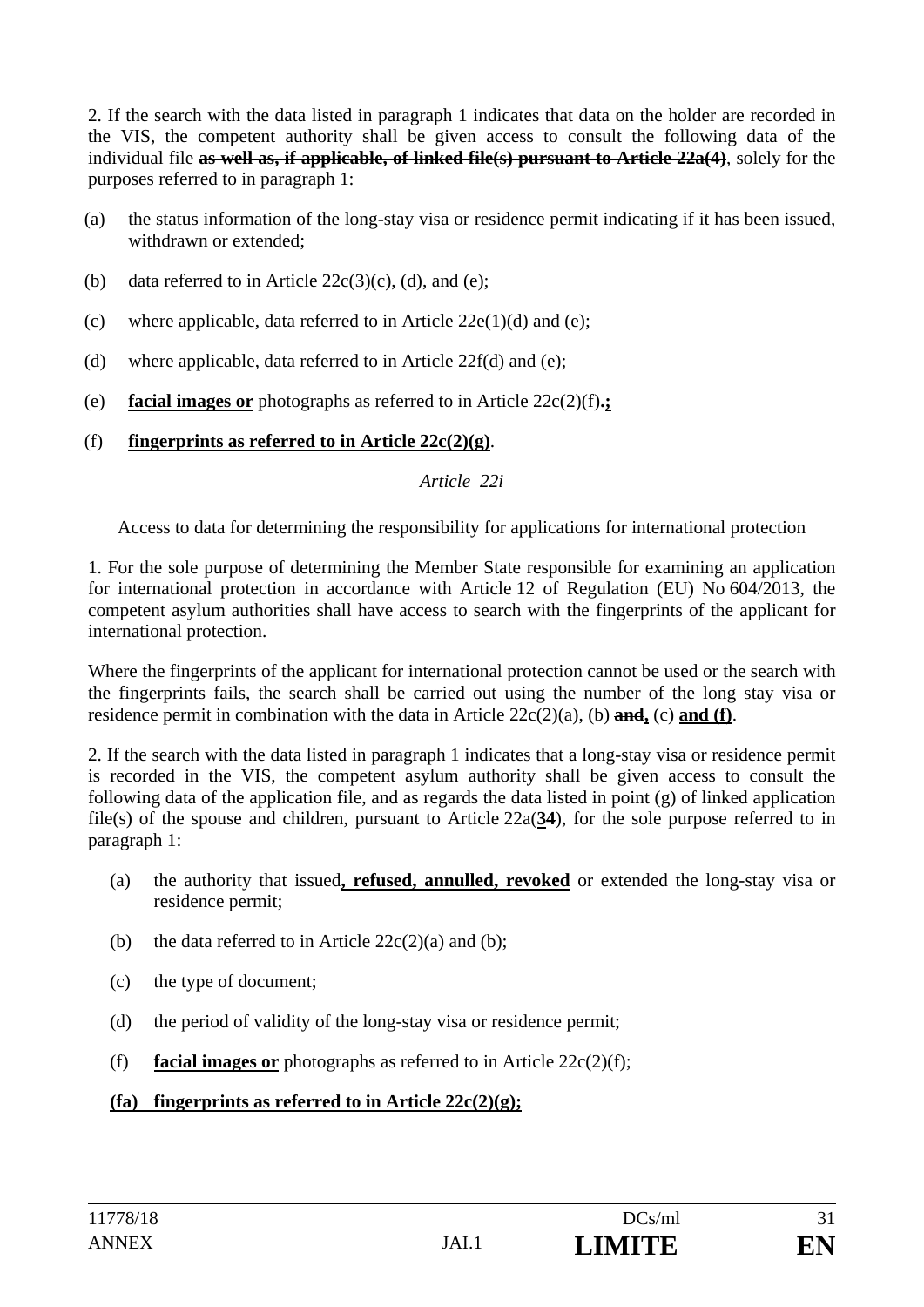2. If the search with the data listed in paragraph 1 indicates that data on the holder are recorded in the VIS, the competent authority shall be given access to consult the following data of the individual file **as well as, if applicable, of linked file(s) pursuant to Article 22a(4)**, solely for the purposes referred to in paragraph 1:

- (a) the status information of the long-stay visa or residence permit indicating if it has been issued, withdrawn or extended;
- (b) data referred to in Article  $22c(3)(c)$ , (d), and (e);
- (c) where applicable, data referred to in Article  $22e(1)(d)$  and (e);
- (d) where applicable, data referred to in Article  $22f(d)$  and (e);
- (e) **facial images or** photographs as referred to in Article 22c(2)(f)**.;**
- (f) **fingerprints as referred to in Article 22c(2)(g)**.

### *Article 22i*

Access to data for determining the responsibility for applications for international protection

1. For the sole purpose of determining the Member State responsible for examining an application for international protection in accordance with Article 12 of Regulation (EU) No 604/2013, the competent asylum authorities shall have access to search with the fingerprints of the applicant for international protection.

Where the fingerprints of the applicant for international protection cannot be used or the search with the fingerprints fails, the search shall be carried out using the number of the long stay visa or residence permit in combination with the data in Article 22c(2)(a), (b) **and,** (c) **and (f)**.

2. If the search with the data listed in paragraph 1 indicates that a long-stay visa or residence permit is recorded in the VIS, the competent asylum authority shall be given access to consult the following data of the application file, and as regards the data listed in point (g) of linked application file(s) of the spouse and children, pursuant to Article 22a(**34**), for the sole purpose referred to in paragraph 1:

- (a) the authority that issued**, refused, annulled, revoked** or extended the long-stay visa or residence permit;
- (b) the data referred to in Article  $22c(2)(a)$  and (b);
- (c) the type of document;
- (d) the period of validity of the long-stay visa or residence permit;
- (f) **facial images or** photographs as referred to in Article  $22c(2)(f)$ ;

## **(fa) fingerprints as referred to in Article 22c(2)(g);**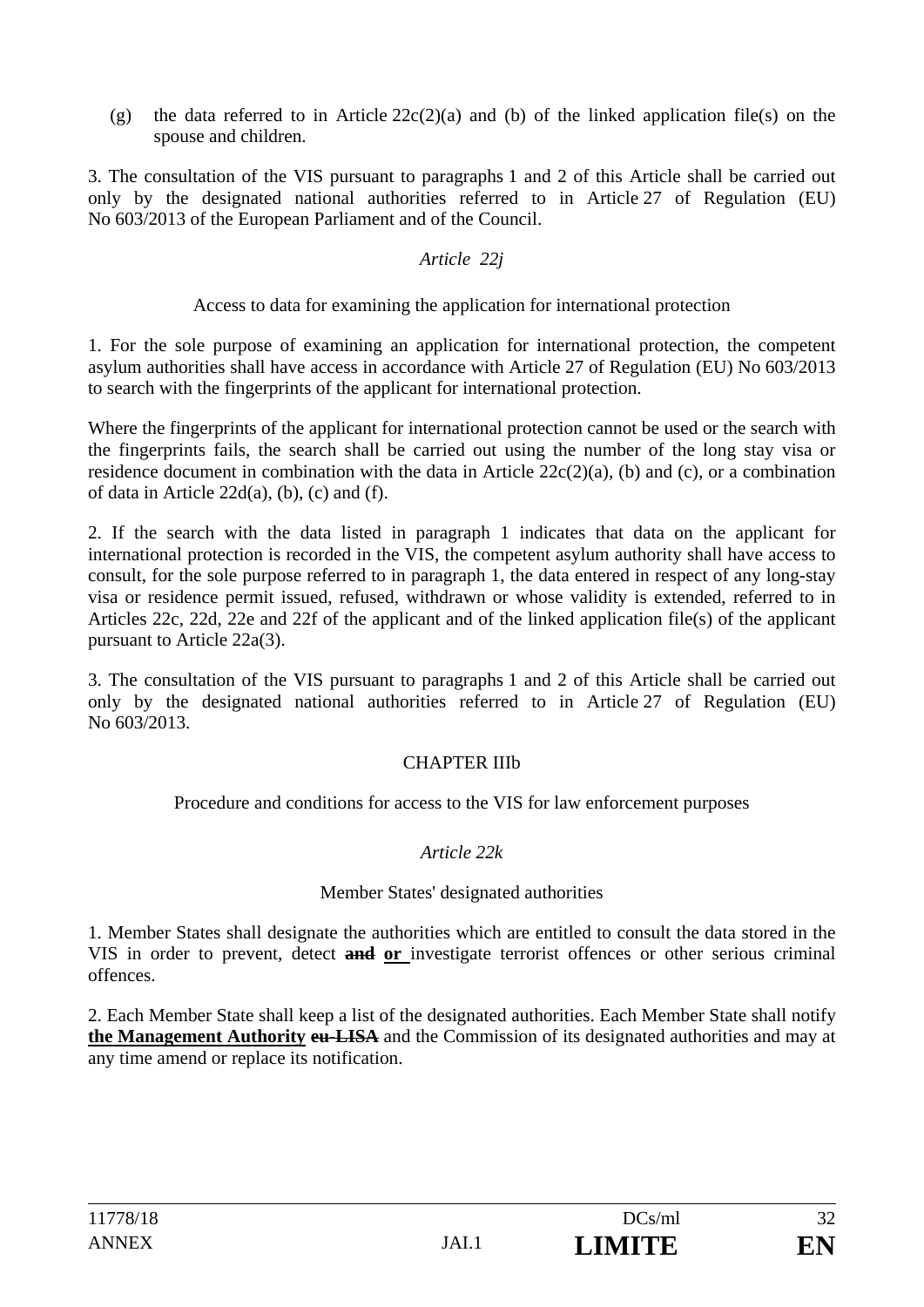(g) the data referred to in Article  $22c(2)(a)$  and (b) of the linked application file(s) on the spouse and children.

3. The consultation of the VIS pursuant to paragraphs 1 and 2 of this Article shall be carried out only by the designated national authorities referred to in Article 27 of Regulation (EU) No 603/2013 of the European Parliament and of the Council.

### *Article 22j*

Access to data for examining the application for international protection

1. For the sole purpose of examining an application for international protection, the competent asylum authorities shall have access in accordance with Article 27 of Regulation (EU) No 603/2013 to search with the fingerprints of the applicant for international protection.

Where the fingerprints of the applicant for international protection cannot be used or the search with the fingerprints fails, the search shall be carried out using the number of the long stay visa or residence document in combination with the data in Article 22c(2)(a), (b) and (c), or a combination of data in Article 22d(a), (b), (c) and (f).

2. If the search with the data listed in paragraph 1 indicates that data on the applicant for international protection is recorded in the VIS, the competent asylum authority shall have access to consult, for the sole purpose referred to in paragraph 1, the data entered in respect of any long-stay visa or residence permit issued, refused, withdrawn or whose validity is extended, referred to in Articles 22c, 22d, 22e and 22f of the applicant and of the linked application file(s) of the applicant pursuant to Article 22a(3).

3. The consultation of the VIS pursuant to paragraphs 1 and 2 of this Article shall be carried out only by the designated national authorities referred to in Article 27 of Regulation (EU) No 603/2013.

## CHAPTER IIIb

Procedure and conditions for access to the VIS for law enforcement purposes

## *Article 22k*

### Member States' designated authorities

1. Member States shall designate the authorities which are entitled to consult the data stored in the VIS in order to prevent, detect **and or** investigate terrorist offences or other serious criminal offences.

2. Each Member State shall keep a list of the designated authorities. Each Member State shall notify **the Management Authority eu-LISA** and the Commission of its designated authorities and may at any time amend or replace its notification.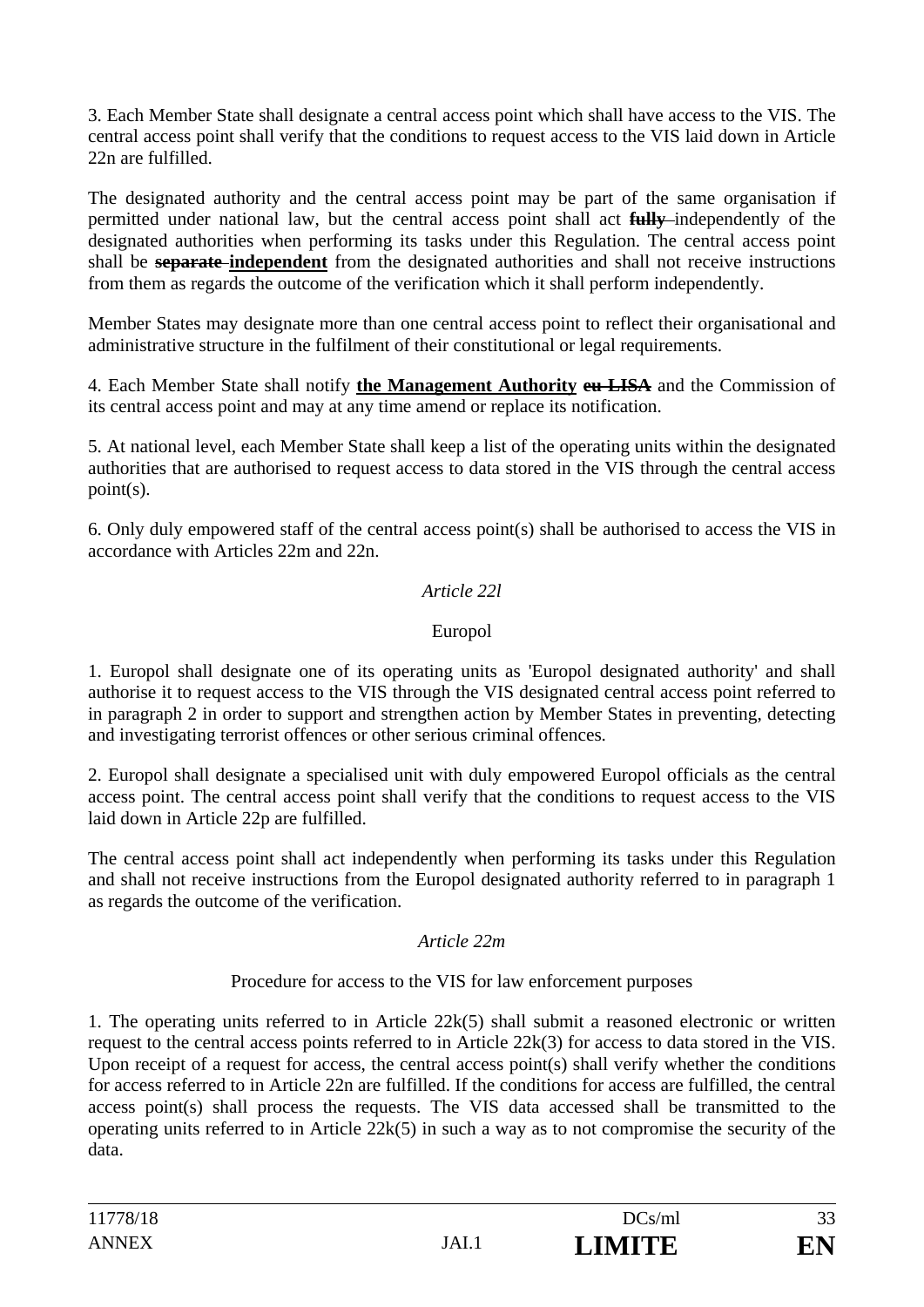3. Each Member State shall designate a central access point which shall have access to the VIS. The central access point shall verify that the conditions to request access to the VIS laid down in Article 22n are fulfilled.

The designated authority and the central access point may be part of the same organisation if permitted under national law, but the central access point shall act **fully** independently of the designated authorities when performing its tasks under this Regulation. The central access point shall be **separate independent** from the designated authorities and shall not receive instructions from them as regards the outcome of the verification which it shall perform independently.

Member States may designate more than one central access point to reflect their organisational and administrative structure in the fulfilment of their constitutional or legal requirements.

4. Each Member State shall notify **the Management Authority eu-LISA** and the Commission of its central access point and may at any time amend or replace its notification.

5. At national level, each Member State shall keep a list of the operating units within the designated authorities that are authorised to request access to data stored in the VIS through the central access point(s).

6. Only duly empowered staff of the central access point(s) shall be authorised to access the VIS in accordance with Articles 22m and 22n.

### *Article 22l*

### Europol

1. Europol shall designate one of its operating units as 'Europol designated authority' and shall authorise it to request access to the VIS through the VIS designated central access point referred to in paragraph 2 in order to support and strengthen action by Member States in preventing, detecting and investigating terrorist offences or other serious criminal offences*.*

2. Europol shall designate a specialised unit with duly empowered Europol officials as the central access point. The central access point shall verify that the conditions to request access to the VIS laid down in Article 22p are fulfilled.

The central access point shall act independently when performing its tasks under this Regulation and shall not receive instructions from the Europol designated authority referred to in paragraph 1 as regards the outcome of the verification.

### *Article 22m*

### Procedure for access to the VIS for law enforcement purposes

1. The operating units referred to in Article 22k(5) shall submit a reasoned electronic or written request to the central access points referred to in Article 22k(3) for access to data stored in the VIS. Upon receipt of a request for access, the central access point(s) shall verify whether the conditions for access referred to in Article 22n are fulfilled. If the conditions for access are fulfilled, the central access point(s) shall process the requests. The VIS data accessed shall be transmitted to the operating units referred to in Article 22k(5) in such a way as to not compromise the security of the data.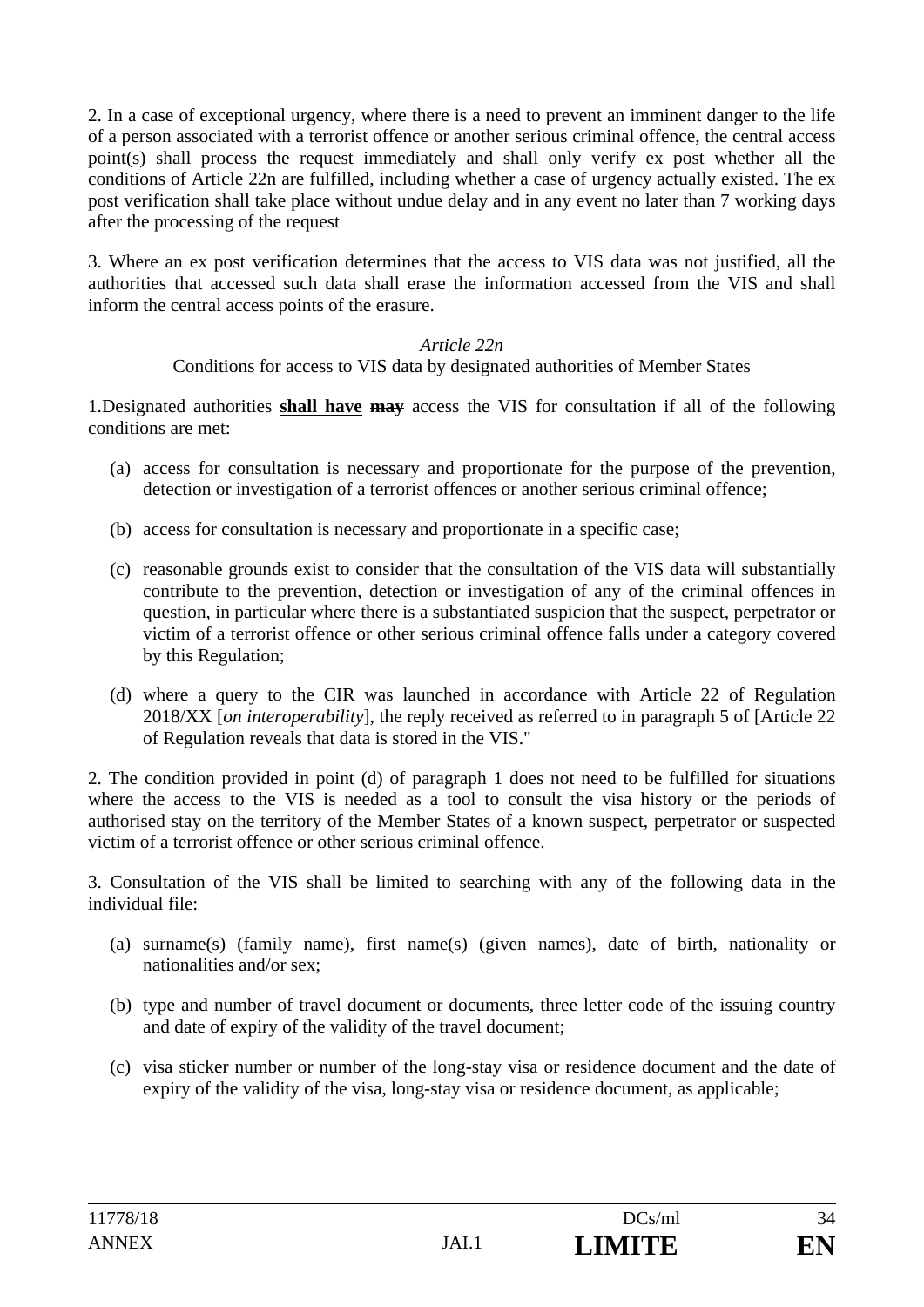2. In a case of exceptional urgency, where there is a need to prevent an imminent danger to the life of a person associated with a terrorist offence or another serious criminal offence, the central access point(s) shall process the request immediately and shall only verify ex post whether all the conditions of Article 22n are fulfilled, including whether a case of urgency actually existed. The ex post verification shall take place without undue delay and in any event no later than 7 working days after the processing of the request

3. Where an ex post verification determines that the access to VIS data was not justified, all the authorities that accessed such data shall erase the information accessed from the VIS and shall inform the central access points of the erasure.

### *Article 22n*

Conditions for access to VIS data by designated authorities of Member States

1.Designated authorities **shall have may** access the VIS for consultation if all of the following conditions are met:

- (a) access for consultation is necessary and proportionate for the purpose of the prevention, detection or investigation of a terrorist offences or another serious criminal offence;
- (b) access for consultation is necessary and proportionate in a specific case;
- (c) reasonable grounds exist to consider that the consultation of the VIS data will substantially contribute to the prevention, detection or investigation of any of the criminal offences in question, in particular where there is a substantiated suspicion that the suspect, perpetrator or victim of a terrorist offence or other serious criminal offence falls under a category covered by this Regulation;
- (d) where a query to the CIR was launched in accordance with Article 22 of Regulation 2018/XX [*on interoperability*], the reply received as referred to in paragraph 5 of [Article 22 of Regulation reveals that data is stored in the VIS."

2. The condition provided in point (d) of paragraph 1 does not need to be fulfilled for situations where the access to the VIS is needed as a tool to consult the visa history or the periods of authorised stay on the territory of the Member States of a known suspect, perpetrator or suspected victim of a terrorist offence or other serious criminal offence.

3. Consultation of the VIS shall be limited to searching with any of the following data in the individual file:

- (a) surname(s) (family name), first name(s) (given names), date of birth, nationality or nationalities and/or sex;
- (b) type and number of travel document or documents, three letter code of the issuing country and date of expiry of the validity of the travel document;
- (c) visa sticker number or number of the long-stay visa or residence document and the date of expiry of the validity of the visa, long-stay visa or residence document, as applicable;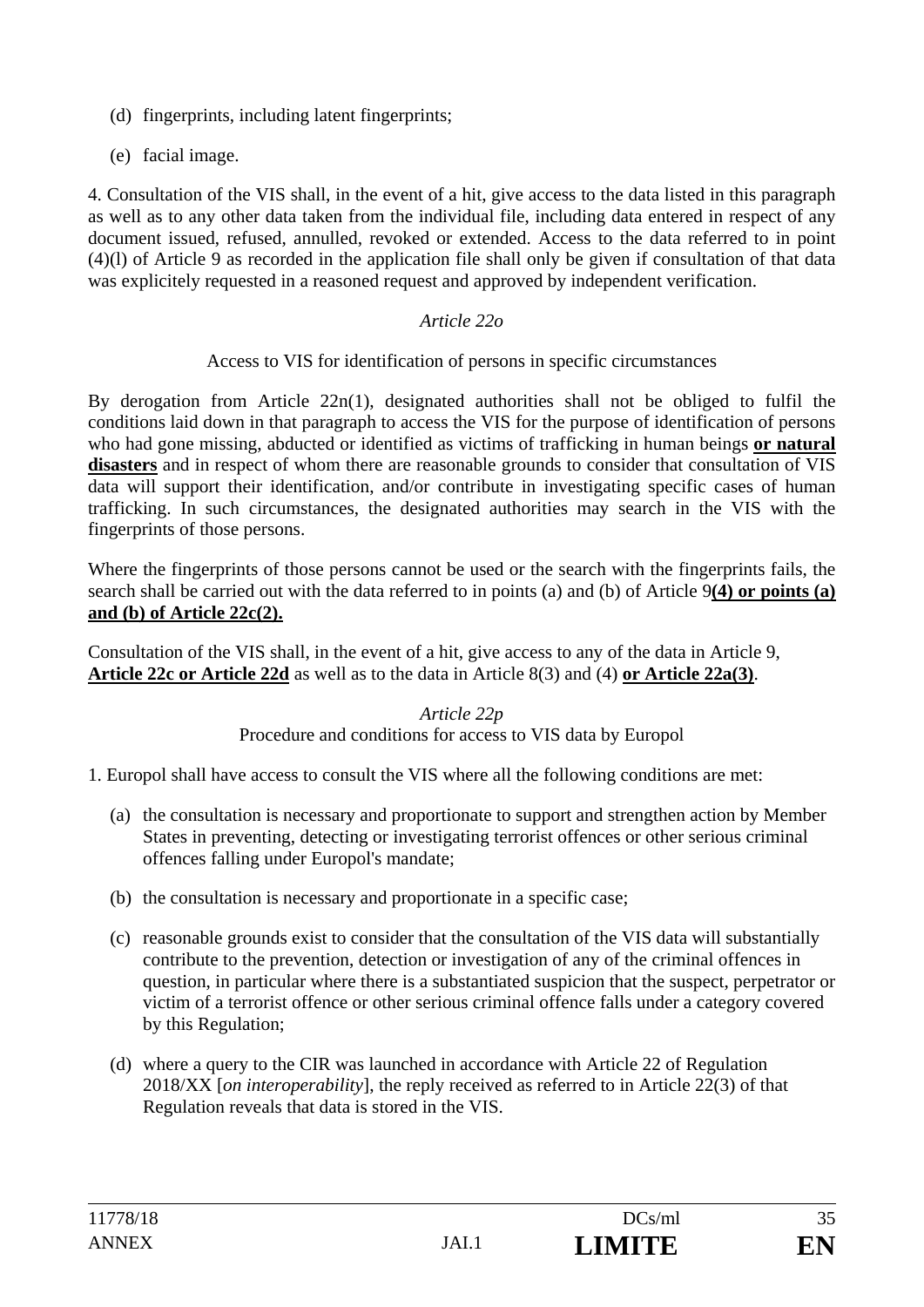- (d) fingerprints, including latent fingerprints;
- (e) facial image.

4. Consultation of the VIS shall, in the event of a hit, give access to the data listed in this paragraph as well as to any other data taken from the individual file, including data entered in respect of any document issued, refused, annulled, revoked or extended. Access to the data referred to in point (4)(l) of Article 9 as recorded in the application file shall only be given if consultation of that data was explicitely requested in a reasoned request and approved by independent verification.

#### *Article 22o*

#### Access to VIS for identification of persons in specific circumstances

By derogation from Article 22n(1), designated authorities shall not be obliged to fulfil the conditions laid down in that paragraph to access the VIS for the purpose of identification of persons who had gone missing, abducted or identified as victims of trafficking in human beings **or natural disasters** and in respect of whom there are reasonable grounds to consider that consultation of VIS data will support their identification, and/or contribute in investigating specific cases of human trafficking. In such circumstances, the designated authorities may search in the VIS with the fingerprints of those persons.

Where the fingerprints of those persons cannot be used or the search with the fingerprints fails, the search shall be carried out with the data referred to in points (a) and (b) of Article 9**(4) or points (a) and (b) of Article 22c(2).**

Consultation of the VIS shall, in the event of a hit, give access to any of the data in Article 9, **Article 22c or Article 22d** as well as to the data in Article 8(3) and (4) **or Article 22a(3)**.

#### *Article 22p*  Procedure and conditions for access to VIS data by Europol

1. Europol shall have access to consult the VIS where all the following conditions are met:

- (a) the consultation is necessary and proportionate to support and strengthen action by Member States in preventing, detecting or investigating terrorist offences or other serious criminal offences falling under Europol's mandate;
- (b) the consultation is necessary and proportionate in a specific case;
- (c) reasonable grounds exist to consider that the consultation of the VIS data will substantially contribute to the prevention, detection or investigation of any of the criminal offences in question, in particular where there is a substantiated suspicion that the suspect, perpetrator or victim of a terrorist offence or other serious criminal offence falls under a category covered by this Regulation;
- (d) where a query to the CIR was launched in accordance with Article 22 of Regulation 2018/XX [*on interoperability*], the reply received as referred to in Article 22(3) of that Regulation reveals that data is stored in the VIS.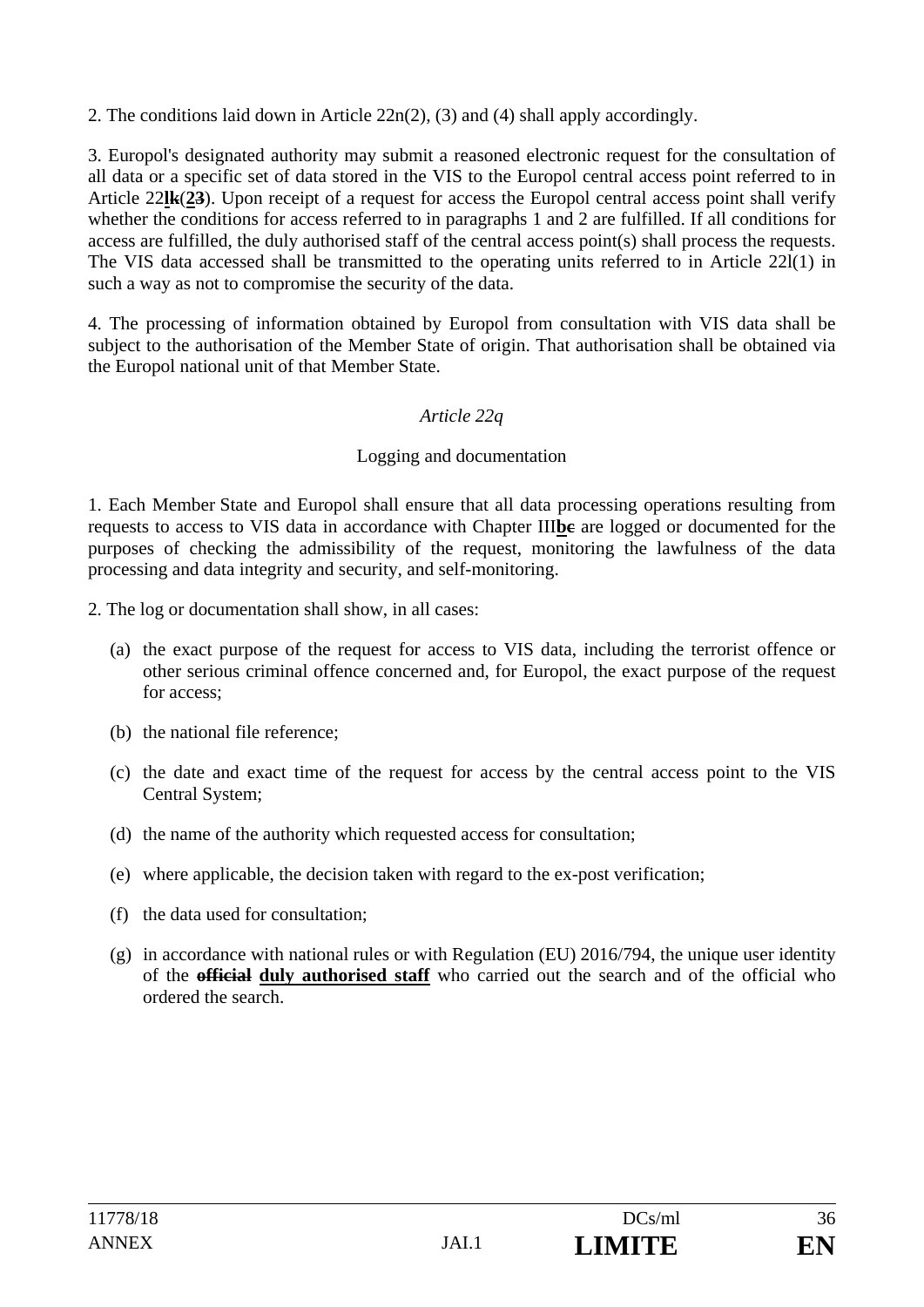2. The conditions laid down in Article 22n(2), (3) and (4) shall apply accordingly.

3. Europol's designated authority may submit a reasoned electronic request for the consultation of all data or a specific set of data stored in the VIS to the Europol central access point referred to in Article 22**lk**(**23**). Upon receipt of a request for access the Europol central access point shall verify whether the conditions for access referred to in paragraphs 1 and 2 are fulfilled. If all conditions for access are fulfilled, the duly authorised staff of the central access point(s) shall process the requests. The VIS data accessed shall be transmitted to the operating units referred to in Article 22l(1) in such a way as not to compromise the security of the data.

4. The processing of information obtained by Europol from consultation with VIS data shall be subject to the authorisation of the Member State of origin. That authorisation shall be obtained via the Europol national unit of that Member State.

## *Article 22q*

### Logging and documentation

1. Each Member State and Europol shall ensure that all data processing operations resulting from requests to access to VIS data in accordance with Chapter III**bc** are logged or documented for the purposes of checking the admissibility of the request, monitoring the lawfulness of the data processing and data integrity and security, and self-monitoring.

2. The log or documentation shall show, in all cases:

- (a) the exact purpose of the request for access to VIS data, including the terrorist offence or other serious criminal offence concerned and, for Europol, the exact purpose of the request for access;
- (b) the national file reference;
- (c) the date and exact time of the request for access by the central access point to the VIS Central System;
- (d) the name of the authority which requested access for consultation;
- (e) where applicable, the decision taken with regard to the ex-post verification;
- (f) the data used for consultation;
- (g) in accordance with national rules or with Regulation (EU) 2016/794, the unique user identity of the **official duly authorised staff** who carried out the search and of the official who ordered the search.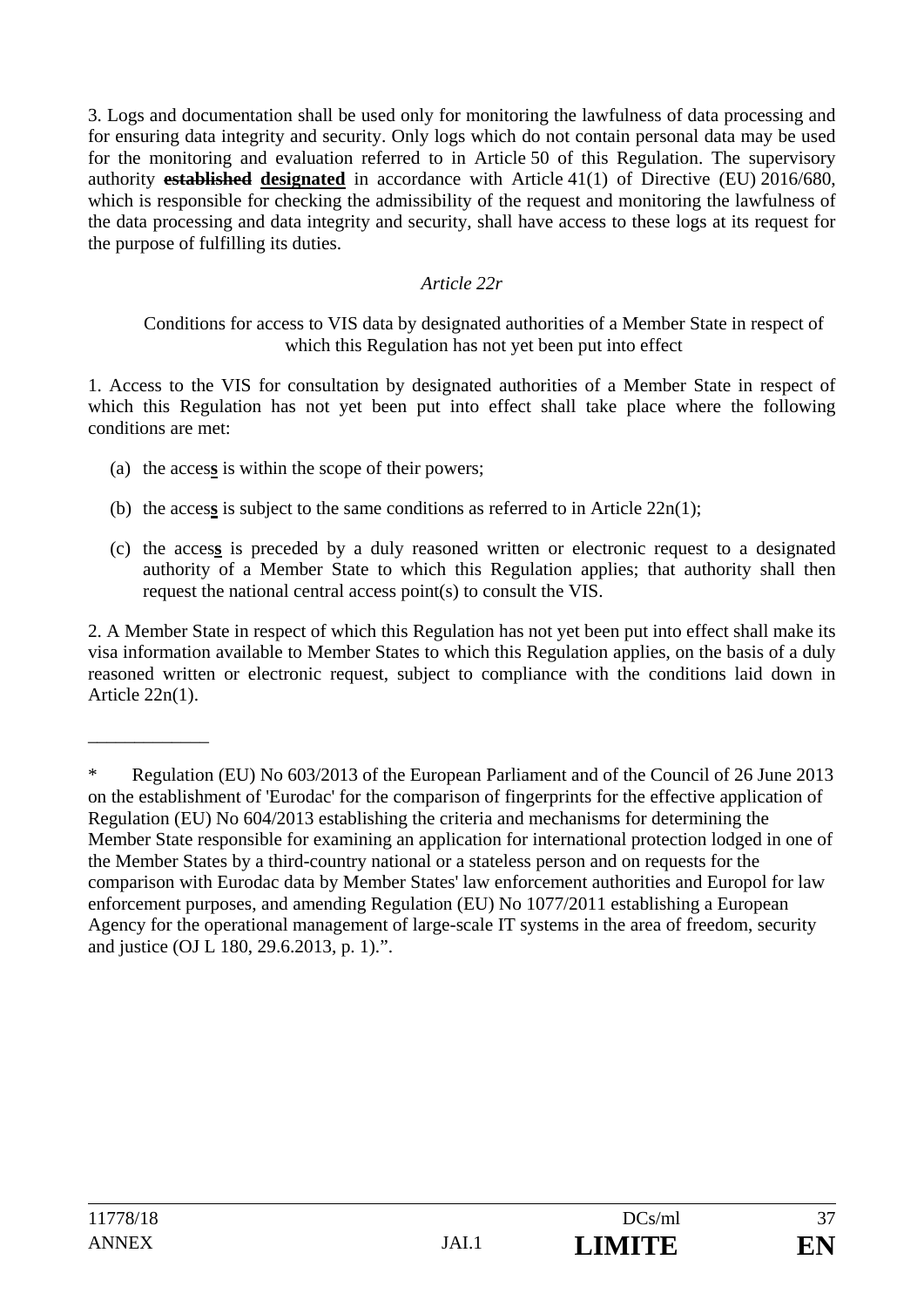3. Logs and documentation shall be used only for monitoring the lawfulness of data processing and for ensuring data integrity and security. Only logs which do not contain personal data may be used for the monitoring and evaluation referred to in Article 50 of this Regulation. The supervisory authority **established designated** in accordance with Article 41(1) of Directive (EU) 2016/680, which is responsible for checking the admissibility of the request and monitoring the lawfulness of the data processing and data integrity and security, shall have access to these logs at its request for the purpose of fulfilling its duties.

### *Article 22r*

Conditions for access to VIS data by designated authorities of a Member State in respect of which this Regulation has not yet been put into effect

1. Access to the VIS for consultation by designated authorities of a Member State in respect of which this Regulation has not yet been put into effect shall take place where the following conditions are met:

- (a) the acces**s** is within the scope of their powers;
- (b) the access is subject to the same conditions as referred to in Article  $22n(1)$ ;
- (c) the acces**s** is preceded by a duly reasoned written or electronic request to a designated authority of a Member State to which this Regulation applies; that authority shall then request the national central access point(s) to consult the VIS.

2. A Member State in respect of which this Regulation has not yet been put into effect shall make its visa information available to Member States to which this Regulation applies, on the basis of a duly reasoned written or electronic request, subject to compliance with the conditions laid down in Article 22n(1).

\_\_\_\_\_\_\_\_\_\_\_\_\_

<sup>\*</sup> Regulation (EU) No 603/2013 of the European Parliament and of the Council of 26 June 2013 on the establishment of 'Eurodac' for the comparison of fingerprints for the effective application of Regulation (EU) No 604/2013 establishing the criteria and mechanisms for determining the Member State responsible for examining an application for international protection lodged in one of the Member States by a third-country national or a stateless person and on requests for the comparison with Eurodac data by Member States' law enforcement authorities and Europol for law enforcement purposes, and amending Regulation (EU) No 1077/2011 establishing a European Agency for the operational management of large-scale IT systems in the area of freedom, security and justice (OJ L 180, 29.6.2013, p. 1).".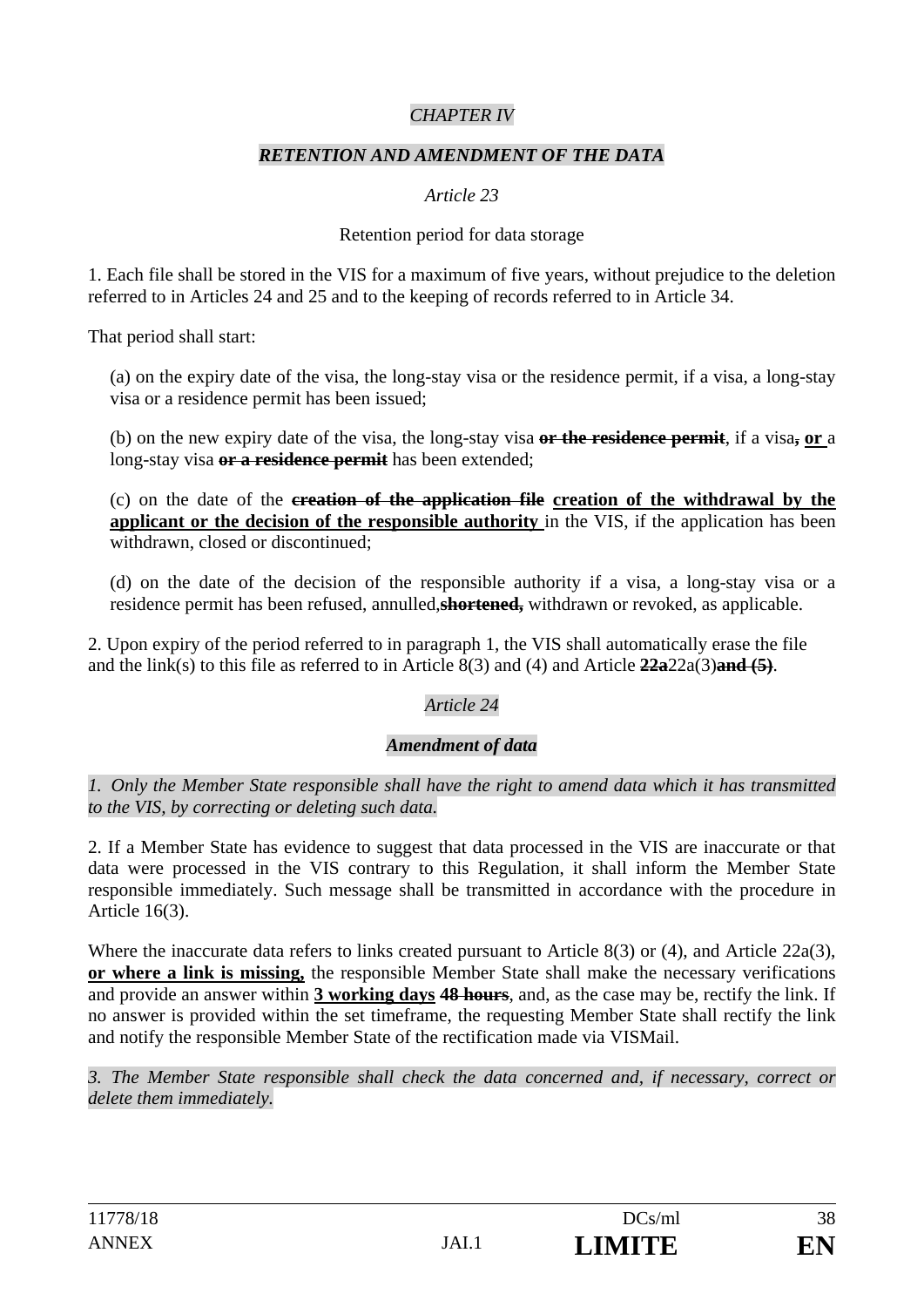### *CHAPTER IV*

#### *RETENTION AND AMENDMENT OF THE DATA*

### *Article 23*

#### Retention period for data storage

1. Each file shall be stored in the VIS for a maximum of five years, without prejudice to the deletion referred to in Articles 24 and 25 and to the keeping of records referred to in Article 34.

That period shall start:

(a) on the expiry date of the visa, the long-stay visa or the residence permit, if a visa, a long-stay visa or a residence permit has been issued;

(b) on the new expiry date of the visa, the long-stay visa **or the residence permit**, if a visa**, or** a long-stay visa **or a residence permit** has been extended;

(c) on the date of the **creation of the application file creation of the withdrawal by the applicant or the decision of the responsible authority** in the VIS, if the application has been withdrawn, closed or discontinued;

(d) on the date of the decision of the responsible authority if a visa, a long-stay visa or a residence permit has been refused, annulled,**shortened,** withdrawn or revoked, as applicable.

2. Upon expiry of the period referred to in paragraph 1, the VIS shall automatically erase the file and the link(s) to this file as referred to in Article 8(3) and (4) and Article **22a**22a(3)**and (5)**.

### *Article 24*

### *Amendment of data*

*1. Only the Member State responsible shall have the right to amend data which it has transmitted to the VIS, by correcting or deleting such data.* 

2. If a Member State has evidence to suggest that data processed in the VIS are inaccurate or that data were processed in the VIS contrary to this Regulation, it shall inform the Member State responsible immediately. Such message shall be transmitted in accordance with the procedure in Article 16(3).

Where the inaccurate data refers to links created pursuant to Article 8(3) or (4), and Article 22a(3), **or where a link is missing,** the responsible Member State shall make the necessary verifications and provide an answer within **3 working days 48 hours**, and, as the case may be, rectify the link. If no answer is provided within the set timeframe, the requesting Member State shall rectify the link and notify the responsible Member State of the rectification made via VISMail.

*3. The Member State responsible shall check the data concerned and, if necessary, correct or delete them immediately.*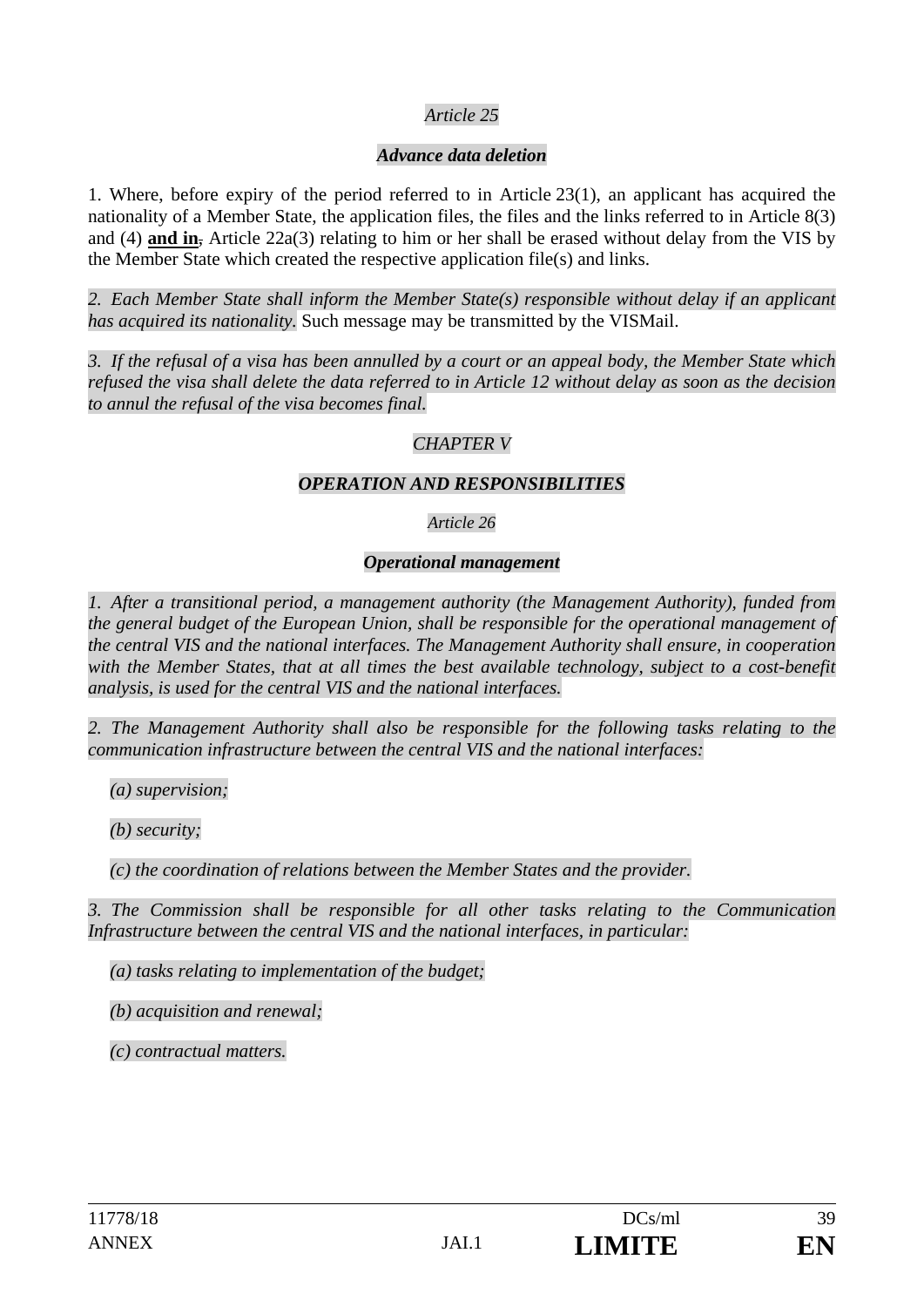### *Article 25*

### *Advance data deletion*

1. Where, before expiry of the period referred to in Article 23(1), an applicant has acquired the nationality of a Member State, the application files, the files and the links referred to in Article 8(3) and (4) **and in**, Article 22a(3) relating to him or her shall be erased without delay from the VIS by the Member State which created the respective application file(s) and links.

*2. Each Member State shall inform the Member State(s) responsible without delay if an applicant has acquired its nationality.* Such message may be transmitted by the VISMail.

*3. If the refusal of a visa has been annulled by a court or an appeal body, the Member State which refused the visa shall delete the data referred to in Article 12 without delay as soon as the decision to annul the refusal of the visa becomes final.* 

### *CHAPTER V*

#### *OPERATION AND RESPONSIBILITIES*

#### *Article 26*

#### *Operational management*

*1. After a transitional period, a management authority (the Management Authority), funded from the general budget of the European Union, shall be responsible for the operational management of the central VIS and the national interfaces. The Management Authority shall ensure, in cooperation with the Member States, that at all times the best available technology, subject to a cost-benefit analysis, is used for the central VIS and the national interfaces.* 

*2. The Management Authority shall also be responsible for the following tasks relating to the communication infrastructure between the central VIS and the national interfaces:* 

*(a) supervision;* 

*(b) security;* 

*(c) the coordination of relations between the Member States and the provider.* 

*3. The Commission shall be responsible for all other tasks relating to the Communication Infrastructure between the central VIS and the national interfaces, in particular:* 

*(a) tasks relating to implementation of the budget;* 

*(b) acquisition and renewal;* 

*(c) contractual matters.*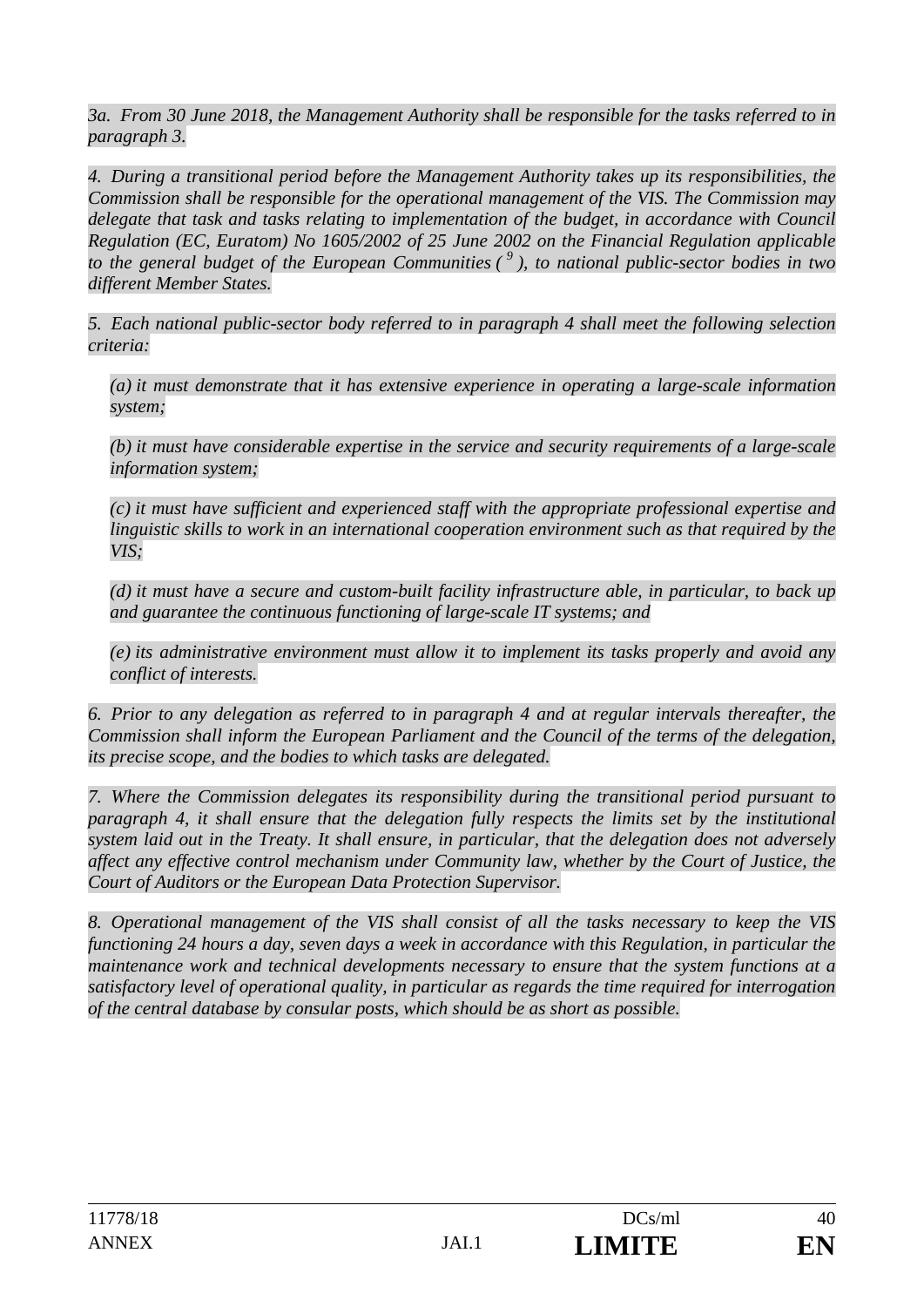*3a. From 30 June 2018, the Management Authority shall be responsible for the tasks referred to in paragraph 3.* 

*4. During a transitional period before the Management Authority takes up its responsibilities, the Commission shall be responsible for the operational management of the VIS. The Commission may delegate that task and tasks relating to implementation of the budget, in accordance with Council Regulation (EC, Euratom) No 1605/2002 of 25 June 2002 on the Financial Regulation applicable to the general budget of the European Communities ( 9 ), to national public-sector bodies in two different Member States.* 

*5. Each national public-sector body referred to in paragraph 4 shall meet the following selection criteria:* 

*(a) it must demonstrate that it has extensive experience in operating a large-scale information system;* 

*(b) it must have considerable expertise in the service and security requirements of a large-scale information system;* 

*(c) it must have sufficient and experienced staff with the appropriate professional expertise and linguistic skills to work in an international cooperation environment such as that required by the VIS;* 

*(d) it must have a secure and custom-built facility infrastructure able, in particular, to back up and guarantee the continuous functioning of large-scale IT systems; and* 

*(e) its administrative environment must allow it to implement its tasks properly and avoid any conflict of interests.* 

*6. Prior to any delegation as referred to in paragraph 4 and at regular intervals thereafter, the Commission shall inform the European Parliament and the Council of the terms of the delegation, its precise scope, and the bodies to which tasks are delegated.* 

*7. Where the Commission delegates its responsibility during the transitional period pursuant to paragraph 4, it shall ensure that the delegation fully respects the limits set by the institutional system laid out in the Treaty. It shall ensure, in particular, that the delegation does not adversely affect any effective control mechanism under Community law, whether by the Court of Justice, the Court of Auditors or the European Data Protection Supervisor.* 

*8. Operational management of the VIS shall consist of all the tasks necessary to keep the VIS functioning 24 hours a day, seven days a week in accordance with this Regulation, in particular the maintenance work and technical developments necessary to ensure that the system functions at a satisfactory level of operational quality, in particular as regards the time required for interrogation of the central database by consular posts, which should be as short as possible.*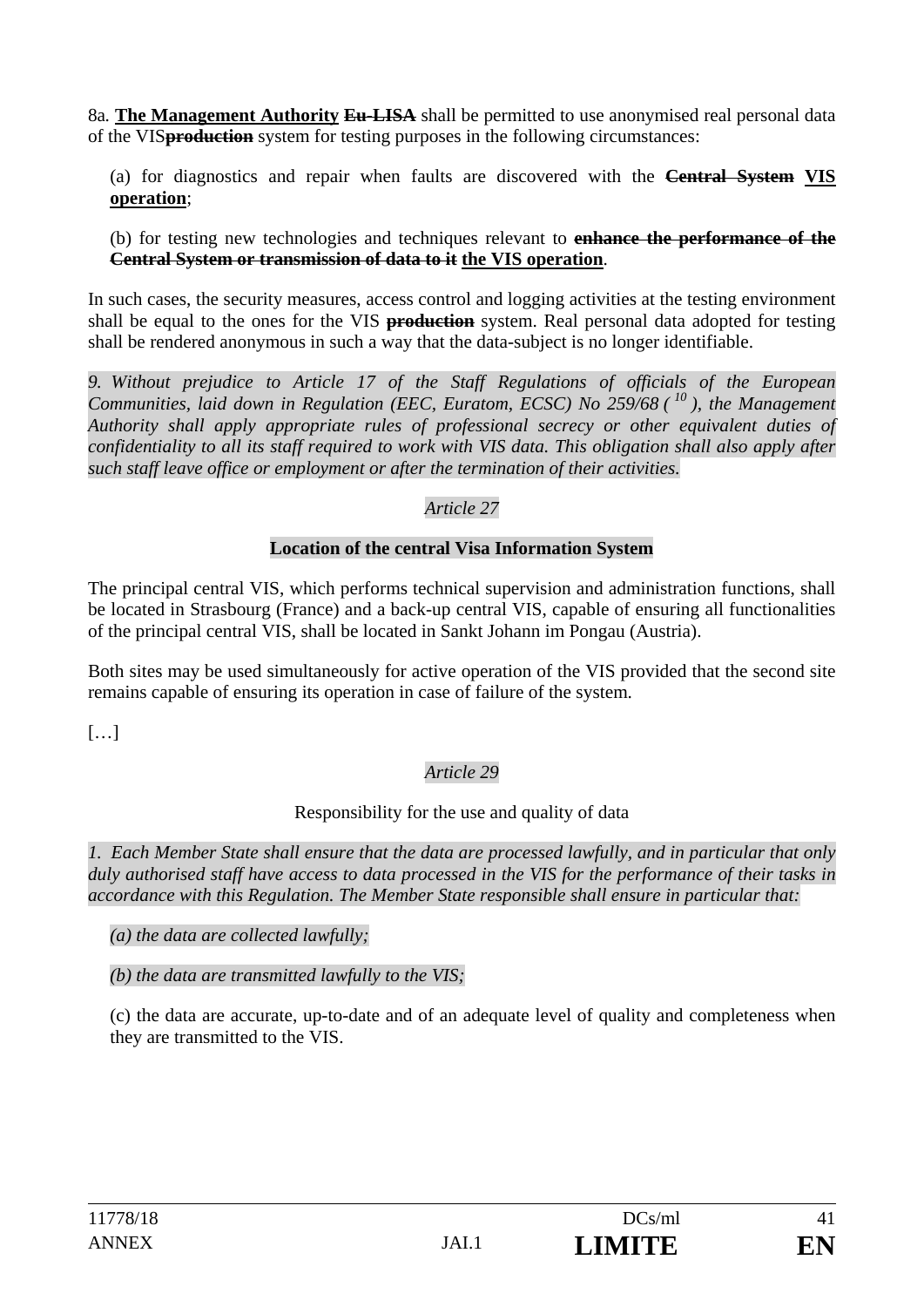8a*.* **The Management Authority Eu-LISA** shall be permitted to use anonymised real personal data of the VIS**production** system for testing purposes in the following circumstances:

(a) for diagnostics and repair when faults are discovered with the **Central System VIS operation**;

(b) for testing new technologies and techniques relevant to **enhance the performance of the Central System or transmission of data to it the VIS operation**.

In such cases, the security measures, access control and logging activities at the testing environment shall be equal to the ones for the VIS **production** system. Real personal data adopted for testing shall be rendered anonymous in such a way that the data-subject is no longer identifiable.

*9. Without prejudice to Article 17 of the Staff Regulations of officials of the European Communities, laid down in Regulation (EEC, Euratom, ECSC) No 259/68 ( 10 ), the Management Authority shall apply appropriate rules of professional secrecy or other equivalent duties of confidentiality to all its staff required to work with VIS data. This obligation shall also apply after such staff leave office or employment or after the termination of their activities.*

### *Article 27*

### **Location of the central Visa Information System**

The principal central VIS, which performs technical supervision and administration functions, shall be located in Strasbourg (France) and a back-up central VIS, capable of ensuring all functionalities of the principal central VIS, shall be located in Sankt Johann im Pongau (Austria).

Both sites may be used simultaneously for active operation of the VIS provided that the second site remains capable of ensuring its operation in case of failure of the system.

[…]

# *Article 29*

#### Responsibility for the use and quality of data

*1. Each Member State shall ensure that the data are processed lawfully, and in particular that only duly authorised staff have access to data processed in the VIS for the performance of their tasks in accordance with this Regulation. The Member State responsible shall ensure in particular that:* 

*(a) the data are collected lawfully;* 

*(b) the data are transmitted lawfully to the VIS;* 

(c) the data are accurate, up-to-date and of an adequate level of quality and completeness when they are transmitted to the VIS.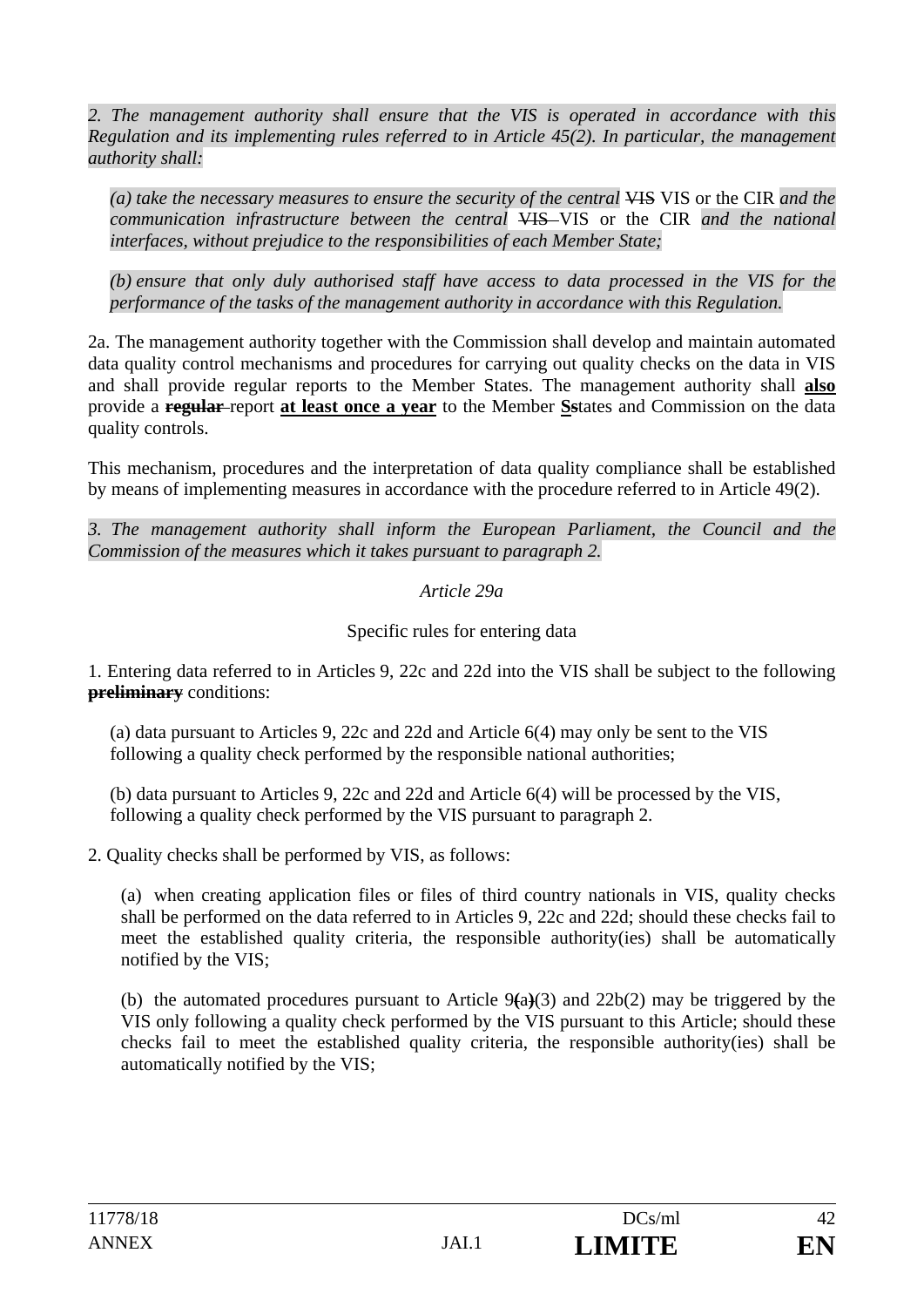*2. The management authority shall ensure that the VIS is operated in accordance with this Regulation and its implementing rules referred to in Article 45(2). In particular, the management authority shall:* 

*(a) take the necessary measures to ensure the security of the central* VIS VIS or the CIR *and the communication infrastructure between the central* VIS VIS or the CIR *and the national interfaces, without prejudice to the responsibilities of each Member State;* 

*(b) ensure that only duly authorised staff have access to data processed in the VIS for the performance of the tasks of the management authority in accordance with this Regulation.* 

2a. The management authority together with the Commission shall develop and maintain automated data quality control mechanisms and procedures for carrying out quality checks on the data in VIS and shall provide regular reports to the Member States. The management authority shall **also**  provide a **regular** report **at least once a year** to the Member **Ss**tates and Commission on the data quality controls.

This mechanism, procedures and the interpretation of data quality compliance shall be established by means of implementing measures in accordance with the procedure referred to in Article 49(2).

*3. The management authority shall inform the European Parliament, the Council and the Commission of the measures which it takes pursuant to paragraph 2.* 

#### *Article 29a*

Specific rules for entering data

1. Entering data referred to in Articles 9, 22c and 22d into the VIS shall be subject to the following **preliminary** conditions:

(a) data pursuant to Articles 9, 22c and 22d and Article 6(4) may only be sent to the VIS following a quality check performed by the responsible national authorities;

(b) data pursuant to Articles 9, 22c and 22d and Article 6(4) will be processed by the VIS, following a quality check performed by the VIS pursuant to paragraph 2.

2. Quality checks shall be performed by VIS, as follows:

(a) when creating application files or files of third country nationals in VIS, quality checks shall be performed on the data referred to in Articles 9, 22c and 22d; should these checks fail to meet the established quality criteria, the responsible authority(ies) shall be automatically notified by the VIS;

(b) the automated procedures pursuant to Article 9**(**a**)**(3) and 22b(2) may be triggered by the VIS only following a quality check performed by the VIS pursuant to this Article; should these checks fail to meet the established quality criteria, the responsible authority(ies) shall be automatically notified by the VIS;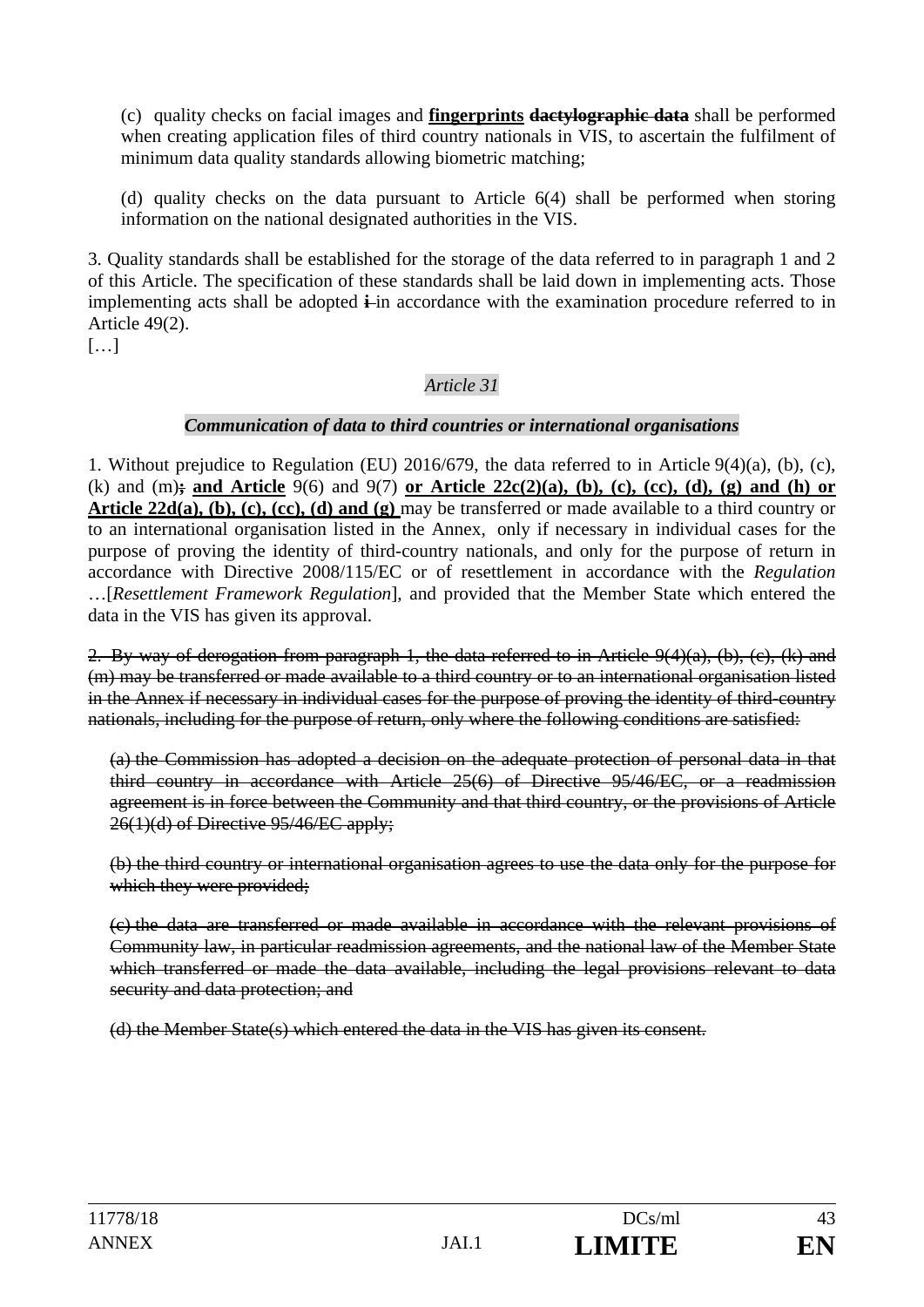(c) quality checks on facial images and **fingerprints dactylographic data** shall be performed when creating application files of third country nationals in VIS, to ascertain the fulfilment of minimum data quality standards allowing biometric matching;

(d) quality checks on the data pursuant to Article 6(4) shall be performed when storing information on the national designated authorities in the VIS.

3. Quality standards shall be established for the storage of the data referred to in paragraph 1 and 2 of this Article. The specification of these standards shall be laid down in implementing acts. Those implementing acts shall be adopted **i**-in accordance with the examination procedure referred to in Article 49(2).

[…]

### *Article 31*

#### *Communication of data to third countries or international organisations*

1. Without prejudice to Regulation (EU) 2016/679, the data referred to in Article 9(4)(a), (b), (c), (k) and (m)**; and Article** 9(6) and 9(7) **or Article 22c(2)(a), (b), (c), (cc), (d), (g) and (h) or Article 22d(a), (b), (c), (cc), (d) and (g)** may be transferred or made available to a third country or to an international organisation listed in the Annex, only if necessary in individual cases for the purpose of proving the identity of third-country nationals, and only for the purpose of return in accordance with Directive 2008/115/EC or of resettlement in accordance with the *Regulation* …[*Resettlement Framework Regulation*], and provided that the Member State which entered the data in the VIS has given its approval.

2. By way of derogation from paragraph 1, the data referred to in Article 9(4)(a), (b), (c), (k) and (m) may be transferred or made available to a third country or to an international organisation listed in the Annex if necessary in individual cases for the purpose of proving the identity of third-country nationals, including for the purpose of return, only where the following conditions are satisfied:

(a) the Commission has adopted a decision on the adequate protection of personal data in that third country in accordance with Article 25(6) of Directive 95/46/EC, or a readmission agreement is in force between the Community and that third country, or the provisions of Article 26(1)(d) of Directive 95/46/EC apply;

(b) the third country or international organisation agrees to use the data only for the purpose for which they were provided;

(c) the data are transferred or made available in accordance with the relevant provisions of Community law, in particular readmission agreements, and the national law of the Member State which transferred or made the data available, including the legal provisions relevant to data security and data protection; and

(d) the Member State(s) which entered the data in the VIS has given its consent.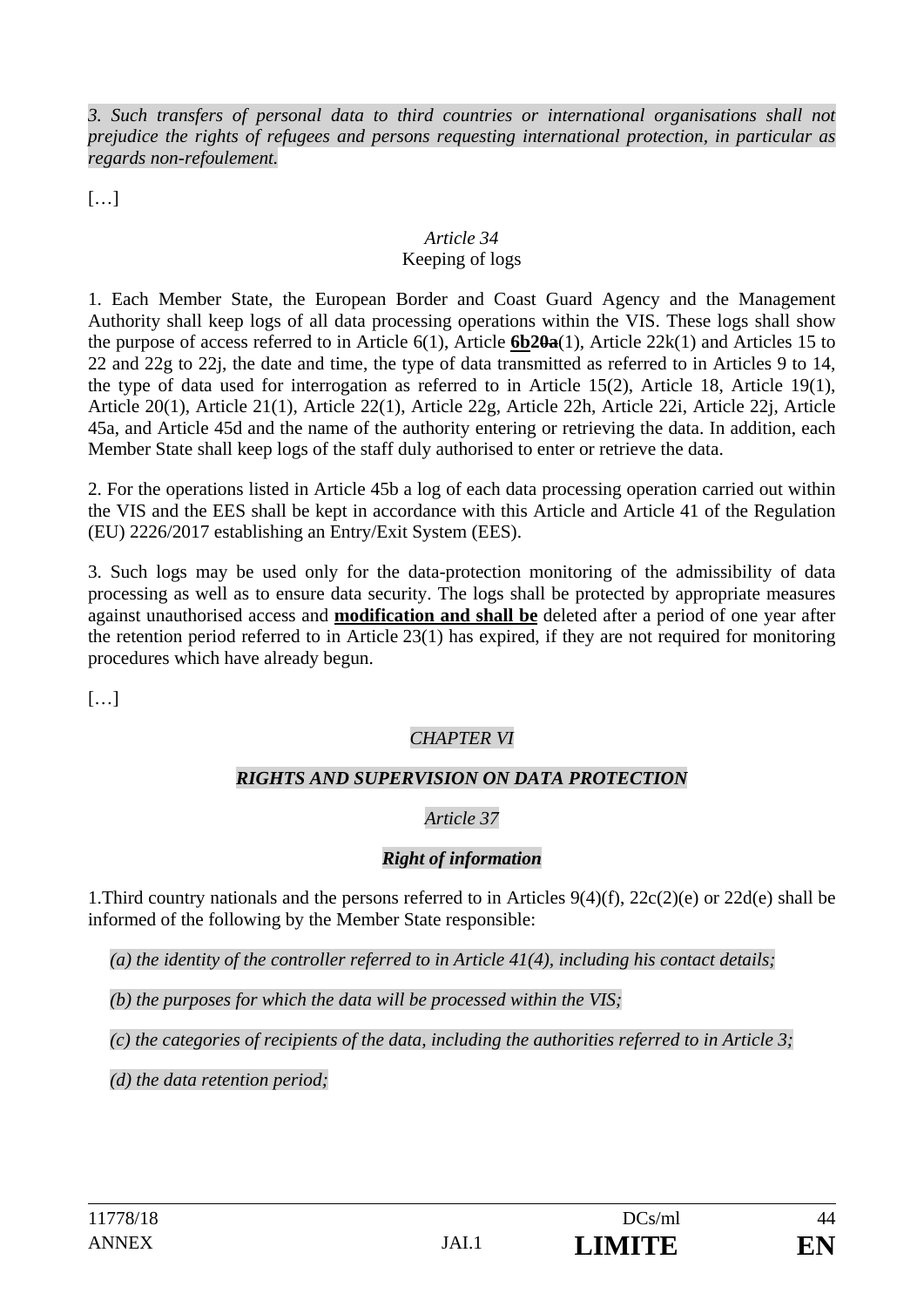*3. Such transfers of personal data to third countries or international organisations shall not prejudice the rights of refugees and persons requesting international protection, in particular as regards non-refoulement.* 

 $[...]$ 

#### *Article 34*  Keeping of logs

1. Each Member State, the European Border and Coast Guard Agency and the Management Authority shall keep logs of all data processing operations within the VIS. These logs shall show the purpose of access referred to in Article 6(1), Article **6b20a**(1), Article 22k(1) and Articles 15 to 22 and 22g to 22j, the date and time, the type of data transmitted as referred to in Articles 9 to 14, the type of data used for interrogation as referred to in Article 15(2), Article 18, Article 19(1), Article 20(1), Article 21(1), Article 22(1), Article 22g, Article 22h, Article 22i, Article 22j, Article 45a, and Article 45d and the name of the authority entering or retrieving the data. In addition, each Member State shall keep logs of the staff duly authorised to enter or retrieve the data.

2. For the operations listed in Article 45b a log of each data processing operation carried out within the VIS and the EES shall be kept in accordance with this Article and Article 41 of the Regulation (EU) 2226/2017 establishing an Entry/Exit System (EES).

3. Such logs may be used only for the data-protection monitoring of the admissibility of data processing as well as to ensure data security. The logs shall be protected by appropriate measures against unauthorised access and **modification and shall be** deleted after a period of one year after the retention period referred to in Article 23(1) has expired, if they are not required for monitoring procedures which have already begun.

[…]

# *CHAPTER VI*

### *RIGHTS AND SUPERVISION ON DATA PROTECTION*

# *Article 37*

### *Right of information*

1.Third country nationals and the persons referred to in Articles 9(4)(f), 22c(2)(e) or 22d(e) shall be informed of the following by the Member State responsible:

*(a) the identity of the controller referred to in Article 41(4), including his contact details;* 

*(b) the purposes for which the data will be processed within the VIS;* 

*(c) the categories of recipients of the data, including the authorities referred to in Article 3;* 

*(d) the data retention period;*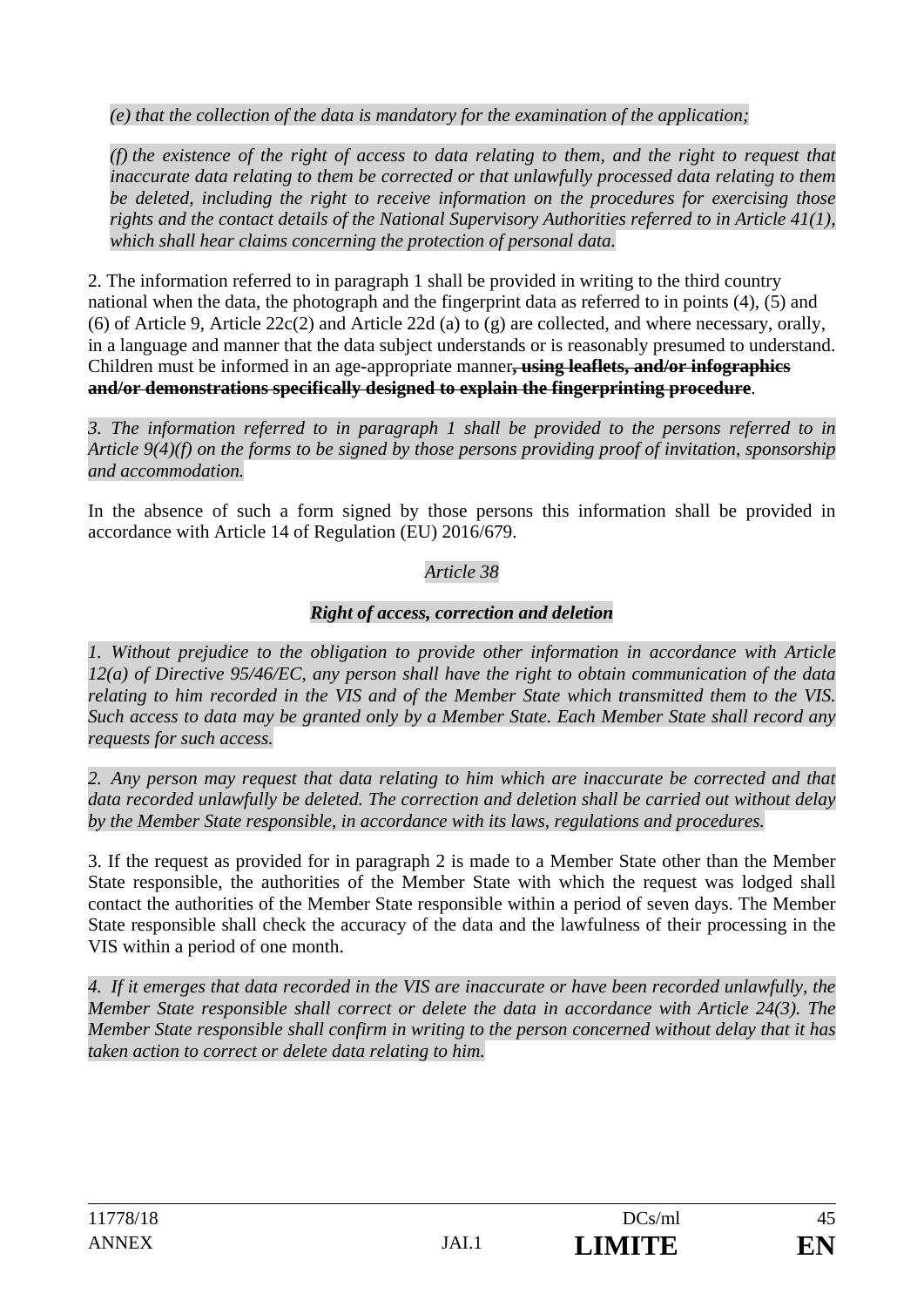*(e) that the collection of the data is mandatory for the examination of the application;* 

*(f) the existence of the right of access to data relating to them, and the right to request that inaccurate data relating to them be corrected or that unlawfully processed data relating to them be deleted, including the right to receive information on the procedures for exercising those rights and the contact details of the National Supervisory Authorities referred to in Article 41(1), which shall hear claims concerning the protection of personal data.* 

2. The information referred to in paragraph 1 shall be provided in writing to the third country national when the data, the photograph and the fingerprint data as referred to in points (4), (5) and (6) of Article 9, Article 22c(2) and Article 22d (a) to (g) are collected, and where necessary, orally, in a language and manner that the data subject understands or is reasonably presumed to understand. Children must be informed in an age-appropriate manner**, using leaflets, and/or infographics and/or demonstrations specifically designed to explain the fingerprinting procedure**.

*3. The information referred to in paragraph 1 shall be provided to the persons referred to in Article 9(4)(f) on the forms to be signed by those persons providing proof of invitation, sponsorship and accommodation.* 

In the absence of such a form signed by those persons this information shall be provided in accordance with Article 14 of Regulation (EU) 2016/679.

### *Article 38*

### *Right of access, correction and deletion*

*1. Without prejudice to the obligation to provide other information in accordance with Article 12(a) of Directive 95/46/EC, any person shall have the right to obtain communication of the data relating to him recorded in the VIS and of the Member State which transmitted them to the VIS. Such access to data may be granted only by a Member State. Each Member State shall record any requests for such access.* 

*2. Any person may request that data relating to him which are inaccurate be corrected and that data recorded unlawfully be deleted. The correction and deletion shall be carried out without delay by the Member State responsible, in accordance with its laws, regulations and procedures.* 

3. If the request as provided for in paragraph 2 is made to a Member State other than the Member State responsible, the authorities of the Member State with which the request was lodged shall contact the authorities of the Member State responsible within a period of seven days. The Member State responsible shall check the accuracy of the data and the lawfulness of their processing in the VIS within a period of one month.

*4. If it emerges that data recorded in the VIS are inaccurate or have been recorded unlawfully, the Member State responsible shall correct or delete the data in accordance with Article 24(3). The Member State responsible shall confirm in writing to the person concerned without delay that it has taken action to correct or delete data relating to him.*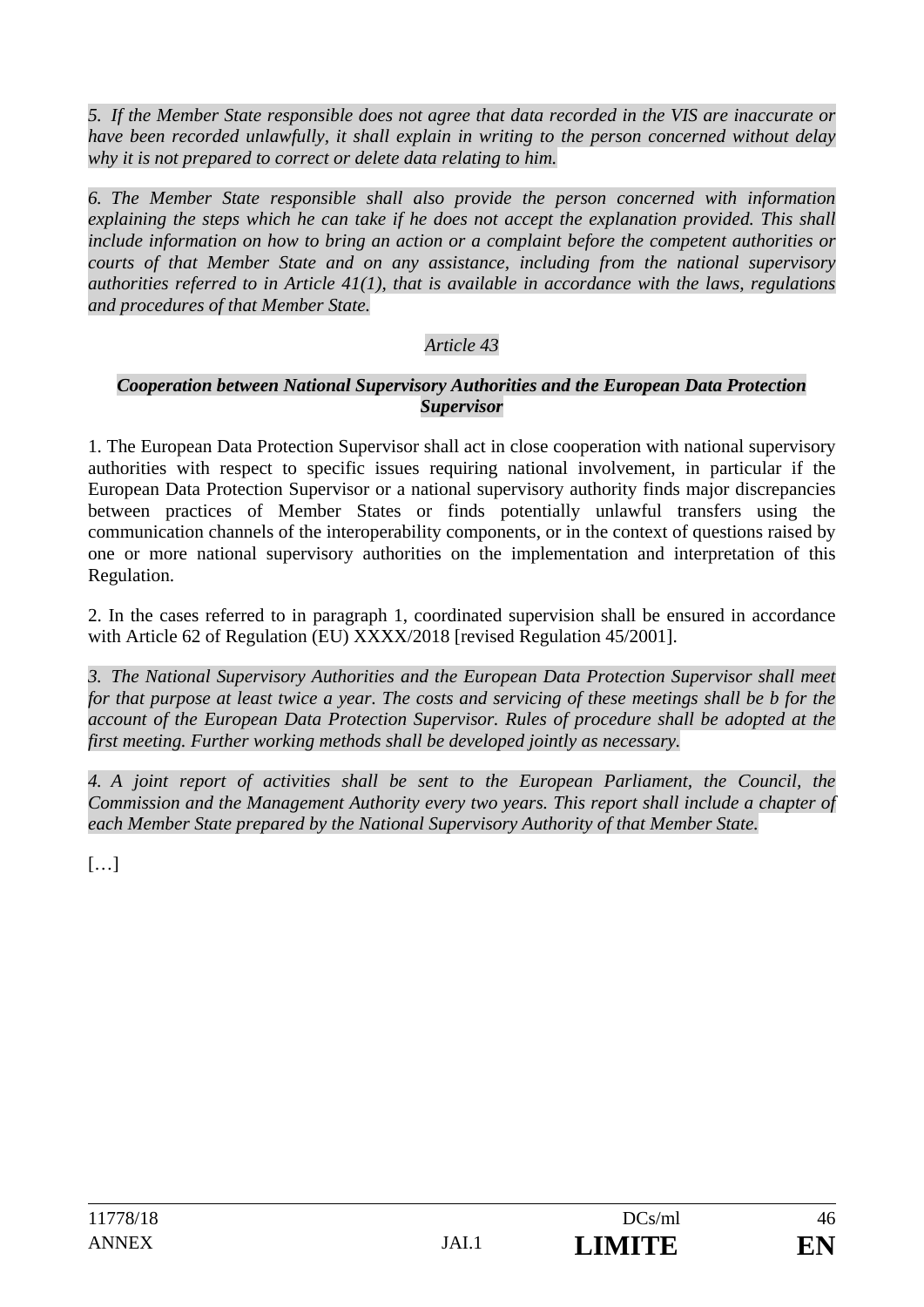*5. If the Member State responsible does not agree that data recorded in the VIS are inaccurate or have been recorded unlawfully, it shall explain in writing to the person concerned without delay why it is not prepared to correct or delete data relating to him.* 

*6. The Member State responsible shall also provide the person concerned with information*  explaining the steps which he can take if he does not accept the explanation provided. This shall *include information on how to bring an action or a complaint before the competent authorities or courts of that Member State and on any assistance, including from the national supervisory authorities referred to in Article 41(1), that is available in accordance with the laws, regulations and procedures of that Member State.*

### *Article 43*

#### *Cooperation between National Supervisory Authorities and the European Data Protection Supervisor*

1. The European Data Protection Supervisor shall act in close cooperation with national supervisory authorities with respect to specific issues requiring national involvement, in particular if the European Data Protection Supervisor or a national supervisory authority finds major discrepancies between practices of Member States or finds potentially unlawful transfers using the communication channels of the interoperability components, or in the context of questions raised by one or more national supervisory authorities on the implementation and interpretation of this Regulation.

2. In the cases referred to in paragraph 1, coordinated supervision shall be ensured in accordance with Article 62 of Regulation (EU) XXXX/2018 [revised Regulation 45/2001].

*3. The National Supervisory Authorities and the European Data Protection Supervisor shall meet for that purpose at least twice a year. The costs and servicing of these meetings shall be b for the account of the European Data Protection Supervisor. Rules of procedure shall be adopted at the first meeting. Further working methods shall be developed jointly as necessary.* 

*4. A joint report of activities shall be sent to the European Parliament, the Council, the Commission and the Management Authority every two years. This report shall include a chapter of each Member State prepared by the National Supervisory Authority of that Member State.* 

 $[\ldots]$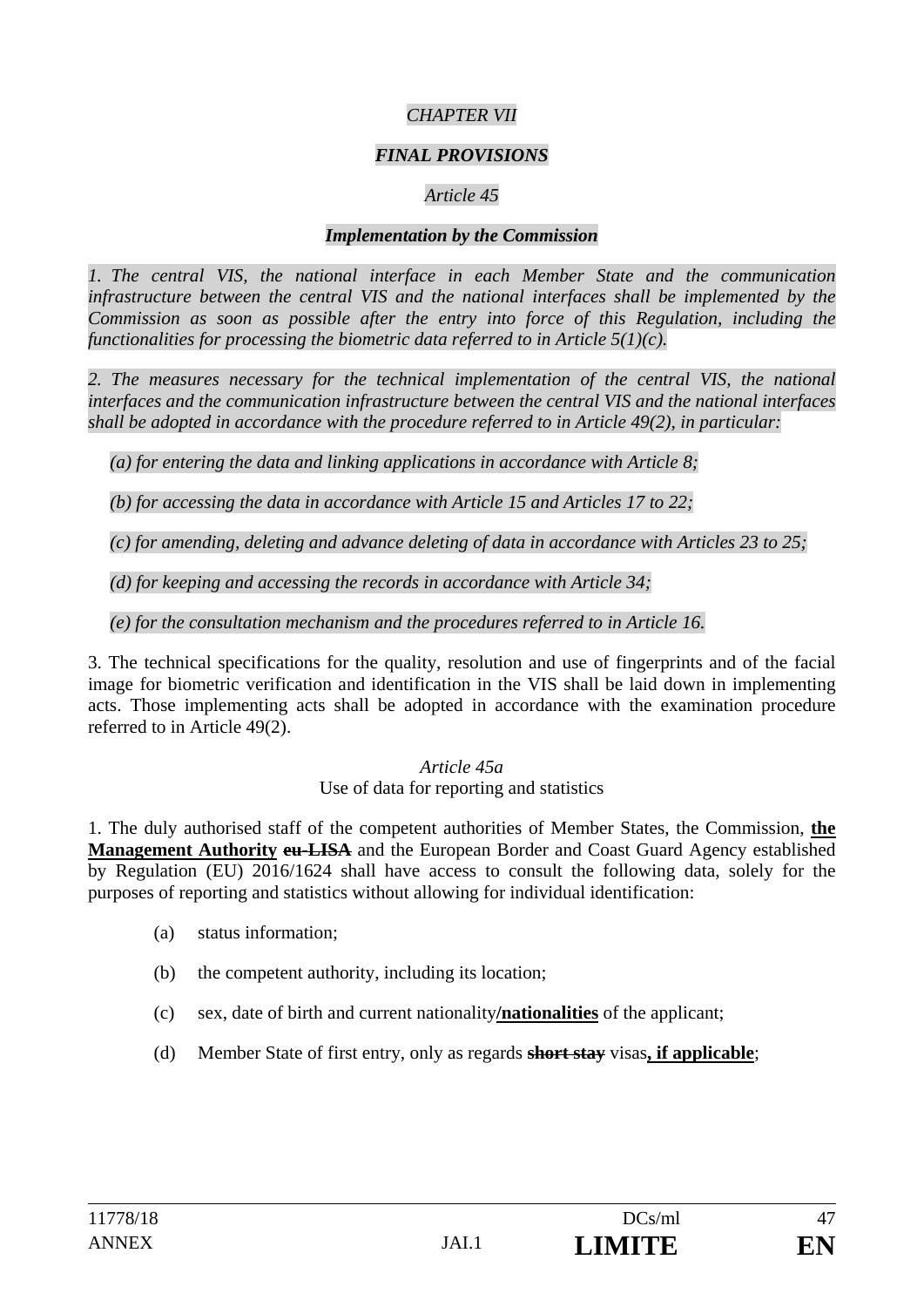### *CHAPTER VII*

### *FINAL PROVISIONS*

### *Article 45*

#### *Implementation by the Commission*

*1. The central VIS, the national interface in each Member State and the communication infrastructure between the central VIS and the national interfaces shall be implemented by the Commission as soon as possible after the entry into force of this Regulation, including the functionalities for processing the biometric data referred to in Article 5(1)(c).* 

*2. The measures necessary for the technical implementation of the central VIS, the national interfaces and the communication infrastructure between the central VIS and the national interfaces shall be adopted in accordance with the procedure referred to in Article 49(2), in particular:* 

*(a) for entering the data and linking applications in accordance with Article 8;* 

*(b) for accessing the data in accordance with Article 15 and Articles 17 to 22;* 

*(c) for amending, deleting and advance deleting of data in accordance with Articles 23 to 25;* 

*(d) for keeping and accessing the records in accordance with Article 34;* 

*(e) for the consultation mechanism and the procedures referred to in Article 16.* 

3. The technical specifications for the quality, resolution and use of fingerprints and of the facial image for biometric verification and identification in the VIS shall be laid down in implementing acts. Those implementing acts shall be adopted in accordance with the examination procedure referred to in Article 49(2).

#### *Article 45a*

#### Use of data for reporting and statistics

1. The duly authorised staff of the competent authorities of Member States, the Commission, **the Management Authority eu-LISA** and the European Border and Coast Guard Agency established by Regulation (EU) 2016/1624 shall have access to consult the following data, solely for the purposes of reporting and statistics without allowing for individual identification:

- (a) status information;
- (b) the competent authority, including its location;
- (c) sex, date of birth and current nationality**/nationalities** of the applicant;
- (d) Member State of first entry, only as regards **short stay** visas**, if applicable**;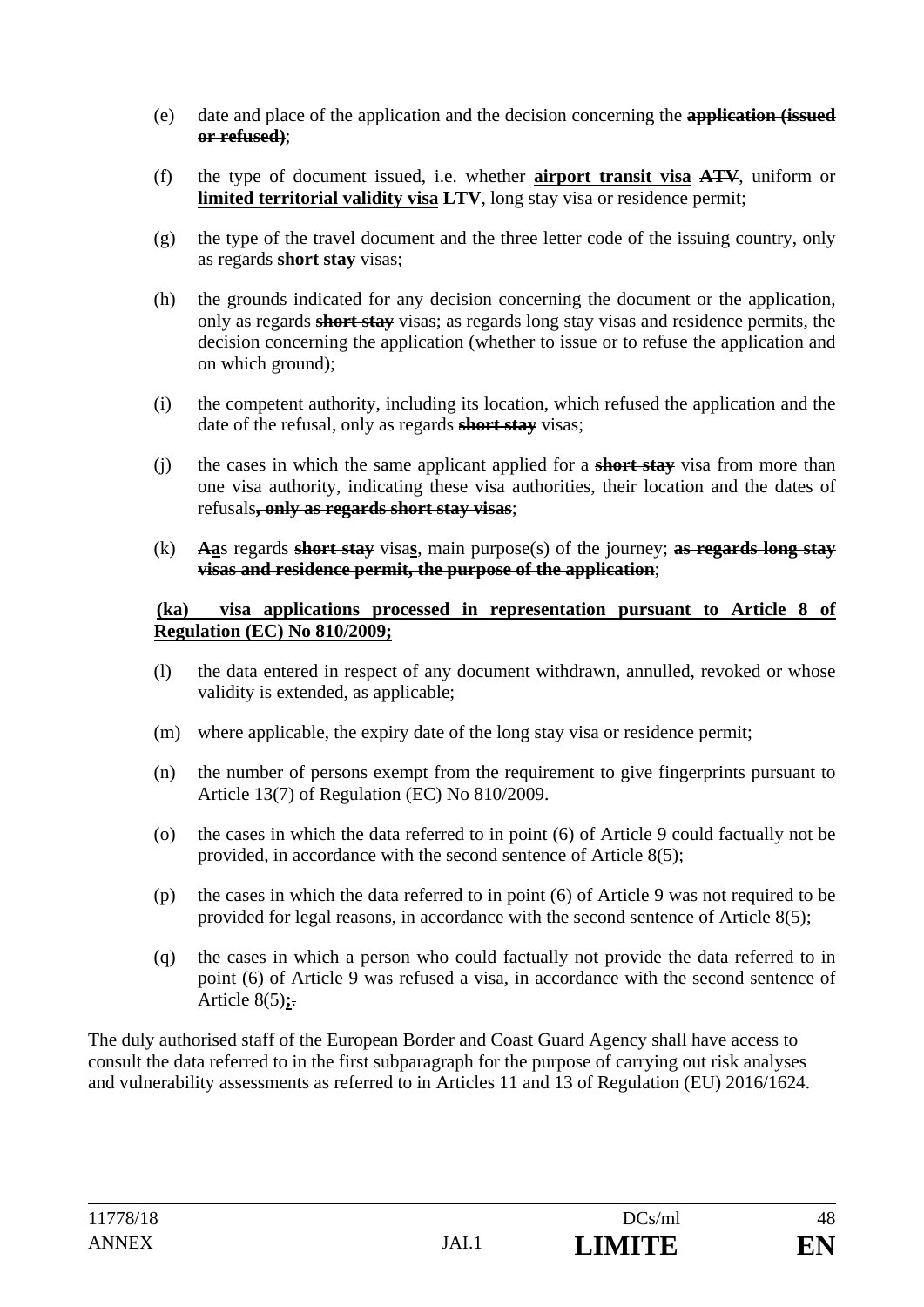- (e) date and place of the application and the decision concerning the **application (issued or refused)**;
- (f) the type of document issued, i.e. whether **airport transit visa ATV**, uniform or **limited territorial validity visa LTV**, long stay visa or residence permit;
- (g) the type of the travel document and the three letter code of the issuing country, only as regards **short stay** visas;
- (h) the grounds indicated for any decision concerning the document or the application, only as regards **short stay** visas; as regards long stay visas and residence permits, the decision concerning the application (whether to issue or to refuse the application and on which ground);
- (i) the competent authority, including its location, which refused the application and the date of the refusal, only as regards **short stay** visas;
- (j) the cases in which the same applicant applied for a **short stay** visa from more than one visa authority, indicating these visa authorities, their location and the dates of refusals**, only as regards short stay visas**;
- (k) **Aa**s regards **short stay** visa**s**, main purpose(s) of the journey; **as regards long stay visas and residence permit, the purpose of the application**;

#### **(ka) visa applications processed in representation pursuant to Article 8 of Regulation (EC) No 810/2009;**

- (l) the data entered in respect of any document withdrawn, annulled, revoked or whose validity is extended, as applicable;
- (m) where applicable, the expiry date of the long stay visa or residence permit;
- (n) the number of persons exempt from the requirement to give fingerprints pursuant to Article 13(7) of Regulation (EC) No 810/2009.
- (o) the cases in which the data referred to in point (6) of Article 9 could factually not be provided, in accordance with the second sentence of Article 8(5);
- (p) the cases in which the data referred to in point (6) of Article 9 was not required to be provided for legal reasons, in accordance with the second sentence of Article 8(5);
- (q) the cases in which a person who could factually not provide the data referred to in point (6) of Article 9 was refused a visa, in accordance with the second sentence of Article 8(5)**;**.

The duly authorised staff of the European Border and Coast Guard Agency shall have access to consult the data referred to in the first subparagraph for the purpose of carrying out risk analyses and vulnerability assessments as referred to in Articles 11 and 13 of Regulation (EU) 2016/1624.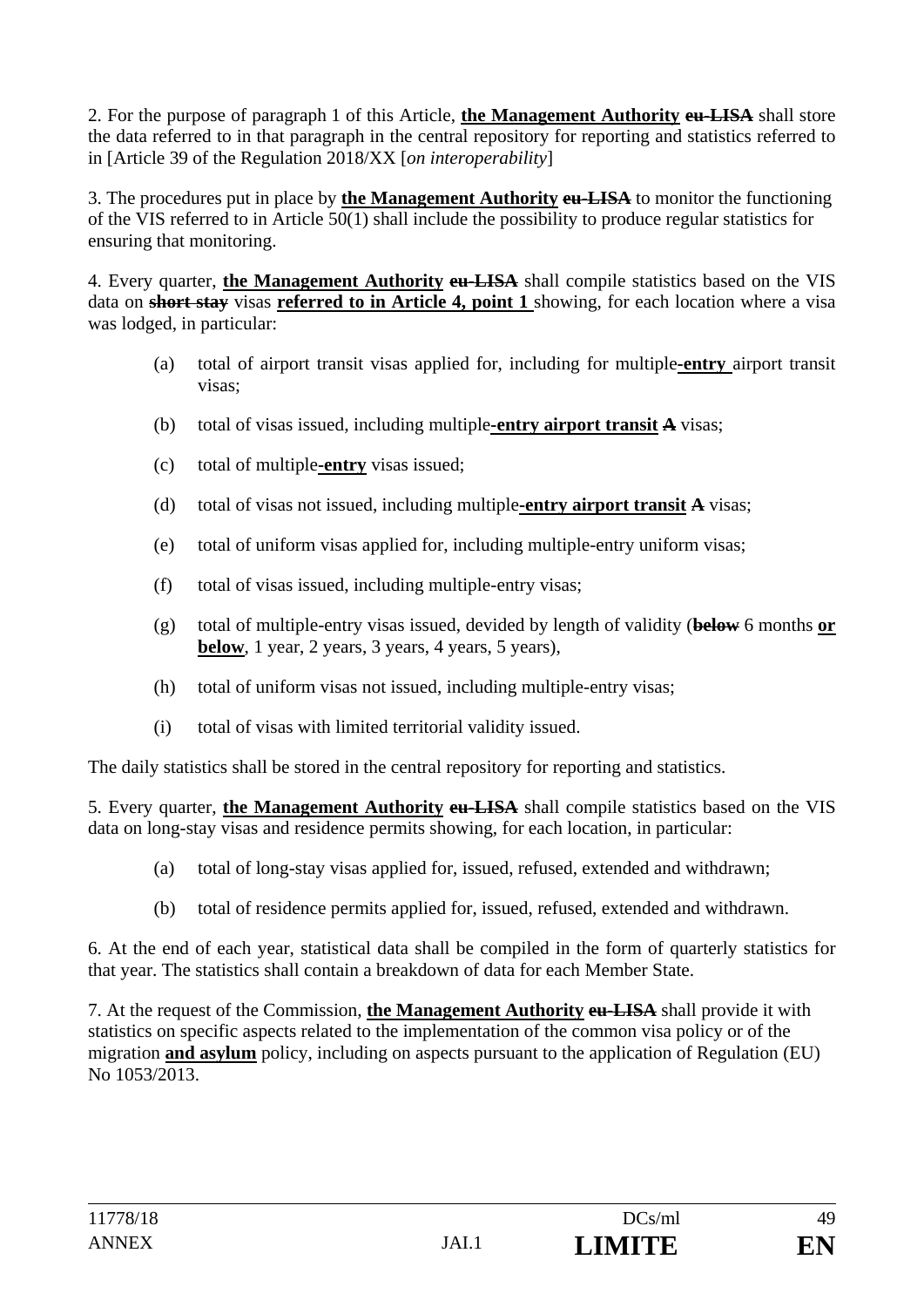2. For the purpose of paragraph 1 of this Article, **the Management Authority eu-LISA** shall store the data referred to in that paragraph in the central repository for reporting and statistics referred to in [Article 39 of the Regulation 2018/XX [*on interoperability*]

3. The procedures put in place by **the Management Authority eu-LISA** to monitor the functioning of the VIS referred to in Article 50(1) shall include the possibility to produce regular statistics for ensuring that monitoring.

4. Every quarter, **the Management Authority eu-LISA** shall compile statistics based on the VIS data on **short stay** visas **referred to in Article 4, point 1** showing, for each location where a visa was lodged, in particular:

- (a) total of airport transit visas applied for, including for multiple**-entry** airport transit visas;
- (b) total of visas issued, including multiple**-entry airport transit A** visas;
- (c) total of multiple**-entry** visas issued;
- (d) total of visas not issued, including multiple**-entry airport transit A** visas;
- (e) total of uniform visas applied for, including multiple-entry uniform visas;
- (f) total of visas issued, including multiple-entry visas;
- (g) total of multiple-entry visas issued, devided by length of validity (**below** 6 months **or below**, 1 year, 2 years, 3 years, 4 years, 5 years),
- (h) total of uniform visas not issued, including multiple-entry visas;
- (i) total of visas with limited territorial validity issued.

The daily statistics shall be stored in the central repository for reporting and statistics.

5. Every quarter, **the Management Authority eu-LISA** shall compile statistics based on the VIS data on long-stay visas and residence permits showing, for each location, in particular:

- (a) total of long-stay visas applied for, issued, refused, extended and withdrawn;
- (b) total of residence permits applied for, issued, refused, extended and withdrawn.

6. At the end of each year, statistical data shall be compiled in the form of quarterly statistics for that year. The statistics shall contain a breakdown of data for each Member State.

7. At the request of the Commission, **the Management Authority eu-LISA** shall provide it with statistics on specific aspects related to the implementation of the common visa policy or of the migration **and asylum** policy, including on aspects pursuant to the application of Regulation (EU) No 1053/2013.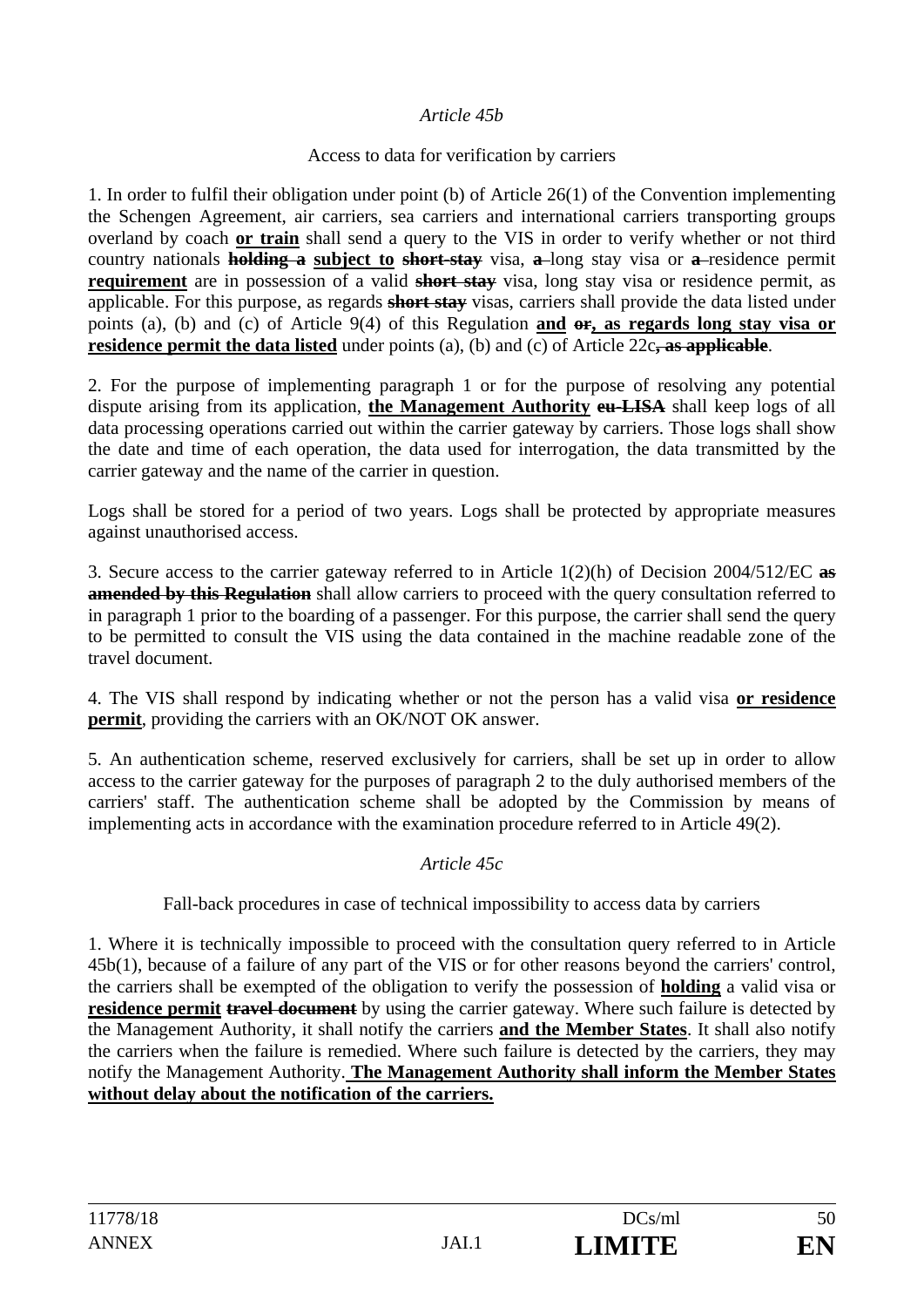#### *Article 45b*

#### Access to data for verification by carriers

1. In order to fulfil their obligation under point (b) of Article 26(1) of the Convention implementing the Schengen Agreement, air carriers, sea carriers and international carriers transporting groups overland by coach **or train** shall send a query to the VIS in order to verify whether or not third country nationals **holding a subject to short-stay** visa, **a** long stay visa or **a** residence permit **requirement** are in possession of a valid **short stay** visa, long stay visa or residence permit, as applicable. For this purpose, as regards **short stay** visas, carriers shall provide the data listed under points (a), (b) and (c) of Article 9(4) of this Regulation **and or, as regards long stay visa or residence permit the data listed** under points (a), (b) and (c) of Article 22c**, as applicable**.

2. For the purpose of implementing paragraph 1 or for the purpose of resolving any potential dispute arising from its application, **the Management Authority eu-LISA** shall keep logs of all data processing operations carried out within the carrier gateway by carriers. Those logs shall show the date and time of each operation, the data used for interrogation, the data transmitted by the carrier gateway and the name of the carrier in question.

Logs shall be stored for a period of two years. Logs shall be protected by appropriate measures against unauthorised access.

3. Secure access to the carrier gateway referred to in Article 1(2)(h) of Decision 2004/512/EC **as amended by this Regulation** shall allow carriers to proceed with the query consultation referred to in paragraph 1 prior to the boarding of a passenger. For this purpose, the carrier shall send the query to be permitted to consult the VIS using the data contained in the machine readable zone of the travel document.

4. The VIS shall respond by indicating whether or not the person has a valid visa **or residence permit**, providing the carriers with an OK/NOT OK answer.

5. An authentication scheme, reserved exclusively for carriers, shall be set up in order to allow access to the carrier gateway for the purposes of paragraph 2 to the duly authorised members of the carriers' staff. The authentication scheme shall be adopted by the Commission by means of implementing acts in accordance with the examination procedure referred to in Article 49(2).

#### *Article 45c*

Fall-back procedures in case of technical impossibility to access data by carriers

1. Where it is technically impossible to proceed with the consultation query referred to in Article 45b(1), because of a failure of any part of the VIS or for other reasons beyond the carriers' control, the carriers shall be exempted of the obligation to verify the possession of **holding** a valid visa or **residence permit travel document** by using the carrier gateway. Where such failure is detected by the Management Authority, it shall notify the carriers **and the Member States**. It shall also notify the carriers when the failure is remedied. Where such failure is detected by the carriers, they may notify the Management Authority. **The Management Authority shall inform the Member States without delay about the notification of the carriers.**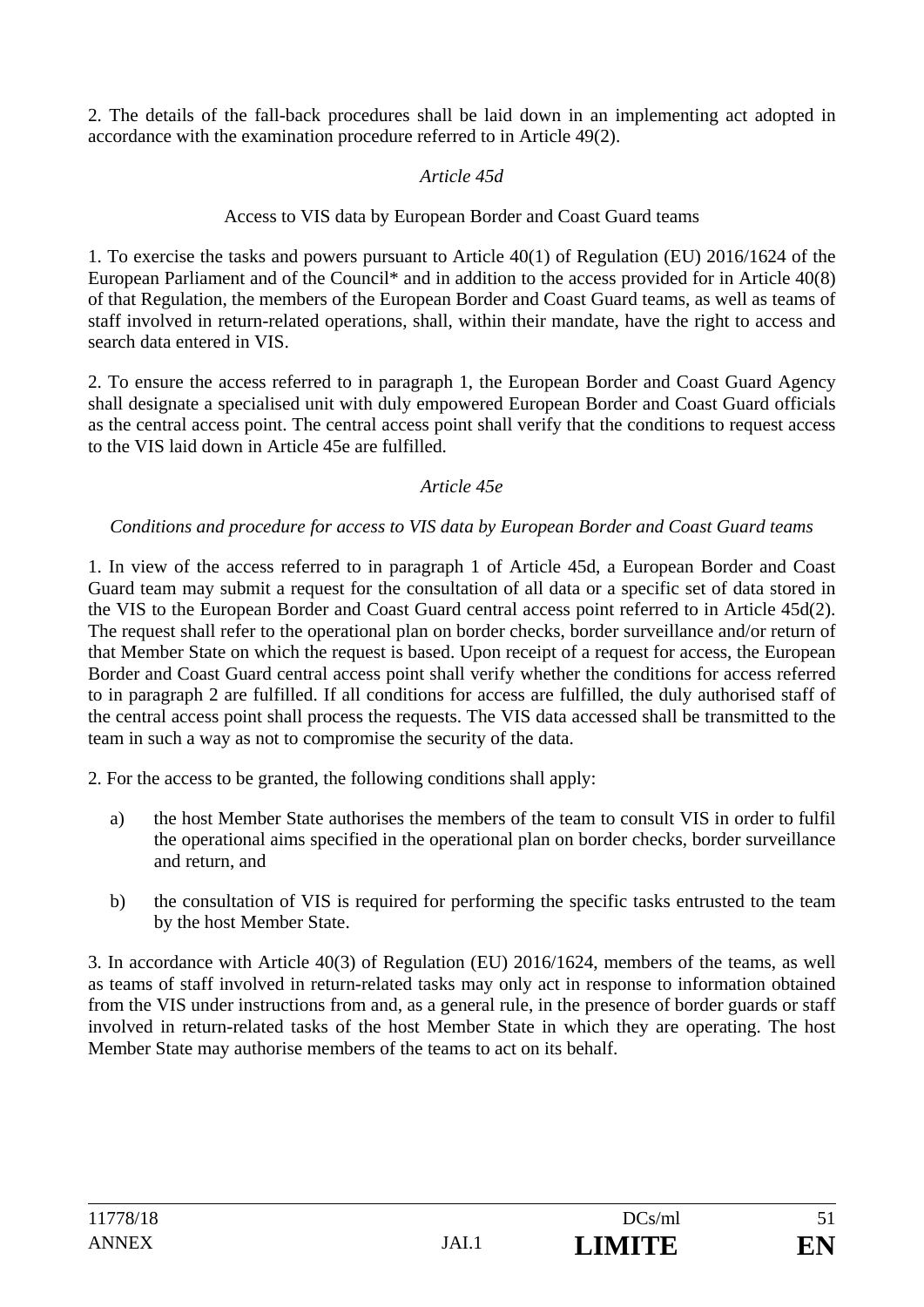2. The details of the fall-back procedures shall be laid down in an implementing act adopted in accordance with the examination procedure referred to in Article 49(2).

### *Article 45d*

### Access to VIS data by European Border and Coast Guard teams

1. To exercise the tasks and powers pursuant to Article 40(1) of Regulation (EU) 2016/1624 of the European Parliament and of the Council<sup>\*</sup> and in addition to the access provided for in Article 40(8) of that Regulation, the members of the European Border and Coast Guard teams, as well as teams of staff involved in return-related operations, shall, within their mandate, have the right to access and search data entered in VIS.

2. To ensure the access referred to in paragraph 1, the European Border and Coast Guard Agency shall designate a specialised unit with duly empowered European Border and Coast Guard officials as the central access point. The central access point shall verify that the conditions to request access to the VIS laid down in Article 45e are fulfilled.

#### *Article 45e*

### *Conditions and procedure for access to VIS data by European Border and Coast Guard teams*

1. In view of the access referred to in paragraph 1 of Article 45d, a European Border and Coast Guard team may submit a request for the consultation of all data or a specific set of data stored in the VIS to the European Border and Coast Guard central access point referred to in Article 45d(2). The request shall refer to the operational plan on border checks, border surveillance and/or return of that Member State on which the request is based. Upon receipt of a request for access, the European Border and Coast Guard central access point shall verify whether the conditions for access referred to in paragraph 2 are fulfilled. If all conditions for access are fulfilled, the duly authorised staff of the central access point shall process the requests. The VIS data accessed shall be transmitted to the team in such a way as not to compromise the security of the data.

2. For the access to be granted, the following conditions shall apply:

- a) the host Member State authorises the members of the team to consult VIS in order to fulfil the operational aims specified in the operational plan on border checks, border surveillance and return, and
- b) the consultation of VIS is required for performing the specific tasks entrusted to the team by the host Member State.

3. In accordance with Article 40(3) of Regulation (EU) 2016/1624, members of the teams, as well as teams of staff involved in return-related tasks may only act in response to information obtained from the VIS under instructions from and, as a general rule, in the presence of border guards or staff involved in return-related tasks of the host Member State in which they are operating. The host Member State may authorise members of the teams to act on its behalf.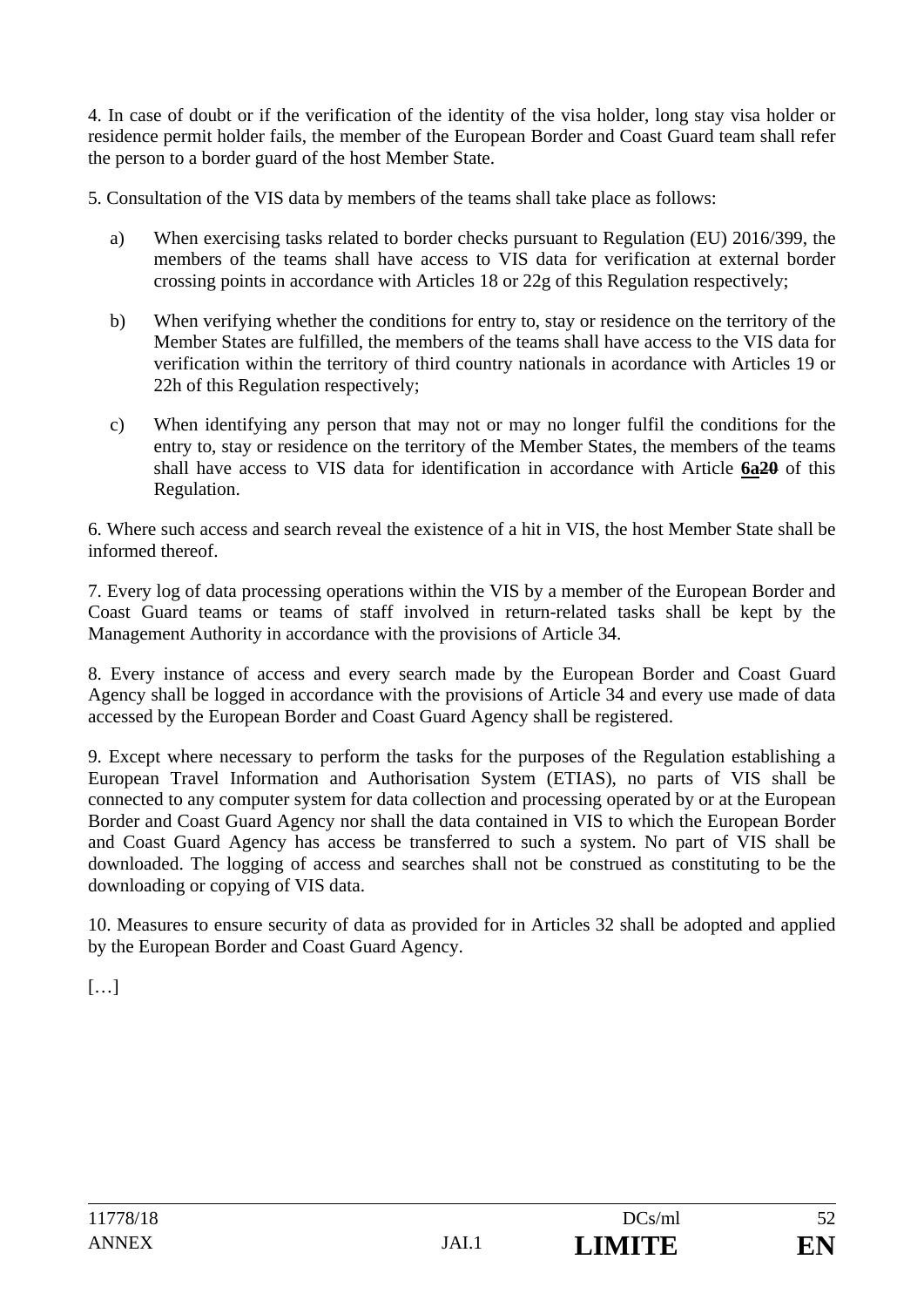4. In case of doubt or if the verification of the identity of the visa holder, long stay visa holder or residence permit holder fails, the member of the European Border and Coast Guard team shall refer the person to a border guard of the host Member State.

5. Consultation of the VIS data by members of the teams shall take place as follows:

- a) When exercising tasks related to border checks pursuant to Regulation (EU) 2016/399, the members of the teams shall have access to VIS data for verification at external border crossing points in accordance with Articles 18 or 22g of this Regulation respectively;
- b) When verifying whether the conditions for entry to, stay or residence on the territory of the Member States are fulfilled, the members of the teams shall have access to the VIS data for verification within the territory of third country nationals in acordance with Articles 19 or 22h of this Regulation respectively;
- c) When identifying any person that may not or may no longer fulfil the conditions for the entry to, stay or residence on the territory of the Member States, the members of the teams shall have access to VIS data for identification in accordance with Article **6a20** of this Regulation.

6. Where such access and search reveal the existence of a hit in VIS, the host Member State shall be informed thereof.

7. Every log of data processing operations within the VIS by a member of the European Border and Coast Guard teams or teams of staff involved in return-related tasks shall be kept by the Management Authority in accordance with the provisions of Article 34.

8. Every instance of access and every search made by the European Border and Coast Guard Agency shall be logged in accordance with the provisions of Article 34 and every use made of data accessed by the European Border and Coast Guard Agency shall be registered.

9. Except where necessary to perform the tasks for the purposes of the Regulation establishing a European Travel Information and Authorisation System (ETIAS), no parts of VIS shall be connected to any computer system for data collection and processing operated by or at the European Border and Coast Guard Agency nor shall the data contained in VIS to which the European Border and Coast Guard Agency has access be transferred to such a system. No part of VIS shall be downloaded. The logging of access and searches shall not be construed as constituting to be the downloading or copying of VIS data.

10. Measures to ensure security of data as provided for in Articles 32 shall be adopted and applied by the European Border and Coast Guard Agency.

 $[...]$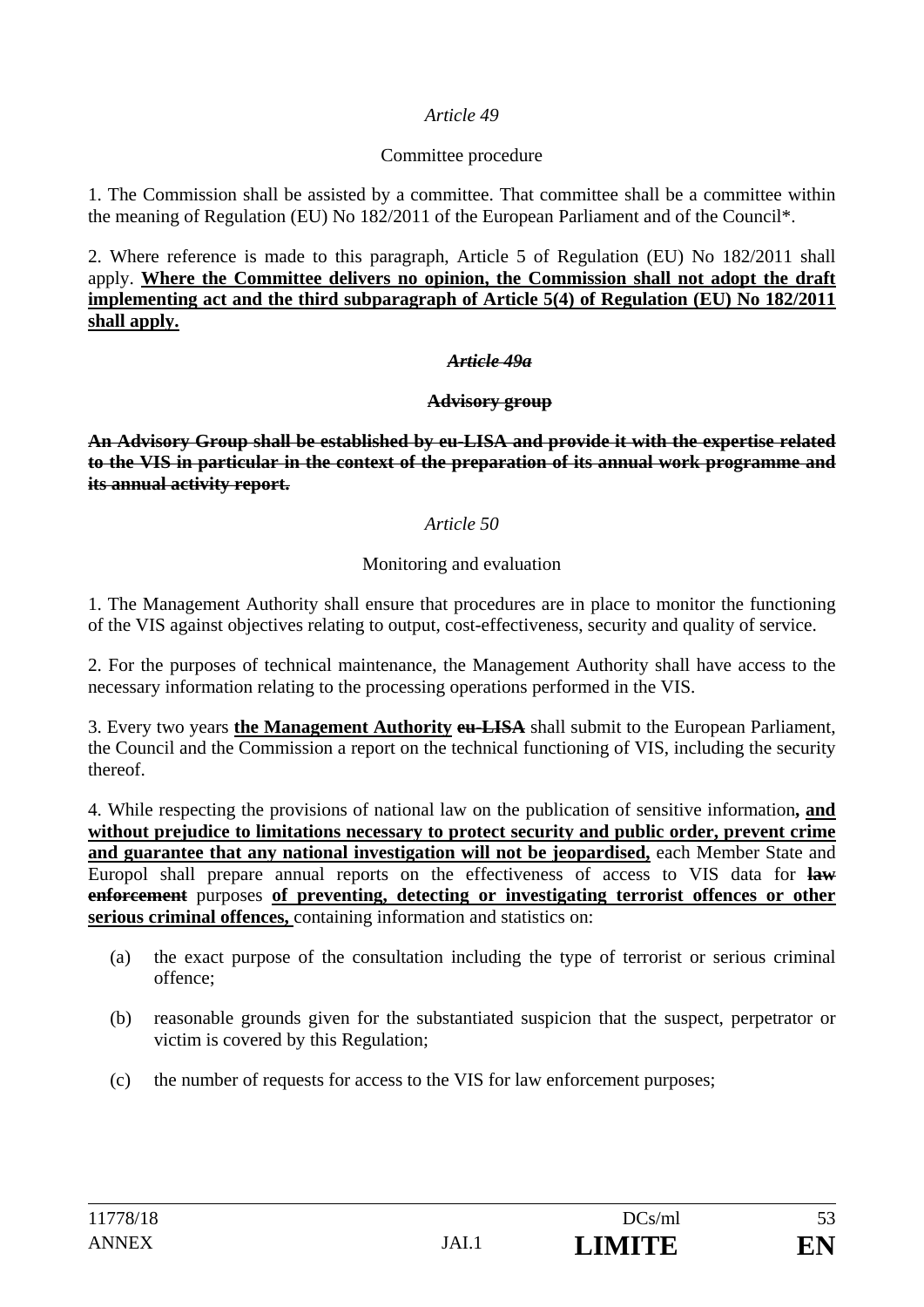#### *Article 49*

#### Committee procedure

1. The Commission shall be assisted by a committee. That committee shall be a committee within the meaning of Regulation (EU) No 182/2011 of the European Parliament and of the Council\*.

2. Where reference is made to this paragraph, Article 5 of Regulation (EU) No 182/2011 shall apply. **Where the Committee delivers no opinion, the Commission shall not adopt the draft implementing act and the third subparagraph of Article 5(4) of Regulation (EU) No 182/2011 shall apply.**

#### *Article 49a*

#### **Advisory group**

**An Advisory Group shall be established by eu-LISA and provide it with the expertise related to the VIS in particular in the context of the preparation of its annual work programme and its annual activity report.**

#### *Article 50*

#### Monitoring and evaluation

1. The Management Authority shall ensure that procedures are in place to monitor the functioning of the VIS against objectives relating to output, cost-effectiveness, security and quality of service.

2. For the purposes of technical maintenance, the Management Authority shall have access to the necessary information relating to the processing operations performed in the VIS.

3. Every two years **the Management Authority eu-LISA** shall submit to the European Parliament, the Council and the Commission a report on the technical functioning of VIS, including the security thereof.

4. While respecting the provisions of national law on the publication of sensitive information**, and without prejudice to limitations necessary to protect security and public order, prevent crime and guarantee that any national investigation will not be jeopardised,** each Member State and Europol shall prepare annual reports on the effectiveness of access to VIS data for **law enforcement** purposes **of preventing, detecting or investigating terrorist offences or other serious criminal offences,** containing information and statistics on:

- (a) the exact purpose of the consultation including the type of terrorist or serious criminal offence;
- (b) reasonable grounds given for the substantiated suspicion that the suspect, perpetrator or victim is covered by this Regulation;
- (c) the number of requests for access to the VIS for law enforcement purposes;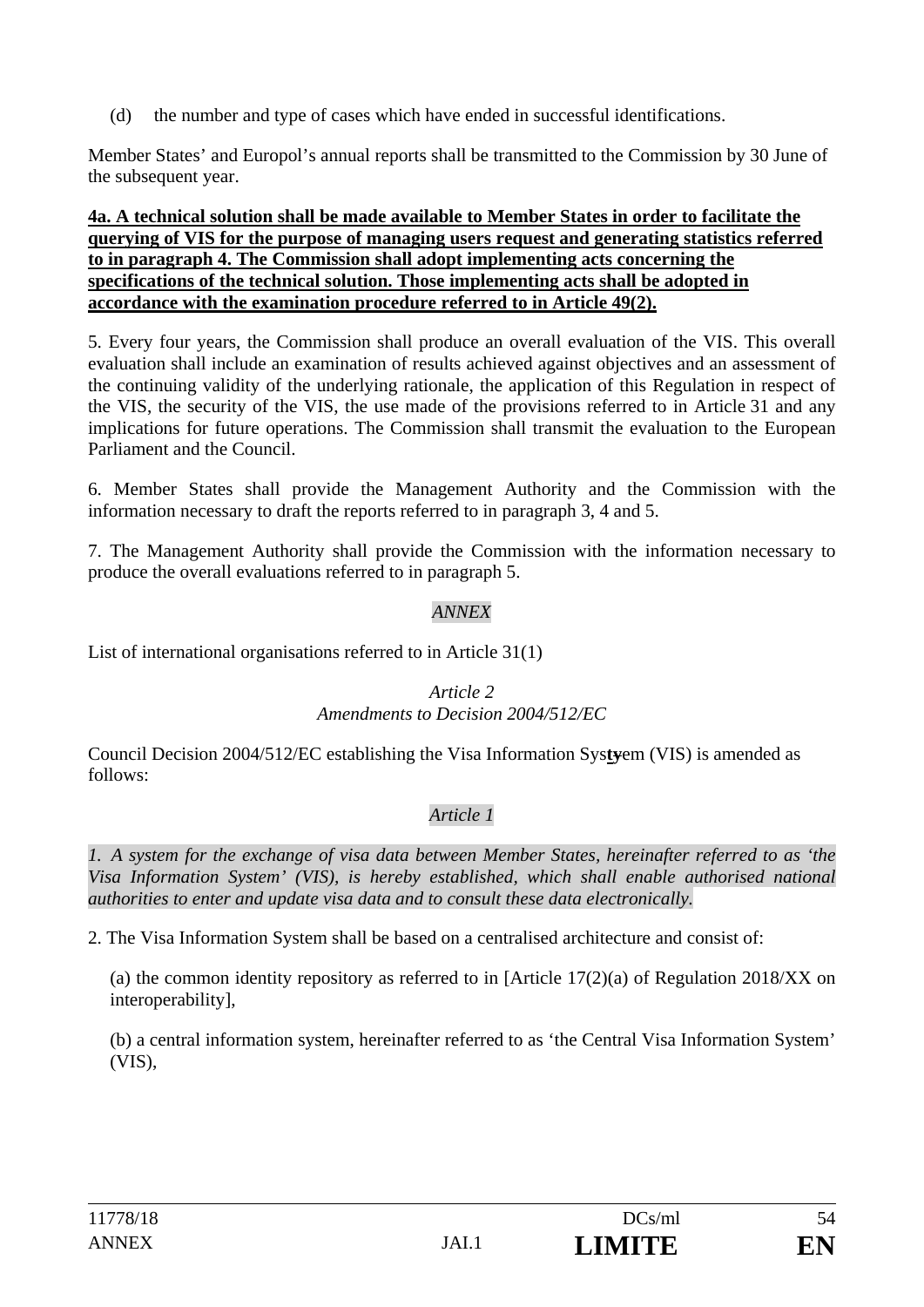(d) the number and type of cases which have ended in successful identifications.

Member States' and Europol's annual reports shall be transmitted to the Commission by 30 June of the subsequent year.

#### **4a. A technical solution shall be made available to Member States in order to facilitate the querying of VIS for the purpose of managing users request and generating statistics referred to in paragraph 4. The Commission shall adopt implementing acts concerning the specifications of the technical solution. Those implementing acts shall be adopted in accordance with the examination procedure referred to in Article 49(2).**

5. Every four years, the Commission shall produce an overall evaluation of the VIS. This overall evaluation shall include an examination of results achieved against objectives and an assessment of the continuing validity of the underlying rationale, the application of this Regulation in respect of the VIS, the security of the VIS, the use made of the provisions referred to in Article 31 and any implications for future operations. The Commission shall transmit the evaluation to the European Parliament and the Council.

6. Member States shall provide the Management Authority and the Commission with the information necessary to draft the reports referred to in paragraph 3, 4 and 5.

7. The Management Authority shall provide the Commission with the information necessary to produce the overall evaluations referred to in paragraph 5.

### *ANNEX*

List of international organisations referred to in Article 31(1)

#### *Article 2*

#### *Amendments to Decision 2004/512/EC*

Council Decision 2004/512/EC establishing the Visa Information Sys**ty**em (VIS) is amended as follows:

#### *Article 1*

*1. A system for the exchange of visa data between Member States, hereinafter referred to as 'the Visa Information System' (VIS), is hereby established, which shall enable authorised national authorities to enter and update visa data and to consult these data electronically.* 

2. The Visa Information System shall be based on a centralised architecture and consist of:

(a) the common identity repository as referred to in [Article  $17(2)(a)$  of Regulation 2018/XX on interoperability],

(b) a central information system, hereinafter referred to as 'the Central Visa Information System' (VIS),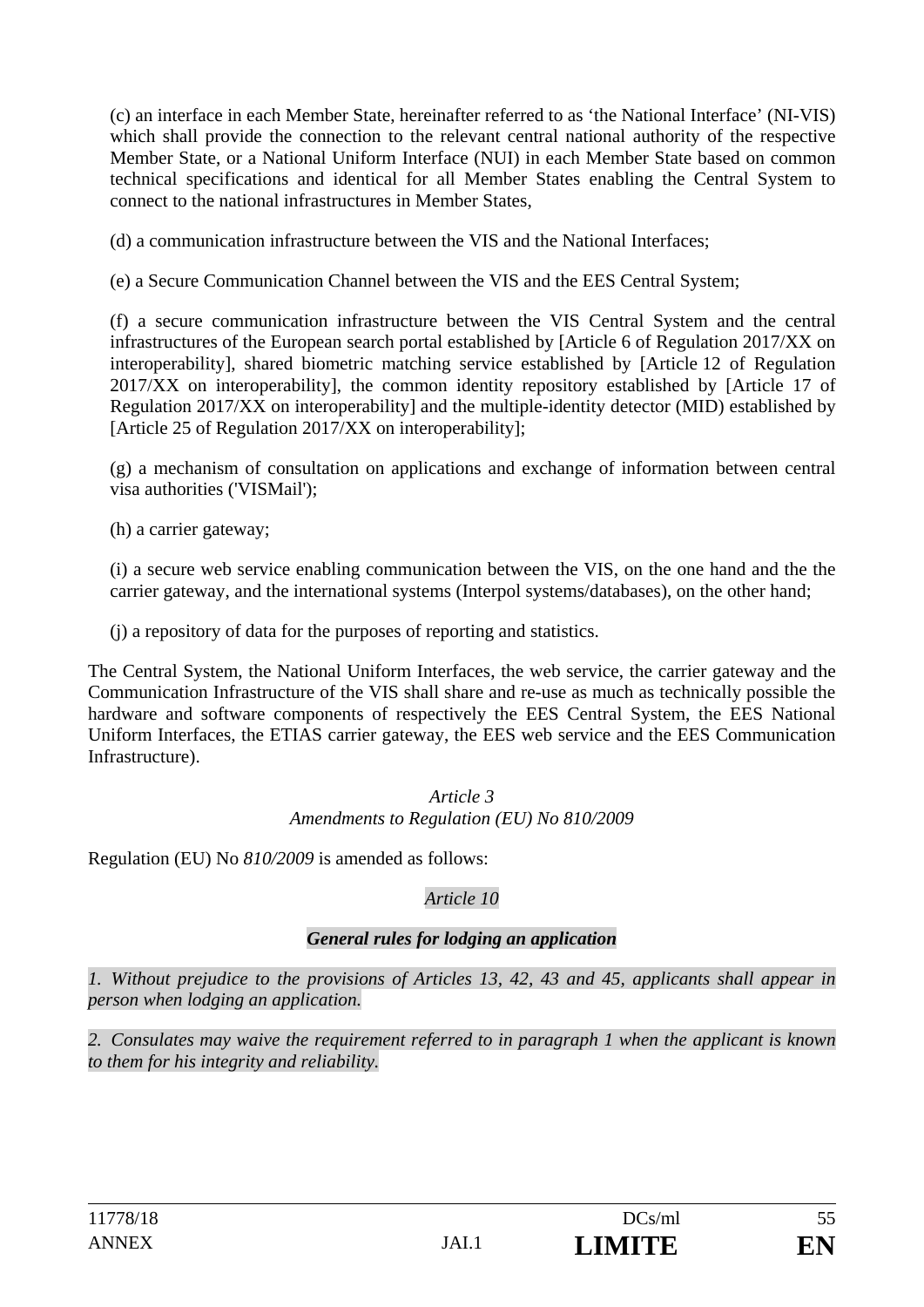(c) an interface in each Member State, hereinafter referred to as 'the National Interface' (NI-VIS) which shall provide the connection to the relevant central national authority of the respective Member State, or a National Uniform Interface (NUI) in each Member State based on common technical specifications and identical for all Member States enabling the Central System to connect to the national infrastructures in Member States,

(d) a communication infrastructure between the VIS and the National Interfaces;

(e) a Secure Communication Channel between the VIS and the EES Central System;

(f) a secure communication infrastructure between the VIS Central System and the central infrastructures of the European search portal established by [Article 6 of Regulation 2017/XX on interoperability], shared biometric matching service established by [Article 12 of Regulation 2017/XX on interoperability], the common identity repository established by [Article 17 of Regulation 2017/XX on interoperability] and the multiple-identity detector (MID) established by [Article 25 of Regulation 2017/XX on interoperability];

(g) a mechanism of consultation on applications and exchange of information between central visa authorities ('VISMail');

(h) a carrier gateway;

(i) a secure web service enabling communication between the VIS, on the one hand and the the carrier gateway, and the international systems (Interpol systems/databases), on the other hand;

(j) a repository of data for the purposes of reporting and statistics.

The Central System, the National Uniform Interfaces, the web service, the carrier gateway and the Communication Infrastructure of the VIS shall share and re-use as much as technically possible the hardware and software components of respectively the EES Central System, the EES National Uniform Interfaces, the ETIAS carrier gateway, the EES web service and the EES Communication Infrastructure).

#### *Article 3 Amendments to Regulation (EU) No 810/2009*

Regulation (EU) No *810/2009* is amended as follows:

### *Article 10*

### *General rules for lodging an application*

*1. Without prejudice to the provisions of Articles 13, 42, 43 and 45, applicants shall appear in person when lodging an application.* 

*2. Consulates may waive the requirement referred to in paragraph 1 when the applicant is known to them for his integrity and reliability.*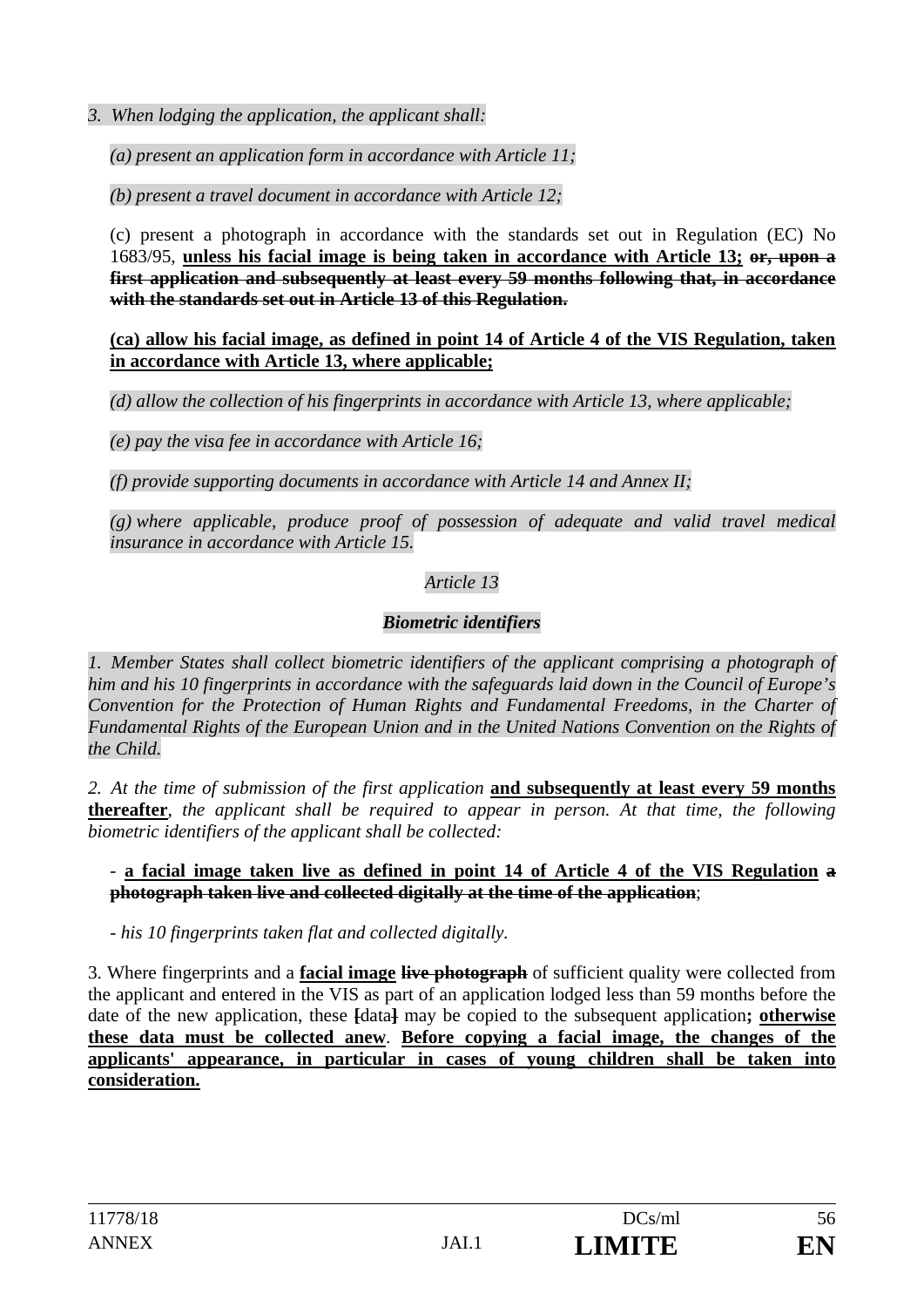*3. When lodging the application, the applicant shall:* 

*(a) present an application form in accordance with Article 11;* 

*(b) present a travel document in accordance with Article 12;* 

(c) present a photograph in accordance with the standards set out in Regulation (EC) No 1683/95, **unless his facial image is being taken in accordance with Article 13; or, upon a first application and subsequently at least every 59 months following that, in accordance with the standards set out in Article 13 of this Regulation.** 

**(ca) allow his facial image, as defined in point 14 of Article 4 of the VIS Regulation, taken in accordance with Article 13, where applicable;**

*(d) allow the collection of his fingerprints in accordance with Article 13, where applicable;* 

*(e) pay the visa fee in accordance with Article 16;* 

*(f) provide supporting documents in accordance with Article 14 and Annex II;* 

*(g) where applicable, produce proof of possession of adequate and valid travel medical insurance in accordance with Article 15.* 

### *Article 13*

### *Biometric identifiers*

*1. Member States shall collect biometric identifiers of the applicant comprising a photograph of him and his 10 fingerprints in accordance with the safeguards laid down in the Council of Europe's Convention for the Protection of Human Rights and Fundamental Freedoms, in the Charter of Fundamental Rights of the European Union and in the United Nations Convention on the Rights of the Child.* 

*2. At the time of submission of the first application* **and subsequently at least every 59 months thereafter***, the applicant shall be required to appear in person. At that time, the following biometric identifiers of the applicant shall be collected:* 

- **a facial image taken live as defined in point 14 of Article 4 of the VIS Regulation a photograph taken live and collected digitally at the time of the application**;

*- his 10 fingerprints taken flat and collected digitally.* 

3. Where fingerprints and a **facial image live photograph** of sufficient quality were collected from the applicant and entered in the VIS as part of an application lodged less than 59 months before the date of the new application, these **[**data**]** may be copied to the subsequent application**; otherwise these data must be collected anew**. **Before copying a facial image, the changes of the applicants' appearance, in particular in cases of young children shall be taken into consideration.**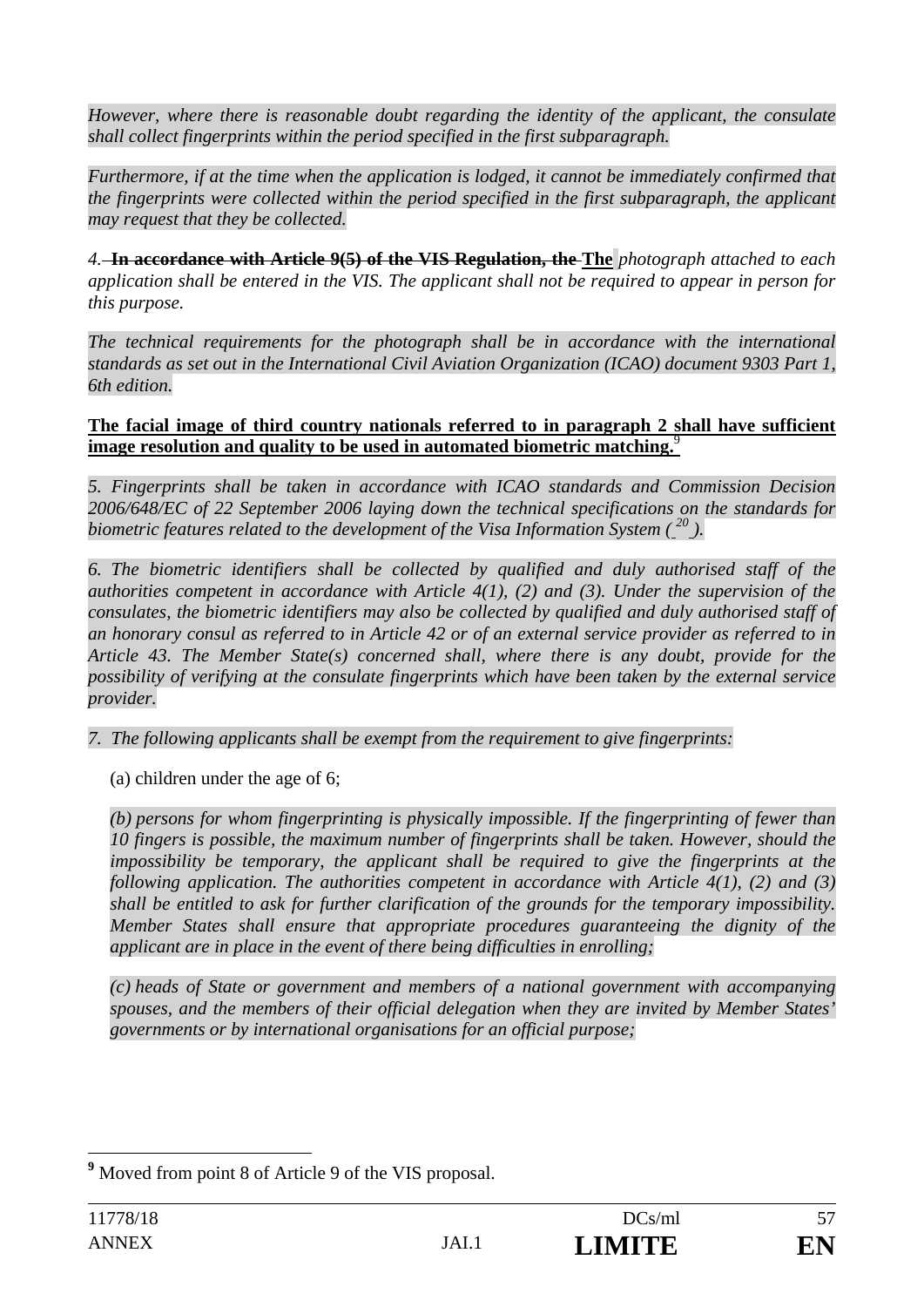*However, where there is reasonable doubt regarding the identity of the applicant, the consulate shall collect fingerprints within the period specified in the first subparagraph.* 

*Furthermore, if at the time when the application is lodged, it cannot be immediately confirmed that the fingerprints were collected within the period specified in the first subparagraph, the applicant may request that they be collected.* 

*4.* **In accordance with Article 9(5) of the VIS Regulation, the The** *photograph attached to each application shall be entered in the VIS. The applicant shall not be required to appear in person for this purpose.* 

The technical requirements for the photograph shall be in accordance with the international *standards as set out in the International Civil Aviation Organization (ICAO) document 9303 Part 1, 6th edition.* 

#### **The facial image of third country nationals referred to in paragraph 2 shall have sufficient image resolution and quality to be used in automated biometric matching.**<sup>9</sup>

*5. Fingerprints shall be taken in accordance with ICAO standards and Commission Decision 2006/648/EC of 22 September 2006 laying down the technical specifications on the standards for biometric features related to the development of the Visa Information System ( <sup>20</sup> ).* 

*6. The biometric identifiers shall be collected by qualified and duly authorised staff of the authorities competent in accordance with Article 4(1), (2) and (3). Under the supervision of the consulates, the biometric identifiers may also be collected by qualified and duly authorised staff of an honorary consul as referred to in Article 42 or of an external service provider as referred to in Article 43. The Member State(s) concerned shall, where there is any doubt, provide for the possibility of verifying at the consulate fingerprints which have been taken by the external service provider.* 

*7. The following applicants shall be exempt from the requirement to give fingerprints:* 

(a) children under the age of 6;

*(b) persons for whom fingerprinting is physically impossible. If the fingerprinting of fewer than 10 fingers is possible, the maximum number of fingerprints shall be taken. However, should the impossibility be temporary, the applicant shall be required to give the fingerprints at the following application. The authorities competent in accordance with Article 4(1), (2) and (3) shall be entitled to ask for further clarification of the grounds for the temporary impossibility. Member States shall ensure that appropriate procedures guaranteeing the dignity of the applicant are in place in the event of there being difficulties in enrolling;* 

*(c) heads of State or government and members of a national government with accompanying spouses, and the members of their official delegation when they are invited by Member States' governments or by international organisations for an official purpose;* 

<sup>&</sup>lt;sup>9</sup> Moved from point 8 of Article 9 of the VIS proposal.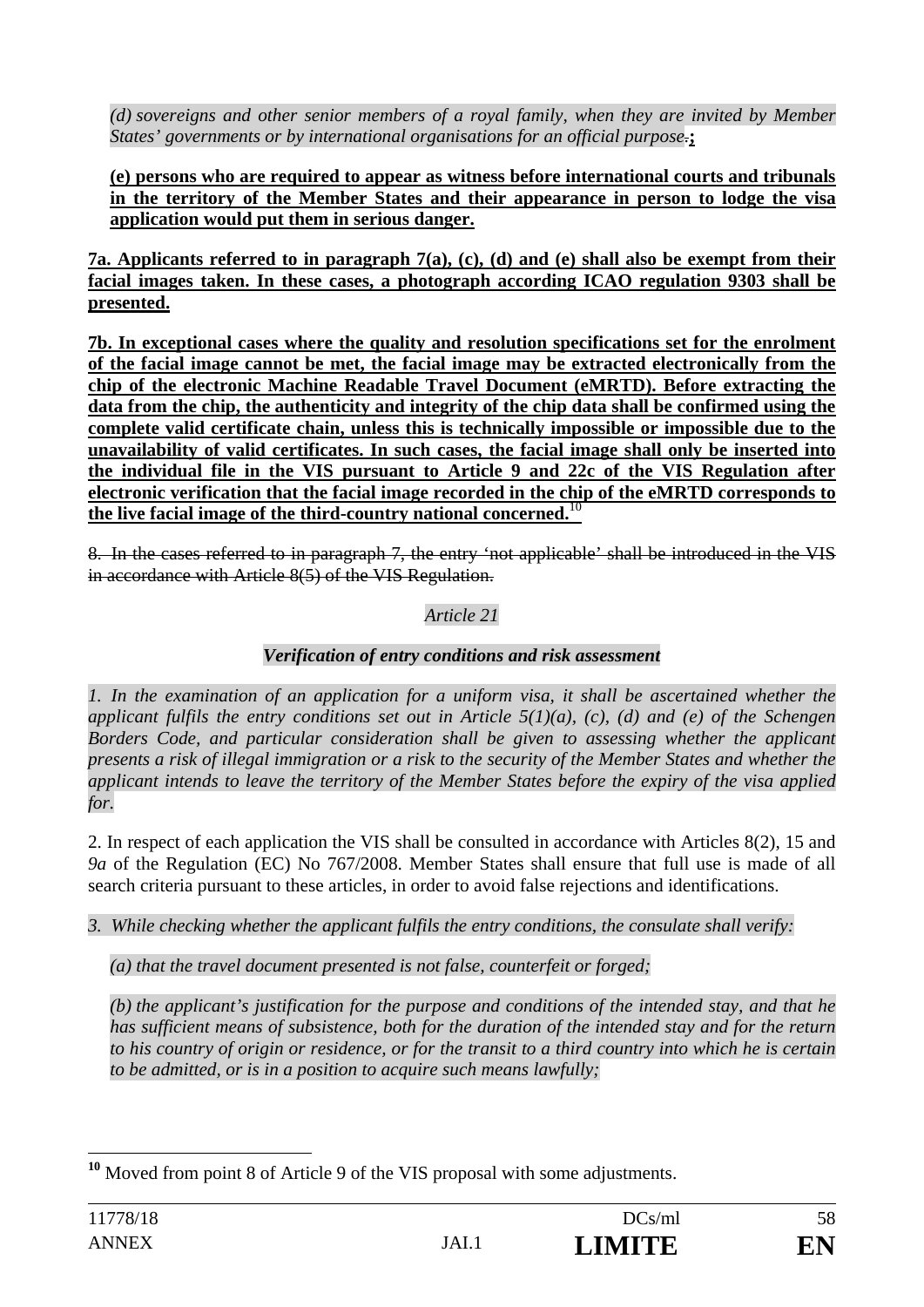*(d) sovereigns and other senior members of a royal family, when they are invited by Member States' governments or by international organisations for an official purpose.***;** 

#### **(e) persons who are required to appear as witness before international courts and tribunals in the territory of the Member States and their appearance in person to lodge the visa application would put them in serious danger.**

**7a. Applicants referred to in paragraph 7(a), (c), (d) and (e) shall also be exempt from their facial images taken. In these cases, a photograph according ICAO regulation 9303 shall be presented.** 

**7b. In exceptional cases where the quality and resolution specifications set for the enrolment of the facial image cannot be met, the facial image may be extracted electronically from the chip of the electronic Machine Readable Travel Document (eMRTD). Before extracting the data from the chip, the authenticity and integrity of the chip data shall be confirmed using the complete valid certificate chain, unless this is technically impossible or impossible due to the unavailability of valid certificates. In such cases, the facial image shall only be inserted into the individual file in the VIS pursuant to Article 9 and 22c of the VIS Regulation after electronic verification that the facial image recorded in the chip of the eMRTD corresponds to the live facial image of the third-country national concerned.**<sup>10</sup>

8. In the cases referred to in paragraph 7, the entry 'not applicable' shall be introduced in the VIS in accordance with Article 8(5) of the VIS Regulation.

### *Article 21*

### *Verification of entry conditions and risk assessment*

*1. In the examination of an application for a uniform visa, it shall be ascertained whether the applicant fulfils the entry conditions set out in Article 5(1)(a), (c), (d) and (e) of the Schengen Borders Code, and particular consideration shall be given to assessing whether the applicant presents a risk of illegal immigration or a risk to the security of the Member States and whether the applicant intends to leave the territory of the Member States before the expiry of the visa applied for.* 

2. In respect of each application the VIS shall be consulted in accordance with Articles 8(2), 15 and *9a* of the Regulation (EC) No 767/2008. Member States shall ensure that full use is made of all search criteria pursuant to these articles, in order to avoid false rejections and identifications.

*3. While checking whether the applicant fulfils the entry conditions, the consulate shall verify:* 

*(a) that the travel document presented is not false, counterfeit or forged;* 

*(b) the applicant's justification for the purpose and conditions of the intended stay, and that he has sufficient means of subsistence, both for the duration of the intended stay and for the return to his country of origin or residence, or for the transit to a third country into which he is certain to be admitted, or is in a position to acquire such means lawfully;* 

 $\overline{a}$ **<sup>10</sup>** Moved from point 8 of Article 9 of the VIS proposal with some adjustments.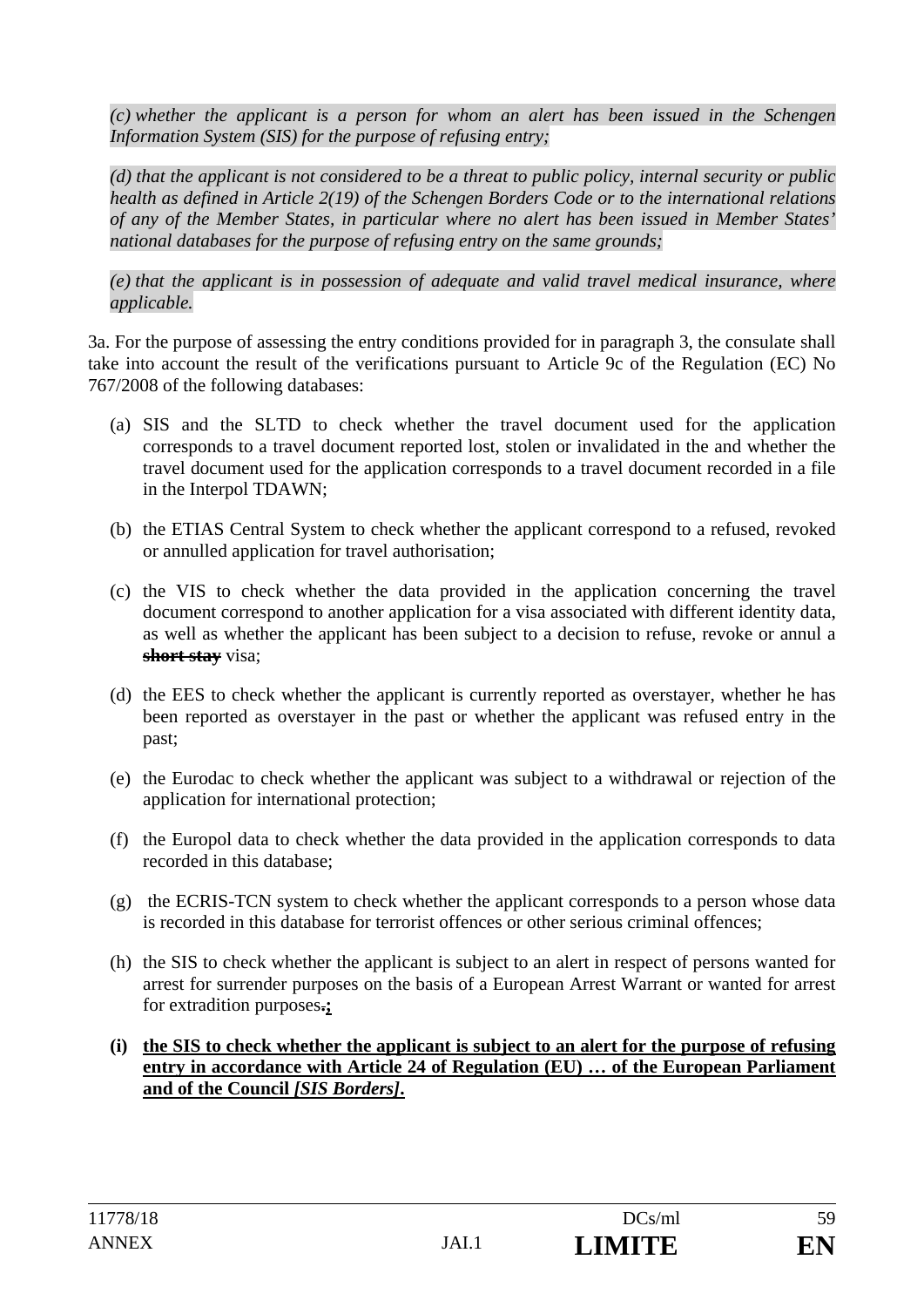*(c) whether the applicant is a person for whom an alert has been issued in the Schengen Information System (SIS) for the purpose of refusing entry;* 

*(d) that the applicant is not considered to be a threat to public policy, internal security or public health as defined in Article 2(19) of the Schengen Borders Code or to the international relations of any of the Member States, in particular where no alert has been issued in Member States' national databases for the purpose of refusing entry on the same grounds;* 

*(e) that the applicant is in possession of adequate and valid travel medical insurance, where applicable.* 

3a. For the purpose of assessing the entry conditions provided for in paragraph 3, the consulate shall take into account the result of the verifications pursuant to Article 9c of the Regulation (EC) No 767/2008 of the following databases:

- (a) SIS and the SLTD to check whether the travel document used for the application corresponds to a travel document reported lost, stolen or invalidated in the and whether the travel document used for the application corresponds to a travel document recorded in a file in the Interpol TDAWN;
- (b) the ETIAS Central System to check whether the applicant correspond to a refused, revoked or annulled application for travel authorisation;
- (c) the VIS to check whether the data provided in the application concerning the travel document correspond to another application for a visa associated with different identity data, as well as whether the applicant has been subject to a decision to refuse, revoke or annul a **short stay** visa;
- (d) the EES to check whether the applicant is currently reported as overstayer, whether he has been reported as overstayer in the past or whether the applicant was refused entry in the past;
- (e) the Eurodac to check whether the applicant was subject to a withdrawal or rejection of the application for international protection;
- (f) the Europol data to check whether the data provided in the application corresponds to data recorded in this database;
- (g) the ECRIS-TCN system to check whether the applicant corresponds to a person whose data is recorded in this database for terrorist offences or other serious criminal offences;
- (h) the SIS to check whether the applicant is subject to an alert in respect of persons wanted for arrest for surrender purposes on the basis of a European Arrest Warrant or wanted for arrest for extradition purposes**.;**
- **(i) the SIS to check whether the applicant is subject to an alert for the purpose of refusing entry in accordance with Article 24 of Regulation (EU) … of the European Parliament and of the Council** *[SIS Borders]***.**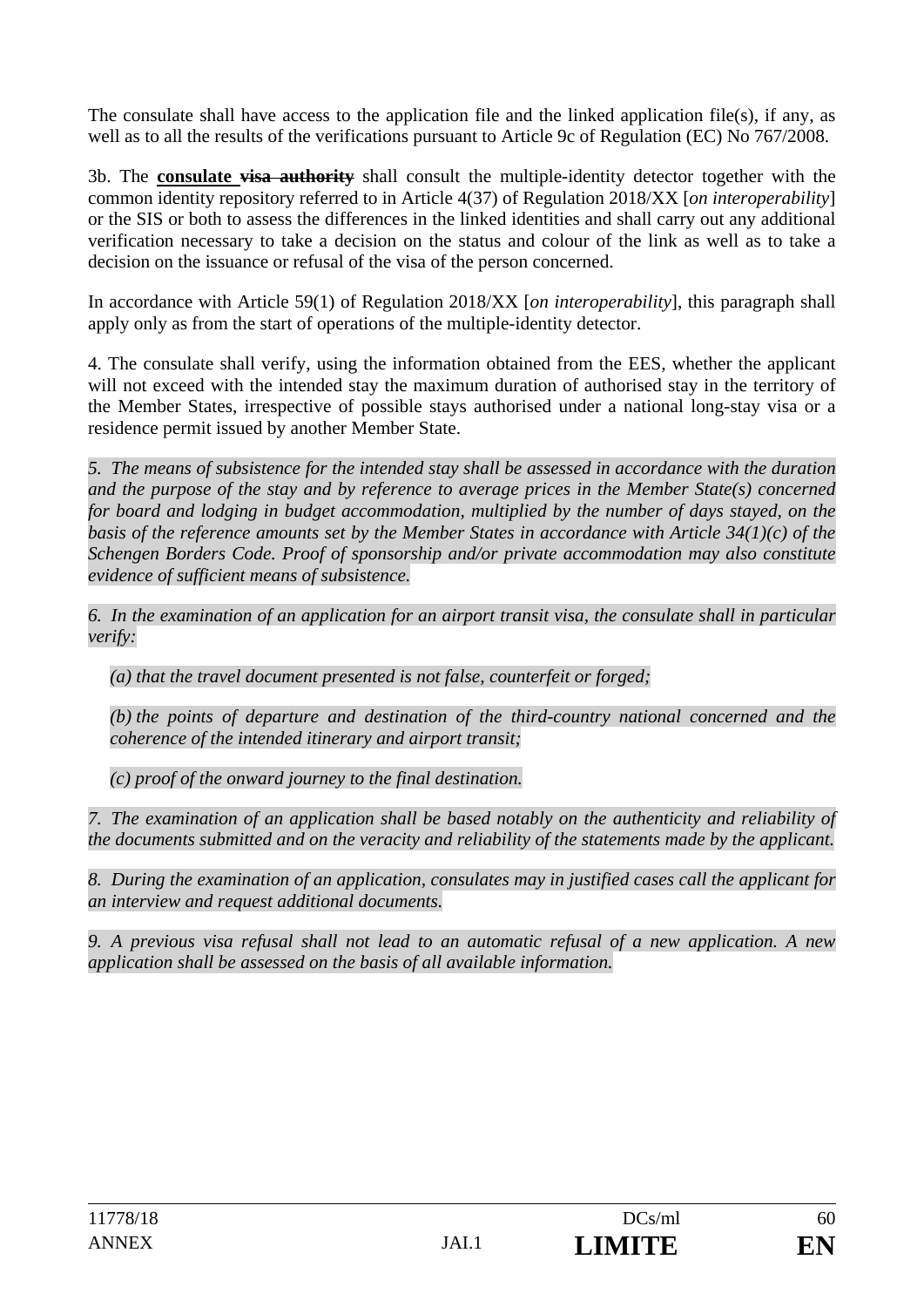The consulate shall have access to the application file and the linked application file(s), if any, as well as to all the results of the verifications pursuant to Article 9c of Regulation (EC) No 767/2008.

3b. The **consulate visa authority** shall consult the multiple-identity detector together with the common identity repository referred to in Article 4(37) of Regulation 2018/XX [*on interoperability*] or the SIS or both to assess the differences in the linked identities and shall carry out any additional verification necessary to take a decision on the status and colour of the link as well as to take a decision on the issuance or refusal of the visa of the person concerned.

In accordance with Article 59(1) of Regulation 2018/XX [*on interoperability*], this paragraph shall apply only as from the start of operations of the multiple-identity detector.

4. The consulate shall verify, using the information obtained from the EES, whether the applicant will not exceed with the intended stay the maximum duration of authorised stay in the territory of the Member States, irrespective of possible stays authorised under a national long-stay visa or a residence permit issued by another Member State.

*5. The means of subsistence for the intended stay shall be assessed in accordance with the duration and the purpose of the stay and by reference to average prices in the Member State(s) concerned for board and lodging in budget accommodation, multiplied by the number of days stayed, on the basis of the reference amounts set by the Member States in accordance with Article 34(1)(c) of the Schengen Borders Code. Proof of sponsorship and/or private accommodation may also constitute evidence of sufficient means of subsistence.* 

*6. In the examination of an application for an airport transit visa, the consulate shall in particular verify:* 

*(a) that the travel document presented is not false, counterfeit or forged;* 

*(b) the points of departure and destination of the third-country national concerned and the coherence of the intended itinerary and airport transit;* 

*(c) proof of the onward journey to the final destination.* 

*7. The examination of an application shall be based notably on the authenticity and reliability of the documents submitted and on the veracity and reliability of the statements made by the applicant.* 

*8. During the examination of an application, consulates may in justified cases call the applicant for an interview and request additional documents.* 

*9. A previous visa refusal shall not lead to an automatic refusal of a new application. A new application shall be assessed on the basis of all available information.*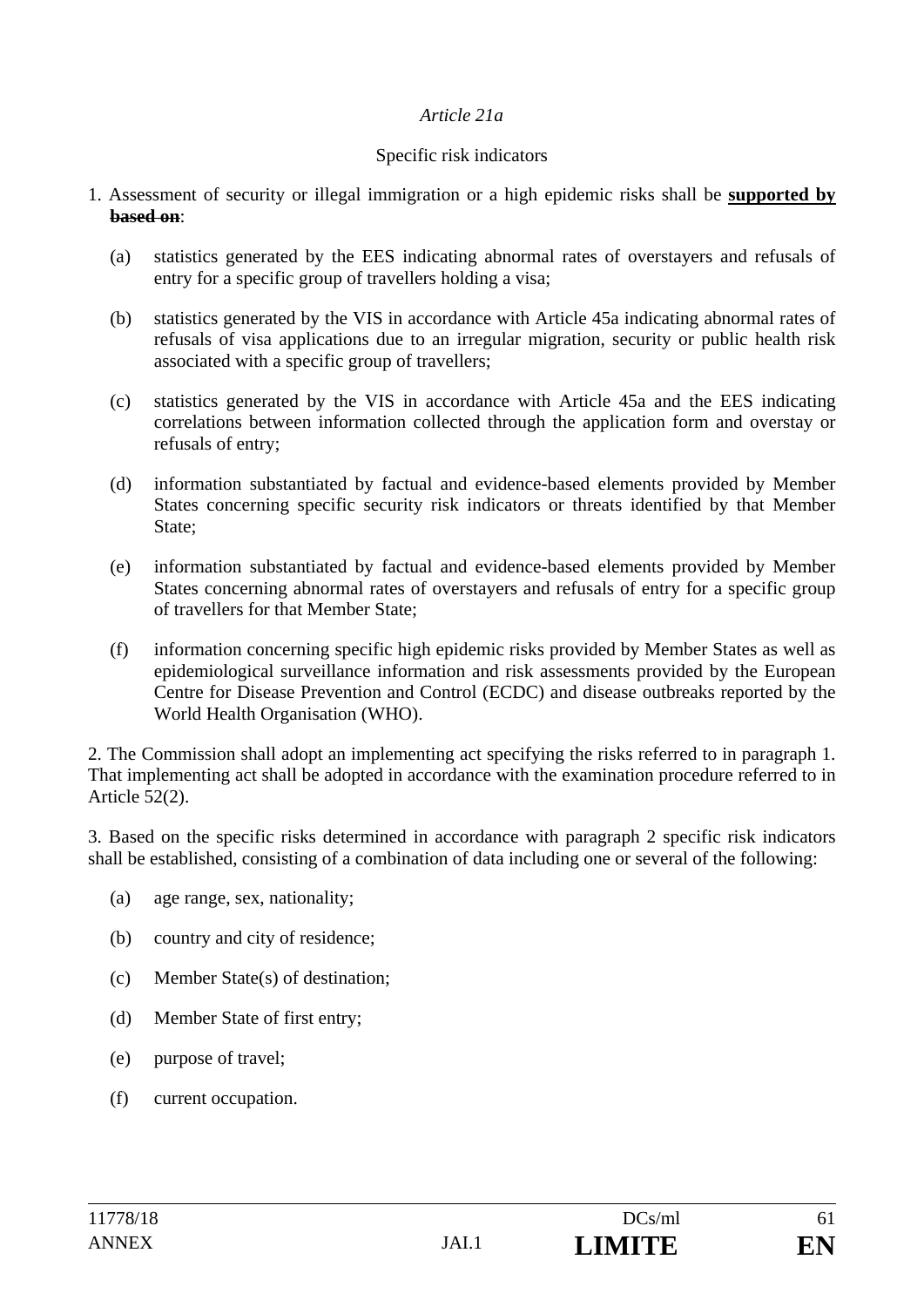#### *Article 21a*

#### Specific risk indicators

- 1. Assessment of security or illegal immigration or a high epidemic risks shall be **supported by based on**:
	- (a) statistics generated by the EES indicating abnormal rates of overstayers and refusals of entry for a specific group of travellers holding a visa;
	- (b) statistics generated by the VIS in accordance with Article 45a indicating abnormal rates of refusals of visa applications due to an irregular migration, security or public health risk associated with a specific group of travellers;
	- (c) statistics generated by the VIS in accordance with Article 45a and the EES indicating correlations between information collected through the application form and overstay or refusals of entry;
	- (d) information substantiated by factual and evidence-based elements provided by Member States concerning specific security risk indicators or threats identified by that Member State:
	- (e) information substantiated by factual and evidence-based elements provided by Member States concerning abnormal rates of overstayers and refusals of entry for a specific group of travellers for that Member State;
	- (f) information concerning specific high epidemic risks provided by Member States as well as epidemiological surveillance information and risk assessments provided by the European Centre for Disease Prevention and Control (ECDC) and disease outbreaks reported by the World Health Organisation (WHO).

2. The Commission shall adopt an implementing act specifying the risks referred to in paragraph 1. That implementing act shall be adopted in accordance with the examination procedure referred to in Article 52(2).

3. Based on the specific risks determined in accordance with paragraph 2 specific risk indicators shall be established, consisting of a combination of data including one or several of the following:

- (a) age range, sex, nationality;
- (b) country and city of residence;
- (c) Member State(s) of destination;
- (d) Member State of first entry;
- (e) purpose of travel;
- (f) current occupation.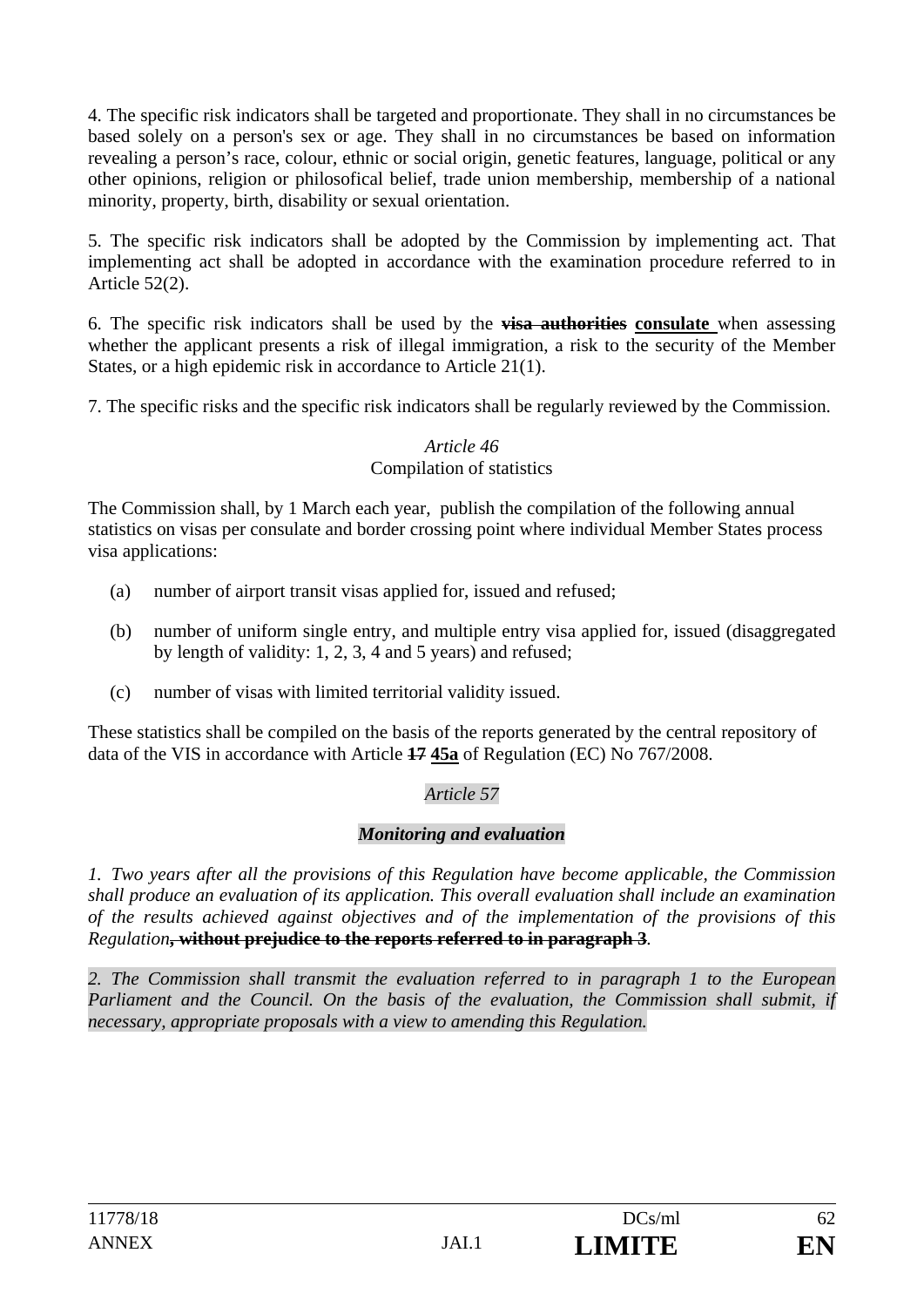4. The specific risk indicators shall be targeted and proportionate. They shall in no circumstances be based solely on a person's sex or age. They shall in no circumstances be based on information revealing a person's race, colour, ethnic or social origin, genetic features, language, political or any other opinions, religion or philosofical belief, trade union membership, membership of a national minority, property, birth, disability or sexual orientation.

5. The specific risk indicators shall be adopted by the Commission by implementing act. That implementing act shall be adopted in accordance with the examination procedure referred to in Article 52(2).

6. The specific risk indicators shall be used by the **visa authorities consulate** when assessing whether the applicant presents a risk of illegal immigration, a risk to the security of the Member States, or a high epidemic risk in accordance to Article 21(1).

7. The specific risks and the specific risk indicators shall be regularly reviewed by the Commission.

#### *Article 46*  Compilation of statistics

The Commission shall, by 1 March each year, publish the compilation of the following annual statistics on visas per consulate and border crossing point where individual Member States process visa applications:

- (a) number of airport transit visas applied for, issued and refused;
- (b) number of uniform single entry, and multiple entry visa applied for, issued (disaggregated by length of validity: 1, 2, 3, 4 and 5 years) and refused;
- (c) number of visas with limited territorial validity issued.

These statistics shall be compiled on the basis of the reports generated by the central repository of data of the VIS in accordance with Article **17 45a** of Regulation (EC) No 767/2008.

# *Article 57*

# *Monitoring and evaluation*

*1. Two years after all the provisions of this Regulation have become applicable, the Commission shall produce an evaluation of its application. This overall evaluation shall include an examination of the results achieved against objectives and of the implementation of the provisions of this Regulation***, without prejudice to the reports referred to in paragraph 3***.* 

*2. The Commission shall transmit the evaluation referred to in paragraph 1 to the European*  Parliament and the Council. On the basis of the evaluation, the Commission shall submit, if *necessary, appropriate proposals with a view to amending this Regulation.*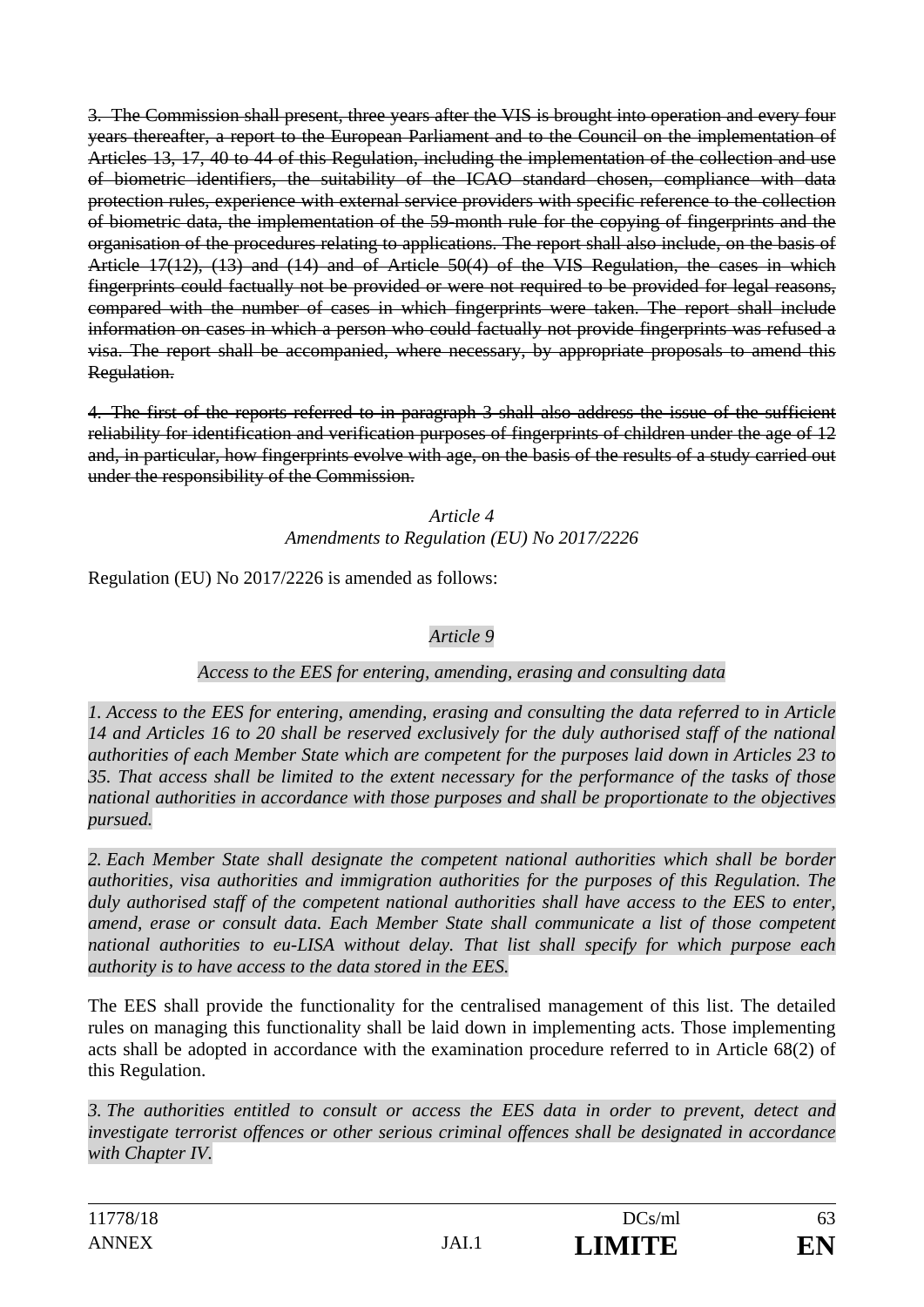3. The Commission shall present, three years after the VIS is brought into operation and every four years thereafter, a report to the European Parliament and to the Council on the implementation of Articles 13, 17, 40 to 44 of this Regulation, including the implementation of the collection and use of biometric identifiers, the suitability of the ICAO standard chosen, compliance with data protection rules, experience with external service providers with specific reference to the collection of biometric data, the implementation of the 59-month rule for the copying of fingerprints and the organisation of the procedures relating to applications. The report shall also include, on the basis of Article 17(12), (13) and (14) and of Article 50(4) of the VIS Regulation, the cases in which fingerprints could factually not be provided or were not required to be provided for legal reasons, compared with the number of cases in which fingerprints were taken. The report shall include information on cases in which a person who could factually not provide fingerprints was refused a visa. The report shall be accompanied, where necessary, by appropriate proposals to amend this Regulation.

4. The first of the reports referred to in paragraph 3 shall also address the issue of the sufficient reliability for identification and verification purposes of fingerprints of children under the age of 12 and, in particular, how fingerprints evolve with age, on the basis of the results of a study carried out under the responsibility of the Commission.

> *Article 4 Amendments to Regulation (EU) No 2017/2226*

Regulation (EU) No 2017/2226 is amended as follows:

# *Article 9*

# *Access to the EES for entering, amending, erasing and consulting data*

*1. Access to the EES for entering, amending, erasing and consulting the data referred to in Article 14 and Articles 16 to 20 shall be reserved exclusively for the duly authorised staff of the national authorities of each Member State which are competent for the purposes laid down in Articles 23 to 35. That access shall be limited to the extent necessary for the performance of the tasks of those national authorities in accordance with those purposes and shall be proportionate to the objectives pursued.* 

*2. Each Member State shall designate the competent national authorities which shall be border authorities, visa authorities and immigration authorities for the purposes of this Regulation. The duly authorised staff of the competent national authorities shall have access to the EES to enter, amend, erase or consult data. Each Member State shall communicate a list of those competent national authorities to eu-LISA without delay. That list shall specify for which purpose each authority is to have access to the data stored in the EES.* 

The EES shall provide the functionality for the centralised management of this list. The detailed rules on managing this functionality shall be laid down in implementing acts. Those implementing acts shall be adopted in accordance with the examination procedure referred to in Article 68(2) of this Regulation.

*3. The authorities entitled to consult or access the EES data in order to prevent, detect and investigate terrorist offences or other serious criminal offences shall be designated in accordance with Chapter IV.*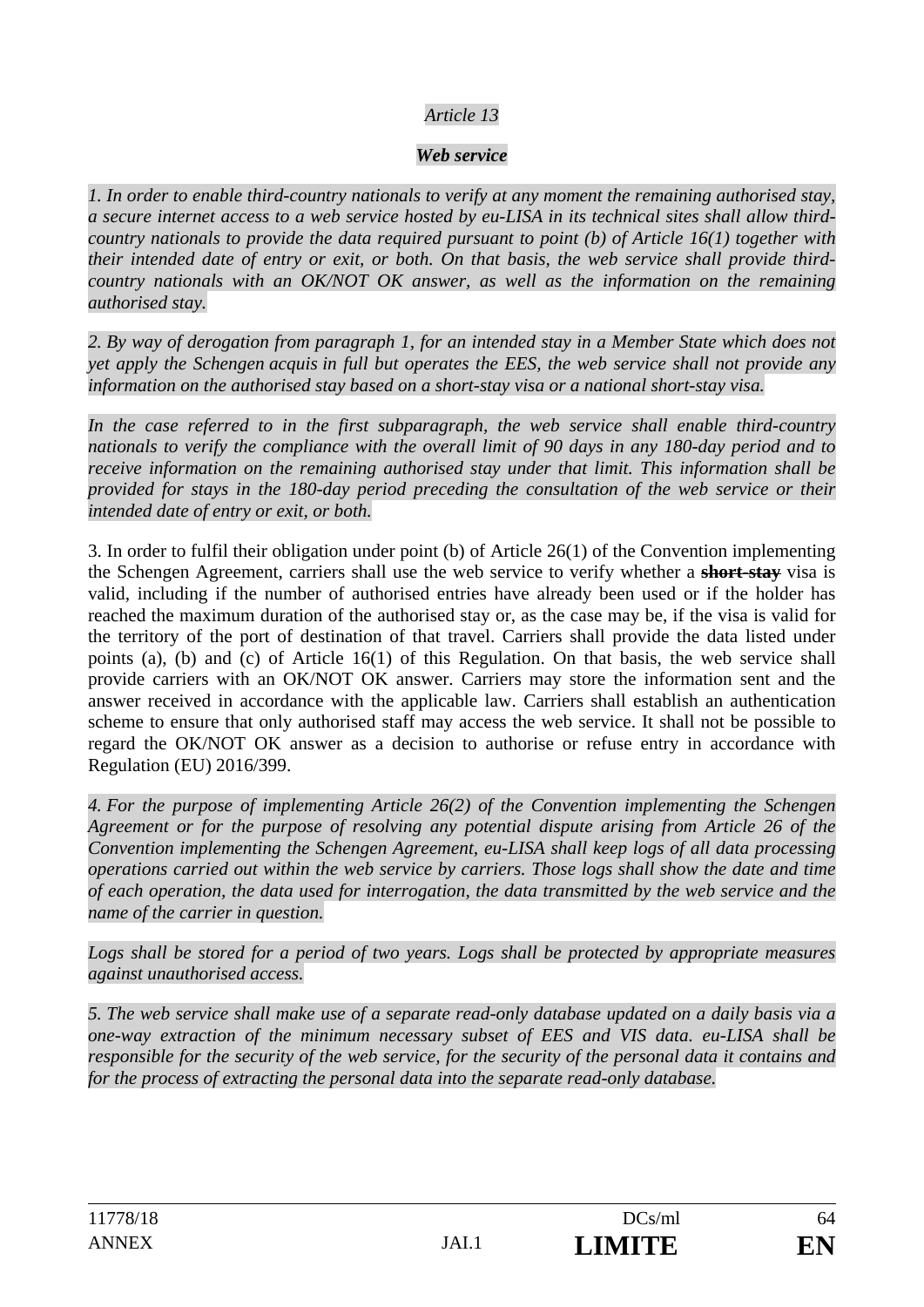### *Article 13*

#### *Web service*

*1. In order to enable third-country nationals to verify at any moment the remaining authorised stay, a secure internet access to a web service hosted by eu-LISA in its technical sites shall allow thirdcountry nationals to provide the data required pursuant to point (b) of Article 16(1) together with their intended date of entry or exit, or both. On that basis, the web service shall provide thirdcountry nationals with an OK/NOT OK answer, as well as the information on the remaining authorised stay.* 

*2. By way of derogation from paragraph 1, for an intended stay in a Member State which does not yet apply the Schengen acquis in full but operates the EES, the web service shall not provide any information on the authorised stay based on a short-stay visa or a national short-stay visa.* 

In the case referred to in the first subparagraph, the web service shall enable third-country *nationals to verify the compliance with the overall limit of 90 days in any 180-day period and to receive information on the remaining authorised stay under that limit. This information shall be provided for stays in the 180-day period preceding the consultation of the web service or their intended date of entry or exit, or both.* 

3. In order to fulfil their obligation under point (b) of Article 26(1) of the Convention implementing the Schengen Agreement, carriers shall use the web service to verify whether a **short-stay** visa is valid, including if the number of authorised entries have already been used or if the holder has reached the maximum duration of the authorised stay or, as the case may be, if the visa is valid for the territory of the port of destination of that travel. Carriers shall provide the data listed under points (a), (b) and (c) of Article 16(1) of this Regulation. On that basis, the web service shall provide carriers with an OK/NOT OK answer. Carriers may store the information sent and the answer received in accordance with the applicable law. Carriers shall establish an authentication scheme to ensure that only authorised staff may access the web service. It shall not be possible to regard the OK/NOT OK answer as a decision to authorise or refuse entry in accordance with Regulation (EU) 2016/399.

*4. For the purpose of implementing Article 26(2) of the Convention implementing the Schengen Agreement or for the purpose of resolving any potential dispute arising from Article 26 of the Convention implementing the Schengen Agreement, eu-LISA shall keep logs of all data processing operations carried out within the web service by carriers. Those logs shall show the date and time of each operation, the data used for interrogation, the data transmitted by the web service and the name of the carrier in question.* 

*Logs shall be stored for a period of two years. Logs shall be protected by appropriate measures against unauthorised access.* 

*5. The web service shall make use of a separate read-only database updated on a daily basis via a one-way extraction of the minimum necessary subset of EES and VIS data. eu-LISA shall be responsible for the security of the web service, for the security of the personal data it contains and for the process of extracting the personal data into the separate read-only database.*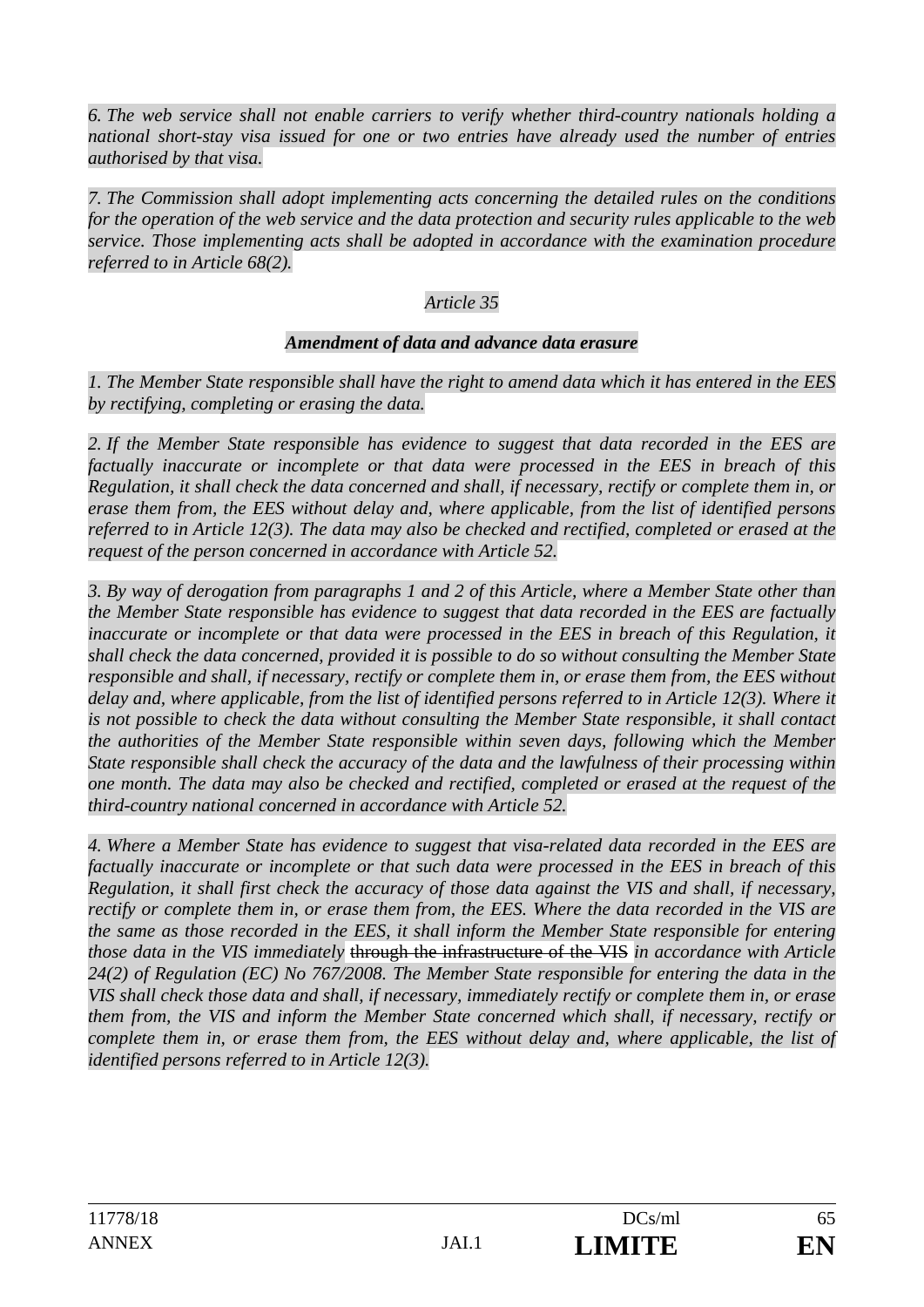*6. The web service shall not enable carriers to verify whether third-country nationals holding a national short-stay visa issued for one or two entries have already used the number of entries authorised by that visa.* 

*7. The Commission shall adopt implementing acts concerning the detailed rules on the conditions*  for the operation of the web service and the data protection and security rules applicable to the web *service. Those implementing acts shall be adopted in accordance with the examination procedure referred to in Article 68(2).* 

### *Article 35*

#### *Amendment of data and advance data erasure*

*1. The Member State responsible shall have the right to amend data which it has entered in the EES by rectifying, completing or erasing the data.* 

*2. If the Member State responsible has evidence to suggest that data recorded in the EES are factually inaccurate or incomplete or that data were processed in the EES in breach of this Regulation, it shall check the data concerned and shall, if necessary, rectify or complete them in, or erase them from, the EES without delay and, where applicable, from the list of identified persons referred to in Article 12(3). The data may also be checked and rectified, completed or erased at the request of the person concerned in accordance with Article 52.* 

*3. By way of derogation from paragraphs 1 and 2 of this Article, where a Member State other than the Member State responsible has evidence to suggest that data recorded in the EES are factually inaccurate or incomplete or that data were processed in the EES in breach of this Regulation, it shall check the data concerned, provided it is possible to do so without consulting the Member State responsible and shall, if necessary, rectify or complete them in, or erase them from, the EES without delay and, where applicable, from the list of identified persons referred to in Article 12(3). Where it is not possible to check the data without consulting the Member State responsible, it shall contact the authorities of the Member State responsible within seven days, following which the Member State responsible shall check the accuracy of the data and the lawfulness of their processing within one month. The data may also be checked and rectified, completed or erased at the request of the third-country national concerned in accordance with Article 52.* 

*4. Where a Member State has evidence to suggest that visa-related data recorded in the EES are factually inaccurate or incomplete or that such data were processed in the EES in breach of this Regulation, it shall first check the accuracy of those data against the VIS and shall, if necessary, rectify or complete them in, or erase them from, the EES. Where the data recorded in the VIS are the same as those recorded in the EES, it shall inform the Member State responsible for entering those data in the VIS immediately* through the infrastructure of the VIS *in accordance with Article 24(2) of Regulation (EC) No 767/2008. The Member State responsible for entering the data in the VIS shall check those data and shall, if necessary, immediately rectify or complete them in, or erase them from, the VIS and inform the Member State concerned which shall, if necessary, rectify or complete them in, or erase them from, the EES without delay and, where applicable, the list of identified persons referred to in Article 12(3).*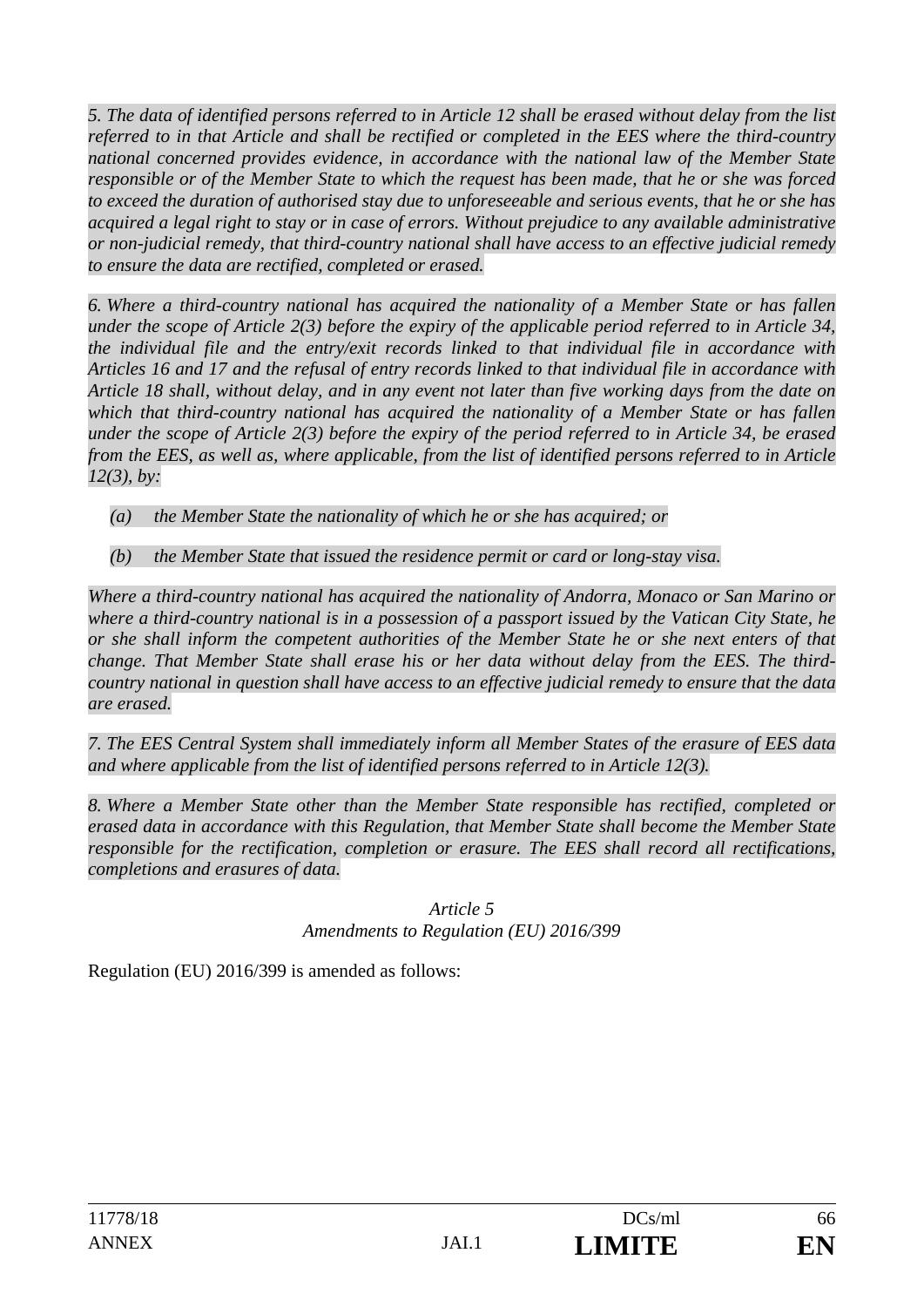*5. The data of identified persons referred to in Article 12 shall be erased without delay from the list referred to in that Article and shall be rectified or completed in the EES where the third-country national concerned provides evidence, in accordance with the national law of the Member State responsible or of the Member State to which the request has been made, that he or she was forced to exceed the duration of authorised stay due to unforeseeable and serious events, that he or she has acquired a legal right to stay or in case of errors. Without prejudice to any available administrative or non-judicial remedy, that third-country national shall have access to an effective judicial remedy to ensure the data are rectified, completed or erased.* 

*6. Where a third-country national has acquired the nationality of a Member State or has fallen under the scope of Article 2(3) before the expiry of the applicable period referred to in Article 34, the individual file and the entry/exit records linked to that individual file in accordance with Articles 16 and 17 and the refusal of entry records linked to that individual file in accordance with Article 18 shall, without delay, and in any event not later than five working days from the date on which that third-country national has acquired the nationality of a Member State or has fallen under the scope of Article 2(3) before the expiry of the period referred to in Article 34, be erased from the EES, as well as, where applicable, from the list of identified persons referred to in Article 12(3), by:* 

- *(a) the Member State the nationality of which he or she has acquired; or*
- *(b) the Member State that issued the residence permit or card or long-stay visa.*

*Where a third-country national has acquired the nationality of Andorra, Monaco or San Marino or where a third-country national is in a possession of a passport issued by the Vatican City State, he or she shall inform the competent authorities of the Member State he or she next enters of that change. That Member State shall erase his or her data without delay from the EES. The thirdcountry national in question shall have access to an effective judicial remedy to ensure that the data are erased.* 

*7. The EES Central System shall immediately inform all Member States of the erasure of EES data and where applicable from the list of identified persons referred to in Article 12(3).* 

*8. Where a Member State other than the Member State responsible has rectified, completed or erased data in accordance with this Regulation, that Member State shall become the Member State responsible for the rectification, completion or erasure. The EES shall record all rectifications, completions and erasures of data.* 

#### *Article 5 Amendments to Regulation (EU) 2016/399*

Regulation (EU) 2016/399 is amended as follows: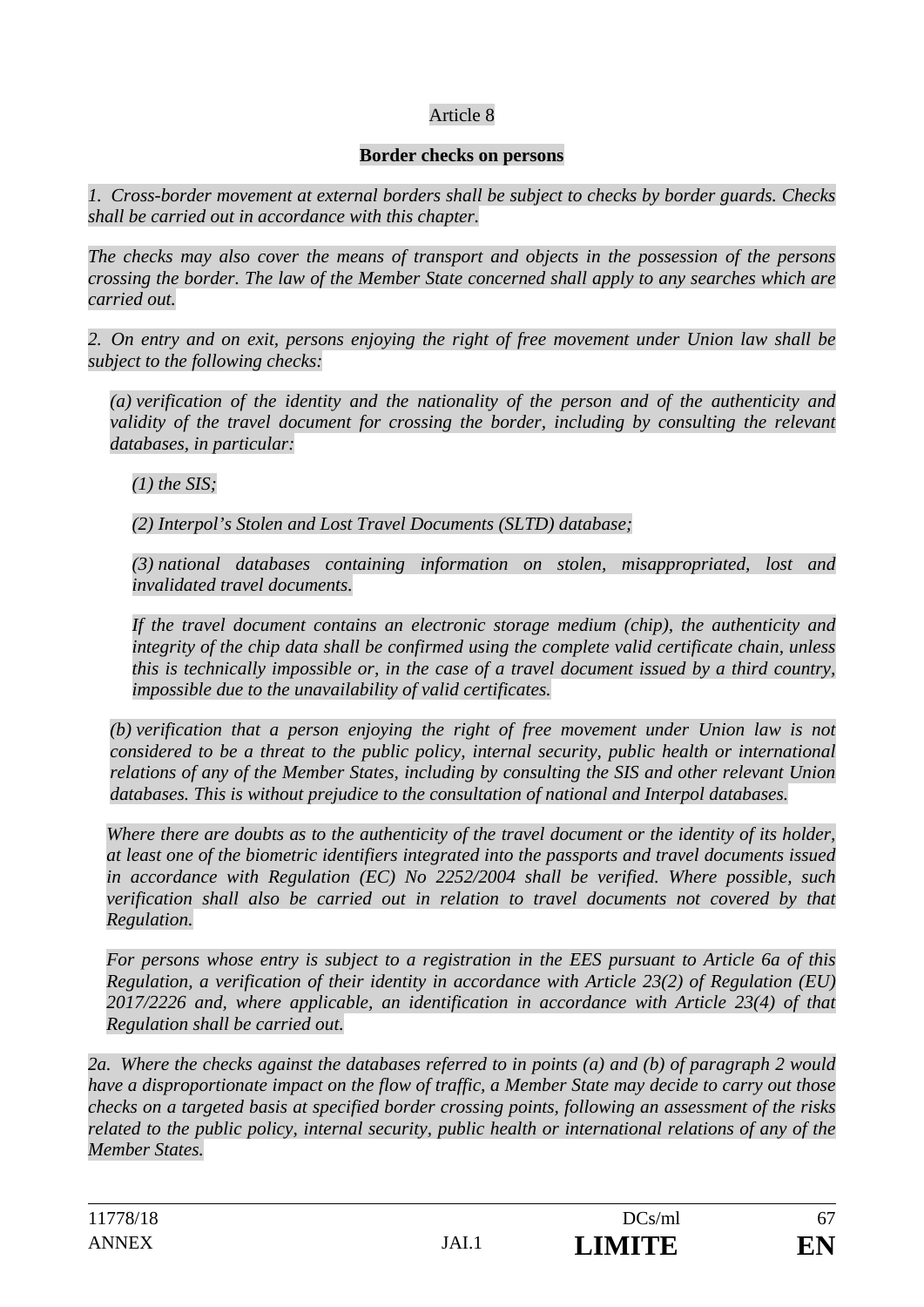### Article 8

#### **Border checks on persons**

*1. Cross-border movement at external borders shall be subject to checks by border guards. Checks shall be carried out in accordance with this chapter.* 

*The checks may also cover the means of transport and objects in the possession of the persons crossing the border. The law of the Member State concerned shall apply to any searches which are carried out.* 

*2. On entry and on exit, persons enjoying the right of free movement under Union law shall be subject to the following checks:* 

*(a) verification of the identity and the nationality of the person and of the authenticity and validity of the travel document for crossing the border, including by consulting the relevant databases, in particular:* 

### *(1) the SIS;*

*(2) Interpol's Stolen and Lost Travel Documents (SLTD) database;* 

*(3) national databases containing information on stolen, misappropriated, lost and invalidated travel documents.* 

*If the travel document contains an electronic storage medium (chip), the authenticity and integrity of the chip data shall be confirmed using the complete valid certificate chain, unless this is technically impossible or, in the case of a travel document issued by a third country, impossible due to the unavailability of valid certificates.* 

*(b) verification that a person enjoying the right of free movement under Union law is not considered to be a threat to the public policy, internal security, public health or international relations of any of the Member States, including by consulting the SIS and other relevant Union databases. This is without prejudice to the consultation of national and Interpol databases.* 

*Where there are doubts as to the authenticity of the travel document or the identity of its holder, at least one of the biometric identifiers integrated into the passports and travel documents issued in accordance with Regulation (EC) No 2252/2004 shall be verified. Where possible, such verification shall also be carried out in relation to travel documents not covered by that Regulation.* 

*For persons whose entry is subject to a registration in the EES pursuant to Article 6a of this Regulation, a verification of their identity in accordance with Article 23(2) of Regulation (EU) 2017/2226 and, where applicable, an identification in accordance with Article 23(4) of that Regulation shall be carried out.* 

*2a. Where the checks against the databases referred to in points (a) and (b) of paragraph 2 would have a disproportionate impact on the flow of traffic, a Member State may decide to carry out those checks on a targeted basis at specified border crossing points, following an assessment of the risks related to the public policy, internal security, public health or international relations of any of the Member States.*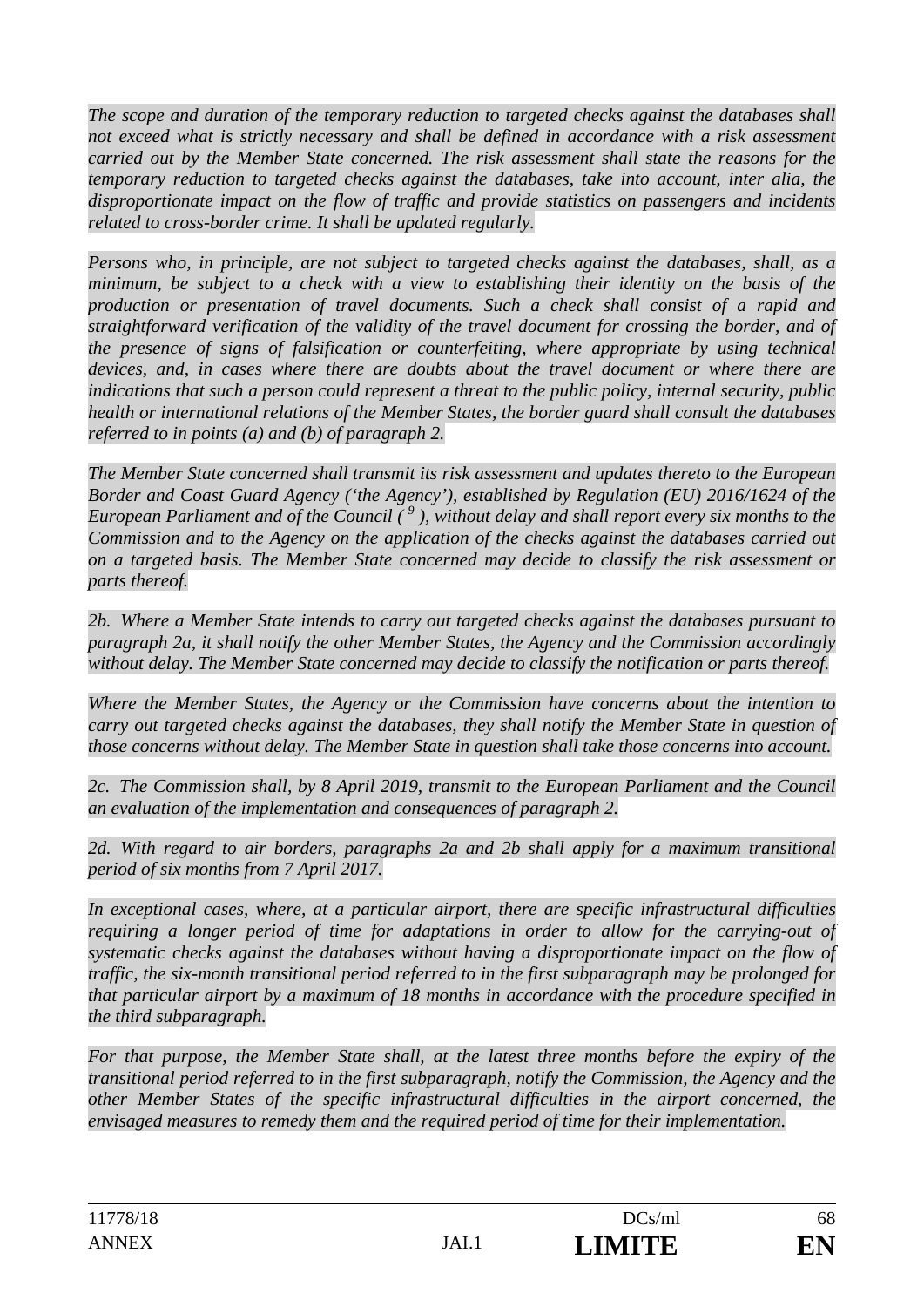*The scope and duration of the temporary reduction to targeted checks against the databases shall*  not exceed what is strictly necessary and shall be defined in accordance with a risk assessment *carried out by the Member State concerned. The risk assessment shall state the reasons for the temporary reduction to targeted checks against the databases, take into account, inter alia, the disproportionate impact on the flow of traffic and provide statistics on passengers and incidents related to cross-border crime. It shall be updated regularly.* 

*Persons who, in principle, are not subject to targeted checks against the databases, shall, as a minimum, be subject to a check with a view to establishing their identity on the basis of the production or presentation of travel documents. Such a check shall consist of a rapid and straightforward verification of the validity of the travel document for crossing the border, and of the presence of signs of falsification or counterfeiting, where appropriate by using technical devices, and, in cases where there are doubts about the travel document or where there are indications that such a person could represent a threat to the public policy, internal security, public health or international relations of the Member States, the border guard shall consult the databases referred to in points (a) and (b) of paragraph 2.* 

*The Member State concerned shall transmit its risk assessment and updates thereto to the European Border and Coast Guard Agency ('the Agency'), established by Regulation (EU) 2016/1624 of the*  European Parliament and of the Council (<sup>9</sup>), without delay and shall report every six months to the *Commission and to the Agency on the application of the checks against the databases carried out on a targeted basis. The Member State concerned may decide to classify the risk assessment or parts thereof.* 

*2b. Where a Member State intends to carry out targeted checks against the databases pursuant to paragraph 2a, it shall notify the other Member States, the Agency and the Commission accordingly without delay. The Member State concerned may decide to classify the notification or parts thereof.* 

*Where the Member States, the Agency or the Commission have concerns about the intention to carry out targeted checks against the databases, they shall notify the Member State in question of those concerns without delay. The Member State in question shall take those concerns into account.* 

*2c. The Commission shall, by 8 April 2019, transmit to the European Parliament and the Council an evaluation of the implementation and consequences of paragraph 2.* 

2d. With regard to air borders, paragraphs 2a and 2b shall apply for a maximum transitional *period of six months from 7 April 2017.* 

*In exceptional cases, where, at a particular airport, there are specific infrastructural difficulties requiring a longer period of time for adaptations in order to allow for the carrying-out of systematic checks against the databases without having a disproportionate impact on the flow of traffic, the six-month transitional period referred to in the first subparagraph may be prolonged for that particular airport by a maximum of 18 months in accordance with the procedure specified in the third subparagraph.* 

*For that purpose, the Member State shall, at the latest three months before the expiry of the transitional period referred to in the first subparagraph, notify the Commission, the Agency and the other Member States of the specific infrastructural difficulties in the airport concerned, the envisaged measures to remedy them and the required period of time for their implementation.*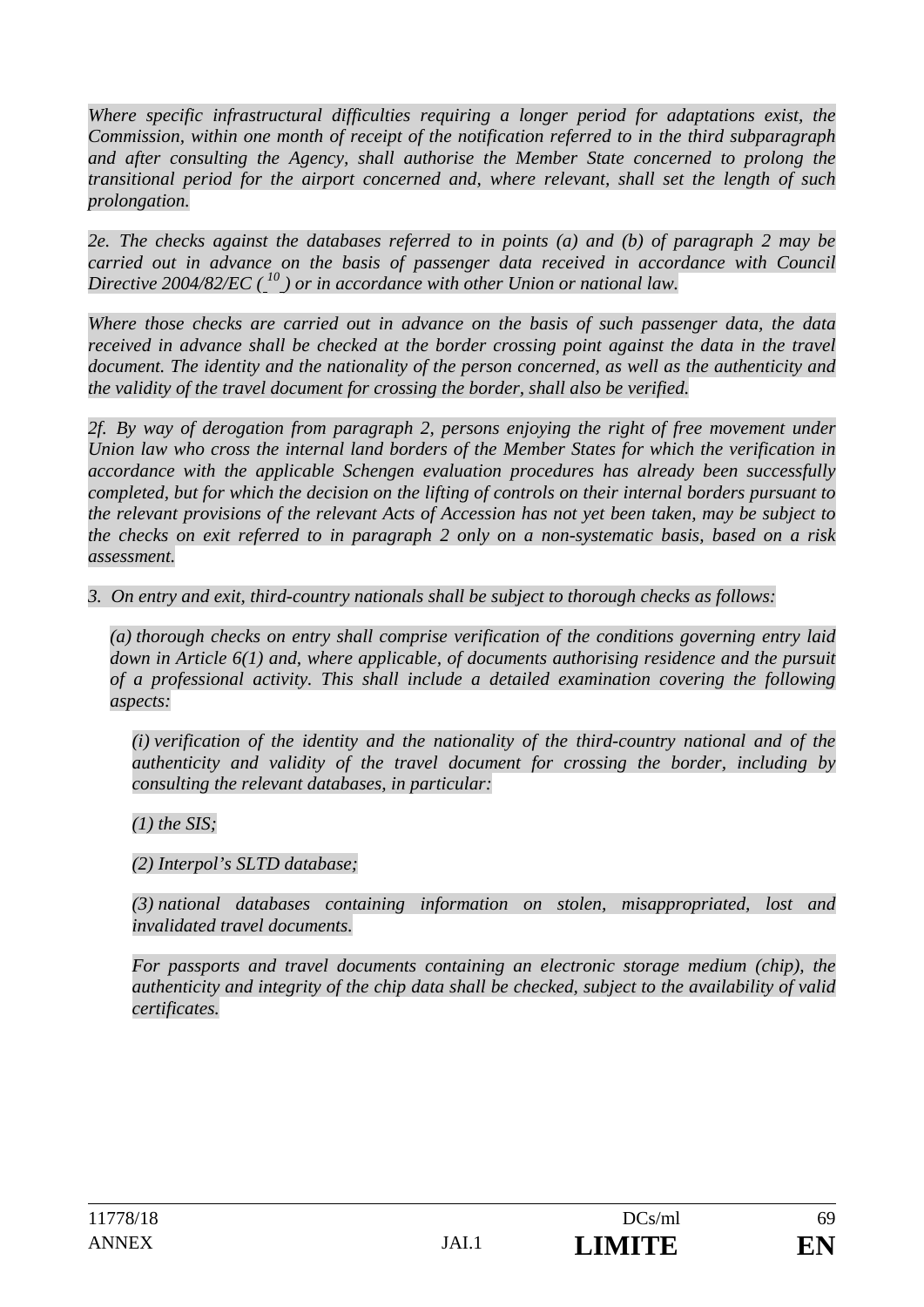*Where specific infrastructural difficulties requiring a longer period for adaptations exist, the Commission, within one month of receipt of the notification referred to in the third subparagraph and after consulting the Agency, shall authorise the Member State concerned to prolong the transitional period for the airport concerned and, where relevant, shall set the length of such prolongation.* 

*2e. The checks against the databases referred to in points (a) and (b) of paragraph 2 may be carried out in advance on the basis of passenger data received in accordance with Council Directive 2004/82/EC ( 10 ) or in accordance with other Union or national law.* 

*Where those checks are carried out in advance on the basis of such passenger data, the data received in advance shall be checked at the border crossing point against the data in the travel document. The identity and the nationality of the person concerned, as well as the authenticity and the validity of the travel document for crossing the border, shall also be verified.* 

*2f. By way of derogation from paragraph 2, persons enjoying the right of free movement under Union law who cross the internal land borders of the Member States for which the verification in accordance with the applicable Schengen evaluation procedures has already been successfully completed, but for which the decision on the lifting of controls on their internal borders pursuant to the relevant provisions of the relevant Acts of Accession has not yet been taken, may be subject to the checks on exit referred to in paragraph 2 only on a non-systematic basis, based on a risk assessment.* 

*3. On entry and exit, third-country nationals shall be subject to thorough checks as follows:* 

*(a) thorough checks on entry shall comprise verification of the conditions governing entry laid down in Article 6(1) and, where applicable, of documents authorising residence and the pursuit of a professional activity. This shall include a detailed examination covering the following aspects:* 

*(i) verification of the identity and the nationality of the third-country national and of the authenticity and validity of the travel document for crossing the border, including by consulting the relevant databases, in particular:* 

*(1) the SIS;* 

*(2) Interpol's SLTD database;* 

*(3) national databases containing information on stolen, misappropriated, lost and invalidated travel documents.* 

*For passports and travel documents containing an electronic storage medium (chip), the authenticity and integrity of the chip data shall be checked, subject to the availability of valid certificates.*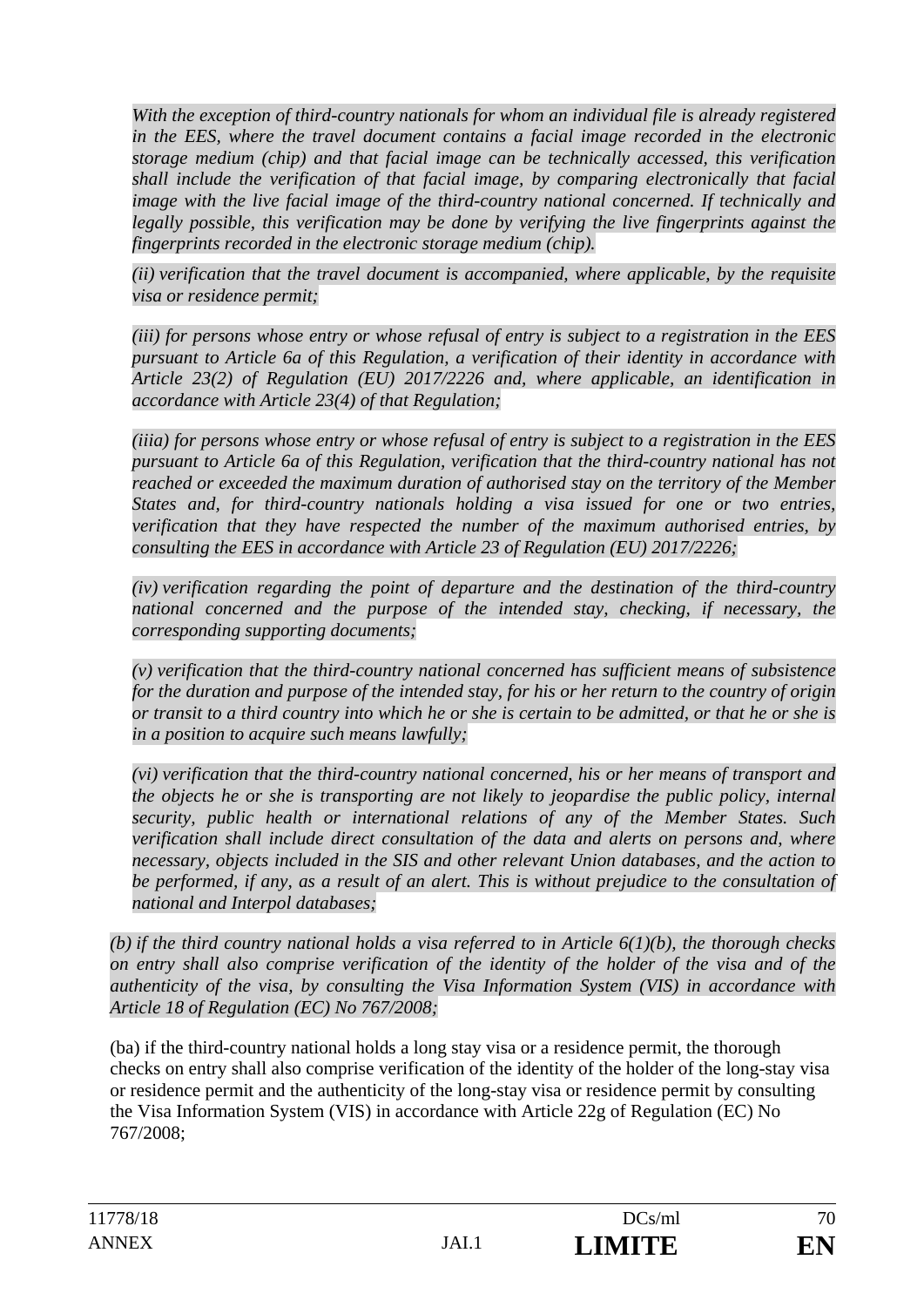*With the exception of third-country nationals for whom an individual file is already registered in the EES, where the travel document contains a facial image recorded in the electronic storage medium (chip) and that facial image can be technically accessed, this verification shall include the verification of that facial image, by comparing electronically that facial image with the live facial image of the third-country national concerned. If technically and legally possible, this verification may be done by verifying the live fingerprints against the fingerprints recorded in the electronic storage medium (chip).* 

*(ii) verification that the travel document is accompanied, where applicable, by the requisite visa or residence permit;* 

*(iii) for persons whose entry or whose refusal of entry is subject to a registration in the EES pursuant to Article 6a of this Regulation, a verification of their identity in accordance with Article 23(2) of Regulation (EU) 2017/2226 and, where applicable, an identification in accordance with Article 23(4) of that Regulation;* 

*(iiia) for persons whose entry or whose refusal of entry is subject to a registration in the EES pursuant to Article 6a of this Regulation, verification that the third-country national has not reached or exceeded the maximum duration of authorised stay on the territory of the Member States and, for third-country nationals holding a visa issued for one or two entries, verification that they have respected the number of the maximum authorised entries, by consulting the EES in accordance with Article 23 of Regulation (EU) 2017/2226;* 

*(iv) verification regarding the point of departure and the destination of the third-country*  national concerned and the purpose of the intended stay, checking, if necessary, the *corresponding supporting documents;* 

*(v) verification that the third-country national concerned has sufficient means of subsistence for the duration and purpose of the intended stay, for his or her return to the country of origin or transit to a third country into which he or she is certain to be admitted, or that he or she is in a position to acquire such means lawfully;* 

*(vi) verification that the third-country national concerned, his or her means of transport and the objects he or she is transporting are not likely to jeopardise the public policy, internal security, public health or international relations of any of the Member States. Such verification shall include direct consultation of the data and alerts on persons and, where necessary, objects included in the SIS and other relevant Union databases, and the action to*  be performed, if any, as a result of an alert. This is without prejudice to the consultation of *national and Interpol databases;* 

*(b) if the third country national holds a visa referred to in Article 6(1)(b), the thorough checks on entry shall also comprise verification of the identity of the holder of the visa and of the authenticity of the visa, by consulting the Visa Information System (VIS) in accordance with Article 18 of Regulation (EC) No 767/2008;* 

(ba) if the third-country national holds a long stay visa or a residence permit, the thorough checks on entry shall also comprise verification of the identity of the holder of the long-stay visa or residence permit and the authenticity of the long-stay visa or residence permit by consulting the Visa Information System (VIS) in accordance with Article 22g of Regulation (EC) No 767/2008;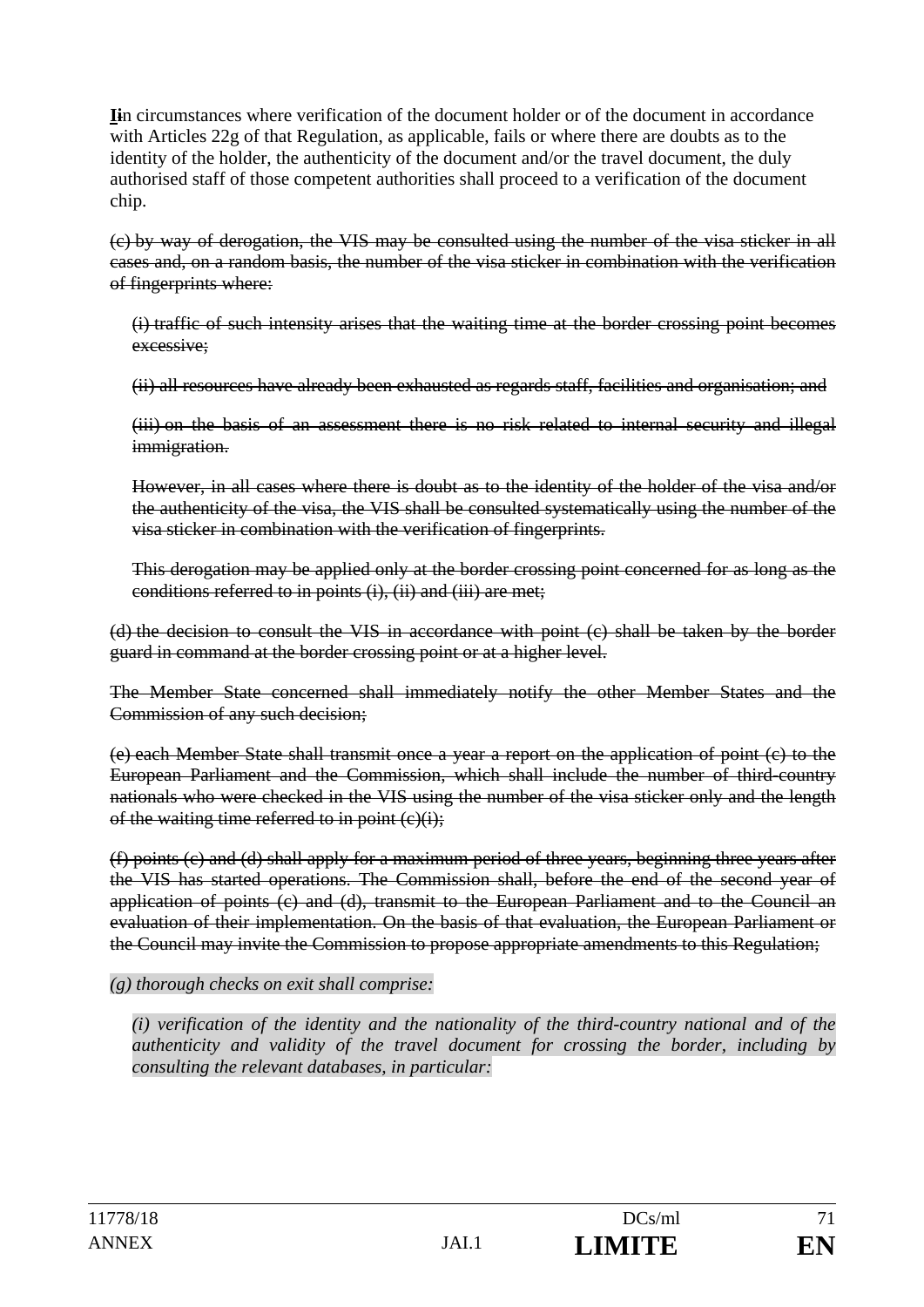**Ii**n circumstances where verification of the document holder or of the document in accordance with Articles 22g of that Regulation, as applicable, fails or where there are doubts as to the identity of the holder, the authenticity of the document and/or the travel document, the duly authorised staff of those competent authorities shall proceed to a verification of the document chip.

(c) by way of derogation, the VIS may be consulted using the number of the visa sticker in all cases and, on a random basis, the number of the visa sticker in combination with the verification of fingerprints where:

(i) traffic of such intensity arises that the waiting time at the border crossing point becomes excessive;

(ii) all resources have already been exhausted as regards staff, facilities and organisation; and

(iii) on the basis of an assessment there is no risk related to internal security and illegal immigration.

However, in all cases where there is doubt as to the identity of the holder of the visa and/or the authenticity of the visa, the VIS shall be consulted systematically using the number of the visa sticker in combination with the verification of fingerprints.

This derogation may be applied only at the border crossing point concerned for as long as the conditions referred to in points (i), (ii) and (iii) are met;

(d) the decision to consult the VIS in accordance with point (c) shall be taken by the border guard in command at the border crossing point or at a higher level.

The Member State concerned shall immediately notify the other Member States and the Commission of any such decision;

(e) each Member State shall transmit once a year a report on the application of point (c) to the European Parliament and the Commission, which shall include the number of third-country nationals who were checked in the VIS using the number of the visa sticker only and the length of the waiting time referred to in point  $(c)(i)$ ;

(f) points (c) and (d) shall apply for a maximum period of three years, beginning three years after the VIS has started operations. The Commission shall, before the end of the second year of application of points (c) and (d), transmit to the European Parliament and to the Council an evaluation of their implementation. On the basis of that evaluation, the European Parliament or the Council may invite the Commission to propose appropriate amendments to this Regulation;

### *(g) thorough checks on exit shall comprise:*

*(i) verification of the identity and the nationality of the third-country national and of the authenticity and validity of the travel document for crossing the border, including by consulting the relevant databases, in particular:*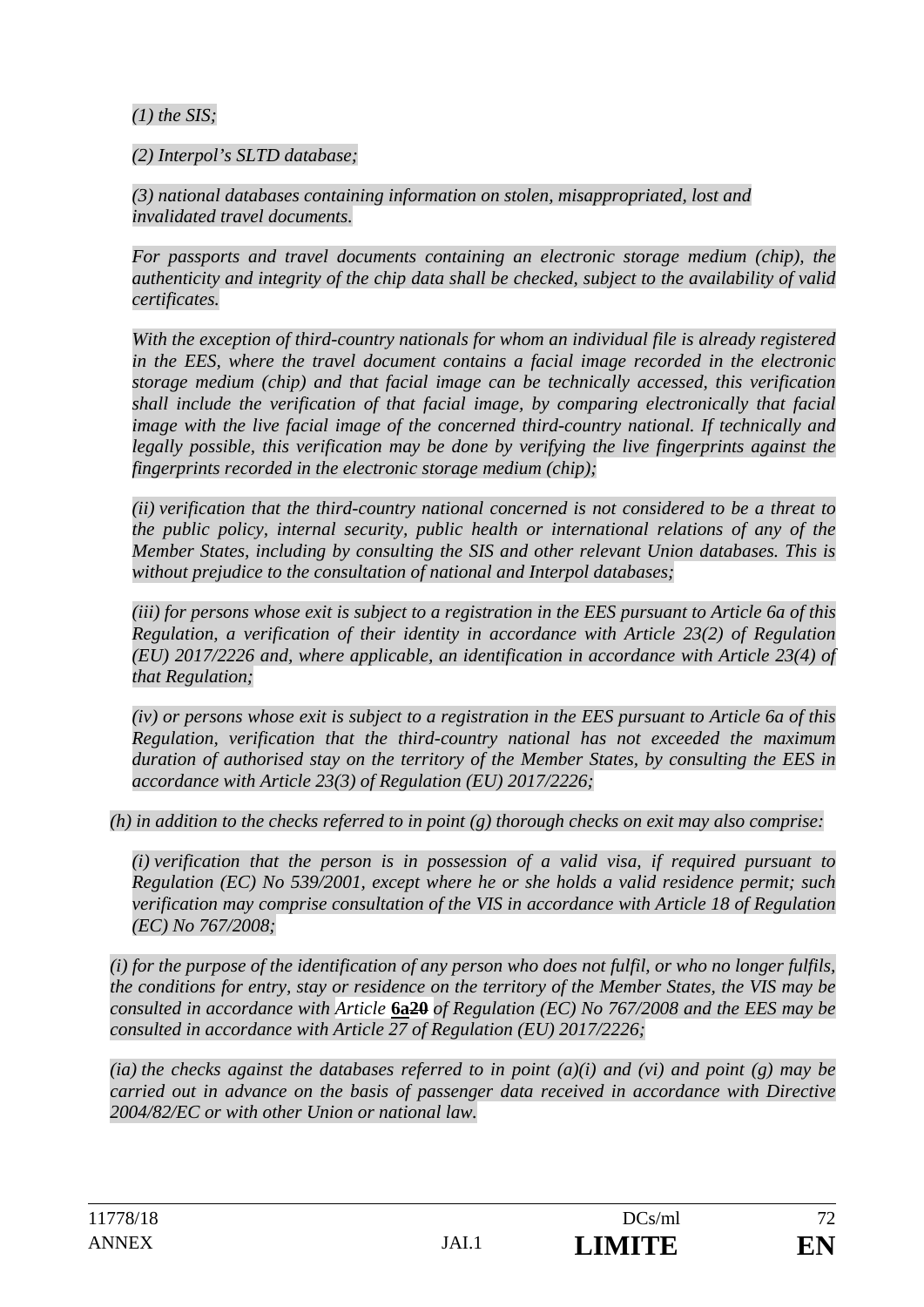*(1) the SIS;* 

*(2) Interpol's SLTD database;* 

*(3) national databases containing information on stolen, misappropriated, lost and invalidated travel documents.* 

*For passports and travel documents containing an electronic storage medium (chip), the authenticity and integrity of the chip data shall be checked, subject to the availability of valid certificates.* 

*With the exception of third-country nationals for whom an individual file is already registered in the EES, where the travel document contains a facial image recorded in the electronic storage medium (chip) and that facial image can be technically accessed, this verification shall include the verification of that facial image, by comparing electronically that facial image with the live facial image of the concerned third-country national. If technically and legally possible, this verification may be done by verifying the live fingerprints against the fingerprints recorded in the electronic storage medium (chip);* 

*(ii) verification that the third-country national concerned is not considered to be a threat to the public policy, internal security, public health or international relations of any of the Member States, including by consulting the SIS and other relevant Union databases. This is without prejudice to the consultation of national and Interpol databases;* 

*(iii) for persons whose exit is subject to a registration in the EES pursuant to Article 6a of this Regulation, a verification of their identity in accordance with Article 23(2) of Regulation (EU) 2017/2226 and, where applicable, an identification in accordance with Article 23(4) of that Regulation;* 

*(iv) or persons whose exit is subject to a registration in the EES pursuant to Article 6a of this Regulation, verification that the third-country national has not exceeded the maximum duration of authorised stay on the territory of the Member States, by consulting the EES in accordance with Article 23(3) of Regulation (EU) 2017/2226;* 

*(h) in addition to the checks referred to in point (g) thorough checks on exit may also comprise:* 

*(i) verification that the person is in possession of a valid visa, if required pursuant to Regulation (EC) No 539/2001, except where he or she holds a valid residence permit; such verification may comprise consultation of the VIS in accordance with Article 18 of Regulation (EC) No 767/2008;* 

*(i) for the purpose of the identification of any person who does not fulfil, or who no longer fulfils, the conditions for entry, stay or residence on the territory of the Member States, the VIS may be consulted in accordance with Article* **6a20** *of Regulation (EC) No 767/2008 and the EES may be consulted in accordance with Article 27 of Regulation (EU) 2017/2226;* 

*(ia) the checks against the databases referred to in point (a)(i) and (vi) and point (g) may be carried out in advance on the basis of passenger data received in accordance with Directive 2004/82/EC or with other Union or national law.*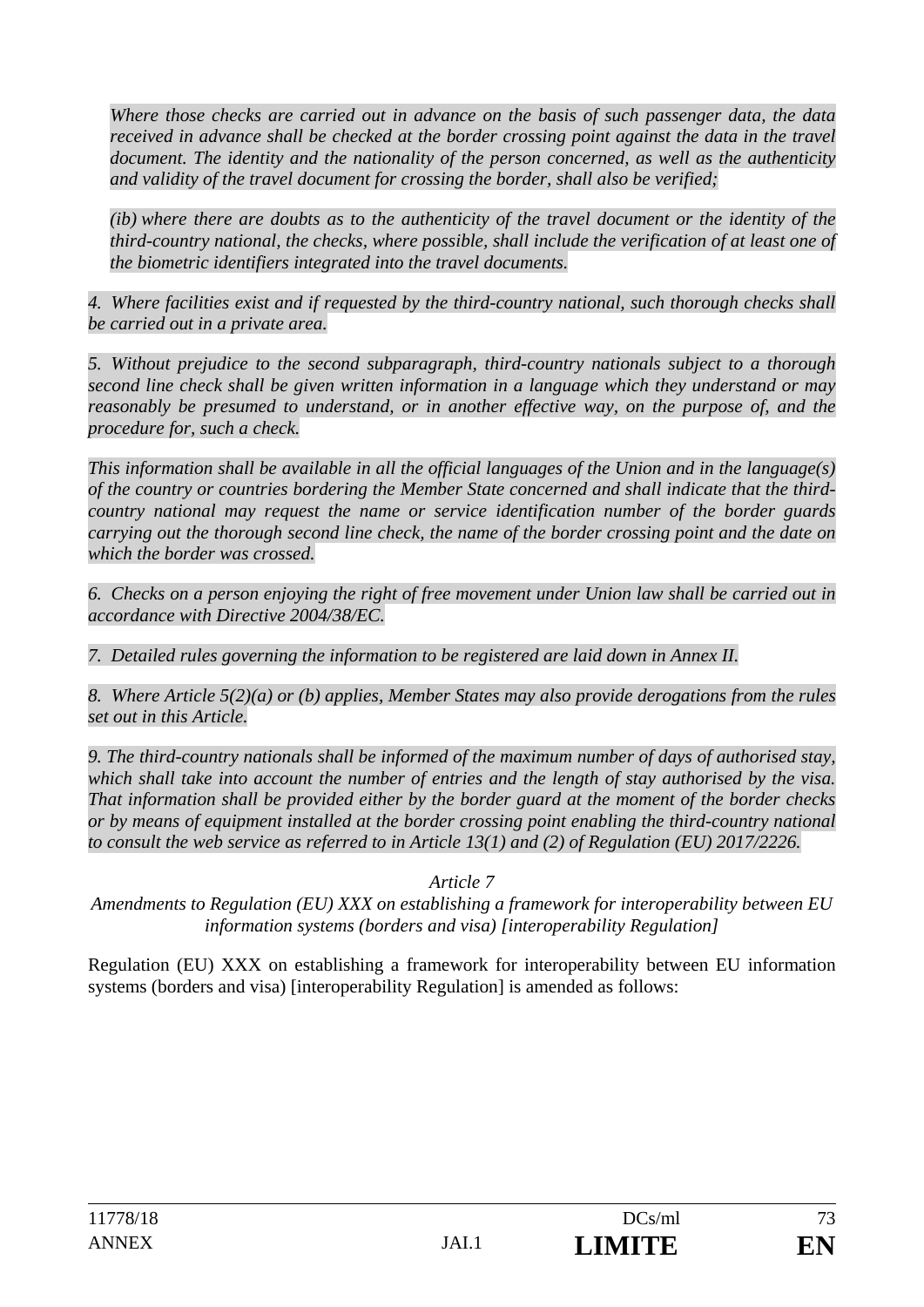*Where those checks are carried out in advance on the basis of such passenger data, the data received in advance shall be checked at the border crossing point against the data in the travel document. The identity and the nationality of the person concerned, as well as the authenticity and validity of the travel document for crossing the border, shall also be verified;* 

*(ib) where there are doubts as to the authenticity of the travel document or the identity of the third-country national, the checks, where possible, shall include the verification of at least one of the biometric identifiers integrated into the travel documents.* 

*4. Where facilities exist and if requested by the third-country national, such thorough checks shall be carried out in a private area.* 

*5. Without prejudice to the second subparagraph, third-country nationals subject to a thorough second line check shall be given written information in a language which they understand or may*  reasonably be presumed to understand, or in another effective way, on the purpose of, and the *procedure for, such a check.* 

*This information shall be available in all the official languages of the Union and in the language(s) of the country or countries bordering the Member State concerned and shall indicate that the thirdcountry national may request the name or service identification number of the border guards carrying out the thorough second line check, the name of the border crossing point and the date on which the border was crossed.* 

*6. Checks on a person enjoying the right of free movement under Union law shall be carried out in accordance with Directive 2004/38/EC.* 

*7. Detailed rules governing the information to be registered are laid down in Annex II.* 

*8. Where Article 5(2)(a) or (b) applies, Member States may also provide derogations from the rules set out in this Article.* 

*9. The third-country nationals shall be informed of the maximum number of days of authorised stay, which shall take into account the number of entries and the length of stay authorised by the visa. That information shall be provided either by the border guard at the moment of the border checks or by means of equipment installed at the border crossing point enabling the third-country national to consult the web service as referred to in Article 13(1) and (2) of Regulation (EU) 2017/2226.* 

*Article 7* 

*Amendments to Regulation (EU) XXX on establishing a framework for interoperability between EU information systems (borders and visa) [interoperability Regulation]*

Regulation (EU) XXX on establishing a framework for interoperability between EU information systems (borders and visa) [interoperability Regulation] is amended as follows: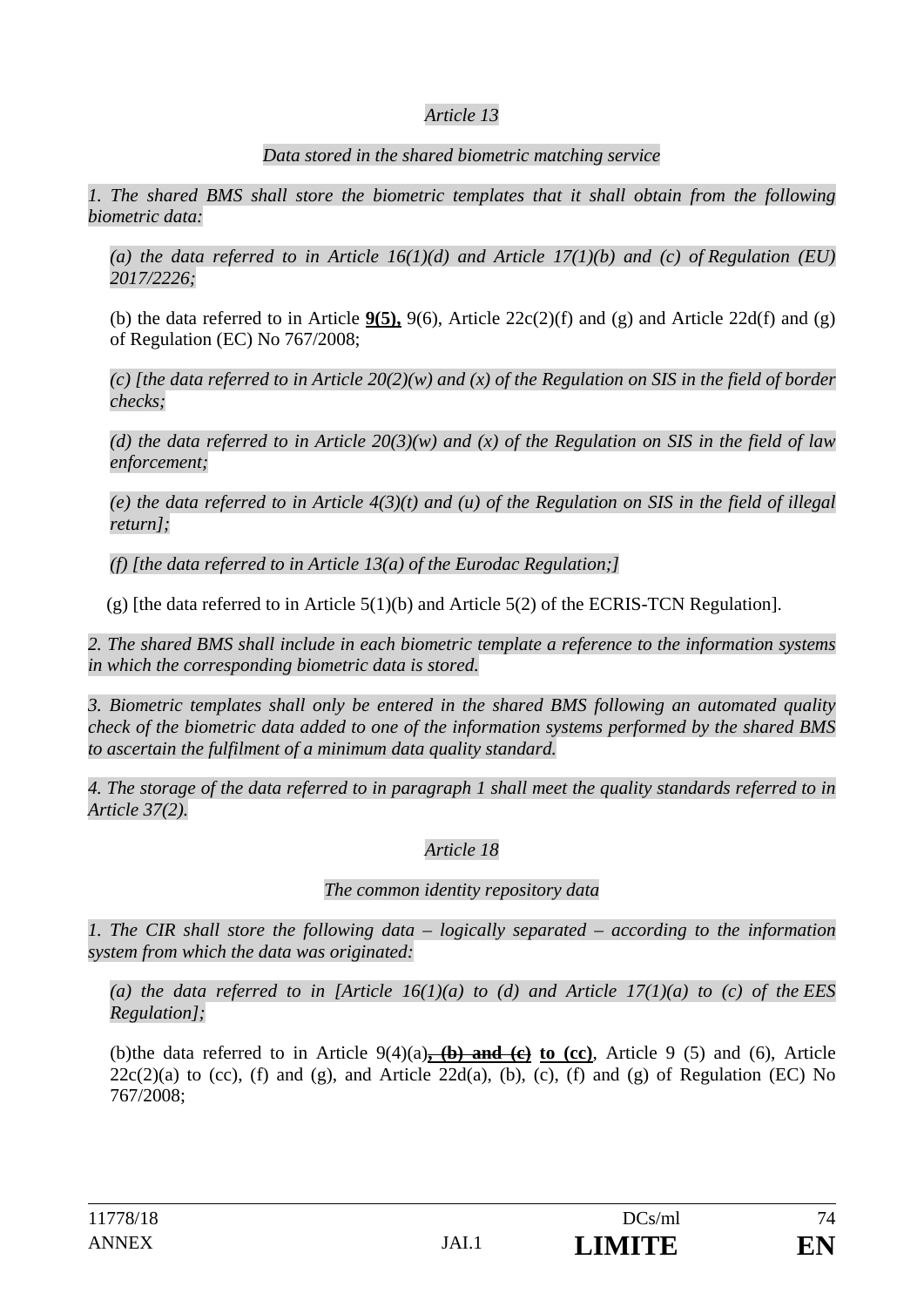## *Article 13*

## *Data stored in the shared biometric matching service*

*1. The shared BMS shall store the biometric templates that it shall obtain from the following biometric data:* 

*(a) the data referred to in Article 16(1)(d) and Article 17(1)(b) and (c) of Regulation (EU) 2017/2226;* 

(b) the data referred to in Article **9(5),** 9(6), Article 22c(2)(f) and (g) and Article 22d(f) and (g) of Regulation (EC) No 767/2008;

*(c) [the data referred to in Article 20(2)(w) and (x) of the Regulation on SIS in the field of border checks;* 

*(d) the data referred to in Article 20(3)(w) and (x) of the Regulation on SIS in the field of law enforcement;* 

*(e) the data referred to in Article 4(3)(t) and (u) of the Regulation on SIS in the field of illegal return];* 

*(f) [the data referred to in Article 13(a) of the Eurodac Regulation;]* 

(g) [the data referred to in Article  $5(1)(b)$  and Article  $5(2)$  of the ECRIS-TCN Regulation].

*2. The shared BMS shall include in each biometric template a reference to the information systems in which the corresponding biometric data is stored.* 

*3. Biometric templates shall only be entered in the shared BMS following an automated quality check of the biometric data added to one of the information systems performed by the shared BMS to ascertain the fulfilment of a minimum data quality standard.* 

*4. The storage of the data referred to in paragraph 1 shall meet the quality standards referred to in Article 37(2).* 

# *Article 18*

# *The common identity repository data*

*1. The CIR shall store the following data – logically separated – according to the information system from which the data was originated:* 

*(a) the data referred to in [Article 16(1)(a) to (d) and Article 17(1)(a) to (c) of the EES Regulation];* 

(b) the data referred to in Article 9(4)(a)**, (b) and (c) to (cc)**, Article 9 (5) and (6), Article  $22c(2)(a)$  to (cc), (f) and (g), and Article  $22d(a)$ , (b), (c), (f) and (g) of Regulation (EC) No 767/2008;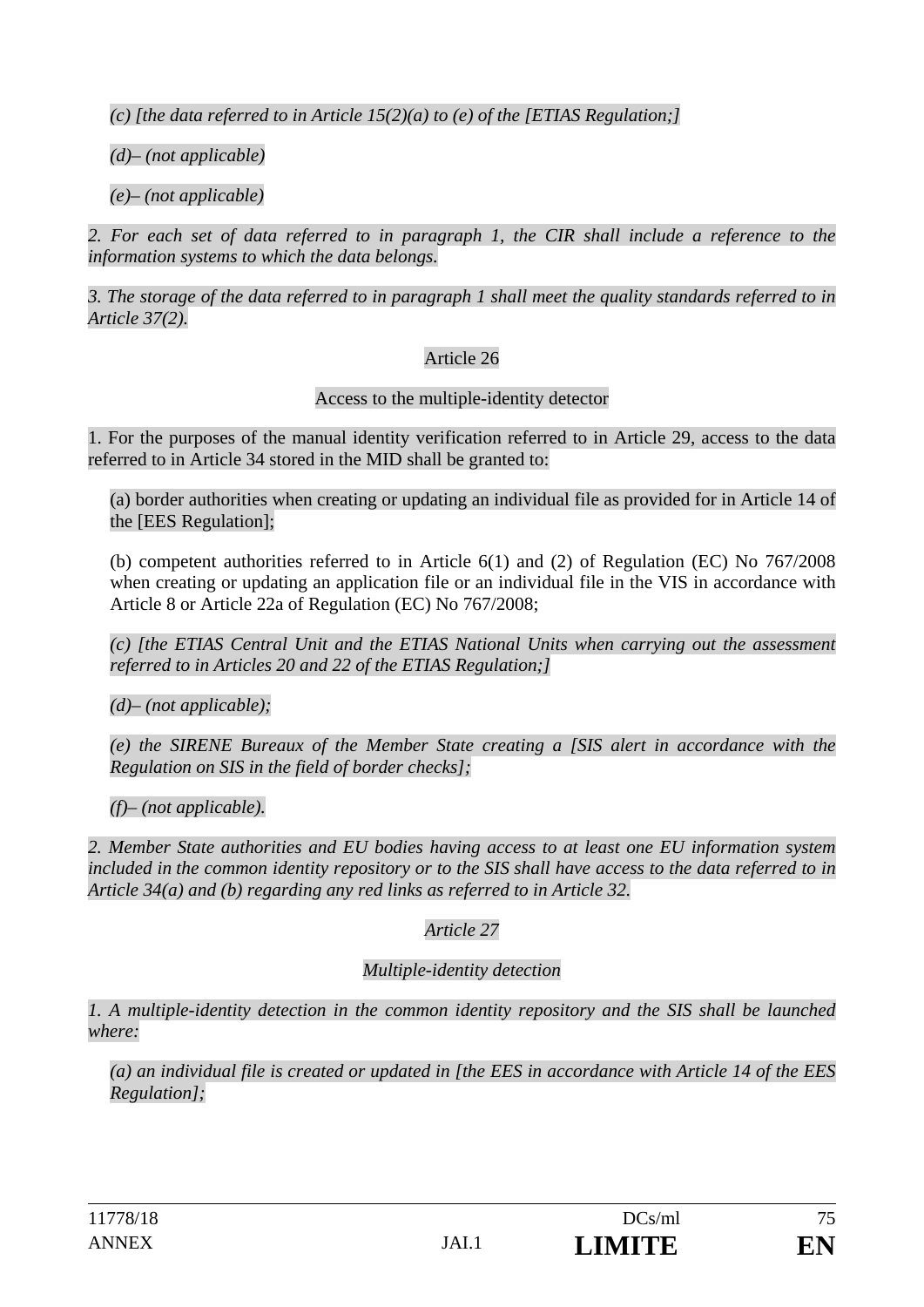*(c) [the data referred to in Article 15(2)(a) to (e) of the [ETIAS Regulation;]* 

*(d)– (not applicable)* 

*(e)– (not applicable)* 

2. For each set of data referred to in paragraph 1, the CIR shall include a reference to the *information systems to which the data belongs.* 

*3. The storage of the data referred to in paragraph 1 shall meet the quality standards referred to in Article 37(2).* 

# Article 26

Access to the multiple-identity detector

1. For the purposes of the manual identity verification referred to in Article 29, access to the data referred to in Article 34 stored in the MID shall be granted to:

(a) border authorities when creating or updating an individual file as provided for in Article 14 of the [EES Regulation];

(b) competent authorities referred to in Article 6(1) and (2) of Regulation (EC) No 767/2008 when creating or updating an application file or an individual file in the VIS in accordance with Article 8 or Article 22a of Regulation (EC) No 767/2008;

*(c) [the ETIAS Central Unit and the ETIAS National Units when carrying out the assessment referred to in Articles 20 and 22 of the ETIAS Regulation;]* 

*(d)– (not applicable);* 

*(e) the SIRENE Bureaux of the Member State creating a [SIS alert in accordance with the Regulation on SIS in the field of border checks];* 

*(f)– (not applicable).* 

*2. Member State authorities and EU bodies having access to at least one EU information system included in the common identity repository or to the SIS shall have access to the data referred to in Article 34(a) and (b) regarding any red links as referred to in Article 32.* 

*Article 27* 

#### *Multiple-identity detection*

*1. A multiple-identity detection in the common identity repository and the SIS shall be launched where:* 

*(a) an individual file is created or updated in [the EES in accordance with Article 14 of the EES Regulation];*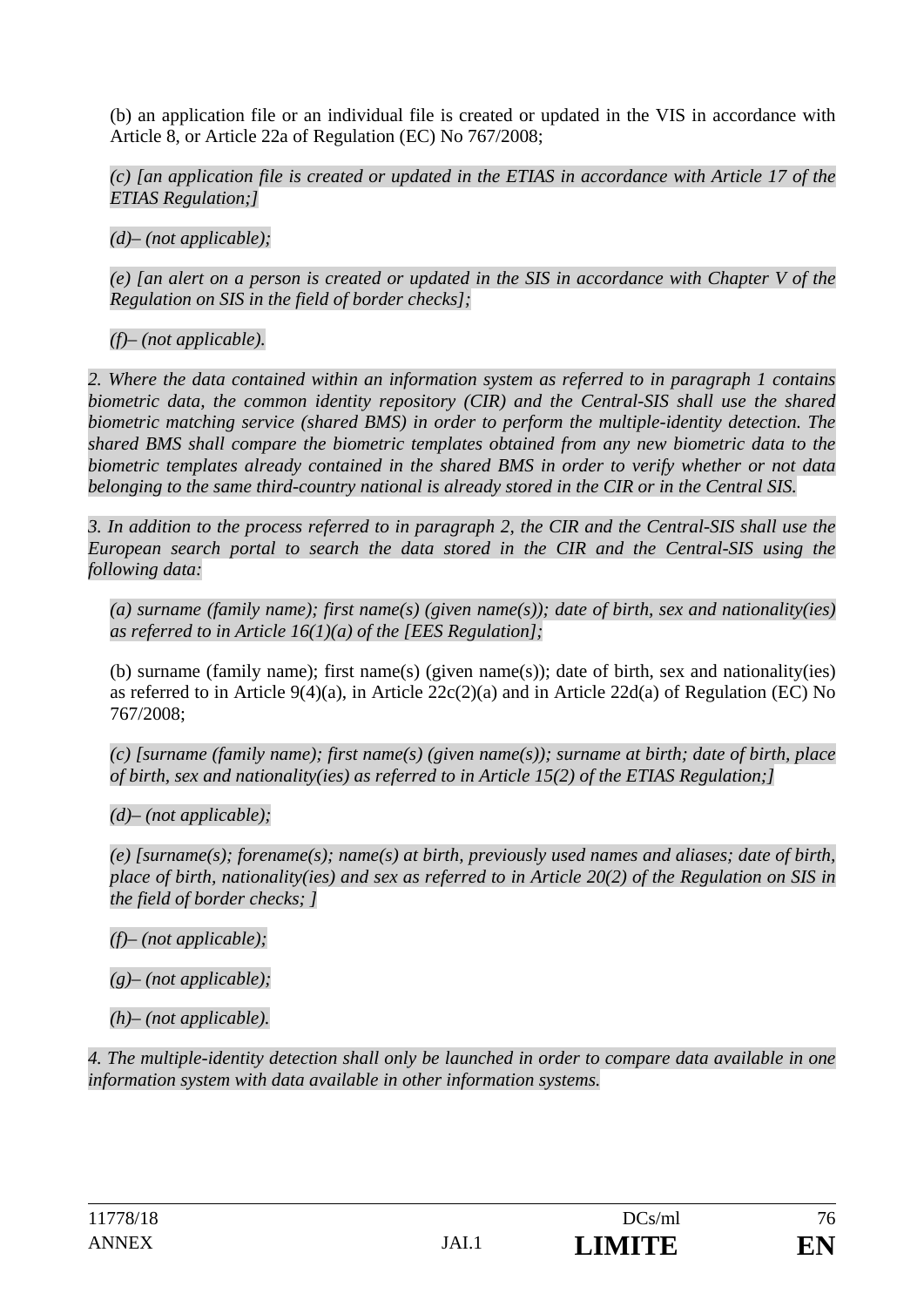(b) an application file or an individual file is created or updated in the VIS in accordance with Article 8, or Article 22a of Regulation (EC) No 767/2008;

*(c) [an application file is created or updated in the ETIAS in accordance with Article 17 of the ETIAS Regulation;]* 

*(d)– (not applicable);* 

*(e) [an alert on a person is created or updated in the SIS in accordance with Chapter V of the Regulation on SIS in the field of border checks];* 

*(f)– (not applicable).* 

*2. Where the data contained within an information system as referred to in paragraph 1 contains biometric data, the common identity repository (CIR) and the Central-SIS shall use the shared biometric matching service (shared BMS) in order to perform the multiple-identity detection. The shared BMS shall compare the biometric templates obtained from any new biometric data to the biometric templates already contained in the shared BMS in order to verify whether or not data belonging to the same third-country national is already stored in the CIR or in the Central SIS.* 

*3. In addition to the process referred to in paragraph 2, the CIR and the Central-SIS shall use the European search portal to search the data stored in the CIR and the Central-SIS using the following data:* 

*(a) surname (family name); first name(s) (given name(s)); date of birth, sex and nationality(ies) as referred to in Article 16(1)(a) of the [EES Regulation];* 

(b) surname (family name); first name(s) (given name(s)); date of birth, sex and nationality(ies) as referred to in Article 9(4)(a), in Article  $22c(2)(a)$  and in Article 22d(a) of Regulation (EC) No 767/2008;

*(c) [surname (family name); first name(s) (given name(s)); surname at birth; date of birth, place of birth, sex and nationality(ies) as referred to in Article 15(2) of the ETIAS Regulation;]* 

*(d)– (not applicable);* 

*(e) [surname(s); forename(s); name(s) at birth, previously used names and aliases; date of birth, place of birth, nationality(ies) and sex as referred to in Article 20(2) of the Regulation on SIS in the field of border checks; ]* 

*(f)– (not applicable);* 

*(g)– (not applicable);* 

*(h)– (not applicable).* 

*4. The multiple-identity detection shall only be launched in order to compare data available in one information system with data available in other information systems.*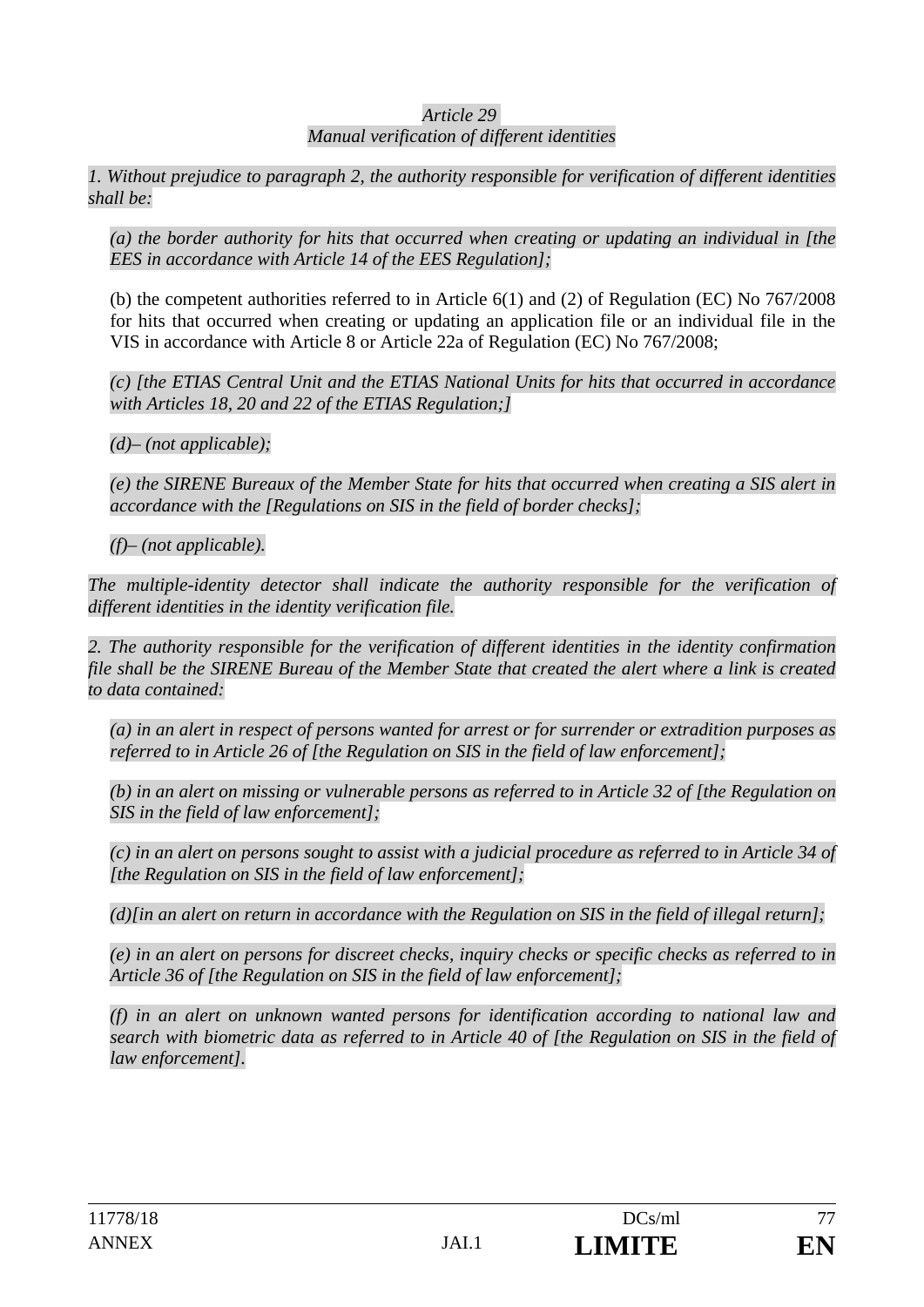#### *Article 29*

#### *Manual verification of different identities*

*1. Without prejudice to paragraph 2, the authority responsible for verification of different identities shall be:* 

*(a) the border authority for hits that occurred when creating or updating an individual in [the EES in accordance with Article 14 of the EES Regulation];* 

(b) the competent authorities referred to in Article 6(1) and (2) of Regulation (EC) No 767/2008 for hits that occurred when creating or updating an application file or an individual file in the VIS in accordance with Article 8 or Article 22a of Regulation (EC) No 767/2008;

*(c) [the ETIAS Central Unit and the ETIAS National Units for hits that occurred in accordance with Articles 18, 20 and 22 of the ETIAS Regulation;]* 

*(d)– (not applicable);* 

*(e) the SIRENE Bureaux of the Member State for hits that occurred when creating a SIS alert in accordance with the [Regulations on SIS in the field of border checks];* 

*(f)– (not applicable).* 

*The multiple-identity detector shall indicate the authority responsible for the verification of different identities in the identity verification file.* 

*2. The authority responsible for the verification of different identities in the identity confirmation file shall be the SIRENE Bureau of the Member State that created the alert where a link is created to data contained:* 

*(a) in an alert in respect of persons wanted for arrest or for surrender or extradition purposes as referred to in Article 26 of [the Regulation on SIS in the field of law enforcement];* 

*(b) in an alert on missing or vulnerable persons as referred to in Article 32 of [the Regulation on SIS in the field of law enforcement];* 

*(c) in an alert on persons sought to assist with a judicial procedure as referred to in Article 34 of [the Regulation on SIS in the field of law enforcement];* 

*(d)[in an alert on return in accordance with the Regulation on SIS in the field of illegal return];* 

*(e) in an alert on persons for discreet checks, inquiry checks or specific checks as referred to in Article 36 of [the Regulation on SIS in the field of law enforcement];* 

*(f) in an alert on unknown wanted persons for identification according to national law and search with biometric data as referred to in Article 40 of [the Regulation on SIS in the field of law enforcement].*